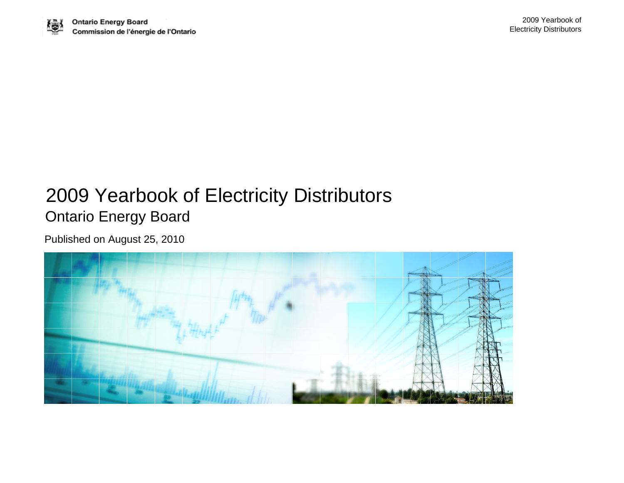

## 2009 Yearbook of Electricity Distributors Ontario Energy Board

Published on August 25, 2010

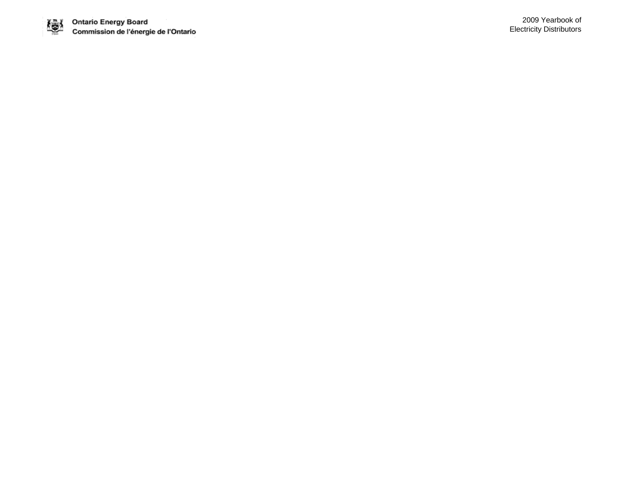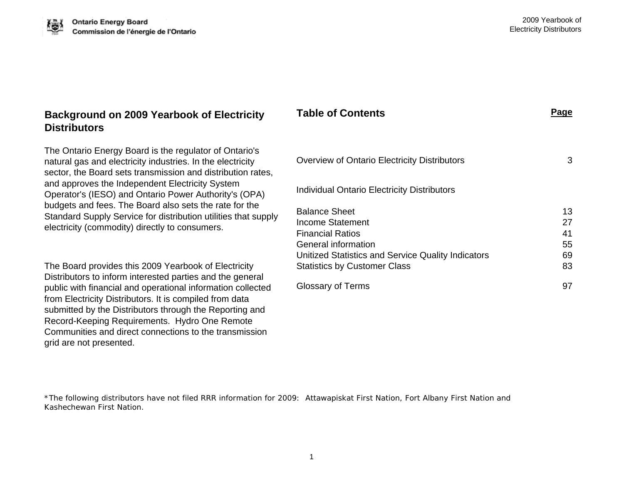

## **Background on 2009 Yearbook of Electricity Page Distributors**

The Ontario Energy Board is the regulator of Ontario's natural gas and electricity industries. In the electricity sector, the Board sets transmission and distribution rates, and approves the Independent Electricity System Operator's (IESO) and Ontario Power Authority's (OPA) budgets and fees. The Board also sets the rate for the Standard Supply Service for distribution utilities that supply electricity (commodity) directly to consumers.

The Board provides this 2009 Yearbook of Electricity Distributors to inform interested parties and the general public with financial and operational information collected from Electricity Distributors. It is compiled from data submitted by the Distributors through the Reporting and Record-Keeping Requirements. Hydro One Remote Communities and direct connections to the transmission grid are not presented.

| <b>Table of Contents</b>                                                                                                                                                  | Page                             |
|---------------------------------------------------------------------------------------------------------------------------------------------------------------------------|----------------------------------|
| Overview of Ontario Electricity Distributors                                                                                                                              | 3                                |
| Individual Ontario Electricity Distributors                                                                                                                               |                                  |
| Balance Sheet<br><b>Income Statement</b><br>Financial Ratios<br>General information<br>Unitized Statistics and Service Quality Indicators<br>Statistics by Customer Class | 13<br>27<br>41<br>55<br>69<br>83 |
| Glossary of Terms                                                                                                                                                         | 97                               |

\*The following distributors have not filed RRR information for 2009: Attawapiskat First Nation, Fort Albany First Nation and Kashechewan First Nation.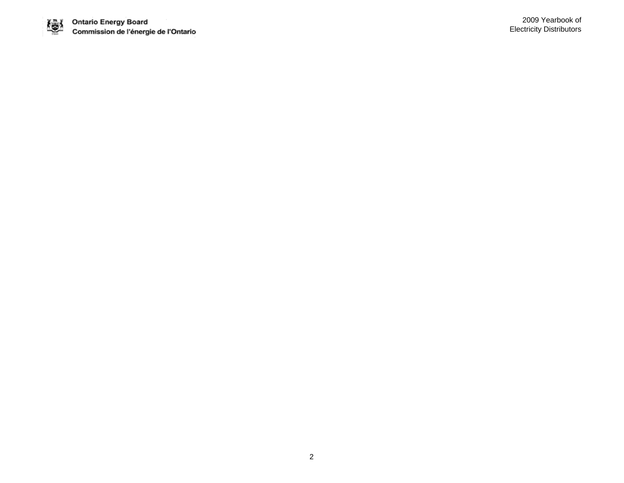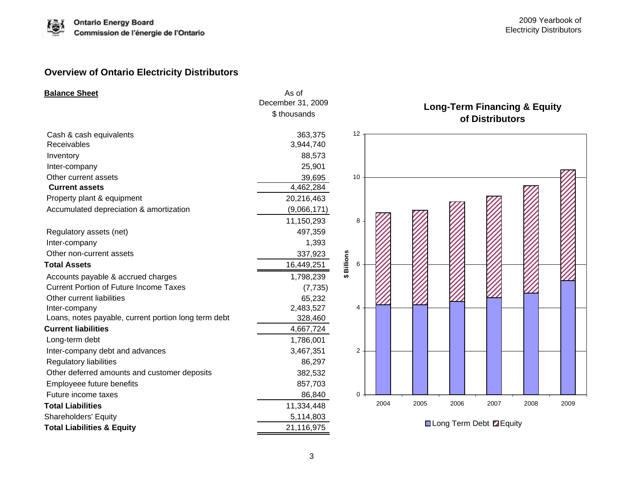## **Overview of Ontario Electricity Distributors**

| <b>Balance Sheet</b>                                 | As of             |                |      |      |                                         |                 |      |      |
|------------------------------------------------------|-------------------|----------------|------|------|-----------------------------------------|-----------------|------|------|
|                                                      | December 31, 2009 |                |      |      | <b>Long-Term Financing &amp; Equity</b> |                 |      |      |
|                                                      | \$ thousands      |                |      |      |                                         | of Distributors |      |      |
|                                                      |                   |                |      |      |                                         |                 |      |      |
| Cash & cash equivalents                              | 363,375           | 12             |      |      |                                         |                 |      |      |
| <b>Receivables</b>                                   | 3,944,740         |                |      |      |                                         |                 |      |      |
| Inventory                                            | 88,573            |                |      |      |                                         |                 |      |      |
| Inter-company                                        | 25,901            |                |      |      |                                         |                 |      |      |
| Other current assets                                 | 39,695            | 10             |      |      |                                         |                 |      |      |
| <b>Current assets</b>                                | 4,462,284         |                |      |      |                                         |                 |      |      |
| Property plant & equipment                           | 20,216,463        |                |      |      |                                         |                 |      |      |
| Accumulated depreciation & amortization              | (9,066,171)       |                |      |      |                                         |                 |      |      |
|                                                      | 11,150,293        | 8              |      |      |                                         |                 |      |      |
| Regulatory assets (net)                              | 497,359           |                |      |      |                                         |                 |      |      |
| Inter-company                                        | 1,393             |                |      |      |                                         |                 |      |      |
| Other non-current assets                             | 337,923           |                |      |      |                                         |                 |      |      |
| <b>Total Assets</b>                                  | 16,449,251        | Billions<br>6  |      |      |                                         |                 |      |      |
| Accounts payable & accrued charges                   | 1,798,239         | ↮              |      |      |                                         |                 |      |      |
| <b>Current Portion of Future Income Taxes</b>        | (7, 735)          |                |      |      |                                         |                 |      |      |
| Other current liabilities                            | 65,232            |                |      |      |                                         |                 |      |      |
| Inter-company                                        | 2,483,527         |                |      |      |                                         |                 |      |      |
| Loans, notes payable, current portion long term debt | 328,460           |                |      |      |                                         |                 |      |      |
| <b>Current liabilities</b>                           | 4,667,724         |                |      |      |                                         |                 |      |      |
| Long-term debt                                       | 1,786,001         |                |      |      |                                         |                 |      |      |
| Inter-company debt and advances                      | 3,467,351         | $\overline{2}$ |      |      |                                         |                 |      |      |
| <b>Regulatory liabilities</b>                        | 86,297            |                |      |      |                                         |                 |      |      |
| Other deferred amounts and customer deposits         | 382,532           |                |      |      |                                         |                 |      |      |
| Employeee future benefits                            | 857,703           |                |      |      |                                         |                 |      |      |
| Future income taxes                                  | 86,840            | 0              |      |      |                                         |                 |      |      |
| <b>Total Liabilities</b>                             | 11,334,448        |                | 2004 | 2005 | 2006                                    | 2007            | 2008 | 2009 |
| Shareholders' Equity                                 | 5,114,803         |                |      |      |                                         |                 |      |      |
| <b>Total Liabilities &amp; Equity</b>                | 21,116,975        |                |      |      | □ Long Term Debt ■ Equity               |                 |      |      |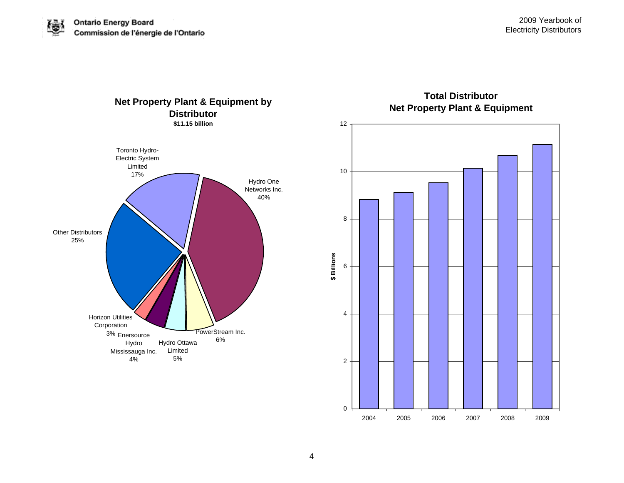

#### **Net Property Plant & Equipment by Distributor\$11.15 billion**

#N/A02 46 8 1012 2004 2005 2006 2007 2008 2009**\$ Billions**

## **Total DistributorNet Property Plant & Equipment**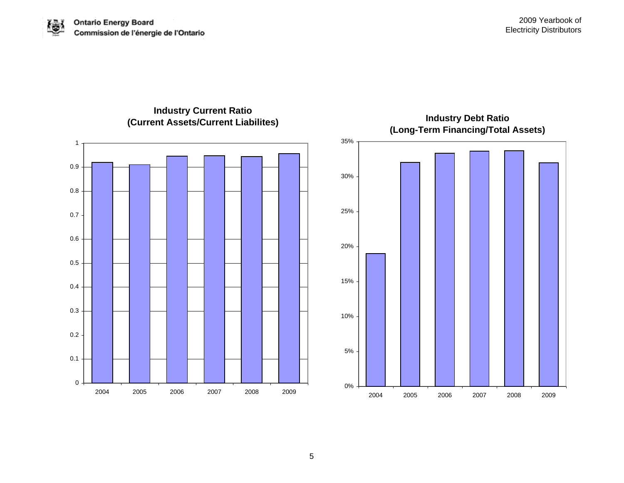

### **Industry Current Ratio (Current Assets/Current Liabilites)**



5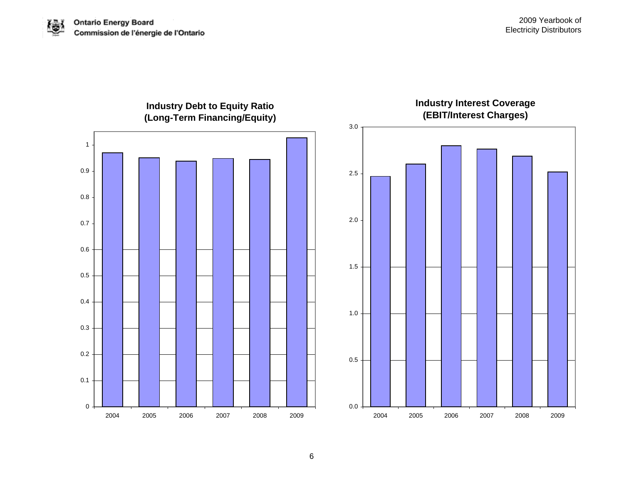

**Industry Debt to Equity Ratio**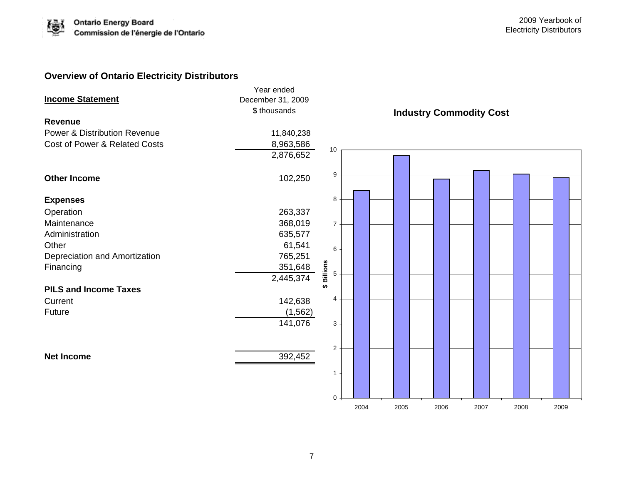2009

2004 2005 2006 2007 2008 2009

### **Overview of Ontario Electricity Distributors**

|                                         | Year ended                        |                  |  |  |                                |  |  |  |  |
|-----------------------------------------|-----------------------------------|------------------|--|--|--------------------------------|--|--|--|--|
| <b>Income Statement</b>                 | December 31, 2009<br>\$ thousands |                  |  |  |                                |  |  |  |  |
| <b>Revenue</b>                          |                                   |                  |  |  | <b>Industry Commodity Cost</b> |  |  |  |  |
| <b>Power &amp; Distribution Revenue</b> | 11,840,238                        |                  |  |  |                                |  |  |  |  |
| Cost of Power & Related Costs           | 8,963,586                         |                  |  |  |                                |  |  |  |  |
|                                         | 2,876,652                         | 10               |  |  |                                |  |  |  |  |
|                                         |                                   |                  |  |  |                                |  |  |  |  |
| <b>Other Income</b>                     | 102,250                           | $\boldsymbol{9}$ |  |  |                                |  |  |  |  |
|                                         |                                   |                  |  |  |                                |  |  |  |  |
| <b>Expenses</b>                         |                                   | $\,$ 8 $\,$      |  |  |                                |  |  |  |  |
| Operation                               | 263,337                           |                  |  |  |                                |  |  |  |  |
| Maintenance                             | 368,019                           | $\overline{7}$   |  |  |                                |  |  |  |  |
| Administration                          | 635,577                           |                  |  |  |                                |  |  |  |  |
| Other                                   | 61,541                            | 6                |  |  |                                |  |  |  |  |
| Depreciation and Amortization           | 765,251                           |                  |  |  |                                |  |  |  |  |
| Financing                               | 351,648                           |                  |  |  |                                |  |  |  |  |
|                                         | 2,445,374                         | Billions<br>5    |  |  |                                |  |  |  |  |
| <b>PILS and Income Taxes</b>            |                                   | ↮                |  |  |                                |  |  |  |  |
| Current                                 | 142,638                           | 4                |  |  |                                |  |  |  |  |
| Future                                  | (1, 562)                          |                  |  |  |                                |  |  |  |  |
|                                         | 141,076                           | 3                |  |  |                                |  |  |  |  |
|                                         |                                   |                  |  |  |                                |  |  |  |  |
|                                         |                                   | $\overline{c}$   |  |  |                                |  |  |  |  |
| <b>Net Income</b>                       | 392,452                           |                  |  |  |                                |  |  |  |  |
|                                         |                                   |                  |  |  |                                |  |  |  |  |
|                                         |                                   |                  |  |  |                                |  |  |  |  |
|                                         |                                   | $\mathbf 0$      |  |  |                                |  |  |  |  |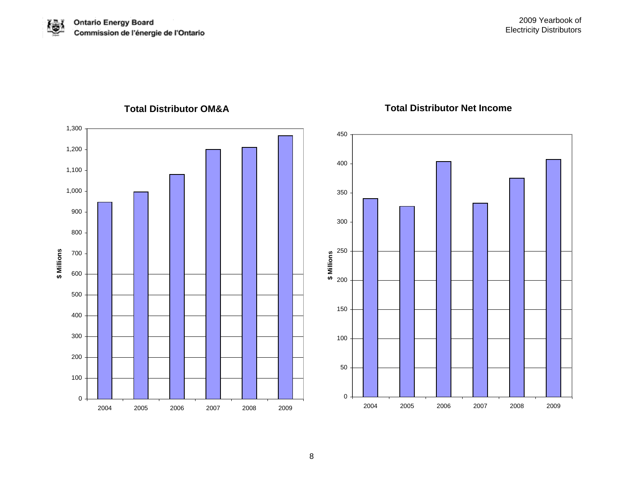

#### **Total Distributor OM&A**

### **Total Distributor Net Income**

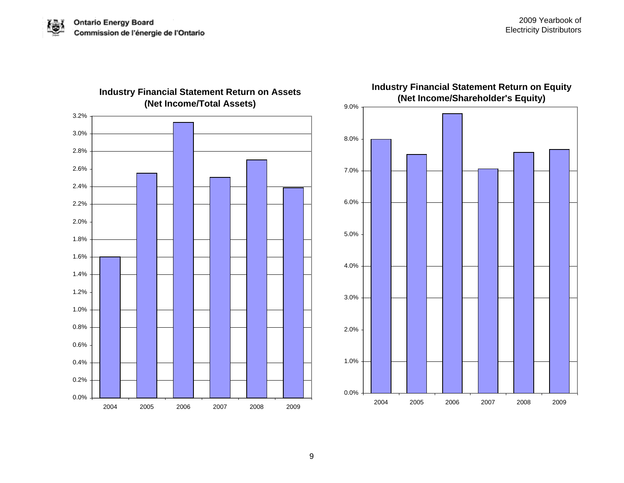

# **Industry Financial Statement Return on Assets**



# **Industry Financial Statement Return on Equity**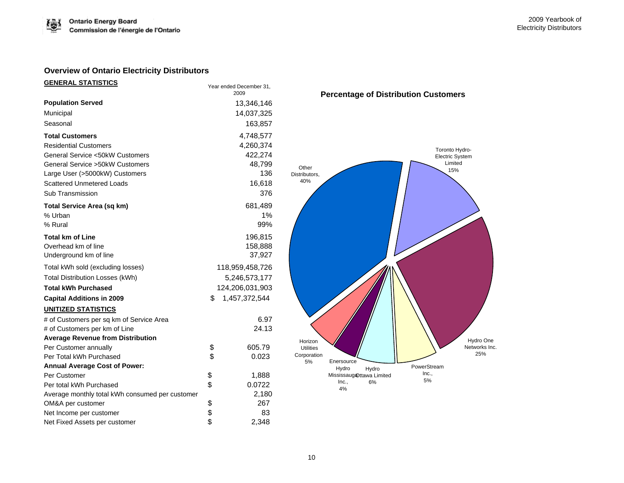#### **Overview of Ontario Electricity Distributors**

| <b>GENERAL STATISTICS</b>                       | Year ended December 31,<br>2009 | <b>Percentage of Distribution Customers</b> |
|-------------------------------------------------|---------------------------------|---------------------------------------------|
| <b>Population Served</b>                        | 13,346,146                      |                                             |
| Municipal                                       | 14,037,325                      |                                             |
| Seasonal                                        | 163,857                         |                                             |
| <b>Total Customers</b>                          | 4,748,577                       |                                             |
| <b>Residential Customers</b>                    | 4,260,374                       |                                             |
| General Service <50kW Customers                 | 422,274                         | Toronto Hydro-<br><b>Electric System</b>    |
| General Service > 50kW Customers                | 48,799                          | Limited<br>Other                            |
| Large User (>5000kW) Customers                  | 136                             | 15%<br>Distributors,                        |
| <b>Scattered Unmetered Loads</b>                | 16,618                          | 40%                                         |
| Sub Transmission                                | 376                             |                                             |
| <b>Total Service Area (sq km)</b>               | 681,489                         |                                             |
| % Urban                                         | 1%                              |                                             |
| % Rural                                         | 99%                             |                                             |
| <b>Total km of Line</b>                         | 196,815                         |                                             |
| Overhead km of line                             | 158,888                         |                                             |
| Underground km of line                          | 37,927                          |                                             |
| Total kWh sold (excluding losses)               | 118,959,458,726                 |                                             |
| <b>Total Distribution Losses (kWh)</b>          | 5,246,573,177                   |                                             |
| <b>Total kWh Purchased</b>                      | 124,206,031,903                 |                                             |
| <b>Capital Additions in 2009</b>                | \$<br>1,457,372,544             |                                             |
| <b>UNITIZED STATISTICS</b>                      |                                 |                                             |
| # of Customers per sq km of Service Area        | 6.97                            |                                             |
| # of Customers per km of Line                   | 24.13                           |                                             |
| <b>Average Revenue from Distribution</b>        |                                 | Horizon                                     |
| Per Customer annually                           | \$<br>605.79                    | Networks Inc.<br><b>Utilities</b>           |
| Per Total kWh Purchased                         | \$<br>0.023                     | Corporation<br>Enersource<br>5%             |
| <b>Annual Average Cost of Power:</b>            |                                 | PowerStream<br>Hydro<br>Hydro               |
| Per Customer                                    | \$<br>1,888                     | Inc.,<br>Mississaug@ttawa Limited<br>5%     |
| Per total kWh Purchased                         | \$<br>0.0722                    | 6%<br>Inc.,<br>4%                           |
| Average monthly total kWh consumed per customer | 2,180                           |                                             |
| OM&A per customer                               | \$<br>267                       |                                             |
| Net Income per customer                         | \$<br>83                        |                                             |
| Net Fixed Assets per customer                   | \$<br>2,348                     |                                             |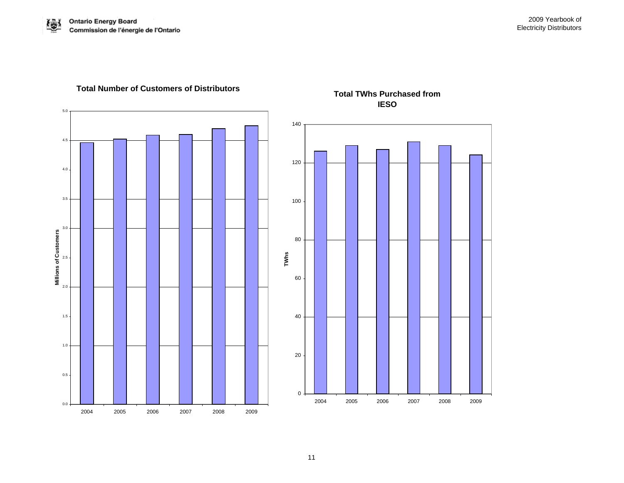2009

#### **Total Number of Customers of Distributors**



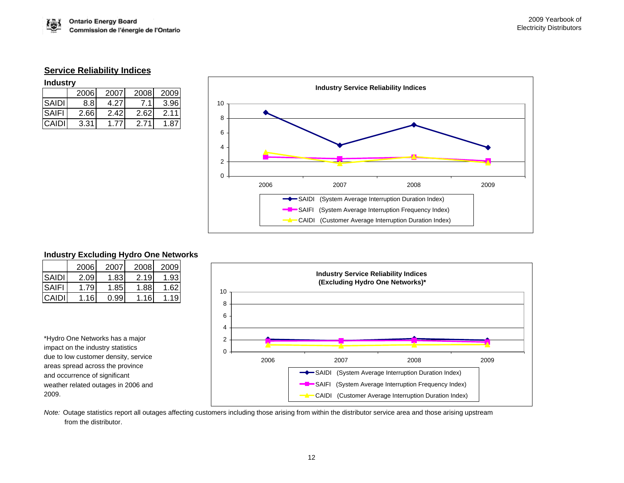

#### **Service Reliability Indices**

| <b>Industry</b> |      |      |                   |      |
|-----------------|------|------|-------------------|------|
|                 | 2006 | 2007 | 2008              | 2009 |
| <b>SAIDI</b>    | 8.8  | 4.27 |                   | 3.96 |
| <b>SAIFI</b>    | 2.66 | 2.42 | 2.62 <sub>1</sub> | 2.11 |
|                 |      |      |                   |      |



#### **Industry Excluding Hydro One Networks**

|              | 2006  | 2007  | 2008  | 2009  |
|--------------|-------|-------|-------|-------|
| <b>SAIDI</b> | 2.09  | 1.831 | 2.19  | 1.931 |
| <b>SAIFI</b> | 1.791 | 1.85  | 1.88  | 1.621 |
| CAIL.        | 1.16  | Ი.99  | 1.161 | 1.191 |

\*Hydro One Networks has a major impact on the industry statistics due to low customer density, service areas spread across the province and occurrence of significant weather related outages in 2006 and 2009.



*Note:* Outage statistics report all outages affecting customers including those arising from within the distributor service area and those arising upstream from the distributor.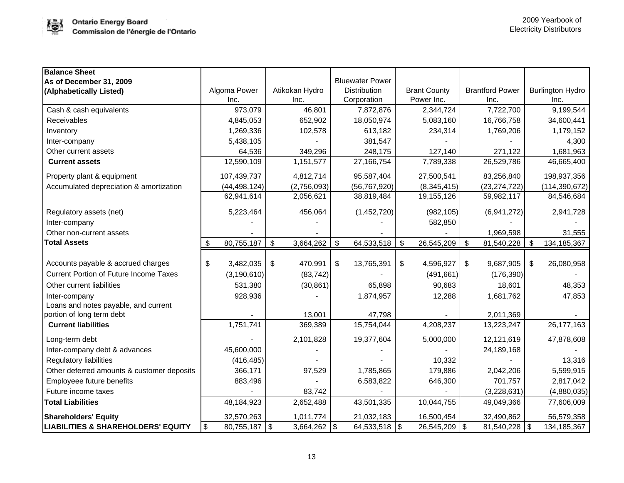

| <b>Balance Sheet</b>                          |                     |                 |                        |                     |                |                        |     |                         |
|-----------------------------------------------|---------------------|-----------------|------------------------|---------------------|----------------|------------------------|-----|-------------------------|
| As of December 31, 2009                       |                     |                 | <b>Bluewater Power</b> |                     |                |                        |     |                         |
| (Alphabetically Listed)                       | Algoma Power        | Atikokan Hydro  | Distribution           | <b>Brant County</b> |                | <b>Brantford Power</b> |     | <b>Burlington Hydro</b> |
|                                               | Inc.                | Inc.            | Corporation            | Power Inc.          |                | Inc.                   |     | Inc.                    |
| Cash & cash equivalents                       | 973,079             | 46,801          | 7,872,876              | 2,344,724           |                | 7,722,700              |     | 9,199,544               |
| Receivables                                   | 4,845,053           | 652,902         | 18,050,974             | 5,083,160           |                | 16,766,758             |     | 34,600,441              |
| Inventory                                     | 1,269,336           | 102,578         | 613,182                | 234,314             |                | 1,769,206              |     | 1,179,152               |
| Inter-company                                 | 5,438,105           |                 | 381,547                |                     |                |                        |     | 4,300                   |
| Other current assets                          | 64,536              | 349,296         | 248,175                | 127,140             |                | 271,122                |     | 1,681,963               |
| <b>Current assets</b>                         | 12,590,109          | 1,151,577       | 27,166,754             | 7,789,338           |                | 26,529,786             |     | 46,665,400              |
| Property plant & equipment                    | 107,439,737         | 4,812,714       | 95,587,404             | 27,500,541          |                | 83,256,840             |     | 198,937,356             |
| Accumulated depreciation & amortization       | (44, 498, 124)      | (2,756,093)     | (56, 767, 920)         | (8,345,415)         |                | (23, 274, 722)         |     | (114, 390, 672)         |
|                                               | 62,941,614          | 2,056,621       | 38,819,484             | 19,155,126          |                | 59,982,117             |     | 84,546,684              |
| Regulatory assets (net)                       | 5,223,464           | 456,064         | (1,452,720)            | (982, 105)          |                | (6,941,272)            |     | 2,941,728               |
| Inter-company                                 |                     |                 |                        | 582,850             |                |                        |     |                         |
| Other non-current assets                      |                     |                 |                        |                     |                | 1,969,598              |     | 31,555                  |
| <b>Total Assets</b>                           | \$<br>80,755,187    | \$<br>3,664,262 | \$<br>64,533,518       | \$<br>26,545,209    | $\mathfrak s$  | 81,540,228             | \$  | 134, 185, 367           |
|                                               |                     |                 |                        |                     |                |                        |     |                         |
| Accounts payable & accrued charges            | \$<br>3,482,035     | \$<br>470,991   | \$<br>13,765,391       | \$<br>4,596,927     | $\mathfrak{S}$ | 9,687,905              | \$  | 26,080,958              |
| <b>Current Portion of Future Income Taxes</b> | (3, 190, 610)       | (83, 742)       |                        | (491, 661)          |                | (176, 390)             |     |                         |
| Other current liabilities                     | 531,380             | (30, 861)       | 65,898                 | 90,683              |                | 18,601                 |     | 48,353                  |
| Inter-company                                 | 928,936             |                 | 1,874,957              | 12,288              |                | 1,681,762              |     | 47,853                  |
| Loans and notes payable, and current          |                     |                 |                        |                     |                |                        |     |                         |
| portion of long term debt                     |                     | 13,001          | 47,798                 |                     |                | 2,011,369              |     |                         |
| <b>Current liabilities</b>                    | 1,751,741           | 369,389         | 15,754,044             | 4,208,237           |                | 13,223,247             |     | 26,177,163              |
| Long-term debt                                |                     | 2,101,828       | 19,377,604             | 5,000,000           |                | 12,121,619             |     | 47,878,608              |
| Inter-company debt & advances                 | 45,600,000          |                 |                        |                     |                | 24,189,168             |     |                         |
| Regulatory liabilities                        | (416, 485)          |                 |                        | 10,332              |                |                        |     | 13,316                  |
| Other deferred amounts & customer deposits    | 366,171             | 97,529          | 1,785,865              | 179,886             |                | 2,042,206              |     | 5,599,915               |
| Employeee future benefits                     | 883,496             |                 | 6,583,822              | 646,300             |                | 701,757                |     | 2,817,042               |
| Future income taxes                           |                     | 83,742          |                        |                     |                | (3,228,631)            |     | (4,880,035)             |
| <b>Total Liabilities</b>                      | 48,184,923          | 2,652,488       | 43,501,335             | 10,044,755          |                | 49,049,366             |     | 77,606,009              |
| <b>Shareholders' Equity</b>                   | 32,570,263          | 1,011,774       | 21,032,183             | 16,500,454          |                | 32,490,862             |     | 56,579,358              |
| <b>LIABILITIES &amp; SHAREHOLDERS' EQUITY</b> | \$<br>80,755,187 \$ | $3,664,262$ \\$ | $64,533,518$ \$        | 26,545,209 \$       |                | 81,540,228             | l\$ | 134, 185, 367           |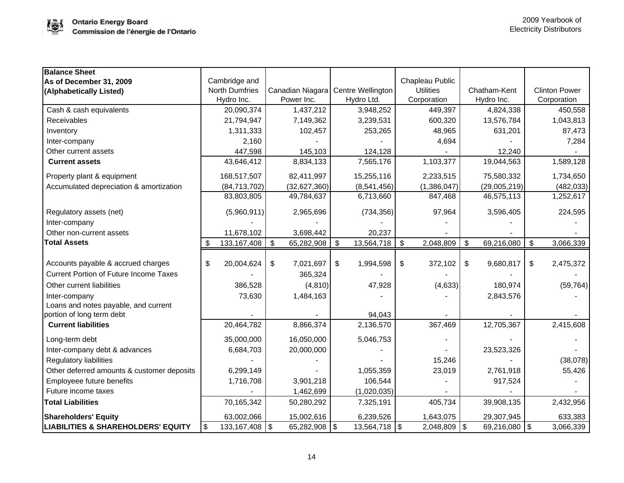

| <b>Balance Sheet</b>                                              |                |                    |               |                  |                         |                     |                  |                |                  |                      |
|-------------------------------------------------------------------|----------------|--------------------|---------------|------------------|-------------------------|---------------------|------------------|----------------|------------------|----------------------|
| As of December 31, 2009                                           | Cambridge and  |                    |               |                  |                         |                     | Chapleau Public  |                |                  |                      |
| (Alphabetically Listed)                                           | North Dumfries |                    |               | Canadian Niagara |                         | Centre Wellington   | <b>Utilities</b> |                | Chatham-Kent     | <b>Clinton Power</b> |
|                                                                   | Hydro Inc.     |                    |               | Power Inc.       |                         | Hydro Ltd.          | Corporation      |                | Hydro Inc.       | Corporation          |
| Cash & cash equivalents                                           |                | 20,090,374         |               | 1,437,212        |                         | 3,948,252           |                  | 449,397        | 4,824,338        | 450,558              |
| Receivables                                                       |                | 21,794,947         |               | 7,149,362        |                         | 3,239,531           |                  | 600,320        | 13,576,784       | 1,043,813            |
| Inventory                                                         |                | 1,311,333          |               | 102,457          |                         | 253,265             |                  | 48,965         | 631,201          | 87,473               |
| Inter-company                                                     |                | 2,160              |               |                  |                         |                     |                  | 4,694          |                  | 7,284                |
| Other current assets                                              |                | 447,598            |               | 145,103          |                         | 124,128             |                  |                | 12,240           |                      |
| <b>Current assets</b>                                             |                | 43,646,412         |               | 8,834,133        |                         | 7,565,176           |                  | 1,103,377      | 19,044,563       | 1,589,128            |
| Property plant & equipment                                        |                | 168,517,507        |               | 82,411,997       |                         | 15,255,116          |                  | 2,233,515      | 75,580,332       | 1,734,650            |
| Accumulated depreciation & amortization                           |                | (84, 713, 702)     |               | (32,627,360)     |                         | (8,541,456)         |                  | (1,386,047)    | (29,005,219)     | (482, 033)           |
|                                                                   |                | 83,803,805         |               | 49,784,637       |                         | 6,713,660           |                  | 847,468        | 46,575,113       | 1,252,617            |
| Regulatory assets (net)                                           |                | (5,960,911)        |               | 2,965,696        |                         | (734, 356)          |                  | 97,964         | 3,596,405        | 224,595              |
| Inter-company                                                     |                |                    |               |                  |                         |                     |                  |                |                  |                      |
| Other non-current assets                                          |                | 11,678,102         |               | 3,698,442        |                         | 20,237              |                  |                |                  |                      |
| <b>Total Assets</b>                                               | \$             | 133,167,408        | $\sqrt[6]{3}$ | 65,282,908       | $\sqrt[6]{\frac{1}{2}}$ | 13,564,718          | \$               | 2,048,809      | \$<br>69,216,080 | \$<br>3,066,339      |
|                                                                   |                |                    |               |                  |                         |                     |                  |                |                  |                      |
| Accounts payable & accrued charges                                | \$             | 20,004,624         | \$            | 7,021,697        | \$                      | 1,994,598           | \$               | 372,102        | \$<br>9,680,817  | \$<br>2,475,372      |
| Current Portion of Future Income Taxes                            |                |                    |               | 365,324          |                         |                     |                  |                |                  |                      |
| Other current liabilities                                         |                | 386,528            |               | (4, 810)         |                         | 47,928              |                  | (4,633)        | 180,974          | (59, 764)            |
| Inter-company                                                     |                | 73,630             |               | 1,484,163        |                         |                     |                  |                | 2,843,576        |                      |
| Loans and notes payable, and current<br>portion of long term debt |                |                    |               |                  |                         |                     |                  |                |                  |                      |
| <b>Current liabilities</b>                                        |                | 20,464,782         |               | 8,866,374        |                         | 94,043<br>2,136,570 |                  | 367,469        | 12,705,367       | 2,415,608            |
|                                                                   |                |                    |               |                  |                         |                     |                  |                |                  |                      |
| Long-term debt                                                    |                | 35,000,000         |               | 16,050,000       |                         | 5,046,753           |                  |                |                  |                      |
| Inter-company debt & advances                                     |                | 6,684,703          |               | 20,000,000       |                         |                     |                  |                | 23,523,326       |                      |
| Regulatory liabilities                                            |                |                    |               |                  |                         |                     |                  | 15,246         |                  | (38,078)             |
| Other deferred amounts & customer deposits                        |                | 6,299,149          |               |                  |                         | 1,055,359           |                  | 23,019         | 2,761,918        | 55,426               |
| Employeee future benefits                                         |                | 1,716,708          |               | 3,901,218        |                         | 106,544             |                  |                | 917,524          |                      |
| Future income taxes                                               |                |                    |               | 1,462,699        |                         | (1,020,035)         |                  |                |                  |                      |
| <b>Total Liabilities</b>                                          |                | 70,165,342         |               | 50,280,292       |                         | 7,325,191           |                  | 405,734        | 39,908,135       | 2,432,956            |
| <b>Shareholders' Equity</b>                                       |                | 63,002,066         |               | 15,002,616       |                         | 6,239,526           |                  | 1,643,075      | 29,307,945       | 633,383              |
| <b>LIABILITIES &amp; SHAREHOLDERS' EQUITY</b>                     | \$             | 133, 167, 408   \$ |               | 65,282,908 \$    |                         | 13,564,718 \$       |                  | $2,048,809$ \$ | 69,216,080 \$    | 3,066,339            |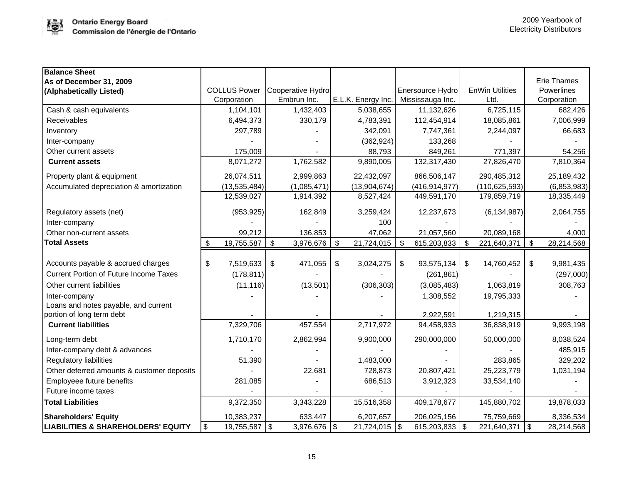

| <b>Balance Sheet</b>                          |                        |                   |                                         |                                       |                              |                          |
|-----------------------------------------------|------------------------|-------------------|-----------------------------------------|---------------------------------------|------------------------------|--------------------------|
| As of December 31, 2009                       |                        |                   |                                         |                                       |                              | <b>Erie Thames</b>       |
| (Alphabetically Listed)                       | <b>COLLUS Power</b>    | Cooperative Hydro |                                         | Enersource Hydro                      | <b>EnWin Utilities</b>       | Powerlines               |
|                                               | Corporation            | Embrun Inc.       | E.L.K. Energy Inc.                      | Mississauga Inc.                      | Ltd.                         | Corporation              |
| Cash & cash equivalents                       | 1,104,101              | 1,432,403         | 5,038,655                               | 11,132,626                            | 6,725,115                    | 682,426                  |
| Receivables                                   | 6,494,373              | 330,179           | 4,783,391                               | 112,454,914                           | 18,085,861                   | 7,006,999                |
| Inventory                                     | 297,789                |                   | 342,091                                 | 7,747,361                             | 2,244,097                    | 66,683                   |
| Inter-company                                 |                        |                   | (362, 924)                              | 133,268                               |                              |                          |
| Other current assets                          | 175,009                |                   | 88,793                                  | 849,261                               | 771,397                      | 54,256                   |
| <b>Current assets</b>                         | 8,071,272              | 1,762,582         | 9,890,005                               | 132,317,430                           | 27,826,470                   | 7,810,364                |
| Property plant & equipment                    | 26,074,511             | 2,999,863         | 22,432,097                              | 866,506,147                           | 290,485,312                  | 25,189,432               |
| Accumulated depreciation & amortization       | (13,535,484)           | (1,085,471)       | (13,904,674)                            | (416, 914, 977)                       | (110, 625, 593)              | (6,853,983)              |
|                                               | 12,539,027             | 1,914,392         | 8,527,424                               | 449,591,170                           | 179,859,719                  | 18,335,449               |
| Regulatory assets (net)                       | (953, 925)             | 162,849           | 3,259,424                               | 12,237,673                            | (6, 134, 987)                | 2,064,755                |
| Inter-company                                 |                        |                   | 100                                     |                                       |                              |                          |
| Other non-current assets                      | 99,212                 | 136,853           | 47,062                                  | 21,057,560                            | 20,089,168                   | 4,000                    |
| <b>Total Assets</b>                           | \$<br>19,755,587       | \$<br>3,976,676   | $\boldsymbol{\mathsf{S}}$<br>21,724,015 | \$<br>615,203,833                     | 221,640,371<br>\$            | \$<br>28,214,568         |
|                                               |                        |                   |                                         |                                       |                              |                          |
| Accounts payable & accrued charges            | \$<br>7,519,633        | \$<br>471,055     | 3,024,275<br>\$                         | $\sqrt[6]{\frac{1}{2}}$<br>93,575,134 | $\mathfrak{S}$<br>14,760,452 | \$<br>9,981,435          |
| <b>Current Portion of Future Income Taxes</b> | (178, 811)             |                   |                                         | (261, 861)                            |                              | (297,000)                |
| Other current liabilities                     | (11, 116)              | (13,501)          | (306, 303)                              | (3,085,483)                           | 1,063,819                    | 308,763                  |
| Inter-company                                 |                        |                   |                                         | 1,308,552                             | 19,795,333                   |                          |
| Loans and notes payable, and current          |                        |                   |                                         |                                       |                              |                          |
| portion of long term debt                     |                        |                   |                                         | 2,922,591                             | 1,219,315                    |                          |
| <b>Current liabilities</b>                    | 7,329,706              | 457,554           | 2,717,972                               | 94,458,933                            | 36,838,919                   | 9,993,198                |
| Long-term debt                                | 1,710,170              | 2,862,994         | 9,900,000                               | 290,000,000                           | 50,000,000                   | 8,038,524                |
| Inter-company debt & advances                 |                        |                   |                                         |                                       |                              | 485,915                  |
| <b>Regulatory liabilities</b>                 | 51,390                 |                   | 1,483,000                               |                                       | 283,865                      | 329,202                  |
| Other deferred amounts & customer deposits    |                        | 22,681            | 728,873                                 | 20,807,421                            | 25,223,779                   | 1,031,194                |
| Employeee future benefits                     | 281,085                |                   | 686,513                                 | 3,912,323                             | 33,534,140                   |                          |
| Future income taxes                           |                        |                   |                                         |                                       |                              |                          |
| <b>Total Liabilities</b>                      | 9,372,350              | 3,343,228         | 15,516,358                              | 409,178,677                           | 145,880,702                  | 19,878,033               |
| <b>Shareholders' Equity</b>                   | 10,383,237             | 633,447           | 6,207,657                               | 206,025,156                           | 75,759,669                   | 8,336,534                |
| <b>LIABILITIES &amp; SHAREHOLDERS' EQUITY</b> | 19,755,587 \$<br>$\$\$ | $3,976,676$ \\$   | $21,724,015$ \$                         | $615,203,833$ \\$                     | 221,640,371                  | $\sqrt{3}$<br>28,214,568 |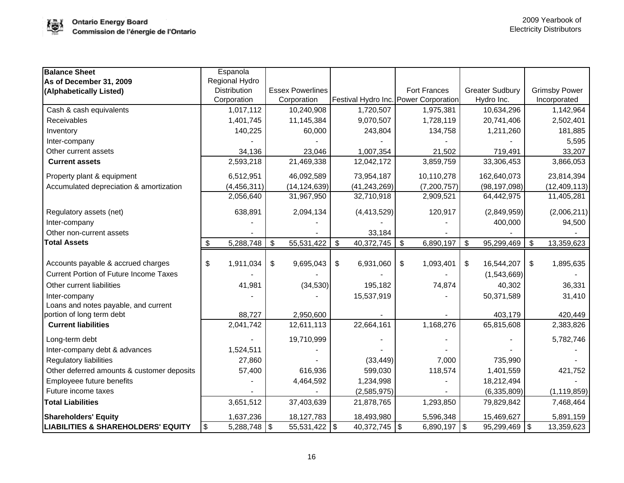

| <b>Balance Sheet</b>                          | Espanola           |                         |                  |                                       |                                         |                                         |
|-----------------------------------------------|--------------------|-------------------------|------------------|---------------------------------------|-----------------------------------------|-----------------------------------------|
| As of December 31, 2009                       | Regional Hydro     |                         |                  |                                       |                                         |                                         |
| (Alphabetically Listed)                       | Distribution       | <b>Essex Powerlines</b> |                  | <b>Fort Frances</b>                   | <b>Greater Sudbury</b>                  | <b>Grimsby Power</b>                    |
|                                               | Corporation        | Corporation             |                  | Festival Hydro Inc. Power Corporation | Hydro Inc.                              | Incorporated                            |
| Cash & cash equivalents                       | 1,017,112          | 10,240,908              | 1,720,507        | 1,975,381                             | 10,634,296                              | 1,142,964                               |
| Receivables                                   | 1,401,745          | 11,145,384              | 9,070,507        | 1,728,119                             | 20,741,406                              | 2,502,401                               |
| Inventory                                     | 140,225            | 60,000                  | 243,804          | 134,758                               | 1,211,260                               | 181,885                                 |
| Inter-company                                 |                    |                         |                  |                                       |                                         | 5,595                                   |
| Other current assets                          | 34,136             | 23,046                  | 1,007,354        | 21,502                                | 719,491                                 | 33,207                                  |
| <b>Current assets</b>                         | 2,593,218          | 21,469,338              | 12,042,172       | 3,859,759                             | 33,306,453                              | 3,866,053                               |
| Property plant & equipment                    | 6,512,951          | 46,092,589              | 73,954,187       | 10,110,278                            | 162,640,073                             | 23,814,394                              |
| Accumulated depreciation & amortization       | (4, 456, 311)      | (14, 124, 639)          | (41, 243, 269)   | (7, 200, 757)                         | (98, 197, 098)                          | (12, 409, 113)                          |
|                                               | 2,056,640          | 31,967,950              | 32,710,918       | 2,909,521                             | 64,442,975                              | 11,405,281                              |
| Regulatory assets (net)                       | 638,891            | 2,094,134               | (4, 413, 529)    | 120,917                               | (2,849,959)                             | (2,006,211)                             |
| Inter-company                                 |                    |                         |                  |                                       | 400,000                                 | 94,500                                  |
| Other non-current assets                      |                    |                         | 33,184           |                                       |                                         |                                         |
| <b>Total Assets</b>                           | 5,288,748<br>\$    | \$<br>55,531,422        | \$<br>40,372,745 | $\sqrt[6]{\frac{1}{2}}$<br>6,890,197  | $\boldsymbol{\mathsf{S}}$<br>95,299,469 | $\boldsymbol{\mathsf{S}}$<br>13,359,623 |
|                                               |                    |                         |                  |                                       |                                         |                                         |
| Accounts payable & accrued charges            | \$<br>1,911,034    | \$<br>9,695,043         | \$<br>6,931,060  | \$<br>1,093,401                       | \$<br>16,544,207                        | \$<br>1,895,635                         |
| <b>Current Portion of Future Income Taxes</b> |                    |                         |                  |                                       | (1,543,669)                             |                                         |
| Other current liabilities                     | 41,981             | (34, 530)               | 195,182          | 74,874                                | 40,302                                  | 36,331                                  |
| Inter-company                                 |                    |                         | 15,537,919       |                                       | 50,371,589                              | 31,410                                  |
| Loans and notes payable, and current          |                    |                         |                  |                                       |                                         |                                         |
| portion of long term debt                     | 88,727             | 2,950,600               |                  |                                       | 403,179                                 | 420,449                                 |
| <b>Current liabilities</b>                    | 2,041,742          | 12,611,113              | 22,664,161       | 1,168,276                             | 65,815,608                              | 2,383,826                               |
| Long-term debt                                |                    | 19,710,999              |                  |                                       |                                         | 5,782,746                               |
| Inter-company debt & advances                 | 1,524,511          |                         |                  |                                       |                                         |                                         |
| Regulatory liabilities                        | 27,860             |                         | (33, 449)        | 7,000                                 | 735,990                                 |                                         |
| Other deferred amounts & customer deposits    | 57,400             | 616,936                 | 599,030          | 118,574                               | 1,401,559                               | 421,752                                 |
| Employeee future benefits                     |                    | 4,464,592               | 1,234,998        |                                       | 18,212,494                              |                                         |
| Future income taxes                           |                    |                         | (2,585,975)      |                                       | (6,335,809)                             | (1, 119, 859)                           |
| <b>Total Liabilities</b>                      | 3,651,512          | 37,403,639              | 21,878,765       | 1,293,850                             | 79,829,842                              | 7,468,464                               |
| <b>Shareholders' Equity</b>                   | 1,637,236          | 18,127,783              | 18,493,980       | 5,596,348                             | 15,469,627                              | 5,891,159                               |
| <b>LIABILITIES &amp; SHAREHOLDERS' EQUITY</b> | 5,288,748 \$<br>\$ | 55,531,422   \$         | 40,372,745 \$    | 6,890,197 \$                          | 95,299,469 \$                           | 13,359,623                              |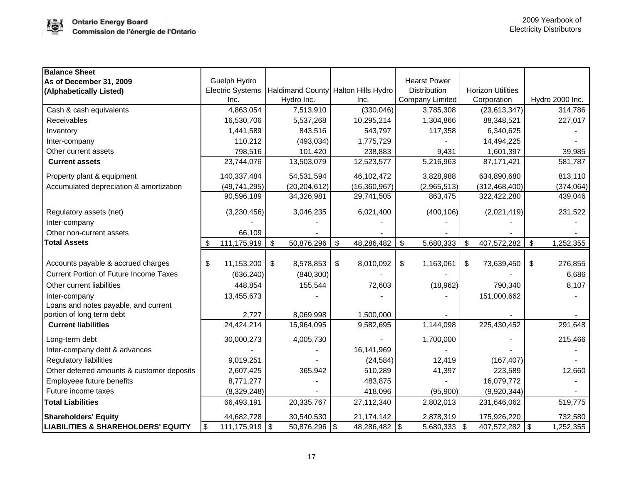

| <b>Balance Sheet</b>                          |                         |                |                                     |                  |                                         |                          |                 |
|-----------------------------------------------|-------------------------|----------------|-------------------------------------|------------------|-----------------------------------------|--------------------------|-----------------|
| As of December 31, 2009                       | Guelph Hydro            |                |                                     |                  | <b>Hearst Power</b>                     |                          |                 |
| (Alphabetically Listed)                       | <b>Electric Systems</b> |                | Haldimand County Halton Hills Hydro |                  | Distribution                            | <b>Horizon Utilities</b> |                 |
|                                               | Inc.                    |                | Hydro Inc.                          | Inc.             | <b>Company Limited</b>                  | Corporation              | Hydro 2000 Inc. |
| Cash & cash equivalents                       | 4,863,054               |                | 7,513,910                           | (330, 046)       | 3,785,308                               | (23, 613, 347)           | 314,786         |
| <b>Receivables</b>                            | 16,530,706              |                | 5,537,268                           | 10,295,214       | 1,304,866                               | 88,348,521               | 227,017         |
| Inventory                                     | 1,441,589               |                | 843,516                             | 543,797          | 117,358                                 | 6,340,625                |                 |
| Inter-company                                 | 110,212                 |                | (493, 034)                          | 1,775,729        |                                         | 14,494,225               |                 |
| Other current assets                          | 798,516                 |                | 101,420                             | 238,883          | 9,431                                   | 1,601,397                | 39,985          |
| <b>Current assets</b>                         | 23,744,076              |                | 13,503,079                          | 12,523,577       | 5,216,963                               | 87, 171, 421             | 581,787         |
| Property plant & equipment                    | 140,337,484             |                | 54,531,594                          | 46,102,472       | 3,828,988                               | 634,890,680              | 813,110         |
| Accumulated depreciation & amortization       | (49, 741, 295)          |                | (20, 204, 612)                      | (16, 360, 967)   | (2,965,513)                             | (312, 468, 400)          | (374, 064)      |
|                                               | 90,596,189              |                | 34,326,981                          | 29,741,505       | 863,475                                 | 322,422,280              | 439,046         |
| Regulatory assets (net)                       | (3,230,456)             |                | 3,046,235                           | 6,021,400        | (400, 106)                              | (2,021,419)              | 231,522         |
| Inter-company                                 |                         |                |                                     |                  |                                         |                          |                 |
| Other non-current assets                      | 66,109                  |                |                                     |                  |                                         |                          |                 |
| <b>Total Assets</b>                           | \$<br>111,175,919       | $\mathfrak{s}$ | 50,876,296                          | \$<br>48,286,482 | $\boldsymbol{\mathsf{\$}}$<br>5,680,333 | \$<br>407,572,282        | \$<br>1,252,355 |
|                                               |                         |                |                                     |                  |                                         |                          |                 |
| Accounts payable & accrued charges            | \$<br>11,153,200        | \$             | 8,578,853                           | \$<br>8,010,092  | $\sqrt[6]{2}$<br>1,163,061              | \$<br>73,639,450         | \$<br>276,855   |
| <b>Current Portion of Future Income Taxes</b> | (636, 240)              |                | (840, 300)                          |                  |                                         |                          | 6,686           |
| Other current liabilities                     | 448,854                 |                | 155,544                             | 72,603           | (18,962)                                | 790,340                  | 8,107           |
| Inter-company                                 | 13,455,673              |                |                                     |                  |                                         | 151,000,662              |                 |
| Loans and notes payable, and current          |                         |                |                                     |                  |                                         |                          |                 |
| portion of long term debt                     | 2,727                   |                | 8,069,998                           | 1,500,000        |                                         |                          |                 |
| <b>Current liabilities</b>                    | 24,424,214              |                | 15,964,095                          | 9,582,695        | 1,144,098                               | 225,430,452              | 291,648         |
| Long-term debt                                | 30,000,273              |                | 4,005,730                           |                  | 1,700,000                               |                          | 215,466         |
| Inter-company debt & advances                 |                         |                |                                     | 16,141,969       |                                         |                          |                 |
| Regulatory liabilities                        | 9,019,251               |                |                                     | (24, 584)        | 12,419                                  | (167, 407)               |                 |
| Other deferred amounts & customer deposits    | 2,607,425               |                | 365,942                             | 510,289          | 41,397                                  | 223,589                  | 12,660          |
| Employeee future benefits                     | 8,771,277               |                |                                     | 483,875          |                                         | 16,079,772               |                 |
| Future income taxes                           | (8,329,248)             |                |                                     | 418,096          | (95,900)                                | (9,920,344)              |                 |
| <b>Total Liabilities</b>                      | 66,493,191              |                | 20,335,767                          | 27,112,340       | 2,802,013                               | 231,646,062              | 519,775         |
| <b>Shareholders' Equity</b>                   | 44,682,728              |                | 30,540,530                          | 21, 174, 142     | 2,878,319                               | 175,926,220              | 732,580         |
| <b>LIABILITIES &amp; SHAREHOLDERS' EQUITY</b> | \$<br>111,175,919 \$    |                | 50,876,296   \$                     | 48,286,482 \$    | $5,680,333$ \\$                         | 407,572,282 \$           | 1,252,355       |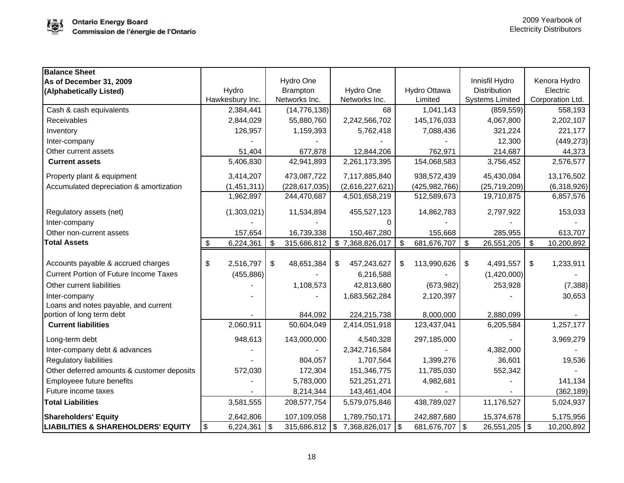

| <b>Balance Sheet</b>                                              |                 |                                |                              |                                          |                             |                             |
|-------------------------------------------------------------------|-----------------|--------------------------------|------------------------------|------------------------------------------|-----------------------------|-----------------------------|
| As of December 31, 2009                                           |                 | Hydro One                      |                              |                                          | Innisfil Hydro              | Kenora Hydro                |
| (Alphabetically Listed)                                           | Hydro           | Brampton                       | Hydro One                    | Hydro Ottawa                             | Distribution                | Electric                    |
|                                                                   | Hawkesbury Inc. | Networks Inc.                  | Networks Inc.                | Limited                                  | <b>Systems Limited</b>      | Corporation Ltd.            |
| Cash & cash equivalents                                           | 2,384,441       | (14, 776, 138)                 | 68                           | 1,041,143                                | (859, 559)                  | 558,193                     |
| Receivables                                                       | 2,844,029       | 55,880,760                     | 2,242,566,702                | 145,176,033                              | 4,067,800                   | 2,202,107                   |
| Inventory                                                         | 126,957         | 1,159,393                      | 5,762,418                    | 7,088,436                                | 321,224                     | 221,177                     |
| Inter-company                                                     |                 |                                |                              |                                          | 12,300                      | (449, 273)                  |
| Other current assets                                              | 51,404          | 677,878                        | 12,844,206                   | 762,971                                  | 214,687                     | 44,373                      |
| <b>Current assets</b>                                             | 5,406,830       | 42,941,893                     | 2,261,173,395                | 154,068,583                              | 3,756,452                   | 2,576,577                   |
| Property plant & equipment                                        | 3,414,207       | 473,087,722                    | 7,117,885,840                | 938,572,439                              | 45,430,084                  | 13,176,502                  |
| Accumulated depreciation & amortization                           | (1,451,311)     | (228, 617, 035)                | (2,616,227,621)              | (425, 982, 766)                          | (25, 719, 209)              | (6,318,926)                 |
|                                                                   | 1,962,897       | 244,470,687                    | 4,501,658,219                | 512,589,673                              | 19,710,875                  | 6,857,576                   |
| Regulatory assets (net)                                           | (1,303,021)     | 11,534,894                     | 455,527,123                  | 14,862,783                               | 2,797,922                   | 153,033                     |
| Inter-company                                                     |                 |                                | $\Omega$                     |                                          |                             |                             |
| Other non-current assets                                          | 157,654         | 16,739,338                     | 150,467,280                  | 155,668                                  | 285,955                     | 613,707                     |
| <b>Total Assets</b>                                               | \$<br>6,224,361 | \$<br>315,686,812              | \$7,368,826,017              | 681,676,707<br>$\boldsymbol{\mathsf{S}}$ | \$<br>26,551,205            | $\frac{1}{2}$<br>10,200,892 |
| Accounts payable & accrued charges                                | \$              | \$                             |                              |                                          |                             | $\sqrt[6]{\frac{1}{2}}$     |
|                                                                   | 2,516,797       | 48,651,384                     | $\sqrt[6]{2}$<br>457,243,627 | \$<br>113,990,626                        | $\mathfrak{S}$<br>4,491,557 | 1,233,911                   |
| <b>Current Portion of Future Income Taxes</b>                     | (455, 886)      |                                | 6,216,588                    |                                          | (1,420,000)                 |                             |
| Other current liabilities                                         |                 | 1,108,573                      | 42,813,680                   | (673,982)                                | 253,928                     | (7, 388)                    |
| Inter-company                                                     |                 |                                | 1,683,562,284                | 2,120,397                                |                             | 30,653                      |
| Loans and notes payable, and current<br>portion of long term debt |                 | 844,092                        | 224,215,738                  | 8,000,000                                | 2,880,099                   |                             |
| <b>Current liabilities</b>                                        | 2,060,911       | 50,604,049                     | 2,414,051,918                | 123,437,041                              | 6,205,584                   | 1,257,177                   |
|                                                                   |                 |                                |                              |                                          |                             |                             |
| Long-term debt                                                    | 948,613         | 143,000,000                    | 4,540,328                    | 297,185,000                              |                             | 3,969,279                   |
| Inter-company debt & advances                                     |                 |                                | 2,342,716,584                |                                          | 4,382,000                   |                             |
| <b>Regulatory liabilities</b>                                     |                 | 804,057                        | 1,707,564                    | 1,399,276                                | 36,601                      | 19,536                      |
| Other deferred amounts & customer deposits                        | 572,030         | 172,304                        | 151,346,775                  | 11,785,030                               | 552,342                     |                             |
| Employeee future benefits                                         |                 | 5,783,000                      | 521,251,271                  | 4,982,681                                |                             | 141,134                     |
| Future income taxes                                               |                 | 8,214,344                      | 143,461,404                  |                                          |                             | (362, 189)                  |
| <b>Total Liabilities</b>                                          | 3,581,555       | 208, 577, 754                  | 5,579,075,846                | 438,789,027                              | 11,176,527                  | 5,024,937                   |
| <b>Shareholders' Equity</b>                                       | 2,642,806       | 107,109,058                    | 1,789,750,171                | 242,887,680                              | 15,374,678                  | 5,175,956                   |
| <b>LIABILITIES &amp; SHAREHOLDERS' EQUITY</b>                     | \$<br>6,224,361 | $\sqrt{3}$<br>$315,686,812$ \$ | 7,368,826,017   \$           | 681,676,707                              | 1\$<br>26,551,205 \$        | 10,200,892                  |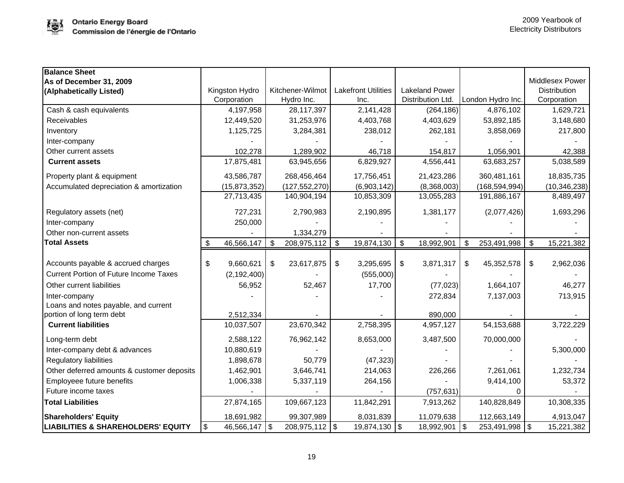

| <b>Ontario Energy Board</b>          |  |
|--------------------------------------|--|
| Commission de l'énergie de l'Ontario |  |

| <b>Balance Sheet</b>                          |                     |                           |                  |                |                            |                       |                           |                   |                           |                     |
|-----------------------------------------------|---------------------|---------------------------|------------------|----------------|----------------------------|-----------------------|---------------------------|-------------------|---------------------------|---------------------|
| As of December 31, 2009                       |                     |                           |                  |                |                            |                       |                           |                   |                           | Middlesex Power     |
| (Alphabetically Listed)                       | Kingston Hydro      |                           | Kitchener-Wilmot |                | <b>Lakefront Utilities</b> | <b>Lakeland Power</b> |                           |                   |                           | <b>Distribution</b> |
|                                               | Corporation         |                           | Hydro Inc.       |                | Inc.                       | Distribution Ltd.     |                           | London Hydro Inc. |                           | Corporation         |
| Cash & cash equivalents                       | 4,197,958           |                           | 28,117,397       |                | 2,141,428                  | (264, 186)            |                           | 4,876,102         |                           | 1,629,721           |
| Receivables                                   | 12,449,520          |                           | 31,253,976       |                | 4,403,768                  | 4,403,629             |                           | 53,892,185        |                           | 3,148,680           |
| Inventory                                     | 1,125,725           |                           | 3,284,381        |                | 238,012                    | 262,181               |                           | 3,858,069         |                           | 217,800             |
| Inter-company                                 |                     |                           |                  |                |                            |                       |                           |                   |                           |                     |
| Other current assets                          | 102,278             |                           | 1,289,902        |                | 46,718                     | 154,817               |                           | 1,056,901         |                           | 42,388              |
| <b>Current assets</b>                         | 17,875,481          |                           | 63,945,656       |                | 6,829,927                  | 4,556,441             |                           | 63,683,257        |                           | 5,038,589           |
| Property plant & equipment                    | 43,586,787          |                           | 268,456,464      |                | 17,756,451                 | 21,423,286            |                           | 360,481,161       |                           | 18,835,735          |
| Accumulated depreciation & amortization       | (15, 873, 352)      |                           | (127, 552, 270)  |                | (6,903,142)                | (8,368,003)           |                           | (168, 594, 994)   |                           | (10, 346, 238)      |
|                                               | 27,713,435          |                           | 140,904,194      |                | 10,853,309                 | 13,055,283            |                           | 191,886,167       |                           | 8,489,497           |
| Regulatory assets (net)                       | 727,231             |                           | 2,790,983        |                | 2,190,895                  | 1,381,177             |                           | (2,077,426)       |                           | 1,693,296           |
| Inter-company                                 | 250,000             |                           |                  |                |                            |                       |                           |                   |                           |                     |
| Other non-current assets                      |                     |                           | 1,334,279        |                |                            |                       |                           |                   |                           |                     |
| <b>Total Assets</b>                           | \$<br>46,566,147    | $\boldsymbol{\mathsf{S}}$ | 208,975,112      | $\mathfrak{s}$ | 19,874,130                 | \$<br>18,992,901      | $\boldsymbol{\mathsf{S}}$ | 253,491,998       | $\boldsymbol{\mathsf{S}}$ | 15,221,382          |
| Accounts payable & accrued charges            | \$<br>9,660,621     | $\boldsymbol{\mathsf{S}}$ | 23,617,875       | \$             | 3,295,695                  | \$<br>3,871,317       | \$                        | 45,352,578        | \$                        | 2,962,036           |
| <b>Current Portion of Future Income Taxes</b> | (2, 192, 400)       |                           |                  |                | (555,000)                  |                       |                           |                   |                           |                     |
| Other current liabilities                     | 56,952              |                           | 52,467           |                | 17,700                     | (77, 023)             |                           | 1,664,107         |                           | 46,277              |
| Inter-company                                 |                     |                           |                  |                |                            | 272,834               |                           | 7,137,003         |                           | 713,915             |
| Loans and notes payable, and current          |                     |                           |                  |                |                            |                       |                           |                   |                           |                     |
| portion of long term debt                     | 2,512,334           |                           |                  |                |                            | 890,000               |                           |                   |                           |                     |
| <b>Current liabilities</b>                    | 10,037,507          |                           | 23,670,342       |                | 2,758,395                  | 4,957,127             |                           | 54,153,688        |                           | 3,722,229           |
| Long-term debt                                | 2,588,122           |                           | 76,962,142       |                | 8,653,000                  | 3,487,500             |                           | 70,000,000        |                           |                     |
| Inter-company debt & advances                 | 10,880,619          |                           |                  |                |                            |                       |                           |                   |                           | 5,300,000           |
| Regulatory liabilities                        | 1,898,678           |                           | 50,779           |                | (47, 323)                  |                       |                           |                   |                           |                     |
| Other deferred amounts & customer deposits    | 1,462,901           |                           | 3,646,741        |                | 214,063                    | 226,266               |                           | 7,261,061         |                           | 1,232,734           |
| Employeee future benefits                     | 1,006,338           |                           | 5,337,119        |                | 264,156                    |                       |                           | 9,414,100         |                           | 53,372              |
| Future income taxes                           |                     |                           |                  |                |                            | (757, 631)            |                           | $\Omega$          |                           |                     |
| <b>Total Liabilities</b>                      | 27,874,165          |                           | 109,667,123      |                | 11,842,291                 | 7,913,262             |                           | 140,828,849       |                           | 10,308,335          |
| <b>Shareholders' Equity</b>                   | 18,691,982          |                           | 99,307,989       |                | 8,031,839                  | 11,079,638            |                           | 112,663,149       |                           | 4,913,047           |
| <b>LIABILITIES &amp; SHAREHOLDERS' EQUITY</b> | \$<br>46,566,147 \$ |                           | 208,975,112 \$   |                | 19,874,130 \$              | 18,992,901   \$       |                           | 253,491,998 \$    |                           | 15,221,382          |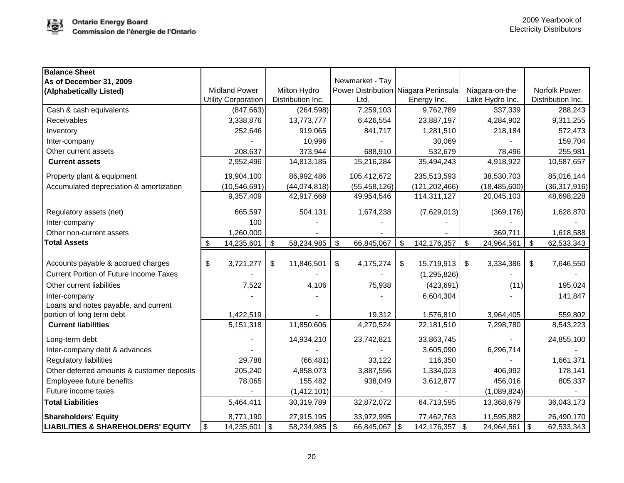| <b>Balance Sheet</b>                          |               |                            |                   |                  |                                      |                           |                 |                           |                   |
|-----------------------------------------------|---------------|----------------------------|-------------------|------------------|--------------------------------------|---------------------------|-----------------|---------------------------|-------------------|
| As of December 31, 2009                       |               |                            |                   | Newmarket - Tay  |                                      |                           |                 |                           |                   |
| (Alphabetically Listed)                       |               | <b>Midland Power</b>       | Milton Hydro      |                  | Power Distribution Niagara Peninsula |                           | Niagara-on-the- |                           | Norfolk Power     |
|                                               |               | <b>Utility Corporation</b> | Distribution Inc. | Ltd.             | Energy Inc.                          |                           | Lake Hydro Inc. |                           | Distribution Inc. |
| Cash & cash equivalents                       |               | (847, 663)                 | (264, 598)        | 7,259,103        | 9,762,789                            |                           | 337,339         |                           | 288,243           |
| Receivables                                   |               | 3,338,876                  | 13,773,777        | 6,426,554        | 23,887,197                           |                           | 4,284,902       |                           | 9,311,255         |
| Inventory                                     |               | 252,646                    | 919,065           | 841,717          | 1,281,510                            |                           | 218,184         |                           | 572,473           |
| Inter-company                                 |               |                            | 10,996            |                  | 30,069                               |                           |                 |                           | 159,704           |
| Other current assets                          |               | 208,637                    | 373,944           | 688,910          | 532,679                              |                           | 78,496          |                           | 255,981           |
| <b>Current assets</b>                         |               | 2,952,496                  | 14,813,185        | 15,216,284       | 35,494,243                           |                           | 4,918,922       |                           | 10,587,657        |
| Property plant & equipment                    |               | 19,904,100                 | 86,992,486        | 105,412,672      | 235,513,593                          |                           | 38,530,703      |                           | 85,016,144        |
| Accumulated depreciation & amortization       |               | (10, 546, 691)             | (44,074,818)      | (55, 458, 126)   | (121, 202, 466)                      |                           | (18, 485, 600)  |                           | (36, 317, 916)    |
|                                               |               | 9,357,409                  | 42,917,668        | 49,954,546       | 114,311,127                          |                           | 20,045,103      |                           | 48,698,228        |
| Regulatory assets (net)                       |               | 665,597                    | 504,131           | 1,674,238        | (7,629,013)                          |                           | (369, 176)      |                           | 1,628,870         |
| Inter-company                                 |               | 100                        |                   |                  |                                      |                           |                 |                           |                   |
| Other non-current assets                      |               | 1,260,000                  |                   |                  |                                      |                           | 369,711         |                           | 1,618,588         |
| <b>Total Assets</b>                           | \$            | 14,235,601                 | \$<br>58,234,985  | \$<br>66,845,067 | \$<br>142,176,357                    | $\boldsymbol{\mathsf{S}}$ | 24,964,561      | $\boldsymbol{\mathsf{S}}$ | 62,533,343        |
|                                               |               |                            |                   |                  |                                      |                           |                 |                           |                   |
| Accounts payable & accrued charges            | \$            | 3,721,277                  | \$<br>11,846,501  | \$<br>4,175,274  | $\sqrt[6]{2}$<br>15,719,913          | $\mathfrak{S}$            | 3,334,386       | \$                        | 7,646,550         |
| <b>Current Portion of Future Income Taxes</b> |               |                            |                   |                  | (1, 295, 826)                        |                           |                 |                           |                   |
| Other current liabilities                     |               | 7,522                      | 4,106             | 75,938           | (423, 691)                           |                           | (11)            |                           | 195,024           |
| Inter-company                                 |               |                            |                   |                  | 6,604,304                            |                           |                 |                           | 141,847           |
| Loans and notes payable, and current          |               |                            |                   |                  |                                      |                           |                 |                           |                   |
| portion of long term debt                     |               | 1,422,519                  |                   | 19,312           | 1,576,810                            |                           | 3,964,405       |                           | 559,802           |
| <b>Current liabilities</b>                    |               | 5,151,318                  | 11,850,606        | 4,270,524        | 22,181,510                           |                           | 7,298,780       |                           | 8,543,223         |
| Long-term debt                                |               |                            | 14,934,210        | 23,742,821       | 33,863,745                           |                           |                 |                           | 24,855,100        |
| Inter-company debt & advances                 |               |                            |                   |                  | 3,605,090                            |                           | 6,296,714       |                           |                   |
| <b>Regulatory liabilities</b>                 |               | 29,788                     | (66, 481)         | 33,122           | 116,350                              |                           |                 |                           | 1,661,371         |
| Other deferred amounts & customer deposits    |               | 205,240                    | 4,858,073         | 3,887,556        | 1,334,023                            |                           | 406,992         |                           | 178,141           |
| Employeee future benefits                     |               | 78,065                     | 155,482           | 938,049          | 3,612,877                            |                           | 456,016         |                           | 805,337           |
| Future income taxes                           |               |                            | (1,412,101)       |                  |                                      |                           | (1,089,824)     |                           |                   |
| <b>Total Liabilities</b>                      |               | 5,464,411                  | 30,319,789        | 32,872,072       | 64,713,595                           |                           | 13,368,679      |                           | 36,043,173        |
| <b>Shareholders' Equity</b>                   |               | 8,771,190                  | 27,915,195        | 33,972,995       | 77,462,763                           |                           | 11,595,882      |                           | 26,490,170        |
| <b>LIABILITIES &amp; SHAREHOLDERS' EQUITY</b> | $\frac{1}{2}$ | 14,235,601 \$              | 58,234,985 \$     | 66,845,067 \$    | 142,176,357                          | $\sqrt{3}$                | 24,964,561      | 1\$                       | 62,533,343        |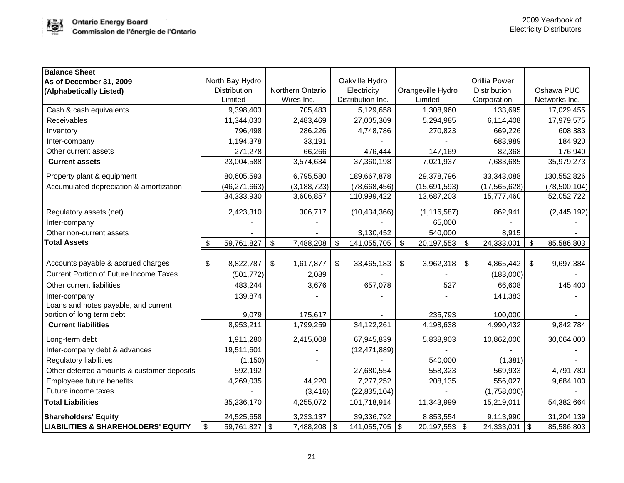

| <b>Balance Sheet</b>                          |                     |                  |                   |                                         |                     |                  |
|-----------------------------------------------|---------------------|------------------|-------------------|-----------------------------------------|---------------------|------------------|
| As of December 31, 2009                       | North Bay Hydro     |                  | Oakville Hydro    |                                         | Orillia Power       |                  |
| (Alphabetically Listed)                       | <b>Distribution</b> | Northern Ontario | Electricity       | Orangeville Hydro                       | <b>Distribution</b> | Oshawa PUC       |
|                                               | Limited             | Wires Inc.       | Distribution Inc. | Limited                                 | Corporation         | Networks Inc.    |
| Cash & cash equivalents                       | 9,398,403           | 705,483          | 5,129,658         | 1,308,960                               | 133,695             | 17,029,455       |
| Receivables                                   | 11,344,030          | 2,483,469        | 27,005,309        | 5,294,985                               | 6,114,408           | 17,979,575       |
| Inventory                                     | 796,498             | 286,226          | 4,748,786         | 270,823                                 | 669,226             | 608,383          |
| Inter-company                                 | 1,194,378           | 33,191           |                   |                                         | 683,989             | 184,920          |
| Other current assets                          | 271,278             | 66,266           | 476,444           | 147,169                                 | 82,368              | 176,940          |
| <b>Current assets</b>                         | 23,004,588          | 3,574,634        | 37,360,198        | 7,021,937                               | 7,683,685           | 35,979,273       |
| Property plant & equipment                    | 80,605,593          | 6,795,580        | 189,667,878       | 29,378,796                              | 33,343,088          | 130,552,826      |
| Accumulated depreciation & amortization       | (46, 271, 663)      | (3, 188, 723)    | (78,668,456)      | (15,691,593)                            | (17, 565, 628)      | (78,500,104)     |
|                                               | 34,333,930          | 3,606,857        | 110,999,422       | 13,687,203                              | 15,777,460          | 52,052,722       |
| Regulatory assets (net)                       | 2,423,310           | 306,717          | (10, 434, 366)    | (1, 116, 587)                           | 862,941             | (2, 445, 192)    |
| Inter-company                                 |                     |                  |                   | 65,000                                  |                     |                  |
| Other non-current assets                      |                     |                  | 3,130,452         | 540,000                                 | 8,915               |                  |
| <b>Total Assets</b>                           | 59,761,827<br>\$    | \$<br>7,488,208  | \$<br>141,055,705 | $\boldsymbol{\mathsf{S}}$<br>20,197,553 | \$<br>24,333,001    | \$<br>85,586,803 |
|                                               |                     |                  |                   |                                         |                     |                  |
| Accounts payable & accrued charges            | \$<br>8,822,787     | \$<br>1,617,877  | \$<br>33,465,183  | \$<br>3,962,318                         | \$<br>4,865,442     | \$<br>9,697,384  |
| <b>Current Portion of Future Income Taxes</b> | (501, 772)          | 2,089            |                   |                                         | (183,000)           |                  |
| Other current liabilities                     | 483,244             | 3,676            | 657,078           | 527                                     | 66,608              | 145,400          |
| Inter-company                                 | 139,874             |                  |                   |                                         | 141,383             |                  |
| Loans and notes payable, and current          |                     |                  |                   |                                         |                     |                  |
| portion of long term debt                     | 9,079               | 175,617          |                   | 235,793                                 | 100,000             |                  |
| <b>Current liabilities</b>                    | 8,953,211           | 1,799,259        | 34,122,261        | 4,198,638                               | 4,990,432           | 9,842,784        |
| Long-term debt                                | 1,911,280           | 2,415,008        | 67,945,839        | 5,838,903                               | 10,862,000          | 30,064,000       |
| Inter-company debt & advances                 | 19,511,601          |                  | (12, 471, 889)    |                                         |                     |                  |
| Regulatory liabilities                        | (1, 150)            |                  |                   | 540,000                                 | (1, 381)            |                  |
| Other deferred amounts & customer deposits    | 592,192             |                  | 27,680,554        | 558,323                                 | 569,933             | 4,791,780        |
| Employeee future benefits                     | 4,269,035           | 44,220           | 7,277,252         | 208,135                                 | 556,027             | 9,684,100        |
| Future income taxes                           |                     | (3, 416)         | (22, 835, 104)    |                                         | (1,758,000)         |                  |
| <b>Total Liabilities</b>                      | 35,236,170          | 4,255,072        | 101,718,914       | 11,343,999                              | 15,219,011          | 54,382,664       |
| <b>Shareholders' Equity</b>                   | 24,525,658          | 3,233,137        | 39,336,792        | 8,853,554                               | 9,113,990           | 31,204,139       |
| <b>LIABILITIES &amp; SHAREHOLDERS' EQUITY</b> | 59,761,827 \$<br>\$ | 7,488,208 \$     | 141,055,705 \$    | 20,197,553 \$                           | $24,333,001$ \$     | 85,586,803       |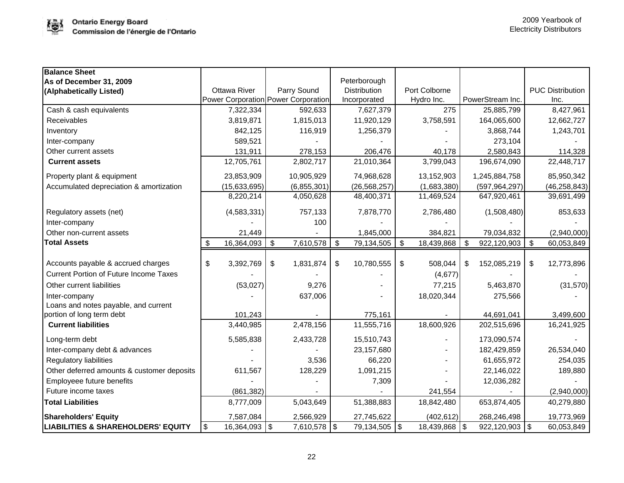| <b>Balance Sheet</b>                                  |                        |                                     |                          |                               |                   |                         |
|-------------------------------------------------------|------------------------|-------------------------------------|--------------------------|-------------------------------|-------------------|-------------------------|
| As of December 31, 2009                               |                        |                                     | Peterborough             |                               |                   |                         |
| (Alphabetically Listed)                               | Ottawa River           | Parry Sound                         | Distribution             | Port Colborne                 |                   | <b>PUC Distribution</b> |
|                                                       |                        | Power Corporation Power Corporation | Incorporated             | Hydro Inc.                    | PowerStream Inc.  | Inc.                    |
| Cash & cash equivalents                               | 7,322,334              | 592,633                             | 7,627,379                | 275                           | 25,885,799        | 8,427,961               |
| Receivables                                           | 3,819,871              | 1,815,013                           | 11,920,129               | 3,758,591                     | 164,065,600       | 12,662,727              |
| Inventory                                             | 842,125                | 116,919                             | 1,256,379                |                               | 3,868,744         | 1,243,701               |
| Inter-company                                         | 589,521                |                                     |                          |                               | 273,104           |                         |
| Other current assets                                  | 131,911                | 278,153                             | 206,476                  | 40,178                        | 2,580,843         | 114,328                 |
| <b>Current assets</b>                                 | 12,705,761             | 2,802,717                           | 21,010,364               | 3,799,043                     | 196,674,090       | 22,448,717              |
| Property plant & equipment                            | 23,853,909             | 10,905,929                          | 74,968,628               | 13,152,903                    | 1,245,884,758     | 85,950,342              |
| Accumulated depreciation & amortization               | (15,633,695)           | (6,855,301)                         | (26, 568, 257)           | (1,683,380)                   | (597, 964, 297)   | (46, 258, 843)          |
|                                                       | 8,220,214              | 4,050,628                           | 48,400,371               | 11,469,524                    | 647,920,461       | 39,691,499              |
| Regulatory assets (net)                               | (4, 583, 331)          | 757,133                             | 7,878,770                | 2,786,480                     | (1,508,480)       | 853,633                 |
| Inter-company                                         |                        | 100                                 |                          |                               |                   |                         |
| Other non-current assets                              | 21,449                 |                                     | 1,845,000                | 384,821                       | 79,034,832        | (2,940,000)             |
| <b>Total Assets</b>                                   | 16,364,093<br>\$       | \$<br>7,610,578                     | $\sqrt{2}$<br>79,134,505 | \$<br>18,439,868              | \$<br>922,120,903 | \$<br>60,053,849        |
| Accounts payable & accrued charges                    | \$<br>3,392,769        | \$<br>1,831,874                     | \$<br>10,780,555         | \$<br>508,044                 | 152,085,219<br>\$ | \$<br>12,773,896        |
| <b>Current Portion of Future Income Taxes</b>         |                        |                                     |                          | (4,677)                       |                   |                         |
| Other current liabilities                             | (53, 027)              | 9,276                               |                          | 77,215                        | 5,463,870         |                         |
|                                                       |                        |                                     |                          |                               |                   | (31, 570)               |
| Inter-company<br>Loans and notes payable, and current |                        | 637,006                             |                          | 18,020,344                    | 275,566           |                         |
| portion of long term debt                             | 101,243                |                                     | 775,161                  |                               | 44,691,041        | 3,499,600               |
| <b>Current liabilities</b>                            | 3,440,985              | 2,478,156                           | 11,555,716               | 18,600,926                    | 202,515,696       | 16,241,925              |
| Long-term debt                                        | 5,585,838              | 2,433,728                           | 15,510,743               |                               | 173,090,574       |                         |
| Inter-company debt & advances                         |                        |                                     | 23,157,680               |                               | 182,429,859       | 26,534,040              |
| <b>Regulatory liabilities</b>                         |                        | 3,536                               | 66,220                   |                               | 61,655,972        | 254,035                 |
| Other deferred amounts & customer deposits            | 611,567                | 128,229                             | 1,091,215                |                               | 22,146,022        | 189,880                 |
| Employeee future benefits                             |                        |                                     | 7,309                    |                               | 12,036,282        |                         |
| Future income taxes                                   | (861, 382)             |                                     |                          | 241,554                       |                   | (2,940,000)             |
| <b>Total Liabilities</b>                              | 8,777,009              | 5,043,649                           | 51,388,883               | 18,842,480                    | 653,874,405       | 40,279,880              |
| <b>Shareholders' Equity</b>                           | 7,587,084              | 2,566,929                           | 27,745,622               | (402, 612)                    | 268,246,498       | 19,773,969              |
| <b>LIABILITIES &amp; SHAREHOLDERS' EQUITY</b>         | 16,364,093 \$<br>$\$\$ | 7,610,578 \$                        | 79,134,505               | $\sqrt{3}$<br>18,439,868   \$ | $922,120,903$ \$  | 60,053,849              |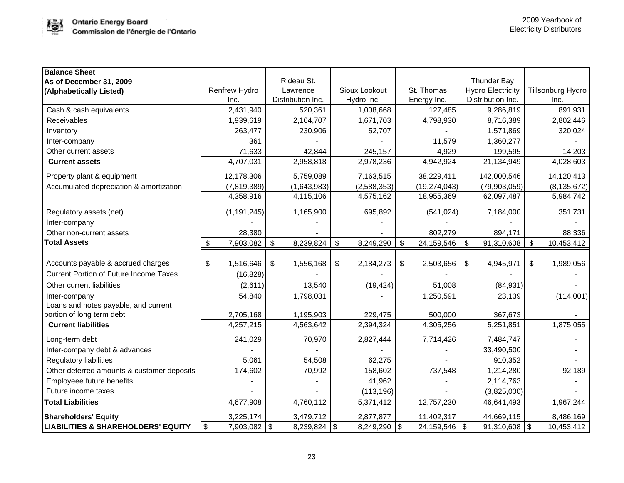

| <b>Ontario Energy Board</b>          |  |
|--------------------------------------|--|
| Commission de l'énergie de l'Ontario |  |

| <b>Balance Sheet</b>                          |                      |                                        |                 |                  |                                        |                             |
|-----------------------------------------------|----------------------|----------------------------------------|-----------------|------------------|----------------------------------------|-----------------------------|
| As of December 31, 2009                       |                      | Rideau St.                             |                 |                  | <b>Thunder Bay</b>                     |                             |
| (Alphabetically Listed)                       | <b>Renfrew Hydro</b> | Lawrence                               | Sioux Lookout   | St. Thomas       | <b>Hydro Electricity</b>               | Tillsonburg Hydro           |
|                                               | Inc.                 | Distribution Inc.                      | Hydro Inc.      | Energy Inc.      | Distribution Inc.                      | Inc.                        |
| Cash & cash equivalents                       | 2,431,940            | 520,361                                | 1,008,668       | 127,485          | 9,286,819                              | 891,931                     |
| Receivables                                   | 1,939,619            | 2,164,707                              | 1,671,703       | 4,798,930        | 8,716,389                              | 2,802,446                   |
| Inventory                                     | 263,477              | 230,906                                | 52,707          |                  | 1,571,869                              | 320,024                     |
| Inter-company                                 | 361                  |                                        |                 | 11,579           | 1,360,277                              |                             |
| Other current assets                          | 71,633               | 42,844                                 | 245,157         | 4,929            | 199,595                                | 14,203                      |
| <b>Current assets</b>                         | 4,707,031            | 2,958,818                              | 2,978,236       | 4,942,924        | 21,134,949                             | 4,028,603                   |
| Property plant & equipment                    | 12,178,306           | 5,759,089                              | 7,163,515       | 38,229,411       | 142,000,546                            | 14,120,413                  |
| Accumulated depreciation & amortization       | (7,819,389)          | (1,643,983)                            | (2,588,353)     | (19, 274, 043)   | (79,903,059)                           | (8, 135, 672)               |
|                                               | 4,358,916            | 4,115,106                              | 4,575,162       | 18,955,369       | 62,097,487                             | 5,984,742                   |
| Regulatory assets (net)                       | (1, 191, 245)        | 1,165,900                              | 695,892         | (541, 024)       | 7,184,000                              | 351,731                     |
| Inter-company                                 |                      |                                        |                 |                  |                                        |                             |
| Other non-current assets                      | 28,380               |                                        |                 | 802,279          | 894,171                                | 88,336                      |
| <b>Total Assets</b>                           | 7,903,082<br>\$      | \$<br>8,239,824                        | \$<br>8,249,290 | \$<br>24,159,546 | \$<br>91,310,608                       | $\mathfrak s$<br>10,453,412 |
| Accounts payable & accrued charges            | \$<br>1,516,646      | $\boldsymbol{\mathsf{S}}$<br>1,556,168 | \$<br>2,184,273 | \$<br>2,503,656  | $\boldsymbol{\mathsf{S}}$<br>4,945,971 | \$<br>1,989,056             |
| <b>Current Portion of Future Income Taxes</b> |                      |                                        |                 |                  |                                        |                             |
|                                               | (16, 828)            |                                        |                 |                  |                                        |                             |
| Other current liabilities                     | (2,611)              | 13,540                                 | (19, 424)       | 51,008           | (84, 931)                              |                             |
| Inter-company                                 | 54,840               | 1,798,031                              |                 | 1,250,591        | 23,139                                 | (114,001)                   |
| Loans and notes payable, and current          |                      |                                        |                 |                  |                                        |                             |
| portion of long term debt                     | 2,705,168            | 1,195,903                              | 229,475         | 500,000          | 367,673                                |                             |
| <b>Current liabilities</b>                    | 4,257,215            | 4,563,642                              | 2,394,324       | 4,305,256        | 5,251,851                              | 1,875,055                   |
| Long-term debt                                | 241,029              | 70,970                                 | 2,827,444       | 7,714,426        | 7,484,747                              |                             |
| Inter-company debt & advances                 |                      |                                        |                 |                  | 33,490,500                             |                             |
| <b>Regulatory liabilities</b>                 | 5,061                | 54,508                                 | 62,275          |                  | 910,352                                |                             |
| Other deferred amounts & customer deposits    | 174,602              | 70,992                                 | 158,602         | 737,548          | 1,214,280                              | 92,189                      |
| Employeee future benefits                     |                      |                                        | 41,962          |                  | 2,114,763                              |                             |
| Future income taxes                           |                      |                                        | (113, 196)      |                  | (3,825,000)                            |                             |
| <b>Total Liabilities</b>                      | 4,677,908            | 4,760,112                              | 5,371,412       | 12,757,230       | 46,641,493                             | 1,967,244                   |
| <b>Shareholders' Equity</b>                   | 3,225,174            | 3,479,712                              | 2,877,877       | 11,402,317       | 44,669,115                             | 8,486,169                   |
| <b>LIABILITIES &amp; SHAREHOLDERS' EQUITY</b> | 7,903,082 \$<br>\$   | 8,239,824 \$                           | 8,249,290 \$    | 24, 159, 546 \$  | $91,310,608$ \$                        | 10,453,412                  |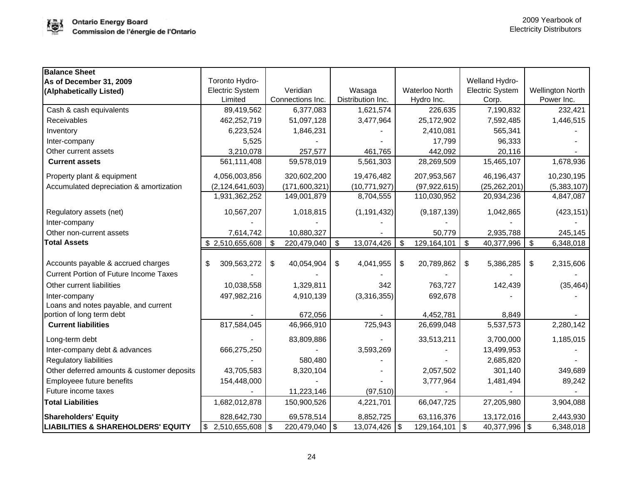| <b>Balance Sheet</b>                            |                     |                                             |                   |                                                |                        |                         |
|-------------------------------------------------|---------------------|---------------------------------------------|-------------------|------------------------------------------------|------------------------|-------------------------|
| As of December 31, 2009                         | Toronto Hydro-      |                                             |                   |                                                | Welland Hydro-         |                         |
| (Alphabetically Listed)                         | Electric System     | Veridian                                    | Wasaga            | <b>Waterloo North</b>                          | <b>Electric System</b> | <b>Wellington North</b> |
|                                                 | Limited             | Connections Inc.                            | Distribution Inc. | Hydro Inc.                                     | Corp.                  | Power Inc.              |
| Cash & cash equivalents                         | 89,419,562          | 6,377,083                                   | 1,621,574         | 226,635                                        | 7,190,832              | 232,421                 |
| <b>Receivables</b>                              | 462,252,719         | 51,097,128                                  | 3,477,964         | 25,172,902                                     | 7,592,485              | 1,446,515               |
| Inventory                                       | 6,223,524           | 1,846,231                                   |                   | 2,410,081                                      | 565,341                |                         |
| Inter-company                                   | 5,525               |                                             |                   | 17,799                                         | 96,333                 |                         |
| Other current assets                            | 3,210,078           | 257,577                                     | 461,765           | 442,092                                        | 20,116                 |                         |
| <b>Current assets</b>                           | 561,111,408         | 59,578,019                                  | 5,561,303         | 28,269,509                                     | 15,465,107             | 1,678,936               |
| Property plant & equipment                      | 4,056,003,856       | 320,602,200                                 | 19,476,482        | 207,953,567                                    | 46,196,437             | 10,230,195              |
| Accumulated depreciation & amortization         | (2, 124, 641, 603)  | (171,600,321)                               | (10, 771, 927)    | (97, 922, 615)                                 | (25, 262, 201)         | (5,383,107)             |
|                                                 | 1,931,362,252       | 149,001,879                                 | 8,704,555         | 110,030,952                                    | 20,934,236             | 4,847,087               |
| Regulatory assets (net)                         | 10,567,207          | 1,018,815                                   | (1, 191, 432)     | (9, 187, 139)                                  | 1,042,865              | (423, 151)              |
| Inter-company                                   |                     |                                             |                   |                                                |                        |                         |
| Other non-current assets<br><b>Total Assets</b> | 7,614,742           | 10,880,327                                  |                   | 50,779                                         | 2,935,788              | 245,145                 |
|                                                 | \$2,510,655,608     | \$<br>220,479,040                           | \$<br>13,074,426  | \$<br>129,164,101                              | \$<br>40,377,996       | \$<br>6,348,018         |
| Accounts payable & accrued charges              | 309,563,272<br>\$   | \$<br>40,054,904                            | \$<br>4,041,955   | \$<br>20,789,862                               | \$<br>5,386,285        | \$<br>2,315,606         |
| <b>Current Portion of Future Income Taxes</b>   |                     |                                             |                   |                                                |                        |                         |
| Other current liabilities                       | 10,038,558          | 1,329,811                                   | 342               | 763,727                                        | 142,439                | (35, 464)               |
| Inter-company                                   | 497,982,216         | 4,910,139                                   | (3,316,355)       | 692,678                                        |                        |                         |
| Loans and notes payable, and current            |                     |                                             |                   |                                                |                        |                         |
| portion of long term debt                       |                     | 672,056                                     |                   | 4,452,781                                      | 8,849                  |                         |
| <b>Current liabilities</b>                      | 817,584,045         | 46,966,910                                  | 725,943           | 26,699,048                                     | 5,537,573              | 2,280,142               |
| Long-term debt                                  |                     | 83,809,886                                  |                   | 33,513,211                                     | 3,700,000              | 1,185,015               |
| Inter-company debt & advances                   | 666,275,250         |                                             | 3,593,269         |                                                | 13,499,953             |                         |
| Regulatory liabilities                          |                     | 580,480                                     |                   |                                                | 2,685,820              |                         |
| Other deferred amounts & customer deposits      | 43,705,583          | 8,320,104                                   |                   | 2,057,502                                      | 301,140                | 349,689                 |
| Employeee future benefits                       | 154,448,000         |                                             |                   | 3,777,964                                      | 1,481,494              | 89,242                  |
| Future income taxes                             |                     | 11,223,146                                  | (97, 510)         |                                                |                        |                         |
| <b>Total Liabilities</b>                        | 1,682,012,878       | 150,900,526                                 | 4,221,701         | 66,047,725                                     | 27,205,980             | 3,904,088               |
| <b>Shareholders' Equity</b>                     | 828,642,730         | 69,578,514                                  | 8,852,725         | 63,116,376                                     | 13,172,016             | 2,443,930               |
| <b>LIABILITIES &amp; SHAREHOLDERS' EQUITY</b>   | 2,510,655,608<br>\$ | 220,479,040 \$<br>$\boldsymbol{\mathsf{S}}$ | 13,074,426        | $\overline{\phantom{a}}$<br>129, 164, 101   \$ | 40,377,996 \$          | 6,348,018               |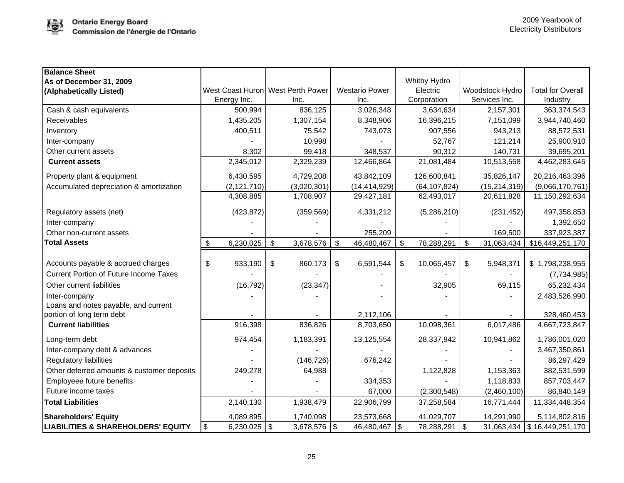

| <b>Balance Sheet</b>                          |                 |                                             |                       |                  |                          |                          |
|-----------------------------------------------|-----------------|---------------------------------------------|-----------------------|------------------|--------------------------|--------------------------|
| As of December 31, 2009                       |                 |                                             |                       | Whitby Hydro     |                          |                          |
| (Alphabetically Listed)                       |                 | West Coast Huron West Perth Power           | <b>Westario Power</b> | Electric         | Woodstock Hydro          | <b>Total for Overall</b> |
|                                               | Energy Inc.     | Inc.                                        | Inc.                  | Corporation      | Services Inc.            | Industry                 |
| Cash & cash equivalents                       | 500,994         | 836,125                                     | 3,026,348             | 3,634,634        | 2,157,301                | 363,374,543              |
| Receivables                                   | 1,435,205       | 1,307,154                                   | 8,348,906             | 16,396,215       | 7,151,099                | 3,944,740,460            |
| Inventory                                     | 400,511         | 75,542                                      | 743,073               | 907,556          | 943,213                  | 88,572,531               |
| Inter-company                                 |                 | 10,998                                      |                       | 52,767           | 121,214                  | 25,900,910               |
| Other current assets                          | 8,302           | 99,418                                      | 348,537               | 90,312           | 140,731                  | 39,695,201               |
| <b>Current assets</b>                         | 2,345,012       | 2,329,239                                   | 12,466,864            | 21,081,484       | 10,513,558               | 4,462,283,645            |
| Property plant & equipment                    | 6,430,595       | 4,729,208                                   | 43,842,109            | 126,600,841      | 35,826,147               | 20,216,463,396           |
| Accumulated depreciation & amortization       | (2, 121, 710)   | (3,020,301)                                 | (14, 414, 929)        | (64, 107, 824)   | (15, 214, 319)           | (9,066,170,761)          |
|                                               | 4,308,885       | 1,708,907                                   | 29,427,181            | 62,493,017       | 20,611,828               | 11,150,292,634           |
| Regulatory assets (net)                       | (423, 872)      | (359, 569)                                  | 4,331,212             | (5,286,210)      | (231, 452)               | 497,358,853              |
| Inter-company                                 |                 |                                             |                       |                  |                          | 1,392,650                |
| Other non-current assets                      |                 |                                             | 255,209               |                  | 169,500                  | 337,923,387              |
| <b>Total Assets</b>                           | \$<br>6,230,025 | \$<br>3,678,576                             | \$<br>46,480,467      | 78,288,291<br>\$ | \$<br>31,063,434         | \$16,449,251,170         |
|                                               |                 |                                             |                       |                  |                          |                          |
| Accounts payable & accrued charges            | \$<br>933,190   | \$<br>860,173                               | 6,591,544<br>\$       | \$<br>10,065,457 | \$<br>5,948,371          | \$1,798,238,955          |
| <b>Current Portion of Future Income Taxes</b> |                 |                                             |                       |                  |                          | (7, 734, 985)            |
| Other current liabilities                     | (16, 792)       | (23, 347)                                   |                       | 32,905           | 69,115                   | 65,232,434               |
| Inter-company                                 |                 |                                             |                       |                  |                          | 2,483,526,990            |
| Loans and notes payable, and current          |                 |                                             |                       |                  |                          |                          |
| portion of long term debt                     |                 |                                             | 2,112,106             |                  |                          | 328,460,453              |
| <b>Current liabilities</b>                    | 916,398         | 836,826                                     | 8,703,650             | 10,098,361       | 6,017,486                | 4,667,723,847            |
| Long-term debt                                | 974,454         | 1,183,391                                   | 13,125,554            | 28,337,942       | 10,941,862               | 1,786,001,020            |
| Inter-company debt & advances                 |                 |                                             |                       |                  |                          | 3,467,350,861            |
| <b>Regulatory liabilities</b>                 |                 | (146, 726)                                  | 676,242               |                  |                          | 86,297,429               |
| Other deferred amounts & customer deposits    | 249,278         | 64,988                                      |                       | 1,122,828        | 1,153,363                | 382,531,599              |
| Employeee future benefits                     |                 |                                             | 334,353               |                  | 1,118,833                | 857,703,447              |
| Future income taxes                           |                 |                                             | 67,000                | (2,300,548)      | (2,460,100)              | 86,840,149               |
| <b>Total Liabilities</b>                      | 2,140,130       | 1,938,479                                   | 22,906,799            | 37,258,584       | 16,771,444               | 11,334,448,354           |
| <b>Shareholders' Equity</b>                   | 4,089,895       | 1,740,098                                   | 23,573,668            | 41,029,707       | 14,291,990               | 5,114,802,816            |
| <b>LIABILITIES &amp; SHAREHOLDERS' EQUITY</b> | \$<br>6,230,025 | $\boldsymbol{\mathsf{S}}$<br>$3,678,576$ \$ | 46,480,467 \$         | 78,288,291       | $\sqrt{3}$<br>31,063,434 | \$16,449,251,170         |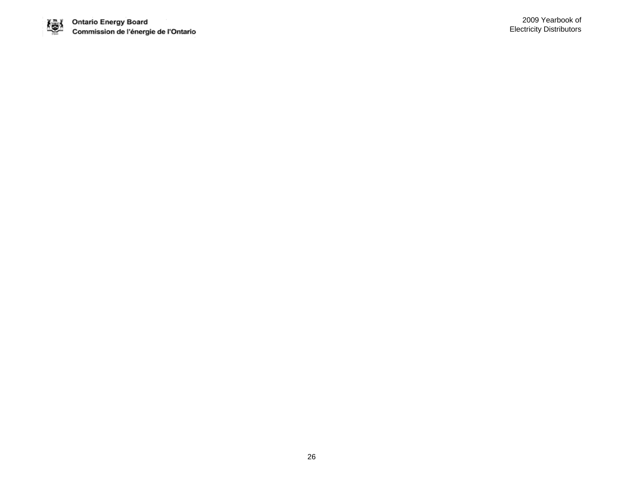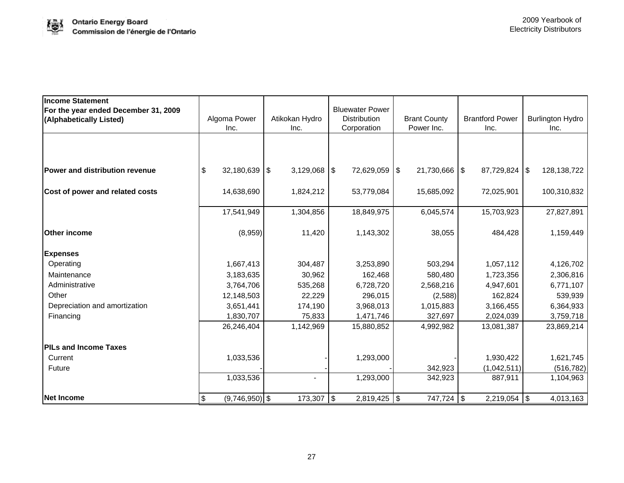

| <b>Income Statement</b><br>For the year ended December 31, 2009<br>(Alphabetically Listed) | Algoma Power<br>Inc.   |    | Atikokan Hydro<br>Inc. |            | <b>Bluewater Power</b><br><b>Distribution</b><br>Corporation | <b>Brant County</b><br>Power Inc. | <b>Brantford Power</b><br>Inc. |     | <b>Burlington Hydro</b><br>Inc. |
|--------------------------------------------------------------------------------------------|------------------------|----|------------------------|------------|--------------------------------------------------------------|-----------------------------------|--------------------------------|-----|---------------------------------|
|                                                                                            |                        |    |                        |            |                                                              |                                   |                                |     |                                 |
| Power and distribution revenue                                                             | \$<br>32,180,639       | \$ | 3,129,068              | l\$        | 72,629,059 \$                                                | 21,730,666 \$                     | 87,729,824                     | 1\$ | 128, 138, 722                   |
| Cost of power and related costs                                                            | 14,638,690             |    | 1,824,212              |            | 53,779,084                                                   | 15,685,092                        | 72,025,901                     |     | 100,310,832                     |
|                                                                                            | 17,541,949             |    | 1,304,856              |            | 18,849,975                                                   | 6,045,574                         | 15,703,923                     |     | 27,827,891                      |
| Other income                                                                               | (8,959)                |    | 11,420                 |            | 1,143,302                                                    | 38,055                            | 484,428                        |     | 1,159,449                       |
| <b>Expenses</b>                                                                            |                        |    |                        |            |                                                              |                                   |                                |     |                                 |
| Operating                                                                                  | 1,667,413              |    | 304,487                |            | 3,253,890                                                    | 503,294                           | 1,057,112                      |     | 4,126,702                       |
| Maintenance                                                                                | 3,183,635              |    | 30,962                 |            | 162,468                                                      | 580,480                           | 1,723,356                      |     | 2,306,816                       |
| Administrative                                                                             | 3,764,706              |    | 535,268                |            | 6,728,720                                                    | 2,568,216                         | 4,947,601                      |     | 6,771,107                       |
| Other                                                                                      | 12,148,503             |    | 22,229                 |            | 296,015                                                      | (2,588)                           | 162,824                        |     | 539,939                         |
| Depreciation and amortization                                                              | 3,651,441              |    | 174,190                |            | 3,968,013                                                    | 1,015,883                         | 3,166,455                      |     | 6,364,933                       |
| Financing                                                                                  | 1,830,707              |    | 75,833                 |            | 1,471,746                                                    | 327,697                           | 2,024,039                      |     | 3,759,718                       |
|                                                                                            | 26,246,404             |    | 1,142,969              |            | 15,880,852                                                   | 4,992,982                         | 13,081,387                     |     | 23,869,214                      |
| <b>PILs and Income Taxes</b>                                                               |                        |    |                        |            |                                                              |                                   |                                |     |                                 |
| Current                                                                                    | 1,033,536              |    |                        |            | 1,293,000                                                    |                                   | 1,930,422                      |     | 1,621,745                       |
| Future                                                                                     |                        |    |                        |            |                                                              | 342,923                           | (1,042,511)                    |     | (516, 782)                      |
|                                                                                            | 1,033,536              |    |                        |            | 1,293,000                                                    | 342,923                           | 887,911                        |     | 1,104,963                       |
| <b>Net Income</b>                                                                          | \$<br>$(9,746,950)$ \$ |    | 173,307                | $\sqrt{3}$ | $2,819,425$ \\$                                              | 747,724 \$                        | $2,219,054$ \$                 |     | 4,013,163                       |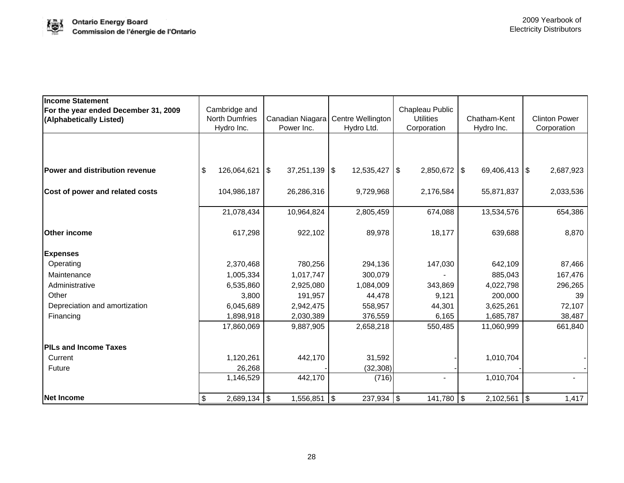

| <b>Income Statement</b><br>For the year ended December 31, 2009<br>(Alphabetically Listed) | Cambridge and<br><b>North Dumfries</b><br>Hydro Inc. | Power Inc.       | Canadian Niagara   Centre Wellington<br>Hydro Ltd. | Chapleau Public<br><b>Utilities</b><br>Corporation | Chatham-Kent<br>Hydro Inc. | <b>Clinton Power</b><br>Corporation |  |
|--------------------------------------------------------------------------------------------|------------------------------------------------------|------------------|----------------------------------------------------|----------------------------------------------------|----------------------------|-------------------------------------|--|
|                                                                                            |                                                      |                  |                                                    |                                                    |                            |                                     |  |
| Power and distribution revenue                                                             | 126,064,621<br>\$                                    | \$<br>37,251,139 | $12,535,427$ \\$<br> \$                            | 2,850,672 \$                                       | 69,406,413 \$              | 2,687,923                           |  |
| Cost of power and related costs                                                            | 104,986,187                                          | 26,286,316       | 9,729,968                                          | 2,176,584                                          | 55,871,837                 | 2,033,536                           |  |
|                                                                                            | 21,078,434                                           | 10,964,824       | 2,805,459                                          | 674,088                                            | 13,534,576                 | 654,386                             |  |
| Other income                                                                               | 617,298                                              | 922,102          | 89,978                                             | 18,177                                             | 639,688                    | 8,870                               |  |
| <b>Expenses</b>                                                                            |                                                      |                  |                                                    |                                                    |                            |                                     |  |
| Operating                                                                                  | 2,370,468                                            | 780,256          | 294,136                                            | 147,030                                            | 642,109                    | 87,466                              |  |
| Maintenance                                                                                | 1,005,334                                            | 1,017,747        | 300,079                                            |                                                    | 885,043                    | 167,476                             |  |
| Administrative                                                                             | 6,535,860                                            | 2,925,080        | 1,084,009                                          | 343,869                                            | 4,022,798                  | 296,265                             |  |
| Other                                                                                      | 3,800                                                | 191,957          | 44,478                                             | 9,121                                              | 200,000                    | 39                                  |  |
| Depreciation and amortization                                                              | 6,045,689                                            | 2,942,475        | 558,957                                            | 44,301                                             | 3,625,261                  | 72,107                              |  |
| Financing                                                                                  | 1,898,918                                            | 2,030,389        | 376,559                                            | 6,165                                              | 1,685,787                  | 38,487                              |  |
|                                                                                            | 17,860,069                                           | 9,887,905        | 2,658,218                                          | 550,485                                            | 11,060,999                 | 661,840                             |  |
| <b>PILs and Income Taxes</b>                                                               |                                                      |                  |                                                    |                                                    |                            |                                     |  |
| Current                                                                                    | 1,120,261                                            | 442,170          | 31,592                                             |                                                    | 1,010,704                  |                                     |  |
| Future                                                                                     | 26,268                                               |                  | (32, 308)                                          |                                                    |                            |                                     |  |
|                                                                                            | 1,146,529                                            | 442,170          | (716)                                              |                                                    | 1,010,704                  |                                     |  |
| Net Income                                                                                 | \$<br>$2,689,134$ \$                                 | 1,556,851        | \$<br>$237,934$ \$                                 | 141,780 \$                                         | 2,102,561                  | $\sqrt{ }$<br>1,417                 |  |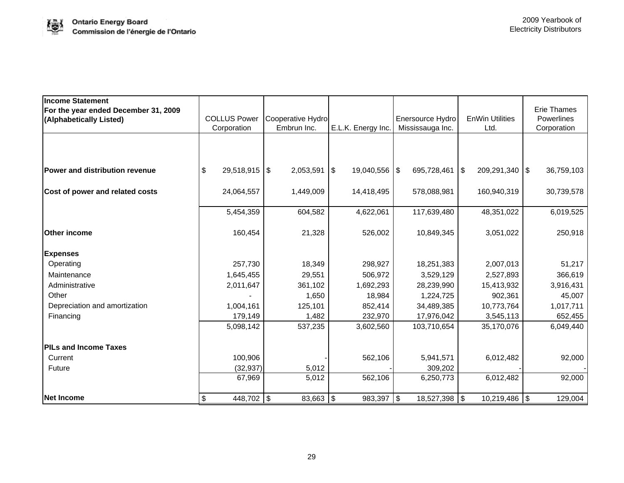

| <b>Income Statement</b><br>For the year ended December 31, 2009<br>(Alphabetically Listed) | <b>COLLUS Power</b><br>Corporation | Cooperative Hydro<br>Embrun Inc. | E.L.K. Energy Inc.          | Enersource Hydro<br>Mississauga Inc. | <b>EnWin Utilities</b><br>Ltd. | <b>Erie Thames</b><br>Powerlines<br>Corporation |
|--------------------------------------------------------------------------------------------|------------------------------------|----------------------------------|-----------------------------|--------------------------------------|--------------------------------|-------------------------------------------------|
|                                                                                            |                                    |                                  |                             |                                      |                                |                                                 |
| Power and distribution revenue                                                             | 29,518,915<br>\$                   | 2,053,591<br><b>\$</b>           | 19,040,556 \$<br>$\sqrt{3}$ | 695,728,461   \$                     | 209,291,340   \$               | 36,759,103                                      |
| Cost of power and related costs                                                            | 24,064,557                         | 1,449,009                        | 14,418,495                  | 578,088,981                          | 160,940,319                    | 30,739,578                                      |
|                                                                                            | 5,454,359                          | 604,582                          | 4,622,061                   | 117,639,480                          | 48,351,022                     | 6,019,525                                       |
| Other income                                                                               | 160,454                            | 21,328                           | 526,002                     | 10,849,345                           | 3,051,022                      | 250,918                                         |
| <b>Expenses</b>                                                                            |                                    |                                  |                             |                                      |                                |                                                 |
| Operating                                                                                  | 257,730                            | 18,349                           | 298,927                     | 18,251,383                           | 2,007,013                      | 51,217                                          |
| Maintenance                                                                                | 1,645,455                          | 29,551                           | 506,972                     | 3,529,129                            | 2,527,893                      | 366,619                                         |
| Administrative                                                                             | 2,011,647                          | 361,102                          | 1,692,293                   | 28,239,990                           | 15,413,932                     | 3,916,431                                       |
| Other                                                                                      |                                    | 1,650                            | 18,984                      | 1,224,725                            | 902,361                        | 45,007                                          |
| Depreciation and amortization                                                              | 1,004,161                          | 125,101                          | 852,414                     | 34,489,385                           | 10,773,764                     | 1,017,711                                       |
| Financing                                                                                  | 179,149                            | 1,482                            | 232,970                     | 17,976,042                           | 3,545,113                      | 652,455                                         |
|                                                                                            | 5,098,142                          | 537,235                          | 3,602,560                   | 103,710,654                          | 35,170,076                     | 6,049,440                                       |
| <b>PILs and Income Taxes</b>                                                               |                                    |                                  |                             |                                      |                                |                                                 |
| Current                                                                                    | 100,906                            |                                  | 562,106                     | 5,941,571                            | 6,012,482                      | 92,000                                          |
| Future                                                                                     | (32, 937)                          | 5,012                            |                             | 309,202                              |                                |                                                 |
|                                                                                            | 67,969                             | 5,012                            | 562,106                     | 6,250,773                            | 6,012,482                      | 92,000                                          |
| <b>Net Income</b>                                                                          | 448,702 \$<br>\$                   | $83,663$ \$                      | 983,397 \$                  | 18,527,398   \$                      | 10,219,486   \$                | 129,004                                         |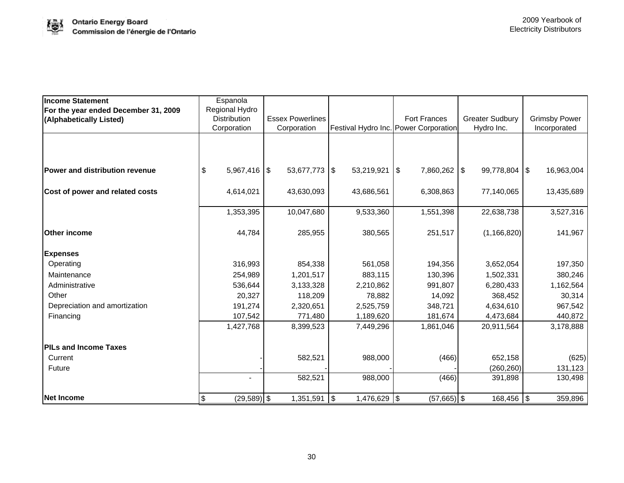

| <b>Income Statement</b>              | Espanola              |                         |                            |                                       |                        |                      |
|--------------------------------------|-----------------------|-------------------------|----------------------------|---------------------------------------|------------------------|----------------------|
| For the year ended December 31, 2009 | Regional Hydro        |                         |                            |                                       |                        |                      |
| (Alphabetically Listed)              | <b>Distribution</b>   | <b>Essex Powerlines</b> |                            | <b>Fort Frances</b>                   | <b>Greater Sudbury</b> | <b>Grimsby Power</b> |
|                                      | Corporation           | Corporation             |                            | Festival Hydro Inc. Power Corporation | Hydro Inc.             | Incorporated         |
|                                      |                       |                         |                            |                                       |                        |                      |
|                                      |                       |                         |                            |                                       |                        |                      |
| Power and distribution revenue       | \$<br>$5,967,416$ \\$ | 53,677,773              | 53,219,921<br> \$          | 1\$<br>7,860,262   \$                 | 99,778,804             | \$<br>16,963,004     |
| Cost of power and related costs      | 4,614,021             | 43,630,093              | 43,686,561                 | 6,308,863                             | 77,140,065             | 13,435,689           |
|                                      | 1,353,395             | 10,047,680              | 9,533,360                  | 1,551,398                             | 22,638,738             | 3,527,316            |
| <b>Other income</b>                  | 44,784                | 285,955                 | 380,565                    | 251,517                               | (1, 166, 820)          | 141,967              |
| <b>Expenses</b>                      |                       |                         |                            |                                       |                        |                      |
| Operating                            | 316,993               | 854,338                 | 561,058                    | 194,356                               | 3,652,054              | 197,350              |
| Maintenance                          | 254,989               | 1,201,517               | 883,115                    | 130,396                               | 1,502,331              | 380,246              |
| Administrative                       | 536,644               | 3,133,328               | 2,210,862                  | 991,807                               | 6,280,433              | 1,162,564            |
| Other                                | 20,327                | 118,209                 | 78,882                     | 14,092                                | 368,452                | 30,314               |
| Depreciation and amortization        | 191,274               | 2,320,651               | 2,525,759                  | 348,721                               | 4,634,610              | 967,542              |
| Financing                            | 107,542               | 771,480                 | 1,189,620                  | 181,674                               | 4,473,684              | 440,872              |
|                                      | 1,427,768             | 8,399,523               | 7,449,296                  | 1,861,046                             | 20,911,564             | 3,178,888            |
| <b>PILs and Income Taxes</b>         |                       |                         |                            |                                       |                        |                      |
| Current                              |                       | 582,521                 | 988,000                    | (466)                                 | 652,158                | (625)                |
| Future                               |                       |                         |                            |                                       | (260, 260)             | 131,123              |
|                                      |                       | 582,521                 | 988,000                    | (466)                                 | 391,898                | 130,498              |
| <b>Net Income</b>                    | \$<br>$(29,589)$ \$   | 1,351,591               | $\sqrt{3}$<br>1,476,629 \$ | $(57,665)$ \$                         | 168,456 \$             | 359,896              |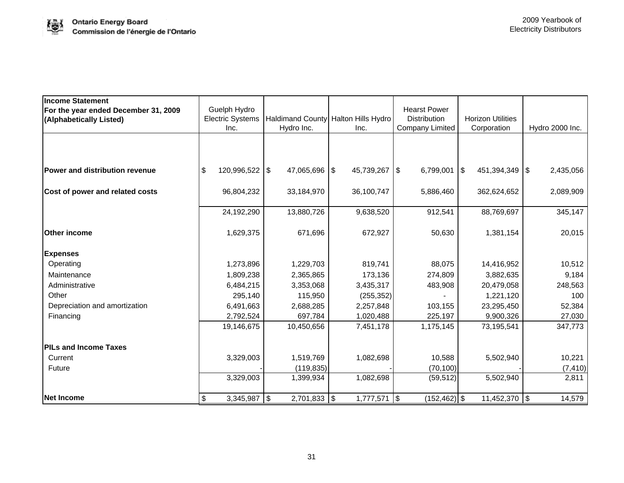

| <b>Income Statement</b><br>For the year ended December 31, 2009<br>(Alphabetically Listed) | Guelph Hydro<br><b>Electric Systems</b><br>Inc. | Haldimand County Halton Hills Hydro<br>Hydro Inc. | Inc.                 |                | <b>Hearst Power</b><br><b>Distribution</b><br><b>Company Limited</b> | <b>Horizon Utilities</b><br>Corporation | Hydro 2000 Inc.  |
|--------------------------------------------------------------------------------------------|-------------------------------------------------|---------------------------------------------------|----------------------|----------------|----------------------------------------------------------------------|-----------------------------------------|------------------|
|                                                                                            |                                                 |                                                   |                      |                |                                                                      |                                         |                  |
| Power and distribution revenue                                                             | 120,996,522<br>\$                               | \$<br>47,065,696                                  | 1\$<br>45,739,267 \$ |                | $6,799,001$ \$                                                       | 451,394,349                             | 2,435,056<br>1\$ |
| Cost of power and related costs                                                            | 96,804,232                                      | 33,184,970                                        | 36,100,747           |                | 5,886,460                                                            | 362,624,652                             | 2,089,909        |
|                                                                                            | 24,192,290                                      | 13,880,726                                        | 9,638,520            |                | 912,541                                                              | 88,769,697                              | 345,147          |
| Other income                                                                               | 1,629,375                                       | 671,696                                           |                      | 672,927        | 50,630                                                               | 1,381,154                               | 20,015           |
| <b>Expenses</b>                                                                            |                                                 |                                                   |                      |                |                                                                      |                                         |                  |
| Operating                                                                                  | 1,273,896                                       | 1,229,703                                         |                      | 819,741        | 88,075                                                               | 14,416,952                              | 10,512           |
| Maintenance                                                                                | 1,809,238                                       | 2,365,865                                         |                      | 173,136        | 274,809                                                              | 3,882,635                               | 9,184            |
| Administrative                                                                             | 6,484,215                                       | 3,353,068                                         | 3,435,317            |                | 483,908                                                              | 20,479,058                              | 248,563          |
| Other                                                                                      | 295,140                                         | 115,950                                           |                      | (255, 352)     |                                                                      | 1,221,120                               | 100              |
| Depreciation and amortization                                                              | 6,491,663                                       | 2,688,285                                         | 2,257,848            |                | 103,155                                                              | 23,295,450                              | 52,384           |
| Financing                                                                                  | 2,792,524                                       | 697,784                                           | 1,020,488            |                | 225,197                                                              | 9,900,326                               | 27,030           |
|                                                                                            | 19,146,675                                      | 10,450,656                                        | 7,451,178            |                | 1,175,145                                                            | 73,195,541                              | 347,773          |
| <b>PILs and Income Taxes</b>                                                               |                                                 |                                                   |                      |                |                                                                      |                                         |                  |
| Current                                                                                    | 3,329,003                                       | 1,519,769                                         |                      | 1,082,698      | 10,588                                                               | 5,502,940                               | 10,221           |
| Future                                                                                     |                                                 | (119, 835)                                        |                      |                | (70, 100)                                                            |                                         | (7, 410)         |
|                                                                                            | 3,329,003                                       | 1,399,934                                         | 1,082,698            |                | (59, 512)                                                            | 5,502,940                               | 2,811            |
| <b>Net Income</b>                                                                          | $3,345,987$ \$<br>\$                            | $2,701,833$ \\$                                   |                      | $1,777,571$ \$ | $(152, 462)$ \$                                                      | 11,452,370 \$                           | 14,579           |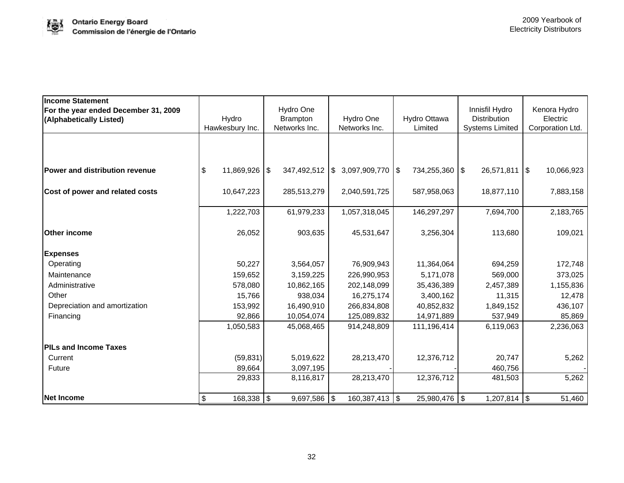

| <b>Income Statement</b><br>For the year ended December 31, 2009<br>(Alphabetically Listed) | Hydro<br>Hawkesbury Inc. | Hydro One<br><b>Brampton</b><br>Networks Inc. | Hydro One<br>Networks Inc.         | Hydro Ottawa<br>Limited | Innisfil Hydro<br><b>Distribution</b><br><b>Systems Limited</b> | Kenora Hydro<br>Electric<br>Corporation Ltd. |
|--------------------------------------------------------------------------------------------|--------------------------|-----------------------------------------------|------------------------------------|-------------------------|-----------------------------------------------------------------|----------------------------------------------|
| Power and distribution revenue                                                             | \$<br>11,869,926         | 347,492,512<br>\$                             | $\frac{1}{3}$ 3,097,909,770 \ \ \$ | 734,255,360   \$        | 26,571,811                                                      | $\sqrt{3}$<br>10,066,923                     |
| Cost of power and related costs                                                            | 10,647,223               | 285,513,279                                   | 2,040,591,725                      | 587,958,063             | 18,877,110                                                      | 7,883,158                                    |
|                                                                                            | 1,222,703                | 61,979,233                                    | 1,057,318,045                      | 146,297,297             | 7,694,700                                                       | 2,183,765                                    |
| <b>Other income</b>                                                                        | 26,052                   | 903,635                                       | 45,531,647                         | 3,256,304               | 113,680                                                         | 109,021                                      |
| <b>Expenses</b>                                                                            |                          |                                               |                                    |                         |                                                                 |                                              |
| Operating                                                                                  | 50,227                   | 3,564,057                                     | 76,909,943                         | 11,364,064              | 694,259                                                         | 172,748                                      |
| Maintenance                                                                                | 159,652                  | 3,159,225                                     | 226,990,953                        | 5,171,078               | 569,000                                                         | 373,025                                      |
| Administrative                                                                             | 578,080                  | 10,862,165                                    | 202,148,099                        | 35,436,389              | 2,457,389                                                       | 1,155,836                                    |
| Other                                                                                      | 15,766                   | 938,034                                       | 16,275,174                         | 3,400,162               | 11,315                                                          | 12,478                                       |
| Depreciation and amortization                                                              | 153,992                  | 16,490,910                                    | 266,834,808                        | 40,852,832              | 1,849,152                                                       | 436,107                                      |
| Financing                                                                                  | 92,866                   | 10,054,074                                    | 125,089,832                        | 14,971,889              | 537,949                                                         | 85,869                                       |
|                                                                                            | 1,050,583                | 45,068,465                                    | 914,248,809                        | 111,196,414             | 6,119,063                                                       | 2,236,063                                    |
| <b>PILs and Income Taxes</b>                                                               |                          |                                               |                                    |                         |                                                                 |                                              |
| Current                                                                                    | (59, 831)                | 5,019,622                                     | 28,213,470                         | 12,376,712              | 20,747                                                          | 5,262                                        |
| Future                                                                                     | 89,664                   | 3,097,195                                     |                                    |                         | 460,756                                                         |                                              |
|                                                                                            | 29,833                   | 8,116,817                                     | 28,213,470                         | 12,376,712              | 481,503                                                         | 5,262                                        |
| <b>Net Income</b>                                                                          | \$<br>$168,338$ \$       | 9,697,586                                     | $\sqrt{ }$<br>$160,387,413$ \\$    | 25,980,476   \$         | $1,207,814$ \$                                                  | 51,460                                       |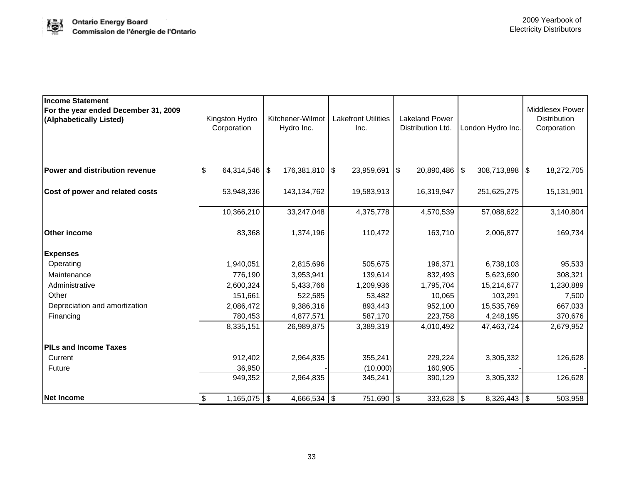

| <b>Income Statement</b><br>For the year ended December 31, 2009<br>(Alphabetically Listed) | Kingston Hydro<br>Corporation | Kitchener-Wilmot<br>Hydro Inc. | <b>Lakefront Utilities</b><br>Inc. | <b>Lakeland Power</b><br>Distribution Ltd. | London Hydro Inc. | <b>Middlesex Power</b><br><b>Distribution</b><br>Corporation |
|--------------------------------------------------------------------------------------------|-------------------------------|--------------------------------|------------------------------------|--------------------------------------------|-------------------|--------------------------------------------------------------|
|                                                                                            |                               |                                |                                    |                                            |                   |                                                              |
| Power and distribution revenue                                                             | \$<br>$64,314,546$ \\$        | $176,381,810$ \\$              | 23,959,691                         | 20,890,486 \$<br>l \$                      | 308,713,898 \$    | 18,272,705                                                   |
| Cost of power and related costs                                                            | 53,948,336                    | 143, 134, 762                  | 19,583,913                         | 16,319,947                                 | 251,625,275       | 15,131,901                                                   |
|                                                                                            | 10,366,210                    | 33,247,048                     | 4,375,778                          | 4,570,539                                  | 57,088,622        | 3,140,804                                                    |
| <b>Other income</b>                                                                        | 83,368                        | 1,374,196                      | 110,472                            | 163,710                                    | 2,006,877         | 169,734                                                      |
| <b>Expenses</b>                                                                            |                               |                                |                                    |                                            |                   |                                                              |
| Operating                                                                                  | 1,940,051                     | 2,815,696                      | 505,675                            | 196,371                                    | 6,738,103         | 95,533                                                       |
| Maintenance                                                                                | 776,190                       | 3,953,941                      | 139,614                            | 832,493                                    | 5,623,690         | 308,321                                                      |
| Administrative                                                                             | 2,600,324                     | 5,433,766                      | 1,209,936                          | 1,795,704                                  | 15,214,677        | 1,230,889                                                    |
| Other                                                                                      | 151,661                       | 522,585                        | 53,482                             | 10,065                                     | 103,291           | 7,500                                                        |
| Depreciation and amortization                                                              | 2,086,472                     | 9,386,316                      | 893,443                            | 952,100                                    | 15,535,769        | 667,033                                                      |
| Financing                                                                                  | 780,453                       | 4,877,571                      | 587,170                            | 223,758                                    | 4,248,195         | 370,676                                                      |
|                                                                                            | 8,335,151                     | 26,989,875                     | 3,389,319                          | 4,010,492                                  | 47,463,724        | 2,679,952                                                    |
| <b>PILs and Income Taxes</b>                                                               |                               |                                |                                    |                                            |                   |                                                              |
| Current                                                                                    | 912,402                       | 2,964,835                      | 355,241                            | 229,224                                    | 3,305,332         | 126,628                                                      |
| Future                                                                                     | 36,950                        |                                | (10,000)                           | 160,905                                    |                   |                                                              |
|                                                                                            | 949,352                       | 2,964,835                      | 345,241                            | 390,129                                    | 3,305,332         | 126,628                                                      |
| Net Income                                                                                 | \$<br>$1,165,075$ \$          | $4,666,534$ \$                 | 751,690 \$                         | $333,628$ \$                               | $8,326,443$ \\$   | 503,958                                                      |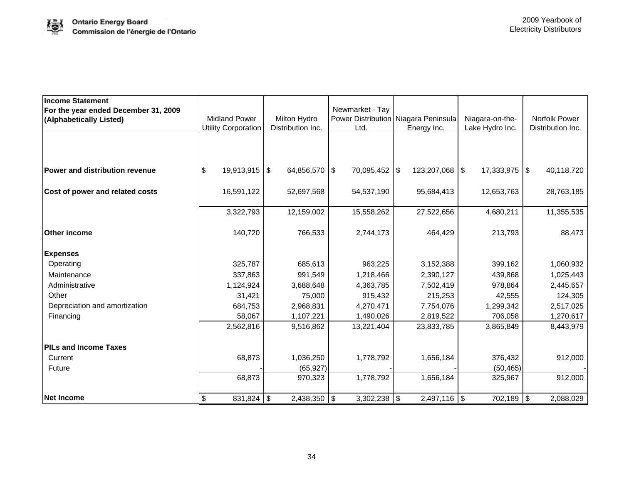

| <b>Income Statement</b>              |                                                    |                                   |                               |                                                     |                                    |                                    |
|--------------------------------------|----------------------------------------------------|-----------------------------------|-------------------------------|-----------------------------------------------------|------------------------------------|------------------------------------|
| For the year ended December 31, 2009 |                                                    |                                   | Newmarket - Tay               |                                                     |                                    |                                    |
| (Alphabetically Listed)              | <b>Midland Power</b><br><b>Utility Corporation</b> | Milton Hydro<br>Distribution Inc. | Ltd.                          | Power Distribution Niagara Peninsula<br>Energy Inc. | Niagara-on-the-<br>Lake Hydro Inc. | Norfolk Power<br>Distribution Inc. |
|                                      |                                                    |                                   |                               |                                                     |                                    |                                    |
|                                      |                                                    |                                   |                               |                                                     |                                    |                                    |
|                                      |                                                    |                                   |                               |                                                     |                                    |                                    |
| Power and distribution revenue       | 19,913,915<br>\$                                   | $\sqrt{3}$<br>64,856,570          | 70,095,452 \$<br> \$          | 123,207,068   \$                                    | $17,333,975$ \\$                   | 40,118,720                         |
| Cost of power and related costs      | 16,591,122                                         | 52,697,568                        | 54,537,190                    | 95,684,413                                          | 12,653,763                         | 28,763,185                         |
|                                      |                                                    |                                   |                               |                                                     |                                    |                                    |
|                                      | 3,322,793                                          | 12,159,002                        | 15,558,262                    | 27,522,656                                          | 4,680,211                          | 11,355,535                         |
| Other income                         | 140,720                                            | 766,533                           | 2,744,173                     | 464,429                                             | 213,793                            | 88,473                             |
|                                      |                                                    |                                   |                               |                                                     |                                    |                                    |
| <b>Expenses</b>                      |                                                    |                                   |                               |                                                     |                                    |                                    |
| Operating                            | 325,787                                            | 685,613                           | 963,225                       | 3,152,388                                           | 399,162                            | 1,060,932                          |
| Maintenance                          | 337,863                                            | 991,549                           | 1,218,466                     | 2,390,127                                           | 439,868                            | 1,025,443                          |
| Administrative                       | 1,124,924                                          | 3,688,648                         | 4,363,785                     | 7,502,419                                           | 978,864                            | 2,445,657                          |
| Other                                | 31,421                                             | 75,000                            | 915,432                       | 215,253                                             | 42,555                             | 124,305                            |
| Depreciation and amortization        | 684,753                                            | 2,968,831                         | 4,270,471                     | 7,754,076                                           | 1,299,342                          | 2,517,025                          |
| Financing                            | 58,067                                             | 1,107,221                         | 1,490,026                     | 2,819,522                                           | 706,058                            | 1,270,617                          |
|                                      | 2,562,816                                          | 9,516,862                         | 13,221,404                    | 23,833,785                                          | 3,865,849                          | 8,443,979                          |
| <b>PILs and Income Taxes</b>         |                                                    |                                   |                               |                                                     |                                    |                                    |
| Current                              | 68,873                                             | 1,036,250                         | 1,778,792                     | 1,656,184                                           | 376,432                            | 912,000                            |
| Future                               |                                                    | (65, 927)                         |                               |                                                     | (50, 465)                          |                                    |
|                                      | 68,873                                             | 970,323                           | 1,778,792                     | 1,656,184                                           | 325,967                            | 912,000                            |
| Net Income                           | \$<br>831,824 \$                                   | 2,438,350                         | $\sqrt{3}$<br>$3,302,238$ \\$ | $2,497,116$ \$                                      | 702,189 \$                         | 2,088,029                          |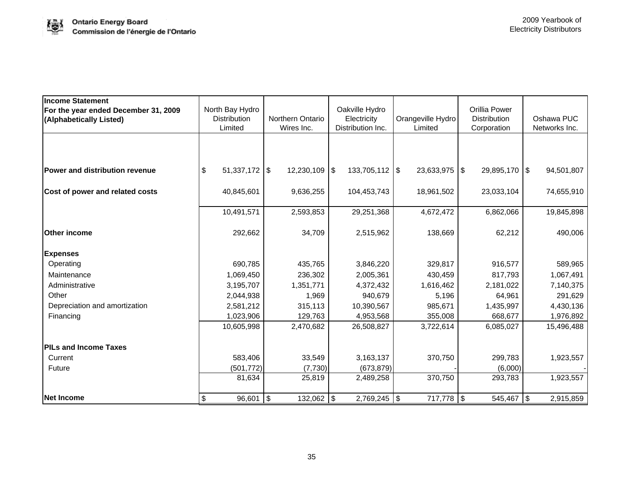

| <b>Income Statement</b><br>For the year ended December 31, 2009<br>(Alphabetically Listed) | North Bay Hydro<br><b>Distribution</b><br>Limited | Northern Ontario<br>Wires Inc. | Oakville Hydro<br>Electricity<br>Distribution Inc. | Orangeville Hydro<br>Limited | Orillia Power<br><b>Distribution</b><br>Corporation | Oshawa PUC<br>Networks Inc. |
|--------------------------------------------------------------------------------------------|---------------------------------------------------|--------------------------------|----------------------------------------------------|------------------------------|-----------------------------------------------------|-----------------------------|
|                                                                                            |                                                   |                                |                                                    |                              |                                                     |                             |
| Power and distribution revenue                                                             | $51,337,172$ \\$<br>\$                            | 12,230,109                     | $133,705,112$ \\$<br> \$                           | $23,633,975$ \\$             | 29,895,170 \$                                       | 94,501,807                  |
| Cost of power and related costs                                                            | 40,845,601                                        | 9,636,255                      | 104,453,743                                        | 18,961,502                   | 23,033,104                                          | 74,655,910                  |
|                                                                                            | 10,491,571                                        | 2,593,853                      | 29,251,368                                         | 4,672,472                    | 6,862,066                                           | 19,845,898                  |
| Other income                                                                               | 292,662                                           | 34,709                         | 2,515,962                                          | 138,669                      | 62,212                                              | 490,006                     |
| <b>Expenses</b>                                                                            |                                                   |                                |                                                    |                              |                                                     |                             |
| Operating                                                                                  | 690,785                                           | 435,765                        | 3,846,220                                          | 329,817                      | 916,577                                             | 589,965                     |
| Maintenance                                                                                | 1,069,450                                         | 236,302                        | 2,005,361                                          | 430,459                      | 817,793                                             | 1,067,491                   |
| Administrative                                                                             | 3,195,707                                         | 1,351,771                      | 4,372,432                                          | 1,616,462                    | 2,181,022                                           | 7,140,375                   |
| Other                                                                                      | 2,044,938                                         | 1,969                          | 940,679                                            | 5,196                        | 64,961                                              | 291,629                     |
| Depreciation and amortization                                                              | 2,581,212                                         | 315,113                        | 10,390,567                                         | 985,671                      | 1,435,997                                           | 4,430,136                   |
| Financing                                                                                  | 1,023,906                                         | 129,763                        | 4,953,568                                          | 355,008                      | 668,677                                             | 1,976,892                   |
|                                                                                            | 10,605,998                                        | 2,470,682                      | 26,508,827                                         | 3,722,614                    | 6,085,027                                           | 15,496,488                  |
| <b>PILs and Income Taxes</b>                                                               |                                                   |                                |                                                    |                              |                                                     |                             |
| Current                                                                                    | 583,406                                           | 33,549                         | 3,163,137                                          | 370,750                      | 299,783                                             | 1,923,557                   |
| Future                                                                                     | (501, 772)                                        | (7,730)                        | (673, 879)                                         |                              | (6,000)                                             |                             |
|                                                                                            | 81,634                                            | 25,819                         | 2,489,258                                          | 370,750                      | 293,783                                             | 1,923,557                   |
| Net Income                                                                                 | \$<br>$96,601$ \$                                 | $132,062$ \$                   | $2,769,245$ \$                                     | 717,778 \$                   | 545,467 \$                                          | 2,915,859                   |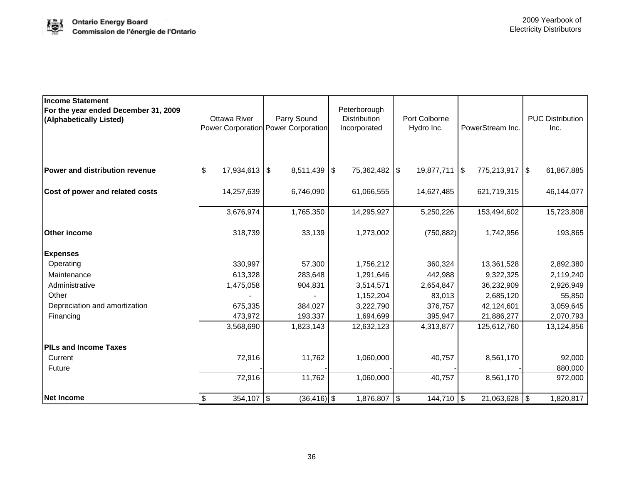

| <b>Income Statement</b><br>For the year ended December 31, 2009<br>(Alphabetically Listed) | Ottawa River           | Parry Sound<br>Power Corporation Power Corporation | Peterborough<br><b>Distribution</b><br>Incorporated | Port Colborne<br>Hydro Inc. | PowerStream Inc. | <b>PUC Distribution</b><br>Inc. |
|--------------------------------------------------------------------------------------------|------------------------|----------------------------------------------------|-----------------------------------------------------|-----------------------------|------------------|---------------------------------|
|                                                                                            |                        |                                                    |                                                     |                             |                  |                                 |
| Power and distribution revenue                                                             | \$<br>$17,934,613$ \\$ | 8,511,439                                          | 75,362,482   \$<br> \$                              | $19,877,711$ \\$            | 775,213,917   \$ | 61,867,885                      |
| Cost of power and related costs                                                            | 14,257,639             | 6,746,090                                          | 61,066,555                                          | 14,627,485                  | 621,719,315      | 46,144,077                      |
|                                                                                            | 3,676,974              | 1,765,350                                          | 14,295,927                                          | 5,250,226                   | 153,494,602      | 15,723,808                      |
| Other income                                                                               | 318,739                | 33,139                                             | 1,273,002                                           | (750, 882)                  | 1,742,956        | 193,865                         |
| <b>Expenses</b>                                                                            |                        |                                                    |                                                     |                             |                  |                                 |
| Operating                                                                                  | 330,997                | 57,300                                             | 1,756,212                                           | 360,324                     | 13,361,528       | 2,892,380                       |
| Maintenance                                                                                | 613,328                | 283,648                                            | 1,291,646                                           | 442,988                     | 9,322,325        | 2,119,240                       |
| Administrative                                                                             | 1,475,058              | 904,831                                            | 3,514,571                                           | 2,654,847                   | 36,232,909       | 2,926,949                       |
| Other                                                                                      |                        |                                                    | 1,152,204                                           | 83,013                      | 2,685,120        | 55,850                          |
| Depreciation and amortization                                                              | 675,335                | 384,027                                            | 3,222,790                                           | 376,757                     | 42,124,601       | 3,059,645                       |
| Financing                                                                                  | 473,972                | 193,337                                            | 1,694,699                                           | 395,947                     | 21,886,277       | 2,070,793                       |
|                                                                                            | 3,568,690              | 1,823,143                                          | 12,632,123                                          | 4,313,877                   | 125,612,760      | 13,124,856                      |
| <b>PILs and Income Taxes</b>                                                               |                        |                                                    |                                                     |                             |                  |                                 |
| Current                                                                                    | 72,916                 | 11,762                                             | 1,060,000                                           | 40,757                      | 8,561,170        | 92,000                          |
| Future                                                                                     |                        |                                                    |                                                     |                             |                  | 880,000                         |
|                                                                                            | 72,916                 | 11,762                                             | 1,060,000                                           | 40,757                      | 8,561,170        | 972,000                         |
| Net Income                                                                                 | $354,107$ \$<br>\$     | $(36, 416)$ \$                                     | 1,876,807 \$                                        | 144,710   \$                | $21,063,628$ \\$ | 1,820,817                       |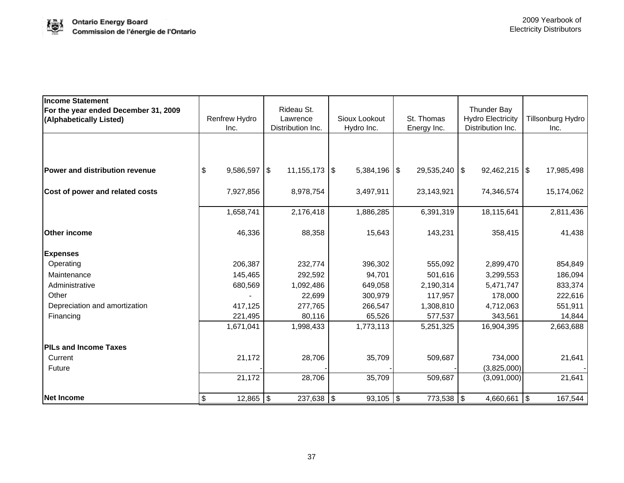

| <b>Income Statement</b><br>For the year ended December 31, 2009<br>(Alphabetically Listed) | Renfrew Hydro<br>Inc. | Rideau St.<br>Lawrence<br>Distribution Inc. | Sioux Lookout<br>Hydro Inc. | St. Thomas<br>Energy Inc. | <b>Thunder Bay</b><br><b>Hydro Electricity</b><br>Distribution Inc. | Tillsonburg Hydro<br>Inc. |
|--------------------------------------------------------------------------------------------|-----------------------|---------------------------------------------|-----------------------------|---------------------------|---------------------------------------------------------------------|---------------------------|
|                                                                                            |                       |                                             |                             |                           |                                                                     |                           |
| Power and distribution revenue                                                             | $9,586,597$ \$<br>\$  | $11,155,173$ \\$                            | $5,384,196$ \\$             | $29,535,240$ \\$          | $92,462,215$ \\$                                                    | 17,985,498                |
| Cost of power and related costs                                                            | 7,927,856             | 8,978,754                                   | 3,497,911                   | 23,143,921                | 74,346,574                                                          | 15,174,062                |
|                                                                                            | 1,658,741             | 2,176,418                                   | 1,886,285                   | 6,391,319                 | 18,115,641                                                          | 2,811,436                 |
| <b>Other income</b>                                                                        | 46,336                | 88,358                                      | 15,643                      | 143,231                   | 358,415                                                             | 41,438                    |
| <b>Expenses</b>                                                                            |                       |                                             |                             |                           |                                                                     |                           |
| Operating                                                                                  | 206,387               | 232,774                                     | 396,302                     | 555,092                   | 2,899,470                                                           | 854,849                   |
| Maintenance                                                                                | 145,465               | 292,592                                     | 94,701                      | 501,616                   | 3,299,553                                                           | 186,094                   |
| Administrative                                                                             | 680,569               | 1,092,486                                   | 649,058                     | 2,190,314                 | 5,471,747                                                           | 833,374                   |
| Other                                                                                      |                       | 22,699                                      | 300,979                     | 117,957                   | 178,000                                                             | 222,616                   |
| Depreciation and amortization                                                              | 417,125               | 277,765                                     | 266,547                     | 1,308,810                 | 4,712,063                                                           | 551,911                   |
| Financing                                                                                  | 221,495               | 80,116                                      | 65,526                      | 577,537                   | 343,561                                                             | 14,844                    |
|                                                                                            | 1,671,041             | 1,998,433                                   | 1,773,113                   | 5,251,325                 | 16,904,395                                                          | 2,663,688                 |
| <b>PILs and Income Taxes</b>                                                               |                       |                                             |                             |                           |                                                                     |                           |
| Current                                                                                    | 21,172                | 28,706                                      | 35,709                      | 509,687                   | 734,000                                                             | 21,641                    |
| Future                                                                                     |                       |                                             |                             |                           | (3,825,000)                                                         |                           |
|                                                                                            | 21,172                | 28,706                                      | 35,709                      | 509,687                   | (3,091,000)                                                         | 21,641                    |
| <b>Net Income</b>                                                                          | $12,865$ \$<br>\$     | 237,638 \$                                  | $93,105$ \$                 | 773,538 \$                | $4,660,661$ \\$                                                     | 167,544                   |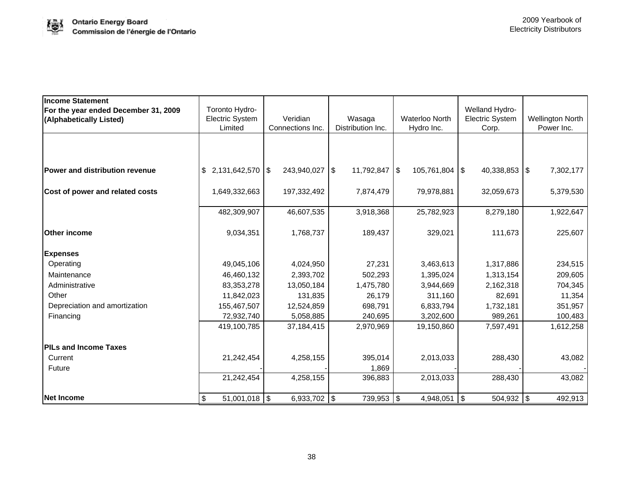

| <b>Income Statement</b><br>For the year ended December 31, 2009<br>(Alphabetically Listed) | Toronto Hydro-<br><b>Electric System</b><br>Limited | Veridian<br>Connections Inc. | Wasaga<br>Distribution Inc. | <b>Waterloo North</b><br>Hydro Inc. | Welland Hydro-<br><b>Electric System</b><br>Corp. | <b>Wellington North</b><br>Power Inc. |
|--------------------------------------------------------------------------------------------|-----------------------------------------------------|------------------------------|-----------------------------|-------------------------------------|---------------------------------------------------|---------------------------------------|
|                                                                                            |                                                     |                              |                             |                                     |                                                   |                                       |
| Power and distribution revenue                                                             | 2,131,642,570<br>\$                                 | 243,940,027<br>\$            | $11,792,847$ \\$<br> \$     | 105,761,804   \$                    | $40,338,853$ \\$                                  | 7,302,177                             |
| Cost of power and related costs                                                            | 1,649,332,663                                       | 197,332,492                  | 7,874,479                   | 79,978,881                          | 32,059,673                                        | 5,379,530                             |
|                                                                                            | 482,309,907                                         | 46,607,535                   | 3,918,368                   | 25,782,923                          | 8,279,180                                         | 1,922,647                             |
| Other income                                                                               | 9,034,351                                           | 1,768,737                    | 189,437                     | 329,021                             | 111,673                                           | 225,607                               |
| <b>Expenses</b>                                                                            |                                                     |                              |                             |                                     |                                                   |                                       |
| Operating                                                                                  | 49,045,106                                          | 4,024,950                    | 27,231                      | 3,463,613                           | 1,317,886                                         | 234,515                               |
| Maintenance                                                                                | 46,460,132                                          | 2,393,702                    | 502,293                     | 1,395,024                           | 1,313,154                                         | 209,605                               |
| Administrative                                                                             | 83,353,278                                          | 13,050,184                   | 1,475,780                   | 3,944,669                           | 2,162,318                                         | 704,345                               |
| Other                                                                                      | 11,842,023                                          | 131,835                      | 26,179                      | 311,160                             | 82,691                                            | 11,354                                |
| Depreciation and amortization                                                              | 155,467,507                                         | 12,524,859                   | 698,791                     | 6,833,794                           | 1,732,181                                         | 351,957                               |
| Financing                                                                                  | 72,932,740                                          | 5,058,885                    | 240,695                     | 3,202,600                           | 989,261                                           | 100,483                               |
|                                                                                            | 419,100,785                                         | 37,184,415                   | 2,970,969                   | 19,150,860                          | 7,597,491                                         | 1,612,258                             |
| <b>PILs and Income Taxes</b>                                                               |                                                     |                              |                             |                                     |                                                   |                                       |
| Current                                                                                    | 21,242,454                                          | 4,258,155                    | 395,014                     | 2,013,033                           | 288,430                                           | 43,082                                |
| Future                                                                                     |                                                     |                              | 1,869                       |                                     |                                                   |                                       |
|                                                                                            | 21,242,454                                          | 4,258,155                    | 396,883                     | 2,013,033                           | 288,430                                           | 43,082                                |
| Net Income                                                                                 | \$<br>$51,001,018$ \$                               | 6,933,702 $\frac{1}{3}$      | 739,953 \$                  | $4,948,051$ \$                      | $504,932$ \$                                      | 492,913                               |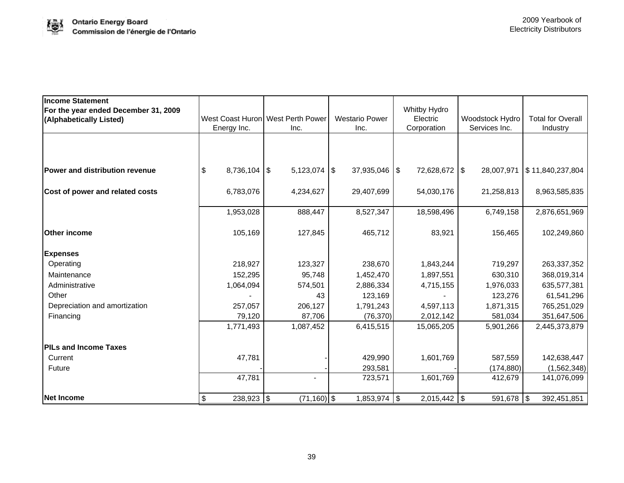

| <b>Income Statement</b><br>For the year ended December 31, 2009<br>(Alphabetically Listed) | Energy Inc.           | West Coast Huron West Perth Power<br>Inc. | <b>Westario Power</b><br>Inc. | Whitby Hydro<br>Electric<br>Corporation | Woodstock Hydro<br>Services Inc. | <b>Total for Overall</b><br>Industry |
|--------------------------------------------------------------------------------------------|-----------------------|-------------------------------------------|-------------------------------|-----------------------------------------|----------------------------------|--------------------------------------|
|                                                                                            |                       |                                           |                               |                                         |                                  |                                      |
| Power and distribution revenue                                                             | $8,736,104$ \\$<br>\$ | 5,123,074                                 | 37,935,046   \$<br>$\sqrt{3}$ | 72,628,672   \$                         | 28,007,971                       | \$11,840,237,804                     |
| Cost of power and related costs                                                            | 6,783,076             | 4,234,627                                 | 29,407,699                    | 54,030,176                              | 21,258,813                       | 8,963,585,835                        |
|                                                                                            | 1,953,028             | 888,447                                   | 8,527,347                     | 18,598,496                              | 6,749,158                        | 2,876,651,969                        |
| <b>Other income</b>                                                                        | 105,169               | 127,845                                   | 465,712                       | 83,921                                  | 156,465                          | 102,249,860                          |
| <b>Expenses</b>                                                                            |                       |                                           |                               |                                         |                                  |                                      |
| Operating                                                                                  | 218,927               | 123,327                                   | 238,670                       | 1,843,244                               | 719,297                          | 263,337,352                          |
| Maintenance                                                                                | 152,295               | 95,748                                    | 1,452,470                     | 1,897,551                               | 630,310                          | 368,019,314                          |
| Administrative                                                                             | 1,064,094             | 574,501                                   | 2,886,334                     | 4,715,155                               | 1,976,033                        | 635,577,381                          |
| Other                                                                                      |                       | 43                                        | 123,169                       |                                         | 123,276                          | 61,541,296                           |
| Depreciation and amortization                                                              | 257,057               | 206,127                                   | 1,791,243                     | 4,597,113                               | 1,871,315                        | 765,251,029                          |
| Financing                                                                                  | 79,120                | 87,706                                    | (76, 370)                     | 2,012,142                               | 581,034                          | 351,647,506                          |
|                                                                                            | 1,771,493             | 1,087,452                                 | 6,415,515                     | 15,065,205                              | 5,901,266                        | 2,445,373,879                        |
| <b>PILs and Income Taxes</b>                                                               |                       |                                           |                               |                                         |                                  |                                      |
| Current                                                                                    | 47,781                |                                           | 429,990                       | 1,601,769                               | 587,559                          | 142,638,447                          |
| Future                                                                                     |                       |                                           | 293,581                       |                                         | (174, 880)                       | (1,562,348)                          |
|                                                                                            | 47,781                | $\overline{\phantom{a}}$                  | 723,571                       | 1,601,769                               | 412,679                          | 141,076,099                          |
| Net Income                                                                                 | 238,923 \$<br>\$      | $(71, 160)$ \$                            | $1,853,974$ \$                | $2,015,442$ \\$                         | 591,678   \$                     | 392,451,851                          |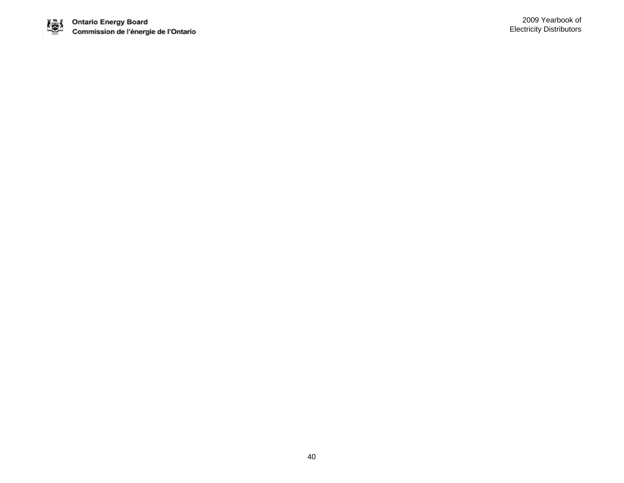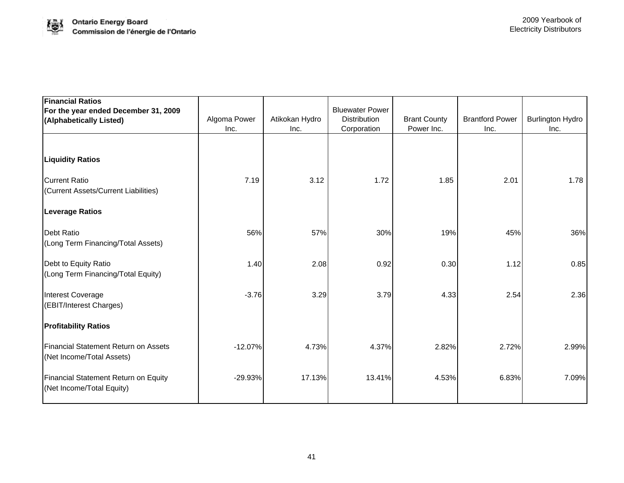

| <b>Financial Ratios</b><br>For the year ended December 31, 2009<br>(Alphabetically Listed) | Algoma Power<br>Inc. | Atikokan Hydro<br>Inc. | <b>Bluewater Power</b><br><b>Distribution</b><br>Corporation | <b>Brant County</b><br>Power Inc. | <b>Brantford Power</b><br>Inc. | <b>Burlington Hydro</b><br>Inc. |
|--------------------------------------------------------------------------------------------|----------------------|------------------------|--------------------------------------------------------------|-----------------------------------|--------------------------------|---------------------------------|
| <b>Liquidity Ratios</b>                                                                    |                      |                        |                                                              |                                   |                                |                                 |
| <b>Current Ratio</b><br>(Current Assets/Current Liabilities)                               | 7.19                 | 3.12                   | 1.72                                                         | 1.85                              | 2.01                           | 1.78                            |
| <b>Leverage Ratios</b>                                                                     |                      |                        |                                                              |                                   |                                |                                 |
| <b>Debt Ratio</b><br>(Long Term Financing/Total Assets)                                    | 56%                  | 57%                    | 30%                                                          | 19%                               | 45%                            | 36%                             |
| Debt to Equity Ratio<br>(Long Term Financing/Total Equity)                                 | 1.40                 | 2.08                   | 0.92                                                         | 0.30                              | 1.12                           | 0.85                            |
| Interest Coverage<br>(EBIT/Interest Charges)                                               | $-3.76$              | 3.29                   | 3.79                                                         | 4.33                              | 2.54                           | 2.36                            |
| <b>Profitability Ratios</b>                                                                |                      |                        |                                                              |                                   |                                |                                 |
| Financial Statement Return on Assets<br>(Net Income/Total Assets)                          | $-12.07%$            | 4.73%                  | 4.37%                                                        | 2.82%                             | 2.72%                          | 2.99%                           |
| Financial Statement Return on Equity<br>(Net Income/Total Equity)                          | $-29.93%$            | 17.13%                 | 13.41%                                                       | 4.53%                             | 6.83%                          | 7.09%                           |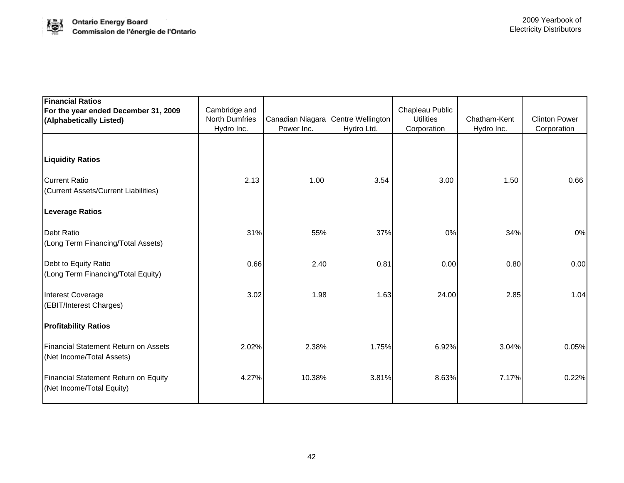

| <b>Financial Ratios</b><br>For the year ended December 31, 2009<br>(Alphabetically Listed) | Cambridge and<br><b>North Dumfries</b><br>Hydro Inc. | Power Inc. | Canadian Niagara   Centre Wellington<br>Hydro Ltd. | Chapleau Public<br><b>Utilities</b><br>Corporation | Chatham-Kent<br>Hydro Inc. | <b>Clinton Power</b><br>Corporation |
|--------------------------------------------------------------------------------------------|------------------------------------------------------|------------|----------------------------------------------------|----------------------------------------------------|----------------------------|-------------------------------------|
| <b>Liquidity Ratios</b>                                                                    |                                                      |            |                                                    |                                                    |                            |                                     |
| <b>Current Ratio</b><br>(Current Assets/Current Liabilities)                               | 2.13                                                 | 1.00       | 3.54                                               | 3.00                                               | 1.50                       | 0.66                                |
| <b>Leverage Ratios</b>                                                                     |                                                      |            |                                                    |                                                    |                            |                                     |
| <b>Debt Ratio</b><br>(Long Term Financing/Total Assets)                                    | 31%                                                  | 55%        | 37%                                                | 0%                                                 | 34%                        | 0%                                  |
| Debt to Equity Ratio<br>(Long Term Financing/Total Equity)                                 | 0.66                                                 | 2.40       | 0.81                                               | 0.00                                               | 0.80                       | 0.00                                |
| Interest Coverage<br>(EBIT/Interest Charges)                                               | 3.02                                                 | 1.98       | 1.63                                               | 24.00                                              | 2.85                       | 1.04                                |
| <b>Profitability Ratios</b>                                                                |                                                      |            |                                                    |                                                    |                            |                                     |
| Financial Statement Return on Assets<br>(Net Income/Total Assets)                          | 2.02%                                                | 2.38%      | 1.75%                                              | 6.92%                                              | 3.04%                      | 0.05%                               |
| Financial Statement Return on Equity<br>(Net Income/Total Equity)                          | 4.27%                                                | 10.38%     | 3.81%                                              | 8.63%                                              | 7.17%                      | 0.22%                               |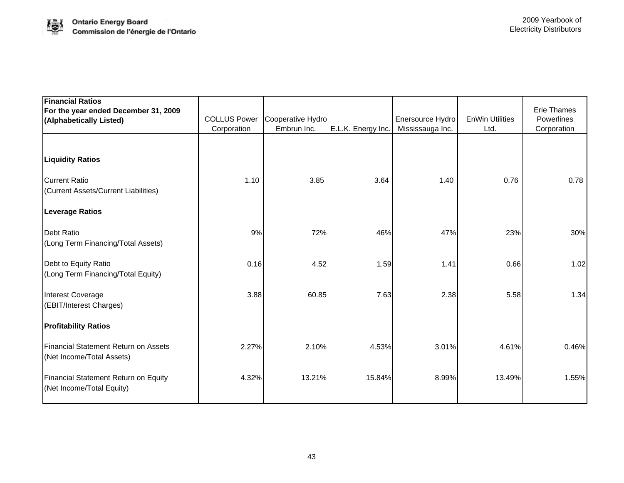

| <b>Financial Ratios</b><br>For the year ended December 31, 2009<br>(Alphabetically Listed) | <b>COLLUS Power</b><br>Corporation | Cooperative Hydro<br>Embrun Inc. | E.L.K. Energy Inc. | Enersource Hydro<br>Mississauga Inc. | <b>EnWin Utilities</b><br>Ltd. | <b>Erie Thames</b><br>Powerlines<br>Corporation |
|--------------------------------------------------------------------------------------------|------------------------------------|----------------------------------|--------------------|--------------------------------------|--------------------------------|-------------------------------------------------|
| <b>Liquidity Ratios</b><br><b>Current Ratio</b>                                            | 1.10                               | 3.85                             | 3.64               | 1.40                                 | 0.76                           | 0.78                                            |
| (Current Assets/Current Liabilities)                                                       |                                    |                                  |                    |                                      |                                |                                                 |
| <b>Leverage Ratios</b>                                                                     |                                    |                                  |                    |                                      |                                |                                                 |
| <b>Debt Ratio</b><br>(Long Term Financing/Total Assets)                                    | 9%                                 | 72%                              | 46%                | 47%                                  | 23%                            | 30%                                             |
| Debt to Equity Ratio<br>(Long Term Financing/Total Equity)                                 | 0.16                               | 4.52                             | 1.59               | 1.41                                 | 0.66                           | 1.02                                            |
| Interest Coverage<br>(EBIT/Interest Charges)                                               | 3.88                               | 60.85                            | 7.63               | 2.38                                 | 5.58                           | 1.34                                            |
| <b>Profitability Ratios</b>                                                                |                                    |                                  |                    |                                      |                                |                                                 |
| Financial Statement Return on Assets<br>(Net Income/Total Assets)                          | 2.27%                              | 2.10%                            | 4.53%              | 3.01%                                | 4.61%                          | 0.46%                                           |
| Financial Statement Return on Equity<br>(Net Income/Total Equity)                          | 4.32%                              | 13.21%                           | 15.84%             | 8.99%                                | 13.49%                         | 1.55%                                           |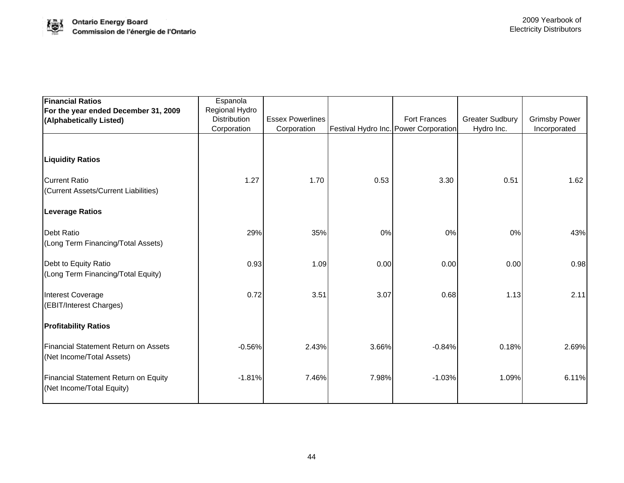

| <b>Financial Ratios</b><br>For the year ended December 31, 2009<br>(Alphabetically Listed) | Espanola<br>Regional Hydro<br><b>Distribution</b><br>Corporation | <b>Essex Powerlines</b><br>Corporation |       | <b>Fort Frances</b><br>Festival Hydro Inc. Power Corporation | <b>Greater Sudbury</b><br>Hydro Inc. | <b>Grimsby Power</b><br>Incorporated |
|--------------------------------------------------------------------------------------------|------------------------------------------------------------------|----------------------------------------|-------|--------------------------------------------------------------|--------------------------------------|--------------------------------------|
| <b>Liquidity Ratios</b><br><b>Current Ratio</b><br>(Current Assets/Current Liabilities)    | 1.27                                                             | 1.70                                   | 0.53  | 3.30                                                         | 0.51                                 | 1.62                                 |
| <b>Leverage Ratios</b>                                                                     |                                                                  |                                        |       |                                                              |                                      |                                      |
| <b>Debt Ratio</b><br>(Long Term Financing/Total Assets)                                    | 29%                                                              | 35%                                    | 0%    | 0%                                                           | 0%                                   | 43%                                  |
| Debt to Equity Ratio<br>(Long Term Financing/Total Equity)                                 | 0.93                                                             | 1.09                                   | 0.00  | 0.00                                                         | 0.00                                 | 0.98                                 |
| Interest Coverage<br>(EBIT/Interest Charges)                                               | 0.72                                                             | 3.51                                   | 3.07  | 0.68                                                         | 1.13                                 | 2.11                                 |
| <b>Profitability Ratios</b>                                                                |                                                                  |                                        |       |                                                              |                                      |                                      |
| Financial Statement Return on Assets<br>(Net Income/Total Assets)                          | $-0.56%$                                                         | 2.43%                                  | 3.66% | $-0.84%$                                                     | 0.18%                                | 2.69%                                |
| Financial Statement Return on Equity<br>(Net Income/Total Equity)                          | $-1.81%$                                                         | 7.46%                                  | 7.98% | $-1.03%$                                                     | 1.09%                                | 6.11%                                |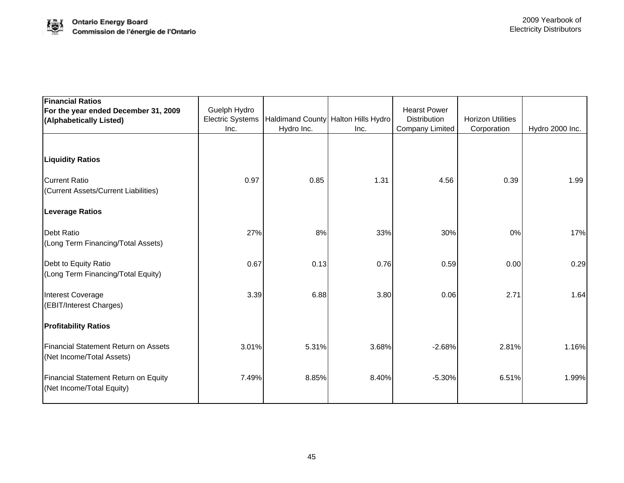

| <b>Financial Ratios</b><br>For the year ended December 31, 2009<br>(Alphabetically Listed) | Guelph Hydro<br><b>Electric Systems</b><br>Inc. | Hydro Inc. | Haldimand County Halton Hills Hydro<br>Inc. | <b>Hearst Power</b><br>Distribution<br><b>Company Limited</b> | <b>Horizon Utilities</b><br>Corporation | Hydro 2000 Inc. |
|--------------------------------------------------------------------------------------------|-------------------------------------------------|------------|---------------------------------------------|---------------------------------------------------------------|-----------------------------------------|-----------------|
| <b>Liquidity Ratios</b>                                                                    |                                                 |            |                                             |                                                               |                                         |                 |
| <b>Current Ratio</b><br>(Current Assets/Current Liabilities)                               | 0.97                                            | 0.85       | 1.31                                        | 4.56                                                          | 0.39                                    | 1.99            |
| <b>Leverage Ratios</b>                                                                     |                                                 |            |                                             |                                                               |                                         |                 |
| <b>Debt Ratio</b><br>(Long Term Financing/Total Assets)                                    | 27%                                             | 8%         | 33%                                         | 30%                                                           | 0%                                      | 17%             |
| Debt to Equity Ratio<br>(Long Term Financing/Total Equity)                                 | 0.67                                            | 0.13       | 0.76                                        | 0.59                                                          | 0.00                                    | 0.29            |
| Interest Coverage<br>(EBIT/Interest Charges)                                               | 3.39                                            | 6.88       | 3.80                                        | 0.06                                                          | 2.71                                    | 1.64            |
| <b>Profitability Ratios</b>                                                                |                                                 |            |                                             |                                                               |                                         |                 |
| Financial Statement Return on Assets<br>(Net Income/Total Assets)                          | 3.01%                                           | 5.31%      | 3.68%                                       | $-2.68%$                                                      | 2.81%                                   | 1.16%           |
| Financial Statement Return on Equity<br>(Net Income/Total Equity)                          | 7.49%                                           | 8.85%      | 8.40%                                       | $-5.30%$                                                      | 6.51%                                   | 1.99%           |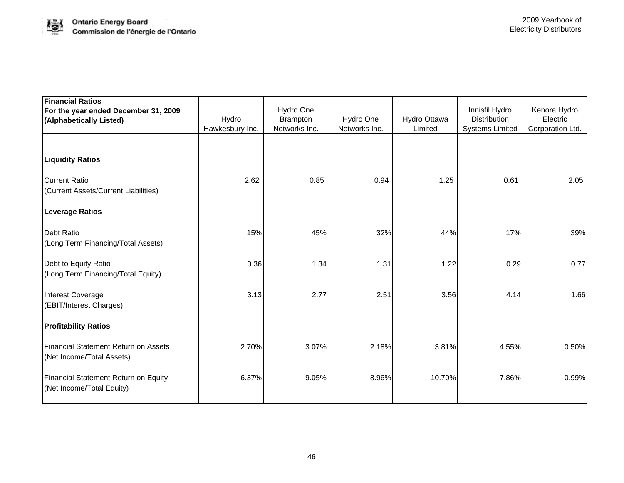

| <b>Financial Ratios</b><br>For the year ended December 31, 2009<br>(Alphabetically Listed) | Hydro<br>Hawkesbury Inc. | Hydro One<br><b>Brampton</b><br>Networks Inc. | Hydro One<br>Networks Inc. | Hydro Ottawa<br>Limited | Innisfil Hydro<br><b>Distribution</b><br><b>Systems Limited</b> | Kenora Hydro<br>Electric<br>Corporation Ltd. |
|--------------------------------------------------------------------------------------------|--------------------------|-----------------------------------------------|----------------------------|-------------------------|-----------------------------------------------------------------|----------------------------------------------|
| <b>Liquidity Ratios</b>                                                                    |                          |                                               |                            |                         |                                                                 |                                              |
| <b>Current Ratio</b><br>(Current Assets/Current Liabilities)                               | 2.62                     | 0.85                                          | 0.94                       | 1.25                    | 0.61                                                            | 2.05                                         |
| <b>Leverage Ratios</b>                                                                     |                          |                                               |                            |                         |                                                                 |                                              |
| <b>Debt Ratio</b><br>(Long Term Financing/Total Assets)                                    | 15%                      | 45%                                           | 32%                        | 44%                     | 17%                                                             | 39%                                          |
| Debt to Equity Ratio<br>(Long Term Financing/Total Equity)                                 | 0.36                     | 1.34                                          | 1.31                       | 1.22                    | 0.29                                                            | 0.77                                         |
| Interest Coverage<br>(EBIT/Interest Charges)                                               | 3.13                     | 2.77                                          | 2.51                       | 3.56                    | 4.14                                                            | 1.66                                         |
| <b>Profitability Ratios</b>                                                                |                          |                                               |                            |                         |                                                                 |                                              |
| Financial Statement Return on Assets<br>(Net Income/Total Assets)                          | 2.70%                    | 3.07%                                         | 2.18%                      | 3.81%                   | 4.55%                                                           | 0.50%                                        |
| Financial Statement Return on Equity<br>(Net Income/Total Equity)                          | 6.37%                    | 9.05%                                         | 8.96%                      | 10.70%                  | 7.86%                                                           | 0.99%                                        |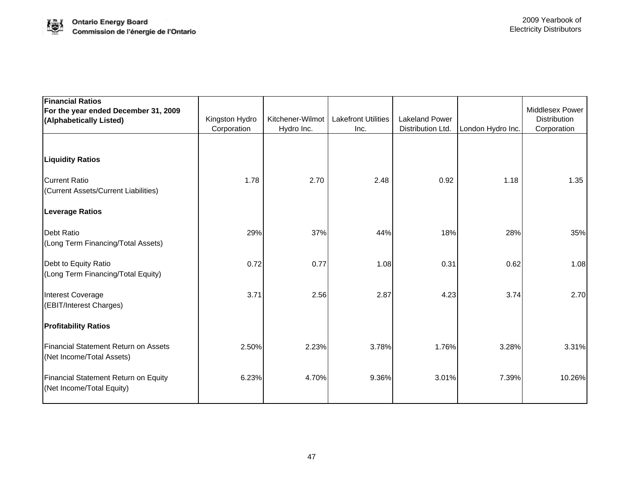

| <b>Financial Ratios</b><br>For the year ended December 31, 2009<br>(Alphabetically Listed) | Kingston Hydro<br>Corporation | Kitchener-Wilmot<br>Hydro Inc. | <b>Lakefront Utilities</b><br>Inc. | <b>Lakeland Power</b><br>Distribution Ltd. | London Hydro Inc. | Middlesex Power<br><b>Distribution</b><br>Corporation |
|--------------------------------------------------------------------------------------------|-------------------------------|--------------------------------|------------------------------------|--------------------------------------------|-------------------|-------------------------------------------------------|
| <b>Liquidity Ratios</b>                                                                    |                               |                                |                                    |                                            |                   |                                                       |
| <b>Current Ratio</b><br>(Current Assets/Current Liabilities)                               | 1.78                          | 2.70                           | 2.48                               | 0.92                                       | 1.18              | 1.35                                                  |
| Leverage Ratios                                                                            |                               |                                |                                    |                                            |                   |                                                       |
| Debt Ratio<br>(Long Term Financing/Total Assets)                                           | 29%                           | 37%                            | 44%                                | 18%                                        | 28%               | 35%                                                   |
| Debt to Equity Ratio<br>(Long Term Financing/Total Equity)                                 | 0.72                          | 0.77                           | 1.08                               | 0.31                                       | 0.62              | 1.08                                                  |
| Interest Coverage<br>(EBIT/Interest Charges)                                               | 3.71                          | 2.56                           | 2.87                               | 4.23                                       | 3.74              | 2.70                                                  |
| <b>Profitability Ratios</b>                                                                |                               |                                |                                    |                                            |                   |                                                       |
| Financial Statement Return on Assets<br>(Net Income/Total Assets)                          | 2.50%                         | 2.23%                          | 3.78%                              | 1.76%                                      | 3.28%             | 3.31%                                                 |
| Financial Statement Return on Equity<br>(Net Income/Total Equity)                          | 6.23%                         | 4.70%                          | 9.36%                              | 3.01%                                      | 7.39%             | 10.26%                                                |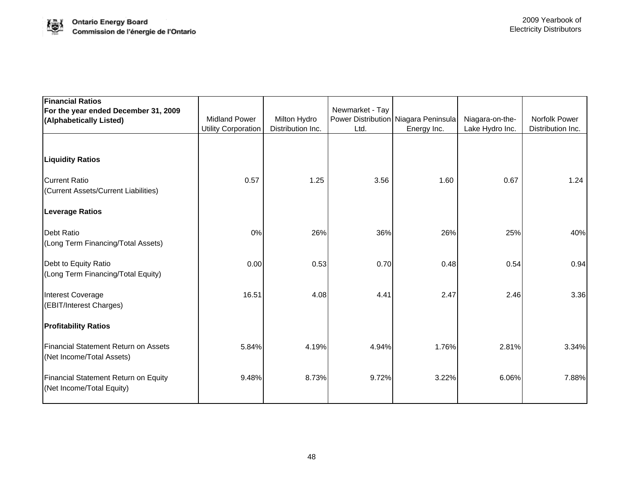

| <b>Financial Ratios</b><br>For the year ended December 31, 2009<br>(Alphabetically Listed) | <b>Midland Power</b><br><b>Utility Corporation</b> | Milton Hydro<br>Distribution Inc. | Newmarket - Tay<br>Ltd. | Power Distribution Niagara Peninsula<br>Energy Inc. | Niagara-on-the-<br>Lake Hydro Inc. | Norfolk Power<br>Distribution Inc. |
|--------------------------------------------------------------------------------------------|----------------------------------------------------|-----------------------------------|-------------------------|-----------------------------------------------------|------------------------------------|------------------------------------|
| <b>Liquidity Ratios</b>                                                                    |                                                    |                                   |                         |                                                     |                                    |                                    |
| <b>Current Ratio</b><br>(Current Assets/Current Liabilities)                               | 0.57                                               | 1.25                              | 3.56                    | 1.60                                                | 0.67                               | 1.24                               |
| <b>Leverage Ratios</b>                                                                     |                                                    |                                   |                         |                                                     |                                    |                                    |
| <b>Debt Ratio</b><br>(Long Term Financing/Total Assets)                                    | 0%                                                 | 26%                               | 36%                     | 26%                                                 | 25%                                | 40%                                |
| Debt to Equity Ratio<br>(Long Term Financing/Total Equity)                                 | 0.00                                               | 0.53                              | 0.70                    | 0.48                                                | 0.54                               | 0.94                               |
| Interest Coverage<br>(EBIT/Interest Charges)                                               | 16.51                                              | 4.08                              | 4.41                    | 2.47                                                | 2.46                               | 3.36                               |
| <b>Profitability Ratios</b>                                                                |                                                    |                                   |                         |                                                     |                                    |                                    |
| Financial Statement Return on Assets<br>(Net Income/Total Assets)                          | 5.84%                                              | 4.19%                             | 4.94%                   | 1.76%                                               | 2.81%                              | 3.34%                              |
| Financial Statement Return on Equity<br>(Net Income/Total Equity)                          | 9.48%                                              | 8.73%                             | 9.72%                   | 3.22%                                               | 6.06%                              | 7.88%                              |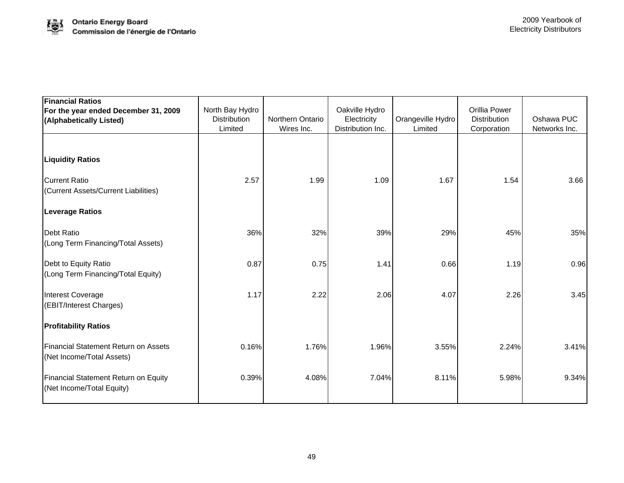

| <b>Financial Ratios</b><br>For the year ended December 31, 2009<br>(Alphabetically Listed) | North Bay Hydro<br><b>Distribution</b><br>Limited | <b>Northern Ontario</b><br>Wires Inc. | Oakville Hydro<br>Electricity<br>Distribution Inc. | Orangeville Hydro<br>Limited | <b>Orillia Power</b><br><b>Distribution</b><br>Corporation | Oshawa PUC<br>Networks Inc. |
|--------------------------------------------------------------------------------------------|---------------------------------------------------|---------------------------------------|----------------------------------------------------|------------------------------|------------------------------------------------------------|-----------------------------|
| <b>Liquidity Ratios</b>                                                                    |                                                   |                                       |                                                    |                              |                                                            |                             |
| <b>Current Ratio</b><br>(Current Assets/Current Liabilities)                               | 2.57                                              | 1.99                                  | 1.09                                               | 1.67                         | 1.54                                                       | 3.66                        |
| <b>Leverage Ratios</b>                                                                     |                                                   |                                       |                                                    |                              |                                                            |                             |
| <b>Debt Ratio</b><br>(Long Term Financing/Total Assets)                                    | 36%                                               | 32%                                   | 39%                                                | 29%                          | 45%                                                        | 35%                         |
| Debt to Equity Ratio<br>(Long Term Financing/Total Equity)                                 | 0.87                                              | 0.75                                  | 1.41                                               | 0.66                         | 1.19                                                       | 0.96                        |
| Interest Coverage<br>(EBIT/Interest Charges)                                               | 1.17                                              | 2.22                                  | 2.06                                               | 4.07                         | 2.26                                                       | 3.45                        |
| <b>Profitability Ratios</b>                                                                |                                                   |                                       |                                                    |                              |                                                            |                             |
| Financial Statement Return on Assets<br>(Net Income/Total Assets)                          | 0.16%                                             | 1.76%                                 | 1.96%                                              | 3.55%                        | 2.24%                                                      | 3.41%                       |
| Financial Statement Return on Equity<br>(Net Income/Total Equity)                          | 0.39%                                             | 4.08%                                 | 7.04%                                              | 8.11%                        | 5.98%                                                      | 9.34%                       |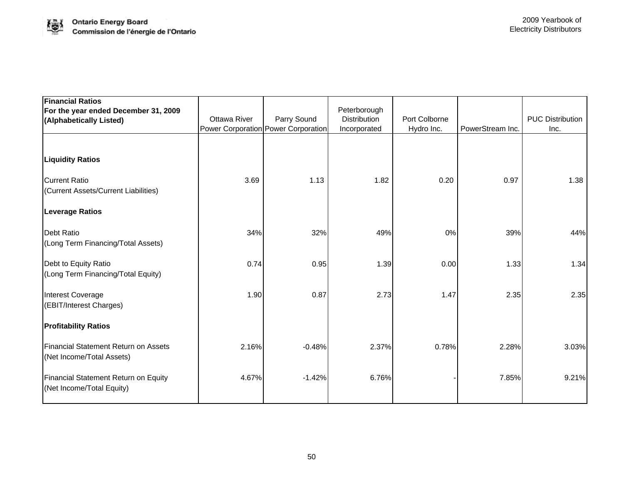

| <b>Financial Ratios</b><br>For the year ended December 31, 2009<br>(Alphabetically Listed) | <b>Ottawa River</b> | Parry Sound<br>Power Corporation Power Corporation | Peterborough<br><b>Distribution</b><br>Incorporated | Port Colborne<br>Hydro Inc. | PowerStream Inc. | <b>PUC Distribution</b><br>Inc. |
|--------------------------------------------------------------------------------------------|---------------------|----------------------------------------------------|-----------------------------------------------------|-----------------------------|------------------|---------------------------------|
| <b>Liquidity Ratios</b>                                                                    |                     |                                                    |                                                     |                             |                  |                                 |
| <b>Current Ratio</b><br>(Current Assets/Current Liabilities)                               | 3.69                | 1.13                                               | 1.82                                                | 0.20                        | 0.97             | 1.38                            |
| <b>Leverage Ratios</b>                                                                     |                     |                                                    |                                                     |                             |                  |                                 |
| <b>Debt Ratio</b><br>(Long Term Financing/Total Assets)                                    | 34%                 | 32%                                                | 49%                                                 | 0%                          | 39%              | 44%                             |
| Debt to Equity Ratio<br>(Long Term Financing/Total Equity)                                 | 0.74                | 0.95                                               | 1.39                                                | 0.00                        | 1.33             | 1.34                            |
| Interest Coverage<br>(EBIT/Interest Charges)                                               | 1.90                | 0.87                                               | 2.73                                                | 1.47                        | 2.35             | 2.35                            |
| <b>Profitability Ratios</b>                                                                |                     |                                                    |                                                     |                             |                  |                                 |
| Financial Statement Return on Assets<br>(Net Income/Total Assets)                          | 2.16%               | $-0.48%$                                           | 2.37%                                               | 0.78%                       | 2.28%            | 3.03%                           |
| Financial Statement Return on Equity<br>(Net Income/Total Equity)                          | 4.67%               | $-1.42%$                                           | 6.76%                                               |                             | 7.85%            | 9.21%                           |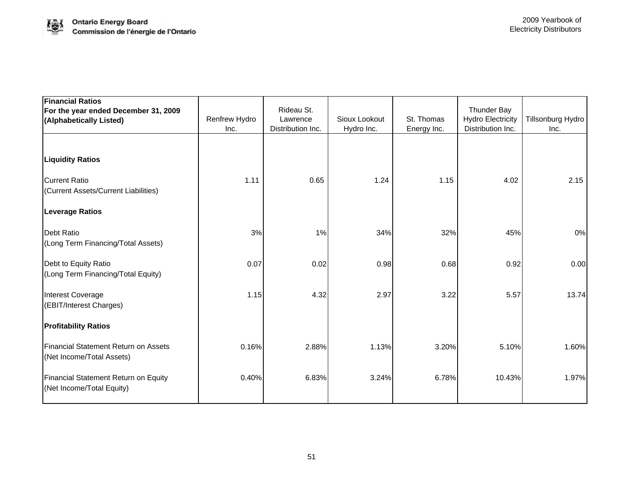

| <b>Financial Ratios</b><br>For the year ended December 31, 2009<br>(Alphabetically Listed) | Renfrew Hydro<br>Inc. | Rideau St.<br>Lawrence<br>Distribution Inc. | Sioux Lookout<br>Hydro Inc. | St. Thomas<br>Energy Inc. | Thunder Bay<br><b>Hydro Electricity</b><br>Distribution Inc. | Tillsonburg Hydro<br>Inc. |
|--------------------------------------------------------------------------------------------|-----------------------|---------------------------------------------|-----------------------------|---------------------------|--------------------------------------------------------------|---------------------------|
| <b>Liquidity Ratios</b>                                                                    |                       |                                             |                             |                           |                                                              |                           |
| <b>Current Ratio</b><br>(Current Assets/Current Liabilities)                               | 1.11                  | 0.65                                        | 1.24                        | 1.15                      | 4.02                                                         | 2.15                      |
| <b>Leverage Ratios</b>                                                                     |                       |                                             |                             |                           |                                                              |                           |
| Debt Ratio<br>(Long Term Financing/Total Assets)                                           | 3%                    | 1%                                          | 34%                         | 32%                       | 45%                                                          | 0%                        |
| Debt to Equity Ratio<br>(Long Term Financing/Total Equity)                                 | 0.07                  | 0.02                                        | 0.98                        | 0.68                      | 0.92                                                         | 0.00                      |
| Interest Coverage<br>(EBIT/Interest Charges)                                               | 1.15                  | 4.32                                        | 2.97                        | 3.22                      | 5.57                                                         | 13.74                     |
| <b>Profitability Ratios</b>                                                                |                       |                                             |                             |                           |                                                              |                           |
| Financial Statement Return on Assets<br>(Net Income/Total Assets)                          | 0.16%                 | 2.88%                                       | 1.13%                       | 3.20%                     | 5.10%                                                        | 1.60%                     |
| Financial Statement Return on Equity<br>(Net Income/Total Equity)                          | 0.40%                 | 6.83%                                       | 3.24%                       | 6.78%                     | 10.43%                                                       | 1.97%                     |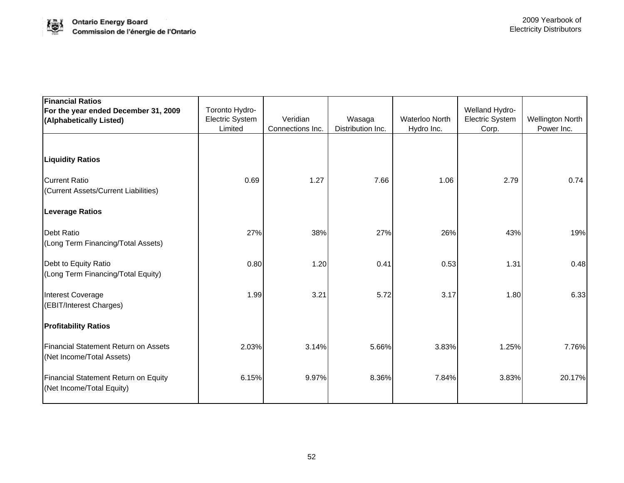

| <b>Financial Ratios</b><br>For the year ended December 31, 2009<br>(Alphabetically Listed) | Toronto Hydro-<br><b>Electric System</b><br>Limited | Veridian<br>Connections Inc. | Wasaga<br>Distribution Inc. | <b>Waterloo North</b><br>Hydro Inc. | Welland Hydro-<br><b>Electric System</b><br>Corp. | <b>Wellington North</b><br>Power Inc. |
|--------------------------------------------------------------------------------------------|-----------------------------------------------------|------------------------------|-----------------------------|-------------------------------------|---------------------------------------------------|---------------------------------------|
| <b>Liquidity Ratios</b>                                                                    |                                                     |                              |                             |                                     |                                                   |                                       |
| <b>Current Ratio</b><br>(Current Assets/Current Liabilities)                               | 0.69                                                | 1.27                         | 7.66                        | 1.06                                | 2.79                                              | 0.74                                  |
| <b>Leverage Ratios</b>                                                                     |                                                     |                              |                             |                                     |                                                   |                                       |
| <b>Debt Ratio</b><br>(Long Term Financing/Total Assets)                                    | 27%                                                 | 38%                          | 27%                         | 26%                                 | 43%                                               | 19%                                   |
| Debt to Equity Ratio<br>(Long Term Financing/Total Equity)                                 | 0.80                                                | 1.20                         | 0.41                        | 0.53                                | 1.31                                              | 0.48                                  |
| Interest Coverage<br>(EBIT/Interest Charges)                                               | 1.99                                                | 3.21                         | 5.72                        | 3.17                                | 1.80                                              | 6.33                                  |
| <b>Profitability Ratios</b>                                                                |                                                     |                              |                             |                                     |                                                   |                                       |
| Financial Statement Return on Assets<br>(Net Income/Total Assets)                          | 2.03%                                               | 3.14%                        | 5.66%                       | 3.83%                               | 1.25%                                             | 7.76%                                 |
| Financial Statement Return on Equity<br>(Net Income/Total Equity)                          | 6.15%                                               | 9.97%                        | 8.36%                       | 7.84%                               | 3.83%                                             | 20.17%                                |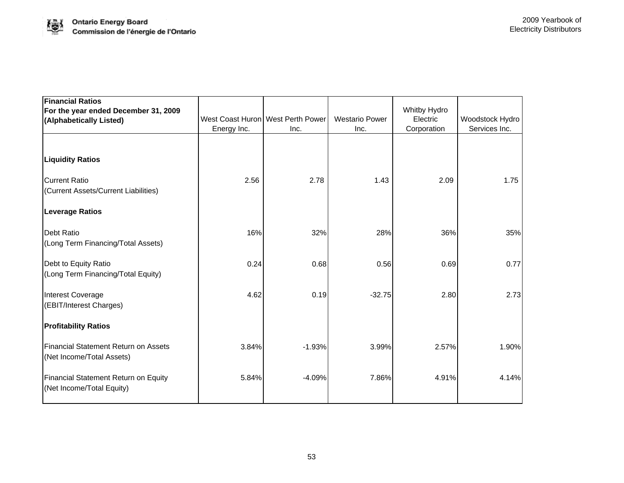

| <b>Financial Ratios</b><br>For the year ended December 31, 2009<br>(Alphabetically Listed) | Energy Inc. | West Coast Huron West Perth Power<br>Inc. | <b>Westario Power</b><br>Inc. | Whitby Hydro<br>Electric<br>Corporation | Woodstock Hydro<br>Services Inc. |
|--------------------------------------------------------------------------------------------|-------------|-------------------------------------------|-------------------------------|-----------------------------------------|----------------------------------|
| <b>Liquidity Ratios</b>                                                                    |             |                                           |                               |                                         |                                  |
| <b>Current Ratio</b><br>(Current Assets/Current Liabilities)                               | 2.56        | 2.78                                      | 1.43                          | 2.09                                    | 1.75                             |
| <b>Leverage Ratios</b>                                                                     |             |                                           |                               |                                         |                                  |
| <b>Debt Ratio</b><br>(Long Term Financing/Total Assets)                                    | 16%         | 32%                                       | 28%                           | 36%                                     | 35%                              |
| Debt to Equity Ratio<br>(Long Term Financing/Total Equity)                                 | 0.24        | 0.68                                      | 0.56                          | 0.69                                    | 0.77                             |
| <b>Interest Coverage</b><br>(EBIT/Interest Charges)                                        | 4.62        | 0.19                                      | $-32.75$                      | 2.80                                    | 2.73                             |
| <b>Profitability Ratios</b>                                                                |             |                                           |                               |                                         |                                  |
| Financial Statement Return on Assets<br>(Net Income/Total Assets)                          | 3.84%       | $-1.93%$                                  | 3.99%                         | 2.57%                                   | 1.90%                            |
| Financial Statement Return on Equity<br>(Net Income/Total Equity)                          | 5.84%       | $-4.09%$                                  | 7.86%                         | 4.91%                                   | 4.14%                            |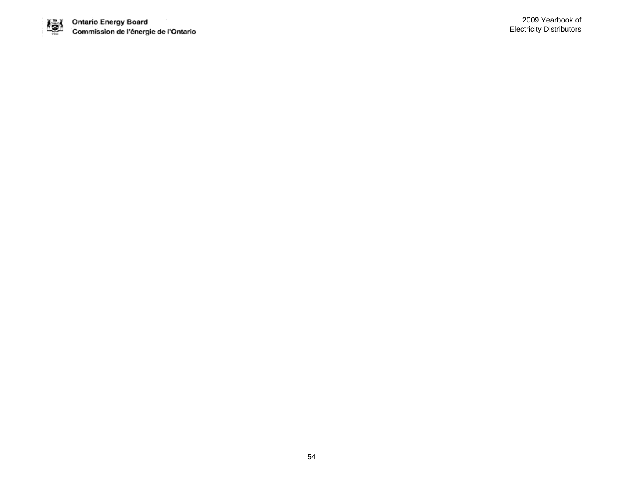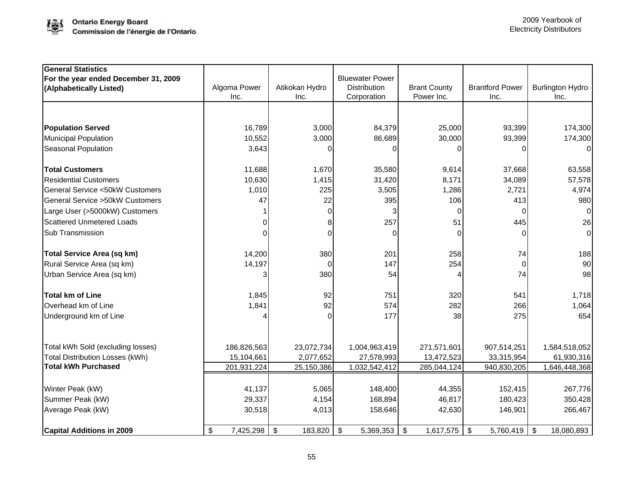

| <b>General Statistics</b>              |                    |                |                            |                            |                               |                         |
|----------------------------------------|--------------------|----------------|----------------------------|----------------------------|-------------------------------|-------------------------|
| For the year ended December 31, 2009   |                    |                | <b>Bluewater Power</b>     |                            |                               |                         |
| (Alphabetically Listed)                | Algoma Power       | Atikokan Hydro | <b>Distribution</b>        | <b>Brant County</b>        | <b>Brantford Power</b>        | <b>Burlington Hydro</b> |
|                                        | Inc.               | Inc.           | Corporation                | Power Inc.                 | Inc.                          | Inc.                    |
|                                        |                    |                |                            |                            |                               |                         |
| <b>Population Served</b>               | 16,789             | 3,000          | 84,379                     | 25,000                     | 93,399                        | 174,300                 |
| <b>Municipal Population</b>            | 10,552             | 3,000          | 86,689                     | 30,000                     | 93,399                        | 174,300                 |
| <b>Seasonal Population</b>             | 3,643              | 0              |                            | 0                          |                               |                         |
| <b>Total Customers</b>                 | 11,688             | 1,670          | 35,580                     | 9,614                      | 37,668                        | 63,558                  |
| <b>Residential Customers</b>           | 10,630             | 1,415          | 31,420                     | 8,171                      | 34,089                        | 57,578                  |
| General Service <50kW Customers        | 1,010              | 225            | 3,505                      | 1,286                      | 2,721                         | 4,974                   |
| General Service > 50kW Customers       | 47                 | 22             | 395                        | 106                        | 413                           | 980                     |
| Large User (>5000kW) Customers         |                    | 0              |                            |                            |                               | 0                       |
| <b>Scattered Unmetered Loads</b>       | 0                  | 8              | 257                        | 51                         | 445                           | 26                      |
| Sub Transmission                       | $\Omega$           | $\Omega$       | $\Omega$                   | $\Omega$                   | $\Omega$                      | $\overline{0}$          |
| <b>Total Service Area (sq km)</b>      | 14,200             | 380            | 201                        | 258                        | 74                            | 188                     |
| Rural Service Area (sq km)             | 14,197             | 0              | 147                        | 254                        | $\Omega$                      | 90                      |
| Urban Service Area (sq km)             |                    | 380            | 54                         | 4                          | 74                            | 98                      |
| <b>Total km of Line</b>                | 1,845              | 92             | 751                        | 320                        | 541                           | 1,718                   |
| Overhead km of Line                    | 1,841              | 92             | 574                        | 282                        | 266                           | 1,064                   |
| Underground km of Line                 |                    | 0              | 177                        | 38                         | 275                           | 654                     |
|                                        |                    |                |                            |                            |                               |                         |
| Total kWh Sold (excluding losses)      | 186,826,563        | 23,072,734     | 1,004,963,419              | 271,571,601                | 907,514,251                   | 1,584,518,052           |
| <b>Total Distribution Losses (kWh)</b> | 15,104,661         | 2,077,652      | 27,578,993                 | 13,472,523                 | 33,315,954                    | 61,930,316              |
| <b>Total kWh Purchased</b>             | 201,931,224        | 25,150,386     | 1,032,542,412              | 285,044,124                | 940,830,205                   | 1,646,448,368           |
| Winter Peak (kW)                       | 41,137             | 5,065          | 148,400                    | 44,355                     | 152,415                       | 267,776                 |
| Summer Peak (kW)                       | 29,337             | 4,154          | 168,894                    | 46,817                     | 180,423                       | 350,428                 |
| Average Peak (kW)                      | 30,518             | 4,013          | 158,646                    | 42,630                     | 146,901                       | 266,467                 |
| <b>Capital Additions in 2009</b>       | \$<br>7,425,298 \$ | 183,820        | $\sqrt[6]{3}$<br>5,369,353 | $\sqrt[6]{3}$<br>1,617,575 | $\sqrt[6]{3}$<br>5,760,419 \$ | 18,080,893              |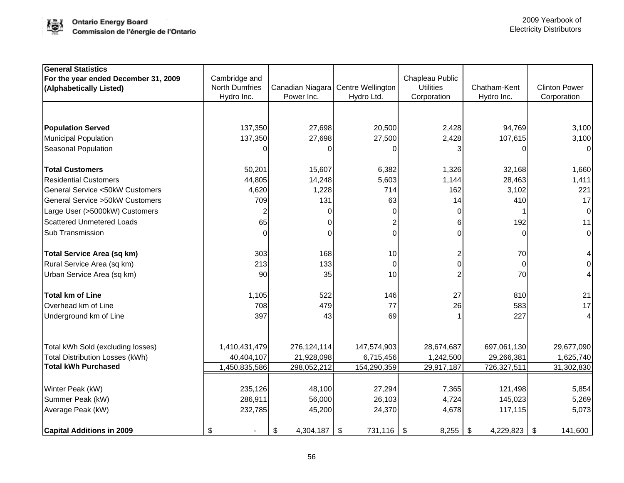

| <b>General Statistics</b>                                            |                       |                  |                                    |                  |                    |                                    |
|----------------------------------------------------------------------|-----------------------|------------------|------------------------------------|------------------|--------------------|------------------------------------|
| For the year ended December 31, 2009                                 | Cambridge and         |                  |                                    | Chapleau Public  |                    |                                    |
| (Alphabetically Listed)                                              | <b>North Dumfries</b> | Canadian Niagara | Centre Wellington                  | <b>Utilities</b> | Chatham-Kent       | <b>Clinton Power</b>               |
|                                                                      | Hydro Inc.            | Power Inc.       | Hydro Ltd.                         | Corporation      | Hydro Inc.         | Corporation                        |
|                                                                      |                       |                  |                                    |                  |                    |                                    |
| <b>Population Served</b>                                             | 137,350               | 27,698           | 20,500                             | 2,428            | 94,769             | 3,100                              |
| <b>Municipal Population</b>                                          | 137,350               | 27,698           | 27,500                             | 2,428            | 107,615            | 3,100                              |
| <b>Seasonal Population</b>                                           | 0                     | 0                |                                    | 3                | <sup>0</sup>       | <sup>n</sup>                       |
| <b>Total Customers</b>                                               | 50,201                | 15,607           | 6,382                              | 1,326            | 32,168             | 1,660                              |
| <b>Residential Customers</b>                                         | 44,805                | 14,248           | 5,603                              | 1,144            | 28,463             | 1,411                              |
| General Service <50kW Customers                                      | 4,620                 | 1,228            | 714                                | 162              | 3,102              | 221                                |
| General Service > 50kW Customers                                     | 709                   | 131              | 63                                 | 14               | 410                | 17                                 |
| Large User (>5000kW) Customers                                       | 2                     | 0                | 0                                  | 0                |                    | $\overline{0}$                     |
| <b>Scattered Unmetered Loads</b>                                     | 65                    | 0                |                                    | 61               | 192                | 11                                 |
| Sub Transmission                                                     | $\Omega$              | 0                | $\Omega$                           | 0                | $\Omega$           | $\overline{0}$                     |
| <b>Total Service Area (sq km)</b>                                    | 303                   | 168              | 10                                 | 2                | 70                 |                                    |
| Rural Service Area (sq km)                                           | 213                   | 133              | $\Omega$                           | $\Omega$         | $\Omega$           | $\overline{0}$                     |
| Urban Service Area (sq km)                                           | 90                    | 35               | 10                                 | 2                | 70                 | 4                                  |
| <b>Total km of Line</b>                                              | 1,105                 | 522              | 146                                | 27               | 810                | 21                                 |
| Overhead km of Line                                                  | 708                   | 479              | 77                                 | 26               | 583                | 17                                 |
| Underground km of Line                                               | 397                   | 43               | 69                                 |                  | 227                | 4                                  |
|                                                                      |                       |                  |                                    |                  |                    |                                    |
| Total kWh Sold (excluding losses)                                    | 1,410,431,479         | 276,124,114      | 147,574,903                        | 28,674,687       | 697,061,130        | 29,677,090                         |
| <b>Total Distribution Losses (kWh)</b><br><b>Total kWh Purchased</b> | 40,404,107            | 21,928,098       | 6,715,456                          | 1,242,500        | 29,266,381         | 1,625,740                          |
|                                                                      | 1,450,835,586         | 298,052,212      | 154,290,359                        | 29,917,187       | 726,327,511        | 31,302,830                         |
| Winter Peak (kW)                                                     | 235,126               | 48,100           | 27,294                             | 7,365            | 121,498            | 5,854                              |
| Summer Peak (kW)                                                     | 286,911               | 56,000           | 26,103                             | 4,724            | 145,023            | 5,269                              |
| Average Peak (kW)                                                    | 232,785               | 45,200           | 24,370                             | 4,678            | 117,115            | 5,073                              |
| <b>Capital Additions in 2009</b>                                     | \$                    | \$<br>4,304,187  | $\sqrt[6]{\frac{1}{2}}$<br>731,116 | \$<br>8,255      | $\$\$<br>4,229,823 | $\sqrt[6]{\frac{1}{2}}$<br>141,600 |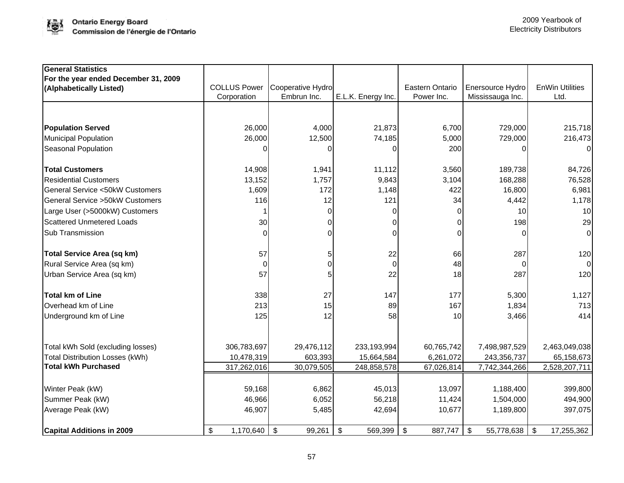

| <b>General Statistics</b>              |                     |                   |                           |                           |                              |                             |
|----------------------------------------|---------------------|-------------------|---------------------------|---------------------------|------------------------------|-----------------------------|
| For the year ended December 31, 2009   |                     |                   |                           |                           |                              |                             |
| (Alphabetically Listed)                | <b>COLLUS Power</b> | Cooperative Hydro |                           | <b>Eastern Ontario</b>    | Enersource Hydro             | <b>EnWin Utilities</b>      |
|                                        | Corporation         | Embrun Inc.       | E.L.K. Energy Inc.        | Power Inc.                | Mississauga Inc.             | Ltd.                        |
|                                        |                     |                   |                           |                           |                              |                             |
| <b>Population Served</b>               | 26,000              | 4,000             | 21,873                    | 6,700                     | 729,000                      | 215,718                     |
| <b>Municipal Population</b>            | 26,000              | 12,500            | 74,185                    | 5,000                     | 729,000                      | 216,473                     |
| Seasonal Population                    | $\Omega$            |                   |                           | 200                       |                              |                             |
| <b>Total Customers</b>                 | 14,908              | 1,941             | 11,112                    | 3,560                     | 189,738                      | 84,726                      |
| <b>Residential Customers</b>           | 13,152              | 1,757             | 9,843                     | 3,104                     | 168,288                      | 76,528                      |
| General Service <50kW Customers        | 1,609               | 172               | 1,148                     | 422                       | 16,800                       | 6,981                       |
| General Service > 50kW Customers       | 116                 | 12                | 121                       | 34                        | 4,442                        | 1,178                       |
| Large User (>5000kW) Customers         |                     | 0                 |                           |                           | 10                           | 10                          |
| <b>Scattered Unmetered Loads</b>       | 30                  | 0                 |                           | 0                         | 198                          | 29                          |
| Sub Transmission                       | $\Omega$            | 0                 |                           | 0                         | $\Omega$                     | $\Omega$                    |
| <b>Total Service Area (sq km)</b>      | 57                  | 5                 | 22                        | 66                        | 287                          | 120                         |
| Rural Service Area (sq km)             | $\mathbf 0$         | 0                 | $\Omega$                  | 48                        | 0                            |                             |
| Urban Service Area (sq km)             | 57                  | 5                 | 22                        | 18                        | 287                          | 120                         |
| <b>Total km of Line</b>                | 338                 | 27                | 147                       | 177                       | 5,300                        | 1,127                       |
| Overhead km of Line                    | 213                 | 15                | 89                        | 167                       | 1,834                        | 713                         |
| Underground km of Line                 | 125                 | 12                | 58                        | 10                        | 3,466                        | 414                         |
|                                        |                     |                   |                           |                           |                              |                             |
| Total kWh Sold (excluding losses)      | 306,783,697         | 29,476,112        | 233,193,994               | 60,765,742                | 7,498,987,529                | 2,463,049,038               |
| <b>Total Distribution Losses (kWh)</b> | 10,478,319          | 603,393           | 15,664,584                | 6,261,072                 | 243,356,737                  | 65,158,673                  |
| <b>Total kWh Purchased</b>             | 317,262,016         | 30,079,505        | 248,858,578               | 67,026,814                | 7,742,344,266                | 2,528,207,711               |
| Winter Peak (kW)                       | 59,168              | 6,862             | 45,013                    | 13,097                    | 1,188,400                    | 399,800                     |
| Summer Peak (kW)                       | 46,966              | 6,052             | 56,218                    | 11,424                    | 1,504,000                    | 494,900                     |
| Average Peak (kW)                      | 46,907              | 5,485             | 42,694                    | 10,677                    | 1,189,800                    | 397,075                     |
| <b>Capital Additions in 2009</b>       | \$<br>1,170,640     | \$<br>99,261      | $\mathfrak{S}$<br>569,399 | $\mathfrak{S}$<br>887,747 | $\mathfrak{S}$<br>55,778,638 | $\mathfrak s$<br>17,255,362 |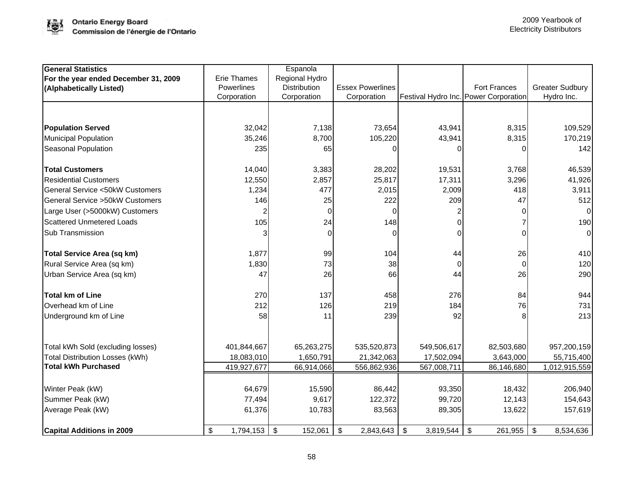

| <b>General Statistics</b>              |                      | Espanola            |                            |                         |                                       |                        |
|----------------------------------------|----------------------|---------------------|----------------------------|-------------------------|---------------------------------------|------------------------|
| For the year ended December 31, 2009   | <b>Erie Thames</b>   | Regional Hydro      |                            |                         |                                       |                        |
| (Alphabetically Listed)                | Powerlines           | <b>Distribution</b> | <b>Essex Powerlines</b>    |                         | Fort Frances                          | <b>Greater Sudbury</b> |
|                                        | Corporation          | Corporation         | Corporation                |                         | Festival Hydro Inc. Power Corporation | Hydro Inc.             |
|                                        |                      |                     |                            |                         |                                       |                        |
| <b>Population Served</b>               | 32,042               | 7,138               | 73,654                     | 43,941                  | 8,315                                 | 109,529                |
| <b>Municipal Population</b>            | 35,246               | 8,700               | 105,220                    | 43,941                  | 8,315                                 | 170,219                |
| <b>Seasonal Population</b>             | 235                  | 65                  |                            |                         |                                       | 142                    |
| <b>Total Customers</b>                 | 14,040               | 3,383               | 28,202                     | 19,531                  | 3,768                                 | 46,539                 |
| <b>Residential Customers</b>           | 12,550               | 2,857               | 25,817                     | 17,311                  | 3,296                                 | 41,926                 |
| General Service <50kW Customers        | 1,234                | 477                 | 2,015                      | 2,009                   | 418                                   | 3,911                  |
| General Service > 50kW Customers       | 146                  | 25                  | 222                        | 209                     | 47                                    | 512                    |
| Large User (>5000kW) Customers         | $\mathfrak{p}$       | 0                   |                            |                         |                                       | 0                      |
| <b>Scattered Unmetered Loads</b>       | 105                  | 24                  | 148                        |                         |                                       | 190                    |
| Sub Transmission                       |                      | $\Omega$            |                            |                         |                                       | $\mathbf 0$            |
| <b>Total Service Area (sq km)</b>      | 1,877                | 99                  | 104                        | 44                      | 26                                    | 410                    |
| Rural Service Area (sq km)             | 1,830                | 73                  | 38                         |                         | $\Omega$                              | 120                    |
| Urban Service Area (sq km)             | 47                   | 26                  | 66                         | 44                      | 26                                    | 290                    |
| <b>Total km of Line</b>                | 270                  | 137                 | 458                        | 276                     | 84                                    | 944                    |
| Overhead km of Line                    | 212                  | 126                 | 219                        | 184                     | 76                                    | 731                    |
| Underground km of Line                 | 58                   | 11                  | 239                        | 92                      |                                       | 213                    |
|                                        |                      |                     |                            |                         |                                       |                        |
| Total kWh Sold (excluding losses)      | 401,844,667          | 65,263,275          | 535,520,873                | 549,506,617             | 82,503,680                            | 957,200,159            |
| <b>Total Distribution Losses (kWh)</b> | 18,083,010           | 1,650,791           | 21,342,063                 | 17,502,094              | 3,643,000                             | 55,715,400             |
| <b>Total kWh Purchased</b>             | 419,927,677          | 66,914,066          | 556,862,936                | 567,008,711             | 86,146,680                            | 1,012,915,559          |
| Winter Peak (kW)                       | 64,679               | 15,590              | 86,442                     | 93,350                  | 18,432                                | 206,940                |
| Summer Peak (kW)                       | 77,494               | 9,617               | 122,372                    | 99,720                  | 12,143                                | 154,643                |
| Average Peak (kW)                      | 61,376               | 10,783              | 83,563                     | 89,305                  | 13,622                                | 157,619                |
| <b>Capital Additions in 2009</b>       | $1,794,153$ \$<br>\$ | 152,061             | $\sqrt[6]{3}$<br>2,843,643 | $\sqrt{3}$<br>3,819,544 | \$<br>$261,955$ \$                    | 8,534,636              |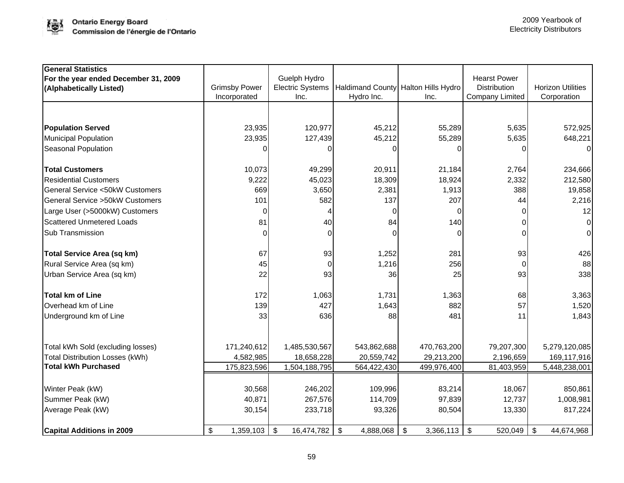

| <b>General Statistics</b>                                            |                      |                         |                            |                                     |                        |                          |
|----------------------------------------------------------------------|----------------------|-------------------------|----------------------------|-------------------------------------|------------------------|--------------------------|
| For the year ended December 31, 2009                                 |                      | Guelph Hydro            |                            |                                     | <b>Hearst Power</b>    |                          |
| (Alphabetically Listed)                                              | <b>Grimsby Power</b> | <b>Electric Systems</b> |                            | Haldimand County Halton Hills Hydro | <b>Distribution</b>    | <b>Horizon Utilities</b> |
|                                                                      | Incorporated         | Inc.                    | Hydro Inc.                 | Inc.                                | <b>Company Limited</b> | Corporation              |
|                                                                      |                      |                         |                            |                                     |                        |                          |
| <b>Population Served</b>                                             | 23,935               | 120,977                 | 45,212                     | 55,289                              | 5,635                  | 572,925                  |
| <b>Municipal Population</b>                                          | 23,935               | 127,439                 | 45,212                     | 55,289                              | 5,635                  | 648,221                  |
| Seasonal Population                                                  | U                    |                         |                            |                                     | U                      |                          |
| <b>Total Customers</b>                                               | 10,073               | 49,299                  | 20,911                     | 21,184                              | 2,764                  | 234,666                  |
| <b>Residential Customers</b>                                         | 9,222                | 45,023                  | 18,309                     | 18,924                              | 2,332                  | 212,580                  |
| General Service <50kW Customers                                      | 669                  | 3,650                   | 2,381                      | 1,913                               | 388                    | 19,858                   |
| General Service > 50kW Customers                                     | 101                  | 582                     | 137                        | 207                                 | 44                     | 2,216                    |
| Large User (>5000kW) Customers                                       | 0                    |                         |                            | 0                                   | 0                      | 12                       |
| <b>Scattered Unmetered Loads</b>                                     | 81                   | 40                      | 84                         | 140                                 | $\Omega$               | $\Omega$                 |
| Sub Transmission                                                     | $\Omega$             | 0                       |                            | 0                                   | $\Omega$               | $\Omega$                 |
| <b>Total Service Area (sq km)</b>                                    | 67                   | 93                      | 1,252                      | 281                                 | 93                     | 426                      |
| Rural Service Area (sq km)                                           | 45                   | $\Omega$                | 1,216                      | 256                                 | $\Omega$               | 88                       |
| Urban Service Area (sq km)                                           | 22                   | 93                      | 36                         | 25                                  | 93                     | 338                      |
| <b>Total km of Line</b>                                              | 172                  | 1,063                   | 1,731                      | 1,363                               | 68                     | 3,363                    |
| Overhead km of Line                                                  | 139                  | 427                     | 1,643                      | 882                                 | 57                     | 1,520                    |
| Underground km of Line                                               | 33                   | 636                     | 88                         | 481                                 | 11                     | 1,843                    |
|                                                                      |                      |                         |                            |                                     |                        |                          |
| Total kWh Sold (excluding losses)                                    | 171,240,612          | 1,485,530,567           | 543,862,688                | 470,763,200                         | 79,207,300             | 5,279,120,085            |
| <b>Total Distribution Losses (kWh)</b><br><b>Total kWh Purchased</b> | 4,582,985            | 18,658,228              | 20,559,742                 | 29,213,200                          | 2,196,659              | 169,117,916              |
|                                                                      | 175,823,596          | 1,504,188,795           | 564,422,430                | 499,976,400                         | 81,403,959             | 5,448,238,001            |
| Winter Peak (kW)                                                     | 30,568               | 246,202                 | 109,996                    | 83,214                              | 18,067                 | 850,861                  |
| Summer Peak (kW)                                                     | 40,871               | 267,576                 | 114,709                    | 97,839                              | 12,737                 | 1,008,981                |
| Average Peak (kW)                                                    | 30,154               | 233,718                 | 93,326                     | 80,504                              | 13,330                 | 817,224                  |
| <b>Capital Additions in 2009</b>                                     | \$<br>$1,359,103$ \$ | 16,474,782              | $\sqrt[6]{3}$<br>4,888,068 | $\sqrt{3}$<br>3,366,113             | 520,049<br>\$          | \$<br>44,674,968         |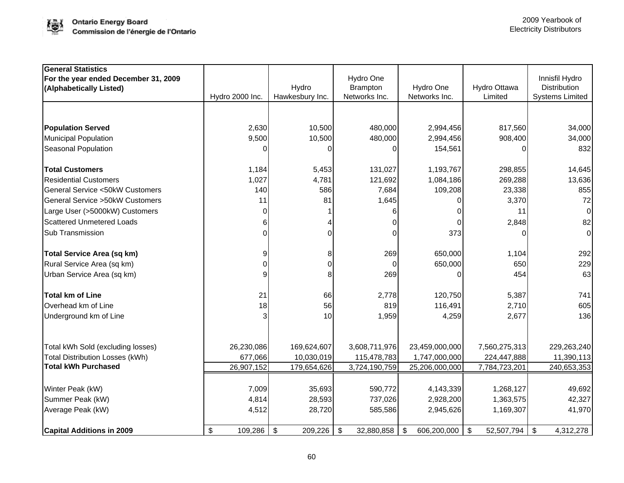

| <b>General Statistics</b>                  |                 |                 |                  |                   |                  |                        |
|--------------------------------------------|-----------------|-----------------|------------------|-------------------|------------------|------------------------|
| For the year ended December 31, 2009       |                 |                 | Hydro One        |                   |                  | Innisfil Hydro         |
| (Alphabetically Listed)                    |                 | Hydro           | <b>Brampton</b>  | Hydro One         | Hydro Ottawa     | Distribution           |
|                                            | Hydro 2000 Inc. | Hawkesbury Inc. | Networks Inc.    | Networks Inc.     | Limited          | <b>Systems Limited</b> |
|                                            |                 |                 |                  |                   |                  |                        |
| <b>Population Served</b>                   | 2,630           | 10,500          | 480,000          | 2,994,456         | 817,560          | 34,000                 |
| <b>Municipal Population</b>                | 9,500           | 10,500          | 480,000          | 2,994,456         | 908,400          | 34,000                 |
| Seasonal Population                        | $\Omega$        | 0               | ∩                | 154,561           |                  | 832                    |
| <b>Total Customers</b>                     | 1,184           | 5,453           | 131,027          | 1,193,767         | 298,855          | 14,645                 |
| <b>Residential Customers</b>               | 1,027           | 4,781           | 121,692          | 1,084,186         | 269,288          | 13,636                 |
| <b>General Service &lt;50kW Customers</b>  | 140             | 586             | 7,684            | 109,208           | 23,338           | 855                    |
| <b>General Service &gt; 50kW Customers</b> | 11              | 81              | 1,645            |                   | 3,370            | 72                     |
| Large User (>5000kW) Customers             | $\overline{0}$  |                 |                  |                   | 11               | 0                      |
| Scattered Unmetered Loads                  | 6 <sup>1</sup>  | 4               |                  |                   | 2,848            | 82                     |
| Sub Transmission                           | $\Omega$        | 0               | 0                | 373               | 0                | $\mathbf 0$            |
| Total Service Area (sq km)                 | 9               | 8               | 269              | 650,000           | 1,104            | 292                    |
| Rural Service Area (sq km)                 | $\mathbf 0$     | 0               | $\Omega$         | 650,000           | 650              | 229                    |
| Urban Service Area (sq km)                 | 9               | 8               | 269              |                   | 454              | 63                     |
| Total km of Line                           | 21              | 66              | 2,778            | 120,750           | 5,387            | 741                    |
| Overhead km of Line                        | 18              | 56              | 819              | 116,491           | 2,710            | 605                    |
| Underground km of Line                     | 3               | 10              | 1,959            | 4,259             | 2,677            | 136                    |
|                                            |                 |                 |                  |                   |                  |                        |
| Total kWh Sold (excluding losses)          | 26,230,086      | 169,624,607     | 3,608,711,976    | 23,459,000,000    | 7,560,275,313    | 229,263,240            |
| <b>Total Distribution Losses (kWh)</b>     | 677,066         | 10,030,019      | 115,478,783      | 1,747,000,000     | 224,447,888      | 11,390,113             |
| <b>Total kWh Purchased</b>                 | 26,907,152      | 179,654,626     | 3,724,190,759    | 25,206,000,000    | 7,784,723,201    | 240,653,353            |
| Winter Peak (kW)                           | 7,009           | 35,693          | 590,772          | 4,143,339         | 1,268,127        | 49,692                 |
| Summer Peak (kW)                           | 4,814           | 28,593          | 737,026          | 2,928,200         | 1,363,575        | 42,327                 |
| Average Peak (kW)                          | 4,512           | 28,720          | 585,586          | 2,945,626         | 1,169,307        | 41,970                 |
|                                            |                 |                 |                  |                   |                  |                        |
| <b>Capital Additions in 2009</b>           | 109,286<br>\$   | \$<br>209,226   | \$<br>32,880,858 | \$<br>606,200,000 | 52,507,794<br>\$ | \$<br>4,312,278        |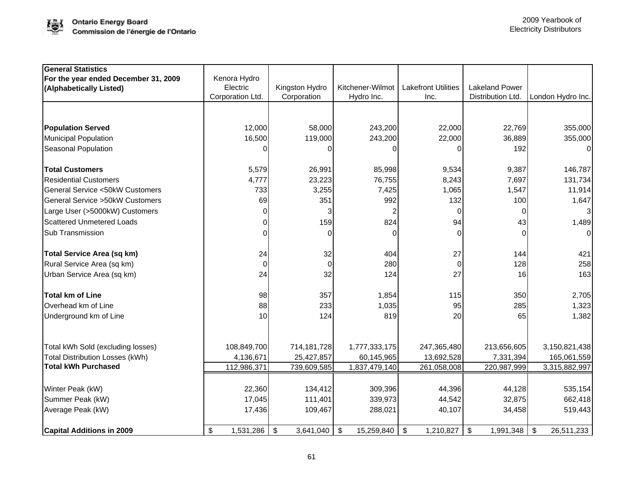

| <b>General Statistics</b>                  |                      |                |                             |                                        |                                      |                                         |
|--------------------------------------------|----------------------|----------------|-----------------------------|----------------------------------------|--------------------------------------|-----------------------------------------|
| For the year ended December 31, 2009       | Kenora Hydro         |                |                             |                                        |                                      |                                         |
| (Alphabetically Listed)                    | Electric             | Kingston Hydro | Kitchener-Wilmot            | <b>Lakefront Utilities</b>             | <b>Lakeland Power</b>                |                                         |
|                                            | Corporation Ltd.     | Corporation    | Hydro Inc.                  | Inc.                                   | Distribution Ltd.                    | London Hydro Inc.                       |
|                                            |                      |                |                             |                                        |                                      |                                         |
| <b>Population Served</b>                   | 12,000               | 58,000         | 243,200                     | 22,000                                 | 22,769                               | 355,000                                 |
| <b>Municipal Population</b>                | 16,500               | 119,000        | 243,200                     | 22,000                                 | 36,889                               | 355,000                                 |
| Seasonal Population                        | $\Omega$             |                |                             | 0                                      | 192                                  | 0                                       |
| <b>Total Customers</b>                     | 5,579                | 26,991         | 85,998                      | 9,534                                  | 9,387                                | 146,787                                 |
| <b>Residential Customers</b>               | 4,777                | 23,223         | 76,755                      | 8,243                                  | 7,697                                | 131,734                                 |
| General Service <50kW Customers            | 733                  | 3,255          | 7,425                       | 1,065                                  | 1,547                                | 11,914                                  |
| <b>General Service &gt; 50kW Customers</b> | 69                   | 351            | 992                         | 132                                    | 100                                  | 1,647                                   |
| Large User (>5000kW) Customers             | 0                    |                |                             | 0                                      | $\Omega$                             |                                         |
| Scattered Unmetered Loads                  | 0                    | 159            | 824                         | 94                                     | 43                                   | 1,489                                   |
| Sub Transmission                           | $\Omega$             | 0              |                             | $\overline{0}$                         | $\Omega$                             | $\overline{0}$                          |
| Total Service Area (sq km)                 | 24                   | 32             | 404                         | 27                                     | 144                                  | 421                                     |
| Rural Service Area (sq km)                 | $\mathbf 0$          | 0              | 280                         | 0                                      | 128                                  | 258                                     |
| Urban Service Area (sq km)                 | 24                   | 32             | 124                         | 27                                     | 16                                   | 163                                     |
| Total km of Line                           | 98                   | 357            | 1,854                       | 115                                    | 350                                  | 2,705                                   |
| Overhead km of Line                        | 88                   | 233            | 1,035                       | 95                                     | 285                                  | 1,323                                   |
| Underground km of Line                     | 10                   | 124            | 819                         | 20                                     | 65                                   | 1,382                                   |
|                                            |                      |                |                             |                                        |                                      |                                         |
| Total kWh Sold (excluding losses)          | 108,849,700          | 714,181,728    | 1,777,333,175               | 247,365,480                            | 213,656,605                          | 3,150,821,438                           |
| <b>Total Distribution Losses (kWh)</b>     | 4,136,671            | 25,427,857     | 60,145,965                  | 13,692,528                             | 7,331,394                            | 165,061,559                             |
| <b>Total kWh Purchased</b>                 | 112,986,371          | 739,609,585    | 1,837,479,140               | 261,058,008                            | 220,987,999                          | 3,315,882,997                           |
|                                            |                      |                |                             |                                        |                                      |                                         |
| Winter Peak (kW)                           | 22,360               | 134,412        | 309,396                     | 44,396                                 | 44,128                               | 535,154                                 |
| Summer Peak (kW)                           | 17,045               | 111,401        | 339,973                     | 44,542                                 | 32,875                               | 662,418                                 |
| Average Peak (kW)                          | 17,436               | 109,467        | 288,021                     | 40,107                                 | 34,458                               | 519,443                                 |
| <b>Capital Additions in 2009</b>           | $1,531,286$ \$<br>\$ | 3,641,040      | $\sqrt[6]{3}$<br>15,259,840 | $\boldsymbol{\mathsf{S}}$<br>1,210,827 | $\sqrt[6]{\frac{1}{2}}$<br>1,991,348 | $\boldsymbol{\mathsf{s}}$<br>26,511,233 |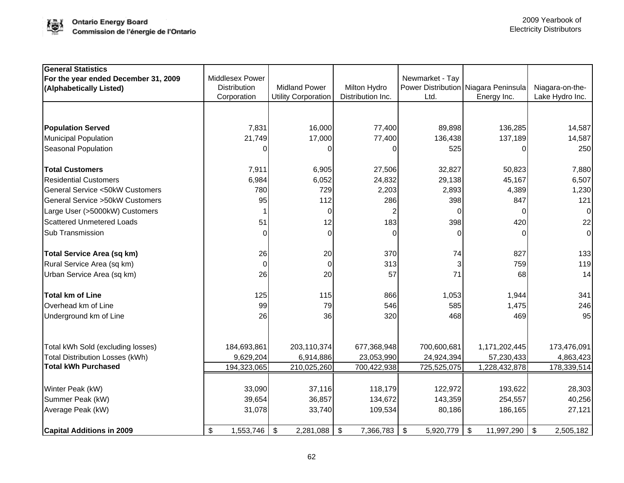

| <b>General Statistics</b>                  |                     |                            |                         |                 |                                      |                 |
|--------------------------------------------|---------------------|----------------------------|-------------------------|-----------------|--------------------------------------|-----------------|
| For the year ended December 31, 2009       | Middlesex Power     |                            |                         | Newmarket - Tay |                                      |                 |
| (Alphabetically Listed)                    | <b>Distribution</b> | <b>Midland Power</b>       | Milton Hydro            |                 | Power Distribution Niagara Peninsula | Niagara-on-the- |
|                                            | Corporation         | <b>Utility Corporation</b> | Distribution Inc.       | Ltd.            | Energy Inc.                          | Lake Hydro Inc. |
|                                            |                     |                            |                         |                 |                                      |                 |
| <b>Population Served</b>                   | 7,831               | 16,000                     | 77,400                  | 89,898          | 136,285                              | 14,587          |
| <b>Municipal Population</b>                | 21,749              | 17,000                     | 77,400                  | 136,438         | 137,189                              | 14,587          |
| Seasonal Population                        | 0                   | 0                          |                         | 525             | 0                                    | 250             |
| <b>Total Customers</b>                     | 7,911               | 6,905                      | 27,506                  | 32,827          | 50,823                               | 7,880           |
| <b>Residential Customers</b>               | 6,984               | 6,052                      | 24,832                  | 29,138          | 45,167                               | 6,507           |
| <b>General Service &lt;50kW Customers</b>  | 780                 | 729                        | 2,203                   | 2,893           | 4,389                                | 1,230           |
| <b>General Service &gt; 50kW Customers</b> | 95                  | 112                        | 286                     | 398             | 847                                  | 121             |
| Large User (>5000kW) Customers             |                     | 0                          |                         | $\Omega$        | $\Omega$                             | $\Omega$        |
| Scattered Unmetered Loads                  | 51                  | 12                         | 183                     | 398             | 420                                  | 22              |
| Sub Transmission                           | $\Omega$            | 0                          | $\Omega$                | $\Omega$        | $\Omega$                             | $\overline{0}$  |
| Total Service Area (sq km)                 | 26                  | 20                         | 370                     | 74              | 827                                  | 133             |
| Rural Service Area (sq km)                 | $\mathbf 0$         | $\Omega$                   | 313                     | 3               | 759                                  | 119             |
| Urban Service Area (sq km)                 | 26                  | 20                         | 57                      | 71              | 68                                   | 14              |
| Total km of Line                           | 125                 | 115                        | 866                     | 1,053           | 1,944                                | 341             |
| Overhead km of Line                        | 99                  | 79                         | 546                     | 585             | 1,475                                | 246             |
| Underground km of Line                     | 26                  | 36                         | 320                     | 468             | 469                                  | 95              |
|                                            |                     |                            |                         |                 |                                      |                 |
| Total kWh Sold (excluding losses)          | 184,693,861         | 203,110,374                | 677,368,948             | 700,600,681     | 1,171,202,445                        | 173,476,091     |
| <b>Total Distribution Losses (kWh)</b>     | 9,629,204           | 6,914,886                  | 23,053,990              | 24,924,394      | 57,230,433                           | 4,863,423       |
| <b>Total kWh Purchased</b>                 | 194,323,065         | 210,025,260                | 700,422,938             | 725,525,075     | 1,228,432,878                        | 178,339,514     |
| Winter Peak (kW)                           | 33,090              | 37,116                     | 118,179                 | 122,972         | 193,622                              | 28,303          |
| Summer Peak (kW)                           | 39,654              | 36,857                     | 134,672                 | 143,359         | 254,557                              | 40,256          |
| Average Peak (kW)                          | 31,078              | 33,740                     | 109,534                 | 80,186          | 186,165                              | 27,121          |
| <b>Capital Additions in 2009</b>           | 1,553,746<br>\$     | \$<br>2,281,088            | $\sqrt{2}$<br>7,366,783 | \$<br>5,920,779 | 11,997,290<br>\$                     | \$<br>2,505,182 |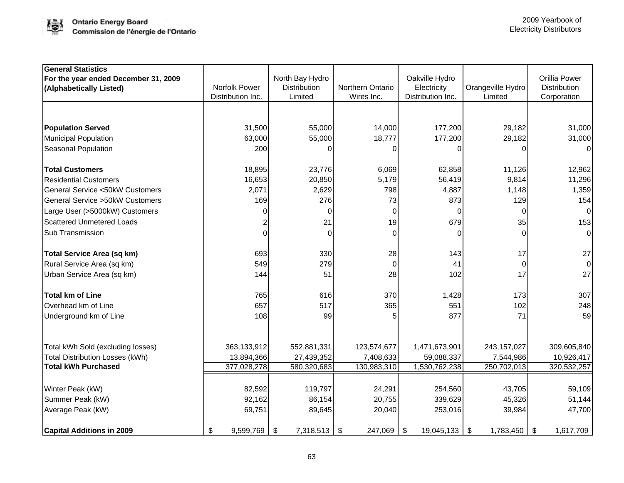

| <b>General Statistics</b>              |                   |                             |                       |                   |                                      |                             |
|----------------------------------------|-------------------|-----------------------------|-----------------------|-------------------|--------------------------------------|-----------------------------|
| For the year ended December 31, 2009   |                   | North Bay Hydro             |                       | Oakville Hydro    |                                      | Orillia Power               |
| (Alphabetically Listed)                | Norfolk Power     | Distribution                | Northern Ontario      | Electricity       | Orangeville Hydro                    | Distribution                |
|                                        | Distribution Inc. | Limited                     | Wires Inc.            | Distribution Inc. | Limited                              | Corporation                 |
|                                        |                   |                             |                       |                   |                                      |                             |
| <b>Population Served</b>               | 31,500            | 55,000                      | 14,000                | 177,200           | 29,182                               | 31,000                      |
| <b>Municipal Population</b>            | 63,000            | 55,000                      | 18,777                | 177,200           | 29,182                               | 31,000                      |
| <b>Seasonal Population</b>             | 200               |                             | $\Omega$              | 0                 | ∩                                    |                             |
| <b>Total Customers</b>                 | 18,895            | 23,776                      | 6,069                 | 62,858            | 11,126                               | 12,962                      |
| <b>Residential Customers</b>           | 16,653            | 20,850                      | 5,179                 | 56,419            | 9,814                                | 11,296                      |
| General Service <50kW Customers        | 2,071             | 2,629                       | 798                   | 4,887             | 1,148                                | 1,359                       |
| General Service > 50kW Customers       | 169               | 276                         | 73                    | 873               | 129                                  | 154                         |
| Large User (>5000kW) Customers         | $\Omega$          | 0                           | $\Omega$              | 0                 | 0                                    |                             |
| <b>Scattered Unmetered Loads</b>       |                   | 21                          | 19                    | 679               | 35                                   | 153                         |
| Sub Transmission                       | $\Omega$          | 0                           | $\Omega$              | 0                 | $\Omega$                             | $\Omega$                    |
| <b>Total Service Area (sq km)</b>      | 693               | 330                         | 28                    | 143               | 17                                   | 27                          |
| Rural Service Area (sq km)             | 549               | 279                         | $\Omega$              | 41                | $\Omega$                             |                             |
| Urban Service Area (sq km)             | 144               | 51                          | 28                    | 102               | 17                                   | 27                          |
| <b>Total km of Line</b>                | 765               | 616                         | 370                   | 1,428             | 173                                  | 307                         |
| Overhead km of Line                    | 657               | 517                         | 365                   | 551               | 102                                  | 248                         |
| Underground km of Line                 | 108               | 99                          |                       | 877               | 71                                   | 59                          |
|                                        |                   |                             |                       |                   |                                      |                             |
| Total kWh Sold (excluding losses)      | 363,133,912       | 552,881,331                 | 123,574,677           | 1,471,673,901     | 243, 157, 027                        | 309,605,840                 |
| <b>Total Distribution Losses (kWh)</b> | 13,894,366        | 27,439,352                  | 7,408,633             | 59,088,337        | 7,544,986                            | 10,926,417                  |
| <b>Total kWh Purchased</b>             | 377,028,278       | 580,320,683                 | 130,983,310           | 1,530,762,238     | 250,702,013                          | 320,532,257                 |
| Winter Peak (kW)                       | 82,592            | 119,797                     | 24,291                | 254,560           | 43,705                               | 59,109                      |
| Summer Peak (kW)                       | 92,162            | 86,154                      | 20,755                | 339,629           | 45,326                               | 51,144                      |
| Average Peak (kW)                      | 69,751            | 89,645                      | 20,040                | 253,016           | 39,984                               | 47,700                      |
| <b>Capital Additions in 2009</b>       | \$<br>9,599,769   | $\mathfrak{S}$<br>7,318,513 | $\sqrt{3}$<br>247,069 | \$<br>19,045,133  | $\sqrt[6]{\frac{1}{2}}$<br>1,783,450 | $\mathfrak{S}$<br>1,617,709 |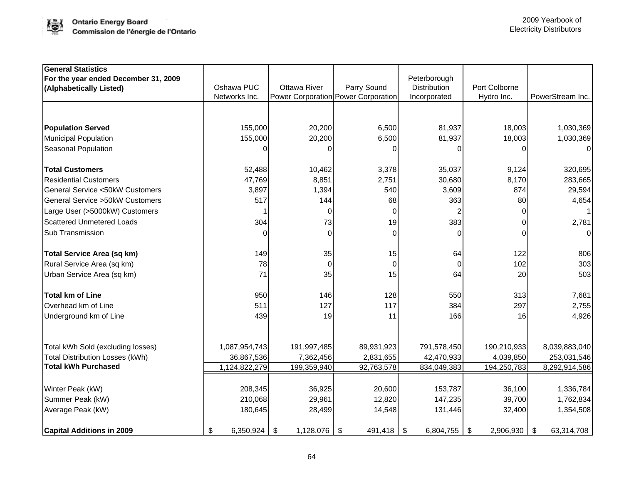

| <b>General Statistics</b>              |                 |                             |                                                    |                              |                                        |                              |
|----------------------------------------|-----------------|-----------------------------|----------------------------------------------------|------------------------------|----------------------------------------|------------------------------|
| For the year ended December 31, 2009   | Oshawa PUC      | Ottawa River                |                                                    | Peterborough                 | Port Colborne                          |                              |
| (Alphabetically Listed)                | Networks Inc.   |                             | Parry Sound<br>Power Corporation Power Corporation | Distribution<br>Incorporated | Hydro Inc.                             | PowerStream Inc.             |
|                                        |                 |                             |                                                    |                              |                                        |                              |
| <b>Population Served</b>               | 155,000         | 20,200                      | 6,500                                              | 81,937                       | 18,003                                 | 1,030,369                    |
| <b>Municipal Population</b>            | 155,000         | 20,200                      | 6,500                                              | 81,937                       | 18,003                                 | 1,030,369                    |
| Seasonal Population                    | U               | ი                           |                                                    |                              |                                        |                              |
| <b>Total Customers</b>                 | 52,488          | 10,462                      | 3,378                                              | 35,037                       | 9,124                                  | 320,695                      |
| <b>Residential Customers</b>           | 47,769          | 8,851                       | 2,751                                              | 30,680                       | 8,170                                  | 283,665                      |
| General Service <50kW Customers        | 3,897           | 1,394                       | 540                                                | 3,609                        | 874                                    | 29,594                       |
| General Service > 50kW Customers       | 517             | 144                         | 68                                                 | 363                          | 80                                     | 4,654                        |
| Large User (>5000kW) Customers         |                 |                             |                                                    |                              |                                        |                              |
| <b>Scattered Unmetered Loads</b>       | 304             | 73                          | 19                                                 | 383                          |                                        | 2,781                        |
| Sub Transmission                       | $\Omega$        | 0                           |                                                    |                              |                                        | 0                            |
| <b>Total Service Area (sq km)</b>      | 149             | 35                          | 15                                                 | 64                           | 122                                    | 806                          |
| Rural Service Area (sq km)             | 78              | $\Omega$                    |                                                    |                              | 102                                    | 303                          |
| Urban Service Area (sq km)             | 71              | 35                          | 15                                                 | 64                           | 20                                     | 503                          |
| <b>Total km of Line</b>                | 950             | 146                         | 128                                                | 550                          | 313                                    | 7,681                        |
| Overhead km of Line                    | 511             | 127                         | 117                                                | 384                          | 297                                    | 2,755                        |
| Underground km of Line                 | 439             | 19                          | 11                                                 | 166                          | 16                                     | 4,926                        |
| Total kWh Sold (excluding losses)      | 1,087,954,743   | 191,997,485                 | 89,931,923                                         | 791,578,450                  | 190,210,933                            | 8,039,883,040                |
| <b>Total Distribution Losses (kWh)</b> | 36,867,536      | 7,362,456                   |                                                    | 42,470,933                   | 4,039,850                              |                              |
| <b>Total kWh Purchased</b>             | 1,124,822,279   | 199,359,940                 | 2,831,655<br>92,763,578                            | 834,049,383                  | 194,250,783                            | 253,031,546<br>8,292,914,586 |
|                                        |                 |                             |                                                    |                              |                                        |                              |
| Winter Peak (kW)                       | 208,345         | 36,925                      | 20,600                                             | 153,787                      | 36,100                                 | 1,336,784                    |
| Summer Peak (kW)                       | 210,068         | 29,961                      | 12,820                                             | 147,235                      | 39,700                                 | 1,762,834                    |
| Average Peak (kW)                      | 180,645         | 28,499                      | 14,548                                             | 131,446                      | 32,400                                 | 1,354,508                    |
| <b>Capital Additions in 2009</b>       | \$<br>6,350,924 | $\mathfrak{S}$<br>1,128,076 | $\sqrt[6]{3}$<br>491,418                           | $\mathfrak{S}$<br>6,804,755  | $\boldsymbol{\mathsf{S}}$<br>2,906,930 | \$<br>63,314,708             |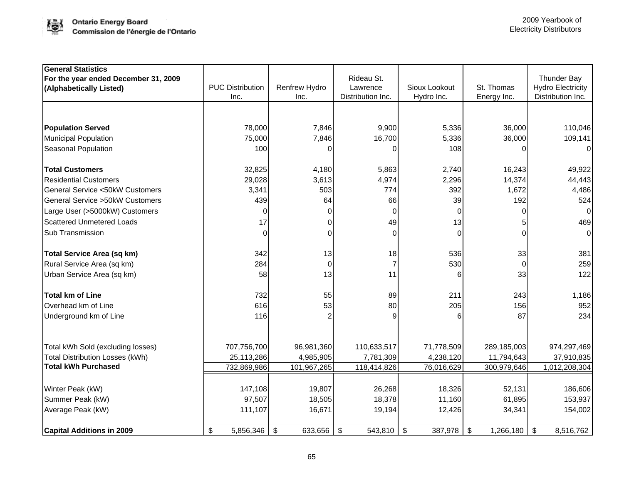

| <b>General Statistics</b>              |                         |               |                   |               |                    |                                        |
|----------------------------------------|-------------------------|---------------|-------------------|---------------|--------------------|----------------------------------------|
| For the year ended December 31, 2009   |                         |               | Rideau St.        |               |                    | Thunder Bay                            |
| (Alphabetically Listed)                | <b>PUC Distribution</b> | Renfrew Hydro | Lawrence          | Sioux Lookout | St. Thomas         | <b>Hydro Electricity</b>               |
|                                        | Inc.                    | Inc.          | Distribution Inc. | Hydro Inc.    | Energy Inc.        | Distribution Inc.                      |
|                                        |                         |               |                   |               |                    |                                        |
| <b>Population Served</b>               | 78,000                  | 7,846         | 9,900             | 5,336         | 36,000             | 110,046                                |
| <b>Municipal Population</b>            | 75,000                  | 7,846         | 16,700            | 5,336         | 36,000             | 109,141                                |
| Seasonal Population                    | 100                     | $\Omega$      | U                 | 108           | 0                  | $\Omega$                               |
| <b>Total Customers</b>                 | 32,825                  | 4,180         | 5,863             | 2,740         | 16,243             | 49,922                                 |
| <b>Residential Customers</b>           | 29,028                  | 3,613         | 4,974             | 2,296         | 14,374             | 44,443                                 |
| General Service <50kW Customers        | 3,341                   | 503           | 774               | 392           | 1,672              | 4,486                                  |
| General Service > 50kW Customers       | 439                     | 64            | 66                | 39            | 192                | 524                                    |
| Large User (>5000kW) Customers         | 0                       | 0             | $\Omega$          | 0             |                    | $\overline{0}$                         |
| <b>Scattered Unmetered Loads</b>       | 17                      | $\pmb{0}$     | 49                | 13            |                    | 469                                    |
| Sub Transmission                       | $\Omega$                | 0             | $\Omega$          | 0             | $\Omega$           | $\overline{0}$                         |
| <b>Total Service Area (sq km)</b>      | 342                     | 13            | 18                | 536           | 33                 | 381                                    |
| Rural Service Area (sq km)             | 284                     | 0             |                   | 530           | $\Omega$           | 259                                    |
| Urban Service Area (sq km)             | 58                      | 13            | 11                | 6             | 33                 | 122                                    |
| <b>Total km of Line</b>                | 732                     | 55            | 89                | 211           | 243                | 1,186                                  |
| Overhead km of Line                    | 616                     | 53            | 80                | 205           | 156                | 952                                    |
| Underground km of Line                 | 116                     | 2             | 9                 | 6             | 87                 | 234                                    |
|                                        |                         |               |                   |               |                    |                                        |
| Total kWh Sold (excluding losses)      | 707,756,700             | 96,981,360    | 110,633,517       | 71,778,509    | 289,185,003        | 974,297,469                            |
| <b>Total Distribution Losses (kWh)</b> | 25,113,286              | 4,985,905     | 7,781,309         | 4,238,120     | 11,794,643         | 37,910,835                             |
| <b>Total kWh Purchased</b>             | 732,869,986             | 101,967,265   | 118,414,826       | 76,016,629    | 300,979,646        | 1,012,208,304                          |
| Winter Peak (kW)                       | 147,108                 | 19,807        | 26,268            | 18,326        | 52,131             | 186,606                                |
| Summer Peak (kW)                       | 97,507                  | 18,505        | 18,378            | 11,160        | 61,895             | 153,937                                |
| Average Peak (kW)                      | 111,107                 | 16,671        | 19,194            | 12,426        | 34,341             | 154,002                                |
| <b>Capital Additions in 2009</b>       | 5,856,346<br>\$         | \$<br>633,656 | \$<br>543,810     | \$<br>387,978 | $\$\$<br>1,266,180 | $\boldsymbol{\mathsf{S}}$<br>8,516,762 |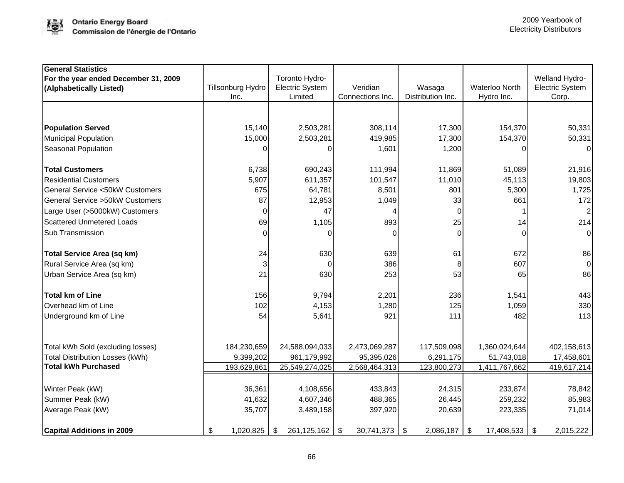

| <b>General Statistics</b>                  |                   |                        |                                       |                   |                       |                        |
|--------------------------------------------|-------------------|------------------------|---------------------------------------|-------------------|-----------------------|------------------------|
| For the year ended December 31, 2009       |                   | Toronto Hydro-         |                                       |                   |                       | Welland Hydro-         |
| (Alphabetically Listed)                    | Tillsonburg Hydro | <b>Electric System</b> | Veridian                              | Wasaga            | <b>Waterloo North</b> | <b>Electric System</b> |
|                                            | Inc.              | Limited                | Connections Inc.                      | Distribution Inc. | Hydro Inc.            | Corp.                  |
|                                            |                   |                        |                                       |                   |                       |                        |
| <b>Population Served</b>                   | 15,140            | 2,503,281              | 308,114                               | 17,300            | 154,370               | 50,331                 |
| <b>Municipal Population</b>                | 15,000            | 2,503,281              | 419,985                               | 17,300            | 154,370               | 50,331                 |
| Seasonal Population                        | $\Omega$          | $\Omega$               | 1,601                                 | 1,200             |                       |                        |
| <b>Total Customers</b>                     | 6,738             | 690,243                | 111,994                               | 11,869            | 51,089                | 21,916                 |
| <b>Residential Customers</b>               | 5,907             | 611,357                | 101,547                               | 11,010            | 45,113                | 19,803                 |
| General Service <50kW Customers            | 675               | 64,781                 | 8,501                                 | 801               | 5,300                 | 1,725                  |
| <b>General Service &gt; 50kW Customers</b> | 87                | 12,953                 | 1,049                                 | 33                | 661                   | 172                    |
| Large User (>5000kW) Customers             | $\mathbf 0$       | 47                     |                                       |                   |                       | $\overline{c}$         |
| <b>Scattered Unmetered Loads</b>           | 69                | 1,105                  | 893                                   | 25                | 14                    | 214                    |
| Sub Transmission                           | $\Omega$          | 0                      | $\Omega$                              | 0                 |                       | $\mathbf 0$            |
| Total Service Area (sq km)                 | 24                | 630                    | 639                                   | 61                | 672                   | 86                     |
| Rural Service Area (sq km)                 | 3                 | 0                      | 386                                   | 8                 | 607                   | $\pmb{0}$              |
| Urban Service Area (sq km)                 | 21                | 630                    | 253                                   | 53                | 65                    | 86                     |
| Total km of Line                           | 156               | 9,794                  | 2,201                                 | 236               | 1,541                 | 443                    |
| Overhead km of Line                        | 102               | 4,153                  | 1,280                                 | 125               | 1,059                 | 330                    |
| Underground km of Line                     | 54                | 5,641                  | 921                                   | 111               | 482                   | 113                    |
|                                            |                   |                        |                                       |                   |                       |                        |
| Total kWh Sold (excluding losses)          | 184,230,659       | 24,588,094,033         | 2,473,069,287                         | 117,509,098       | 1,360,024,644         | 402,158,613            |
| <b>Total Distribution Losses (kWh)</b>     | 9,399,202         | 961,179,992            | 95,395,026                            | 6,291,175         | 51,743,018            | 17,458,601             |
| <b>Total kWh Purchased</b>                 | 193,629,861       | 25,549,274,025         | 2,568,464,313                         | 123,800,273       | 1,411,767,662         | 419,617,214            |
| Winter Peak (kW)                           | 36,361            | 4,108,656              | 433,843                               | 24,315            | 233,874               | 78,842                 |
| Summer Peak (kW)                           | 41,632            | 4,607,346              | 488,365                               | 26,445            | 259,232               | 85,983                 |
| Average Peak (kW)                          | 35,707            | 3,489,158              | 397,920                               | 20,639            | 223,335               | 71,014                 |
|                                            |                   |                        |                                       |                   |                       |                        |
| <b>Capital Additions in 2009</b>           | \$<br>1,020,825   | \$<br>261,125,162      | $\sqrt[6]{\frac{1}{2}}$<br>30,741,373 | \$<br>2,086,187   | 17,408,533 \$<br>\$   | 2,015,222              |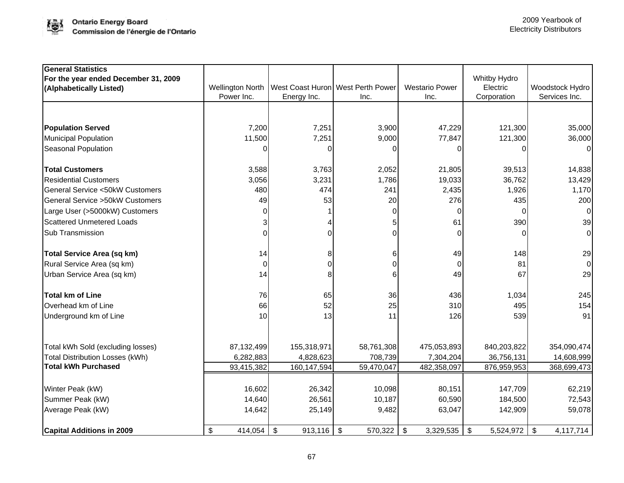

| <b>General Statistics</b>              |                                       |                                                  |                       |                               |                         |                                  |
|----------------------------------------|---------------------------------------|--------------------------------------------------|-----------------------|-------------------------------|-------------------------|----------------------------------|
| For the year ended December 31, 2009   |                                       |                                                  |                       |                               | Whitby Hydro            |                                  |
| (Alphabetically Listed)                | <b>Wellington North</b><br>Power Inc. | West Coast Huron West Perth Power<br>Energy Inc. | Inc.                  | <b>Westario Power</b><br>Inc. | Electric<br>Corporation | Woodstock Hydro<br>Services Inc. |
|                                        |                                       |                                                  |                       |                               |                         |                                  |
|                                        |                                       |                                                  |                       |                               |                         |                                  |
| <b>Population Served</b>               | 7,200                                 | 7,251                                            | 3,900                 | 47,229                        | 121,300                 | 35,000                           |
| <b>Municipal Population</b>            | 11,500                                | 7,251                                            | 9,000                 | 77,847                        | 121,300                 | 36,000                           |
| Seasonal Population                    | O                                     | 0                                                |                       |                               |                         |                                  |
| <b>Total Customers</b>                 | 3,588                                 | 3,763                                            | 2,052                 | 21,805                        | 39,513                  | 14,838                           |
| <b>Residential Customers</b>           | 3,056                                 | 3,231                                            | 1,786                 | 19,033                        | 36,762                  | 13,429                           |
| General Service <50kW Customers        | 480                                   | 474                                              | 241                   | 2,435                         | 1,926                   | 1,170                            |
| General Service > 50kW Customers       | 49                                    | 53                                               | 20                    | 276                           | 435                     | 200                              |
| Large User (>5000kW) Customers         | $\Omega$                              |                                                  |                       | $\Omega$                      |                         |                                  |
| <b>Scattered Unmetered Loads</b>       |                                       |                                                  |                       | 61                            | 390                     | 39                               |
| Sub Transmission                       | $\Omega$                              | 0                                                |                       |                               | $\Omega$                | 0                                |
| <b>Total Service Area (sq km)</b>      | 14                                    | 8                                                | 6                     | 49                            | 148                     | 29                               |
| Rural Service Area (sq km)             | $\mathbf 0$                           | 0                                                |                       | 0                             | 81                      | $\Omega$                         |
| Urban Service Area (sq km)             | 14                                    | 8                                                |                       | 49                            | 67                      | 29                               |
| <b>Total km of Line</b>                | 76                                    | 65                                               | 36                    | 436                           | 1,034                   | 245                              |
| Overhead km of Line                    | 66                                    | 52                                               | 25                    | 310                           | 495                     | 154                              |
| Underground km of Line                 | 10                                    | 13                                               | 11                    | 126                           | 539                     | 91                               |
|                                        |                                       |                                                  |                       |                               |                         |                                  |
| Total kWh Sold (excluding losses)      | 87,132,499                            | 155,318,971                                      | 58,761,308            | 475,053,893                   | 840,203,822             | 354,090,474                      |
| <b>Total Distribution Losses (kWh)</b> | 6,282,883                             | 4,828,623                                        | 708,739               | 7,304,204                     | 36,756,131              | 14,608,999                       |
| <b>Total kWh Purchased</b>             | 93,415,382                            | 160,147,594                                      | 59,470,047            | 482,358,097                   | 876,959,953             | 368,699,473                      |
| Winter Peak (kW)                       | 16,602                                | 26,342                                           | 10,098                | 80,151                        | 147,709                 | 62,219                           |
| Summer Peak (kW)                       | 14,640                                | 26,561                                           | 10,187                | 60,590                        | 184,500                 | 72,543                           |
| Average Peak (kW)                      | 14,642                                | 25,149                                           | 9,482                 | 63,047                        | 142,909                 | 59,078                           |
| <b>Capital Additions in 2009</b>       | \$<br>414,054                         | $\mathfrak{S}$<br>913,116                        | $\sqrt{2}$<br>570,322 | \$<br>3,329,535               | \$<br>5,524,972         | \$<br>4,117,714                  |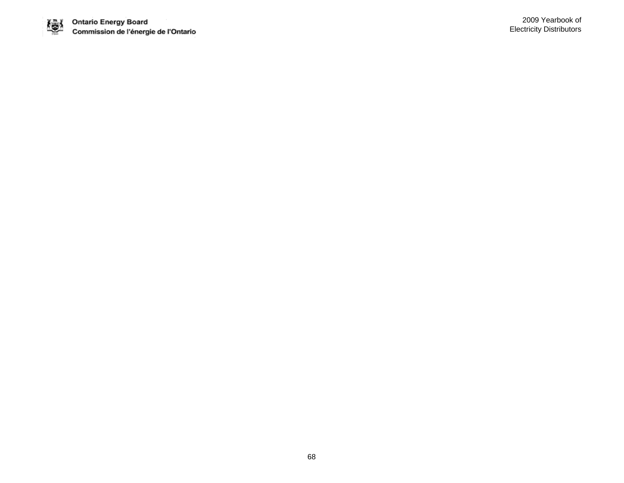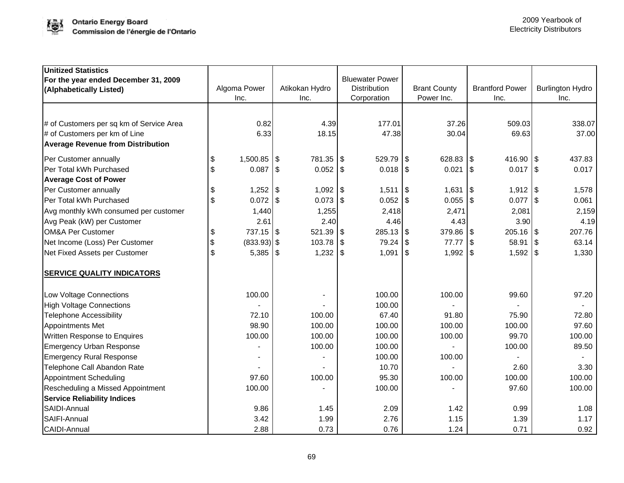

| <b>Unitized Statistics</b>               |                     |                      |                        |                     |                                          |                         |
|------------------------------------------|---------------------|----------------------|------------------------|---------------------|------------------------------------------|-------------------------|
| For the year ended December 31, 2009     |                     |                      | <b>Bluewater Power</b> |                     |                                          |                         |
| (Alphabetically Listed)                  | Algoma Power        | Atikokan Hydro       | Distribution           | <b>Brant County</b> | <b>Brantford Power</b>                   | <b>Burlington Hydro</b> |
|                                          | Inc.                | Inc.                 | Corporation            | Power Inc.          | Inc.                                     | Inc.                    |
|                                          |                     |                      |                        |                     |                                          |                         |
| # of Customers per sq km of Service Area | 0.82                | 4.39                 | 177.01                 | 37.26               | 509.03                                   | 338.07                  |
| # of Customers per km of Line            | 6.33                | 18.15                | 47.38                  | 30.04               | 69.63                                    | 37.00                   |
| <b>Average Revenue from Distribution</b> |                     |                      |                        |                     |                                          |                         |
| Per Customer annually                    | 1,500.85<br>\$      | \$<br>781.35 \\$     | 529.79                 | \$<br>628.83        | \$<br>$416.90$ \\$                       | 437.83                  |
| Per Total kWh Purchased                  | \$<br>0.087         | $0.052$ \$<br>1\$    | $0.018$ \\$            | 0.021               | <b>\$</b><br>$0.017$ \\$                 | 0.017                   |
| <b>Average Cost of Power</b>             |                     |                      |                        |                     |                                          |                         |
| Per Customer annually                    | 1,252<br>\$         | \$<br>$1,092$ \\$    | $1,511$ \$             | 1,631               | $1,912$ \$<br>\$                         | 1,578                   |
| Per Total kWh Purchased                  | \$<br>0.072         | $0.073$ \$<br>l \$   | $0.052$ \$             | 0.055               | $0.077$ \$<br>\$                         | 0.061                   |
| Avg monthly kWh consumed per customer    | 1,440               | 1,255                | 2,418                  | 2,471               | 2,081                                    | 2,159                   |
| Avg Peak (kW) per Customer               | 2.61                | 2.40                 | 4.46                   | 4.43                | 3.90                                     | 4.19                    |
| OM&A Per Customer                        | 737.15<br>\$        | $521.39$ \\$<br>ا \$ | $285.13$ \\$           | 379.86              | \$<br>$205.16$ \\$                       | 207.76                  |
| Net Income (Loss) Per Customer           | \$<br>$(833.93)$ \$ | 103.78               | 79.24<br>$\sqrt{3}$    | \$<br>77.77         | $58.91$ \\$<br>\$                        | 63.14                   |
| Net Fixed Assets per Customer            | \$<br>5,385         | $1,232$ \$<br> \$    | 1,091                  | l \$<br>1,992       | $\boldsymbol{\mathsf{S}}$<br>$1,592$ \\$ | 1,330                   |
| <b>SERVICE QUALITY INDICATORS</b>        |                     |                      |                        |                     |                                          |                         |
| Low Voltage Connections                  | 100.00              |                      | 100.00                 | 100.00              | 99.60                                    | 97.20                   |
| <b>High Voltage Connections</b>          |                     |                      | 100.00                 |                     |                                          |                         |
| <b>Telephone Accessibility</b>           | 72.10               | 100.00               | 67.40                  | 91.80               | 75.90                                    | 72.80                   |
| Appointments Met                         | 98.90               | 100.00               | 100.00                 | 100.00              | 100.00                                   | 97.60                   |
| Written Response to Enquires             | 100.00              | 100.00               | 100.00                 | 100.00              | 99.70                                    | 100.00                  |
| <b>Emergency Urban Response</b>          |                     | 100.00               | 100.00                 |                     | 100.00                                   | 89.50                   |
| <b>Emergency Rural Response</b>          |                     |                      | 100.00                 | 100.00              |                                          |                         |
| Telephone Call Abandon Rate              |                     |                      | 10.70                  |                     | 2.60                                     | 3.30                    |
| <b>Appointment Scheduling</b>            | 97.60               | 100.00               | 95.30                  | 100.00              | 100.00                                   | 100.00                  |
| Rescheduling a Missed Appointment        | 100.00              |                      | 100.00                 |                     | 97.60                                    | 100.00                  |
| <b>Service Reliability Indices</b>       |                     |                      |                        |                     |                                          |                         |
| SAIDI-Annual                             | 9.86                | 1.45                 | 2.09                   | 1.42                | 0.99                                     | 1.08                    |
| SAIFI-Annual                             | 3.42                | 1.99                 | 2.76                   | 1.15                | 1.39                                     | 1.17                    |
| CAIDI-Annual                             | 2.88                | 0.73                 | 0.76                   | 1.24                | 0.71                                     | 0.92                    |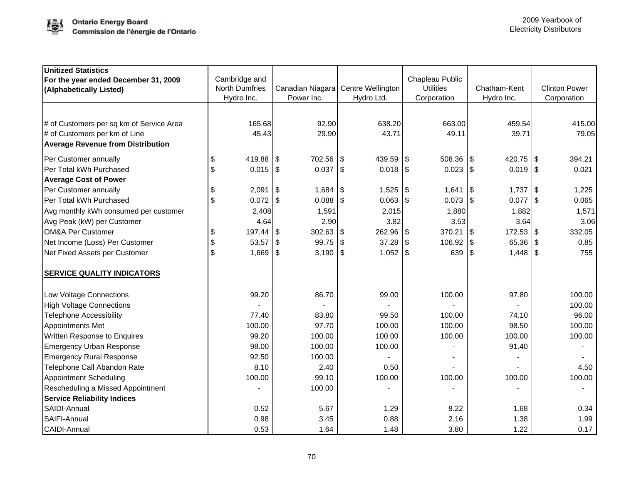

| <b>Unitized Statistics</b>               |                |                          |                   |                                     |                           |                      |
|------------------------------------------|----------------|--------------------------|-------------------|-------------------------------------|---------------------------|----------------------|
| For the year ended December 31, 2009     | Cambridge and  |                          |                   | Chapleau Public                     |                           |                      |
| (Alphabetically Listed)                  | North Dumfries | Canadian Niagara         | Centre Wellington | <b>Utilities</b>                    | Chatham-Kent              | <b>Clinton Power</b> |
|                                          | Hydro Inc.     | Power Inc.               | Hydro Ltd.        | Corporation                         | Hydro Inc.                | Corporation          |
|                                          |                |                          |                   |                                     |                           |                      |
| # of Customers per sq km of Service Area | 165.68         | 92.90                    | 638.20            | 663.00                              | 459.54                    | 415.00               |
| # of Customers per km of Line            | 45.43          | 29.90                    | 43.71             | 49.11                               | 39.71                     | 79.05                |
| <b>Average Revenue from Distribution</b> |                |                          |                   |                                     |                           |                      |
| Per Customer annually                    | \$<br>419.88   | \$<br>702.56 \$          | 439.59            | $\sqrt{2}$<br>$508.36$ \\$          | 420.75 $\frac{1}{9}$      | 394.21               |
| Per Total kWh Purchased                  | \$<br>0.015    | 1\$<br>$0.037$ \\$       | 0.018             | $\sqrt{2}$<br>0.023                 | l\$<br>$0.019$ \\$        | 0.021                |
| <b>Average Cost of Power</b>             |                |                          |                   |                                     |                           |                      |
| Per Customer annually                    | \$<br>2,091    | $1,684$ \\$<br>\$        | 1,525             | \$<br>1,641                         | $1,737$ \\$<br>\$         | 1,225                |
| Per Total kWh Purchased                  | \$<br>0.072    | ۱\$<br>$0.088$ \\$       | 0.063             | \$<br>0.073                         | $\sqrt{3}$<br>$0.077$ \\$ | 0.065                |
| Avg monthly kWh consumed per customer    | 2,408          | 1,591                    | 2,015             | 1,880                               | 1,882                     | 1,571                |
| Avg Peak (kW) per Customer               | 4.64           | 2.90                     | 3.82              | 3.53                                | 3.64                      | 3.06                 |
| <b>OM&amp;A Per Customer</b>             | \$<br>197.44   | $302.63$ \$<br> \$       | 262.96 \$         | 370.21                              | $172.53$ \\$<br>\$        | 332.05               |
| Net Income (Loss) Per Customer           | \$<br>53.57    | \$<br>$99.75$ \$         | 37.28             | $\boldsymbol{\mathsf{S}}$<br>106.92 | 65.36 \$<br>\$            | 0.85                 |
| Net Fixed Assets per Customer            | \$<br>1,669    | <b>\$</b><br>$3,190$ \\$ | 1,052             | $\sqrt{2}$<br>639                   | \$<br>$1,448$ \\$         | 755                  |
| <b>SERVICE QUALITY INDICATORS</b>        |                |                          |                   |                                     |                           |                      |
|                                          |                |                          |                   |                                     |                           |                      |
| Low Voltage Connections                  | 99.20          | 86.70                    | 99.00             | 100.00                              | 97.80                     | 100.00               |
| <b>High Voltage Connections</b>          |                |                          |                   |                                     |                           | 100.00               |
| <b>Telephone Accessibility</b>           | 77.40          | 83.80                    | 99.50             | 100.00                              | 74.10                     | 96.00                |
| Appointments Met                         | 100.00         | 97.70                    | 100.00            | 100.00                              | 98.50                     | 100.00               |
| Written Response to Enquires             | 99.20          | 100.00                   | 100.00            | 100.00                              | 100.00                    | 100.00               |
| <b>Emergency Urban Response</b>          | 98.00          | 100.00                   | 100.00            |                                     | 91.40                     |                      |
| <b>Emergency Rural Response</b>          | 92.50          | 100.00                   |                   |                                     |                           |                      |
| Telephone Call Abandon Rate              | 8.10           | 2.40                     | 0.50              |                                     |                           | 4.50                 |
| <b>Appointment Scheduling</b>            | 100.00         | 99.10                    | 100.00            | 100.00                              | 100.00                    | 100.00               |
| Rescheduling a Missed Appointment        |                | 100.00                   |                   |                                     |                           |                      |
| <b>Service Reliability Indices</b>       |                |                          |                   |                                     |                           |                      |
| SAIDI-Annual                             | 0.52           | 5.67                     | 1.29              | 8.22                                | 1.68                      | 0.34                 |
| SAIFI-Annual                             | 0.98           | 3.45                     | 0.88              | 2.16                                | 1.38                      | 1.99                 |
| <b>CAIDI-Annual</b>                      | 0.53           | 1.64                     | 1.48              | 3.80                                | 1.22                      | 0.17                 |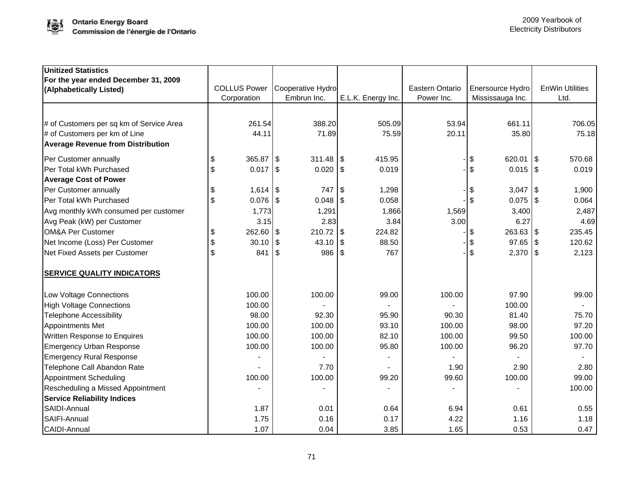

| <b>Unitized Statistics</b>               |                     |                                    |                      |                 |                                 |                        |
|------------------------------------------|---------------------|------------------------------------|----------------------|-----------------|---------------------------------|------------------------|
| For the year ended December 31, 2009     |                     |                                    |                      |                 |                                 |                        |
| (Alphabetically Listed)                  | <b>COLLUS Power</b> | Cooperative Hydro                  |                      | Eastern Ontario | Enersource Hydro                | <b>EnWin Utilities</b> |
|                                          | Corporation         | Embrun Inc.                        | E.L.K. Energy Inc.   | Power Inc.      | Mississauga Inc.                | Ltd.                   |
|                                          |                     |                                    |                      |                 |                                 |                        |
| # of Customers per sq km of Service Area | 261.54              | 388.20                             | 505.09               | 53.94           | 661.11                          | 706.05                 |
| # of Customers per km of Line            | 44.11               | 71.89                              | 75.59                | 20.11           | 35.80                           | 75.18                  |
| <b>Average Revenue from Distribution</b> |                     |                                    |                      |                 |                                 |                        |
| Per Customer annually                    | \$<br>365.87        | $\sqrt{2}$<br>311.48               | $\sqrt{3}$<br>415.95 |                 | 620.01<br>$\boldsymbol{\theta}$ | $\sqrt{3}$<br>570.68   |
| Per Total kWh Purchased                  | \$<br>0.017         | ا \$<br>$0.020$ \\$                | 0.019                |                 | \$<br>$0.015$ \\$               | 0.019                  |
| <b>Average Cost of Power</b>             |                     |                                    |                      |                 |                                 |                        |
| Per Customer annually                    | \$<br>1,614         | $\sqrt{3}$<br>747                  | $\sqrt{3}$<br>1,298  |                 | $3,047$ \\$<br>\$               | 1,900                  |
| Per Total kWh Purchased                  | \$<br>0.076         | $\mathfrak{s}$<br>$0.048$ \\$      | 0.058                |                 | $0.075$ \\$<br>\$               | 0.064                  |
| Avg monthly kWh consumed per customer    | 1,773               | 1,291                              | 1,866                | 1,569           | 3,400                           | 2,487                  |
| Avg Peak (kW) per Customer               | 3.15                | 2.83                               | 3.84                 | 3.00            | 6.27                            | 4.69                   |
| <b>OM&amp;A Per Customer</b>             | 262.60<br>\$        | $\sqrt{3}$<br>$210.72$ \\$         | 224.82               |                 | $263.63$ \\$<br>S               | 235.45                 |
| Net Income (Loss) Per Customer           | 30.10<br>\$         | $\boldsymbol{\mathsf{S}}$<br>43.10 | <b>\$</b><br>88.50   |                 | $97.65$ \$<br>\$                | 120.62                 |
| Net Fixed Assets per Customer            | \$<br>841           | $\boldsymbol{\mathsf{S}}$<br>986   | \$<br>767            |                 | $2,370$ \$<br>\$                | 2,123                  |
| <b>SERVICE QUALITY INDICATORS</b>        |                     |                                    |                      |                 |                                 |                        |
| Low Voltage Connections                  | 100.00              | 100.00                             | 99.00                | 100.00          | 97.90                           | 99.00                  |
| <b>High Voltage Connections</b>          | 100.00              |                                    |                      |                 | 100.00                          |                        |
| <b>Telephone Accessibility</b>           | 98.00               | 92.30                              | 95.90                | 90.30           | 81.40                           | 75.70                  |
| Appointments Met                         | 100.00              | 100.00                             | 93.10                | 100.00          | 98.00                           | 97.20                  |
| Written Response to Enquires             | 100.00              | 100.00                             | 82.10                | 100.00          | 99.50                           | 100.00                 |
| <b>Emergency Urban Response</b>          | 100.00              | 100.00                             | 95.80                | 100.00          | 96.20                           | 97.70                  |
| <b>Emergency Rural Response</b>          |                     |                                    |                      |                 |                                 |                        |
| Telephone Call Abandon Rate              |                     | 7.70                               |                      | 1.90            | 2.90                            | 2.80                   |
| <b>Appointment Scheduling</b>            | 100.00              | 100.00                             | 99.20                | 99.60           | 100.00                          | 99.00                  |
| Rescheduling a Missed Appointment        |                     |                                    |                      |                 |                                 | 100.00                 |
| <b>Service Reliability Indices</b>       |                     |                                    |                      |                 |                                 |                        |
| SAIDI-Annual                             | 1.87                | 0.01                               | 0.64                 | 6.94            | 0.61                            | 0.55                   |
| SAIFI-Annual                             | 1.75                | 0.16                               | 0.17                 | 4.22            | 1.16                            | 1.18                   |
| CAIDI-Annual                             | 1.07                | 0.04                               | 3.85                 | 1.65            | 0.53                            | 0.47                   |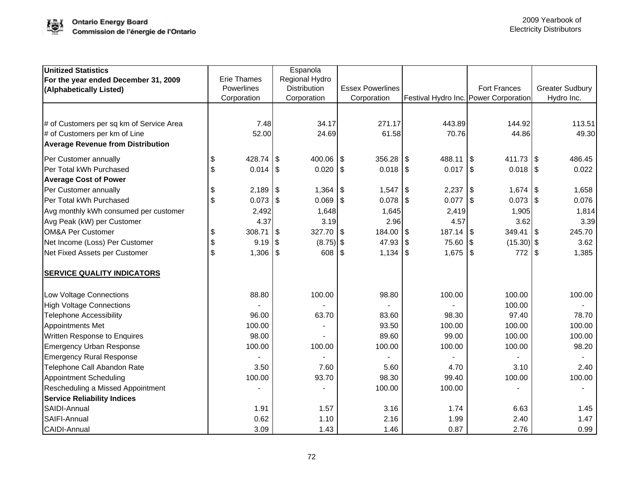

| <b>Unitized Statistics</b>               |                    | Espanola                      |                         |                      |                                       |                        |
|------------------------------------------|--------------------|-------------------------------|-------------------------|----------------------|---------------------------------------|------------------------|
| For the year ended December 31, 2009     | <b>Erie Thames</b> | Regional Hydro                |                         |                      |                                       |                        |
| (Alphabetically Listed)                  | Powerlines         | Distribution                  | <b>Essex Powerlines</b> |                      | <b>Fort Frances</b>                   | <b>Greater Sudbury</b> |
|                                          | Corporation        | Corporation                   | Corporation             |                      | Festival Hydro Inc. Power Corporation | Hydro Inc.             |
|                                          |                    |                               |                         |                      |                                       |                        |
| # of Customers per sq km of Service Area | 7.48               | 34.17                         | 271.17                  | 443.89               | 144.92                                | 113.51                 |
| # of Customers per km of Line            | 52.00              | 24.69                         | 61.58                   | 70.76                | 44.86                                 | 49.30                  |
| <b>Average Revenue from Distribution</b> |                    |                               |                         |                      |                                       |                        |
| Per Customer annually                    | \$<br>428.74       | <b>\$</b><br>$400.06$ \\$     | 356.28                  | $\sqrt{3}$<br>488.11 | 1\$<br>$411.73$ \\$                   | 486.45                 |
| Per Total kWh Purchased                  | \$<br>0.014        | $\sqrt{3}$<br>$0.020$ \\$     | $0.018$ \\$             | 0.017                | $\sqrt{ }$<br>$0.018$ \\$             | 0.022                  |
| <b>Average Cost of Power</b>             |                    |                               |                         |                      |                                       |                        |
| Per Customer annually                    | \$<br>2,189        | \$<br>$1,364$ \$              | $1,547$ \\$             | 2,237                | \$<br>$1,674$ \\$                     | 1,658                  |
| Per Total kWh Purchased                  | \$<br>0.073        | $0.069$ \\$<br>$\mathfrak{L}$ | $0.078$ \\$             | 0.077                | $0.073$ \\$<br>\$                     | 0.076                  |
| Avg monthly kWh consumed per customer    | 2,492              | 1,648                         | 1,645                   | 2,419                | 1,905                                 | 1,814                  |
| Avg Peak (kW) per Customer               | 4.37               | 3.19                          | 2.96                    | 4.57                 | 3.62                                  | 3.39                   |
| OM&A Per Customer                        | 308.71<br>\$       | $\sqrt{3}$<br>327.70          | 184.00 \$<br>$\vert$ \$ | 187.14               | $349.41$ \\$<br>1\$                   | 245.70                 |
| Net Income (Loss) Per Customer           | \$<br>9.19         | \$<br>$(8.75)$ \$             | 47.93                   | \$<br>75.60          | $(15.30)$ \$<br>ا \$                  | 3.62                   |
| Net Fixed Assets per Customer            | \$<br>1,306        | $\sqrt{3}$<br>608 \$          | 1,134                   | \$<br>1,675          | \$<br>$772$ \\$                       | 1,385                  |
| <b>SERVICE QUALITY INDICATORS</b>        |                    |                               |                         |                      |                                       |                        |
| Low Voltage Connections                  | 88.80              | 100.00                        | 98.80                   | 100.00               | 100.00                                | 100.00                 |
| <b>High Voltage Connections</b>          |                    |                               |                         |                      | 100.00                                |                        |
| <b>Telephone Accessibility</b>           | 96.00              | 63.70                         | 83.60                   | 98.30                | 97.40                                 | 78.70                  |
| Appointments Met                         | 100.00             |                               | 93.50                   | 100.00               | 100.00                                | 100.00                 |
| Written Response to Enquires             | 98.00              |                               | 89.60                   | 99.00                | 100.00                                | 100.00                 |
| <b>Emergency Urban Response</b>          | 100.00             | 100.00                        | 100.00                  | 100.00               | 100.00                                | 98.20                  |
| <b>Emergency Rural Response</b>          |                    |                               |                         |                      |                                       |                        |
| Telephone Call Abandon Rate              | 3.50               | 7.60                          | 5.60                    | 4.70                 | 3.10                                  | 2.40                   |
| <b>Appointment Scheduling</b>            | 100.00             | 93.70                         | 98.30                   | 99.40                | 100.00                                | 100.00                 |
| Rescheduling a Missed Appointment        |                    |                               | 100.00                  | 100.00               |                                       |                        |
| <b>Service Reliability Indices</b>       |                    |                               |                         |                      |                                       |                        |
| SAIDI-Annual                             | 1.91               | 1.57                          | 3.16                    | 1.74                 | 6.63                                  | 1.45                   |
| SAIFI-Annual                             | 0.62               | 1.10                          | 2.16                    | 1.99                 | 2.40                                  | 1.47                   |
| CAIDI-Annual                             | 3.09               | 1.43                          | 1.46                    | 0.87                 | 2.76                                  | 0.99                   |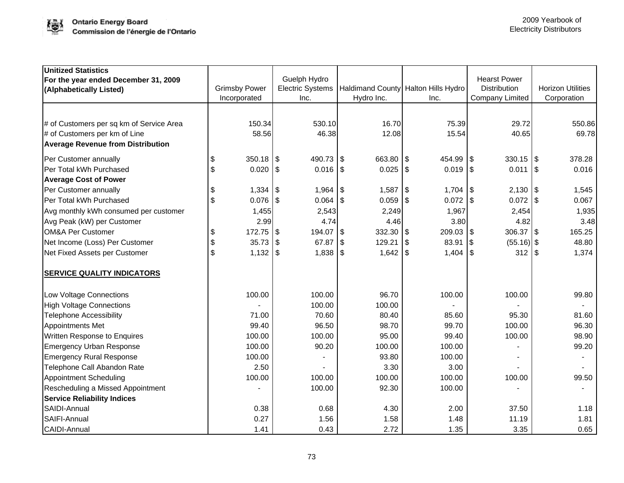

| <b>Unitized Statistics</b>               |                      |                         |                                     |              |                               |                          |
|------------------------------------------|----------------------|-------------------------|-------------------------------------|--------------|-------------------------------|--------------------------|
| For the year ended December 31, 2009     |                      | Guelph Hydro            |                                     |              | <b>Hearst Power</b>           |                          |
| (Alphabetically Listed)                  | <b>Grimsby Power</b> | <b>Electric Systems</b> | Haldimand County Halton Hills Hydro |              | <b>Distribution</b>           | <b>Horizon Utilities</b> |
|                                          | Incorporated         | Inc.                    | Hydro Inc.                          | Inc.         | <b>Company Limited</b>        | Corporation              |
|                                          |                      |                         |                                     |              |                               |                          |
| # of Customers per sq km of Service Area | 150.34               | 530.10                  | 16.70                               | 75.39        | 29.72                         | 550.86                   |
| # of Customers per km of Line            | 58.56                | 46.38                   | 12.08                               | 15.54        | 40.65                         | 69.78                    |
| <b>Average Revenue from Distribution</b> |                      |                         |                                     |              |                               |                          |
| Per Customer annually                    | 350.18<br>\$         | \$<br>490.73 \$         | 663.80 \$                           | 454.99       | \$<br>$330.15$ \$             | 378.28                   |
| Per Total kWh Purchased                  | \$<br>0.020          | 1\$<br>$0.016$ \\$      | $0.025$ \\$                         | 0.019        | $0.011$ \\$<br>l\$            | 0.016                    |
| <b>Average Cost of Power</b>             |                      |                         |                                     |              |                               |                          |
| Per Customer annually                    | \$<br>1,334          | <b>\$</b><br>$1,964$ \$ | $1,587$ \\$                         | 1,704        | $2,130$ \\$<br>1\$            | 1,545                    |
| Per Total kWh Purchased                  | \$<br>0.076          | $0.064$ \\$<br>ا \$     | 0.059                               | l\$<br>0.072 | $\overline{1}$<br>$0.072$ \\$ | 0.067                    |
| Avg monthly kWh consumed per customer    | 1,455                | 2,543                   | 2,249                               | 1,967        | 2,454                         | 1,935                    |
| Avg Peak (kW) per Customer               | 2.99                 | 4.74                    | 4.46                                | 3.80         | 4.82                          | 3.48                     |
| <b>OM&amp;A Per Customer</b>             | 172.75<br>\$         | $\sqrt{3}$<br>194.07    | $332.30$ \\$<br>$\sqrt{3}$          | 209.03       | $306.37$ \$<br><b>\$</b>      | 165.25                   |
| Net Income (Loss) Per Customer           | \$<br>35.73          | 67.87<br>\$             | 129.21<br>$\sqrt{3}$                | \$<br>83.91  | $(55.16)$ \$<br>\$            | 48.80                    |
| Net Fixed Assets per Customer            | \$<br>1,132          | $1,838$ \$<br><b>\$</b> | $1,642$ \$                          | 1,404        | $\sqrt{3}$<br>$312$ \$        | 1,374                    |
| <b>SERVICE QUALITY INDICATORS</b>        |                      |                         |                                     |              |                               |                          |
| Low Voltage Connections                  | 100.00               | 100.00                  | 96.70                               | 100.00       | 100.00                        | 99.80                    |
| <b>High Voltage Connections</b>          |                      | 100.00                  | 100.00                              |              |                               |                          |
| <b>Telephone Accessibility</b>           | 71.00                | 70.60                   | 80.40                               | 85.60        | 95.30                         | 81.60                    |
| Appointments Met                         | 99.40                | 96.50                   | 98.70                               | 99.70        | 100.00                        | 96.30                    |
| Written Response to Enquires             | 100.00               | 100.00                  | 95.00                               | 99.40        | 100.00                        | 98.90                    |
| <b>Emergency Urban Response</b>          | 100.00               | 90.20                   | 100.00                              | 100.00       |                               | 99.20                    |
| <b>Emergency Rural Response</b>          | 100.00               |                         | 93.80                               | 100.00       |                               |                          |
| Telephone Call Abandon Rate              | 2.50                 |                         | 3.30                                | 3.00         |                               |                          |
| <b>Appointment Scheduling</b>            | 100.00               | 100.00                  | 100.00                              | 100.00       | 100.00                        | 99.50                    |
| Rescheduling a Missed Appointment        |                      | 100.00                  | 92.30                               | 100.00       |                               |                          |
| <b>Service Reliability Indices</b>       |                      |                         |                                     |              |                               |                          |
| SAIDI-Annual                             | 0.38                 | 0.68                    | 4.30                                | 2.00         | 37.50                         | 1.18                     |
| SAIFI-Annual                             | 0.27                 | 1.56                    | 1.58                                | 1.48         | 11.19                         | 1.81                     |
| <b>CAIDI-Annual</b>                      | 1.41                 | 0.43                    | 2.72                                | 1.35         | 3.35                          | 0.65                     |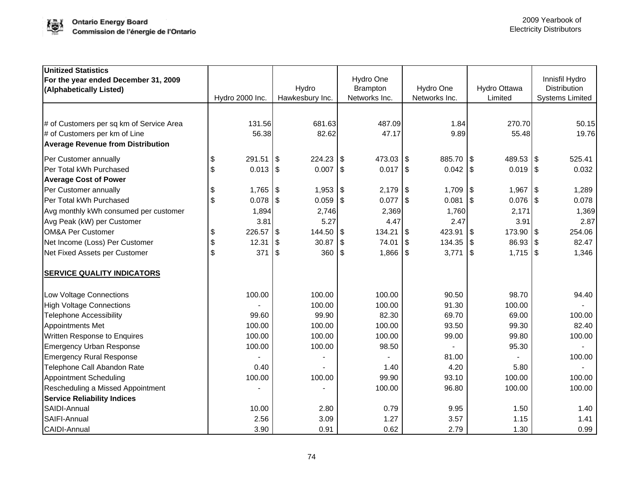

| <b>Unitized Statistics</b>               |                 |                                     |                 |                      |                    |                        |
|------------------------------------------|-----------------|-------------------------------------|-----------------|----------------------|--------------------|------------------------|
| For the year ended December 31, 2009     |                 |                                     | Hydro One       |                      |                    | Innisfil Hydro         |
| (Alphabetically Listed)                  |                 | Hydro                               | <b>Brampton</b> | Hydro One            | Hydro Ottawa       | Distribution           |
|                                          | Hydro 2000 Inc. | Hawkesbury Inc.                     | Networks Inc.   | Networks Inc.        | Limited            | <b>Systems Limited</b> |
|                                          |                 |                                     |                 |                      |                    |                        |
| # of Customers per sq km of Service Area | 131.56          | 681.63                              | 487.09          | 1.84                 | 270.70             | 50.15                  |
| # of Customers per km of Line            | 56.38           | 82.62                               | 47.17           | 9.89                 | 55.48              | 19.76                  |
| <b>Average Revenue from Distribution</b> |                 |                                     |                 |                      |                    |                        |
| Per Customer annually                    | 291.51<br>\$    | $224.23$ \\$<br> \$                 | 473.03          | \$<br>885.70         | 489.53 \$<br>\$    | 525.41                 |
| Per Total kWh Purchased                  | \$<br>0.013     | $\sqrt{3}$<br>$0.007$ \\$           | $0.017$ \\$     | $0.042$ \\$          | $0.019$ \\$        | 0.032                  |
| <b>Average Cost of Power</b>             |                 |                                     |                 |                      |                    |                        |
| Per Customer annually                    | 1,765<br>\$     | $1,953$ \\$<br>\$                   | 2,179           | 1,709<br>\$          | $1,967$ \$<br>\$   | 1,289                  |
| Per Total kWh Purchased                  | \$<br>0.078     | $0.059$ \\$<br>\$                   | 0.077           | \$<br>0.081          | \$<br>$0.076$ \\$  | 0.078                  |
| Avg monthly kWh consumed per customer    | 1,894           | 2,746                               | 2,369           | 1,760                | 2,171              | 1,369                  |
| Avg Peak (kW) per Customer               | 3.81            | 5.27                                | 4.47            | 2.47                 | 3.91               | 2.87                   |
| OM&A Per Customer                        | \$<br>226.57    | \$<br>$144.50$ \\$                  | 134.21          | 423.91<br>$\sqrt{3}$ | \$<br>$173.90$ \\$ | 254.06                 |
| Net Income (Loss) Per Customer           | \$<br>12.31     | $30.87$ \$<br>\$                    | 74.01           | $\sqrt{2}$<br>134.35 | 86.93 \$<br>\$     | 82.47                  |
| Net Fixed Assets per Customer            | \$<br>371       | $\boldsymbol{\mathsf{S}}$<br>360 \$ | 1,866           | $\sqrt{3}$<br>3,771  | \$<br>$1,715$ \$   | 1,346                  |
| <b>SERVICE QUALITY INDICATORS</b>        |                 |                                     |                 |                      |                    |                        |
| Low Voltage Connections                  | 100.00          | 100.00                              | 100.00          | 90.50                | 98.70              | 94.40                  |
| <b>High Voltage Connections</b>          |                 | 100.00                              | 100.00          | 91.30                | 100.00             |                        |
| <b>Telephone Accessibility</b>           | 99.60           | 99.90                               | 82.30           | 69.70                | 69.00              | 100.00                 |
| Appointments Met                         | 100.00          | 100.00                              | 100.00          | 93.50                | 99.30              | 82.40                  |
| Written Response to Enquires             | 100.00          | 100.00                              | 100.00          | 99.00                | 99.80              | 100.00                 |
| <b>Emergency Urban Response</b>          | 100.00          | 100.00                              | 98.50           |                      | 95.30              |                        |
| <b>Emergency Rural Response</b>          |                 |                                     |                 | 81.00                |                    | 100.00                 |
| Telephone Call Abandon Rate              | 0.40            |                                     | 1.40            | 4.20                 | 5.80               |                        |
| <b>Appointment Scheduling</b>            | 100.00          | 100.00                              | 99.90           | 93.10                | 100.00             | 100.00                 |
| Rescheduling a Missed Appointment        |                 |                                     | 100.00          | 96.80                | 100.00             | 100.00                 |
| <b>Service Reliability Indices</b>       |                 |                                     |                 |                      |                    |                        |
| SAIDI-Annual                             | 10.00           | 2.80                                | 0.79            | 9.95                 | 1.50               | 1.40                   |
| SAIFI-Annual                             | 2.56            | 3.09                                | 1.27            | 3.57                 | 1.15               | 1.41                   |
| <b>CAIDI-Annual</b>                      | 3.90            | 0.91                                | 0.62            | 2.79                 | 1.30               | 0.99                   |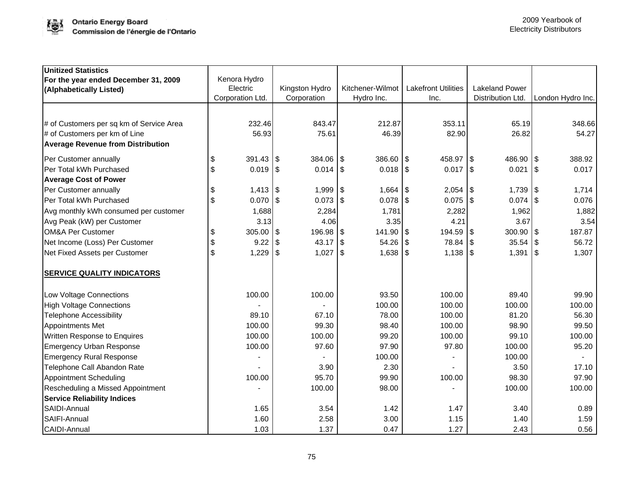

| <b>Unitized Statistics</b>               |                   |                                        |                         |                            |                                          |                     |
|------------------------------------------|-------------------|----------------------------------------|-------------------------|----------------------------|------------------------------------------|---------------------|
| For the year ended December 31, 2009     | Kenora Hydro      |                                        |                         |                            |                                          |                     |
| (Alphabetically Listed)                  | Electric          | Kingston Hydro                         | Kitchener-Wilmot        | <b>Lakefront Utilities</b> | <b>Lakeland Power</b>                    |                     |
|                                          | Corporation Ltd.  | Corporation                            | Hydro Inc.              | Inc.                       | Distribution Ltd.                        | London Hydro Inc.   |
|                                          |                   |                                        |                         |                            |                                          |                     |
| # of Customers per sq km of Service Area | 232.46            | 843.47                                 | 212.87                  | 353.11                     | 65.19                                    | 348.66              |
| # of Customers per km of Line            | 56.93             | 75.61                                  | 46.39                   | 82.90                      | 26.82                                    | 54.27               |
| <b>Average Revenue from Distribution</b> |                   |                                        |                         |                            |                                          |                     |
| Per Customer annually                    | 391.43<br>\$      | $\boldsymbol{\mathsf{S}}$<br>384.06 \$ | $386.60$ \$             | 458.97                     | 1\$<br>486.90 \$                         | 388.92              |
| Per Total kWh Purchased                  | \$<br>$0.019$ \\$ | $0.014$ \\$                            | $0.018$ \\$             | $0.017$ \\$                | $0.021$ \\$                              | 0.017               |
| <b>Average Cost of Power</b>             |                   |                                        |                         |                            |                                          |                     |
| Per Customer annually                    | \$<br>1,413       | $\boldsymbol{\mathsf{S}}$<br>1,999     | $\sqrt{3}$<br>1,664     | \$<br>2,054                | $\boldsymbol{\mathsf{S}}$<br>$1,739$ \\$ | 1,714               |
| Per Total kWh Purchased                  | \$<br>0.070       | $\mathsf{\$}$<br>$0.073$ \\$           | $0.078$ \$              | 0.075                      | <b>S</b><br>$0.074$ \\$                  | 0.076               |
| Avg monthly kWh consumed per customer    | 1,688             | 2,284                                  | 1,781                   | 2,282                      | 1,962                                    | 1,882               |
| Avg Peak (kW) per Customer               | 3.13              | 4.06                                   | 3.35                    | 4.21                       | 3.67                                     | 3.54                |
| OM&A Per Customer                        | 305.00<br>\$      | $\sqrt{2}$<br>196.98                   | 141.90 \$<br>$\sqrt{3}$ | 194.59                     | $300.90$ \\$<br>\$                       | 187.87              |
| Net Income (Loss) Per Customer           | \$<br>9.22        | $\boldsymbol{\mathsf{S}}$<br>43.17     | 54.26<br>$\sqrt{3}$     | $\sqrt{2}$<br>78.84        | $\boldsymbol{\mathsf{S}}$<br>35.54       | $\sqrt{3}$<br>56.72 |
| Net Fixed Assets per Customer            | \$<br>1,229       | $\boldsymbol{\mathsf{S}}$<br>1,027     | $\sqrt{3}$<br>1,638     | $\sqrt{3}$<br>1,138        | $\sqrt{3}$<br>1,391                      | $\sqrt{3}$<br>1,307 |
| <b>SERVICE QUALITY INDICATORS</b>        |                   |                                        |                         |                            |                                          |                     |
|                                          |                   |                                        |                         |                            |                                          |                     |
| Low Voltage Connections                  | 100.00            | 100.00                                 | 93.50                   | 100.00                     | 89.40                                    | 99.90               |
| <b>High Voltage Connections</b>          |                   |                                        | 100.00                  | 100.00                     | 100.00                                   | 100.00              |
| <b>Telephone Accessibility</b>           | 89.10             | 67.10                                  | 78.00                   | 100.00                     | 81.20                                    | 56.30               |
| Appointments Met                         | 100.00            | 99.30                                  | 98.40                   | 100.00                     | 98.90                                    | 99.50               |
| Written Response to Enquires             | 100.00            | 100.00                                 | 99.20                   | 100.00                     | 99.10                                    | 100.00              |
| <b>Emergency Urban Response</b>          | 100.00            | 97.60                                  | 97.90                   | 97.80                      | 100.00                                   | 95.20               |
| <b>Emergency Rural Response</b>          |                   |                                        | 100.00                  |                            | 100.00                                   |                     |
| Telephone Call Abandon Rate              |                   | 3.90                                   | 2.30                    |                            | 3.50                                     | 17.10               |
| <b>Appointment Scheduling</b>            | 100.00            | 95.70                                  | 99.90                   | 100.00                     | 98.30                                    | 97.90               |
| Rescheduling a Missed Appointment        |                   | 100.00                                 | 98.00                   |                            | 100.00                                   | 100.00              |
| <b>Service Reliability Indices</b>       |                   |                                        |                         |                            |                                          |                     |
| SAIDI-Annual                             | 1.65              | 3.54                                   | 1.42                    | 1.47                       | 3.40                                     | 0.89                |
| <b>SAIFI-Annual</b>                      | 1.60              | 2.58                                   | 3.00                    | 1.15                       | 1.40                                     | 1.59                |
| CAIDI-Annual                             | 1.03              | 1.37                                   | 0.47                    | 1.27                       | 2.43                                     | 0.56                |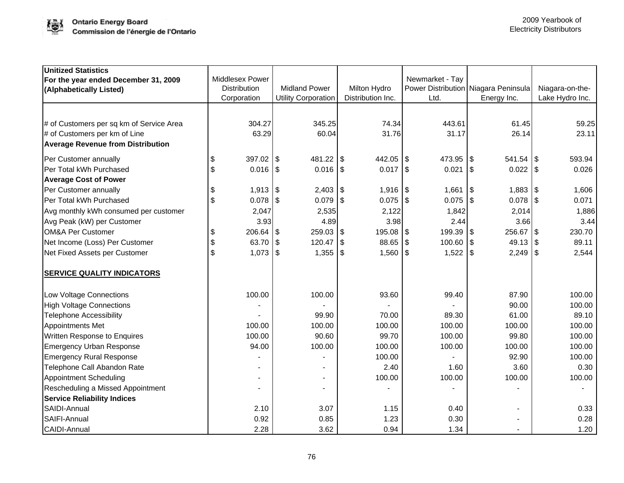

| <b>Unitized Statistics</b>               |                     |             |                            |                          |            |                   |                 |                            |                                      |                 |
|------------------------------------------|---------------------|-------------|----------------------------|--------------------------|------------|-------------------|-----------------|----------------------------|--------------------------------------|-----------------|
| For the year ended December 31, 2009     | Middlesex Power     |             |                            |                          |            |                   | Newmarket - Tay |                            |                                      |                 |
| (Alphabetically Listed)                  | <b>Distribution</b> |             | <b>Midland Power</b>       |                          |            | Milton Hydro      |                 |                            | Power Distribution Niagara Peninsula | Niagara-on-the- |
|                                          | Corporation         |             | <b>Utility Corporation</b> |                          |            | Distribution Inc. | Ltd.            |                            | Energy Inc.                          | Lake Hydro Inc. |
|                                          |                     |             |                            |                          |            |                   |                 |                            |                                      |                 |
| # of Customers per sq km of Service Area |                     | 304.27      |                            | 345.25                   |            | 74.34             | 443.61          |                            | 61.45                                | 59.25           |
| # of Customers per km of Line            |                     | 63.29       |                            | 60.04                    |            | 31.76             | 31.17           |                            | 26.14                                | 23.11           |
| <b>Average Revenue from Distribution</b> |                     |             |                            |                          |            |                   |                 |                            |                                      |                 |
| Per Customer annually                    | \$                  | 397.02      | \$                         | 481.22   \$              |            | $442.05$ \\$      | 473.95          | \$                         | $541.54$ \\$                         | 593.94          |
| Per Total kWh Purchased                  | \$                  | 0.016       | $\overline{1s}$            | $0.016$ \\$              |            | $0.017$ \\$       | 0.021           | \$                         | $0.022$ \$                           | 0.026           |
| <b>Average Cost of Power</b>             |                     |             |                            |                          |            |                   |                 |                            |                                      |                 |
| Per Customer annually                    | \$                  | $1,913$ \\$ |                            | $2,403$ \\$              |            | $1,916$ \$        | 1,661           | l \$                       |                                      | 1,606           |
| Per Total kWh Purchased                  | \$                  | 0.078       | l\$                        | $0.079$ \\$              |            | $0.075$ \\$       | 0.075           | $\sqrt{3}$                 | $0.078$ \\$                          | 0.071           |
| Avg monthly kWh consumed per customer    |                     | 2,047       |                            | 2,535                    |            | 2,122             | 1,842           |                            | 2,014                                | 1,886           |
| Avg Peak (kW) per Customer               |                     | 3.93        |                            | 4.89                     |            | 3.98              | 2.44            |                            | 3.66                                 | 3.44            |
| <b>OM&amp;A Per Customer</b>             | \$                  | 206.64      | \$                         | $259.03$ \\$             |            | $195.08$ \\$      | 199.39          | $\boldsymbol{\mathsf{\$}}$ | $256.67$ \\$                         | 230.70          |
| Net Income (Loss) Per Customer           | \$                  | 63.70       | $\boldsymbol{\mathsf{S}}$  | 120.47                   | $\sqrt{3}$ | 88.65             | \$<br>100.60    | \$                         | $49.13$ \\$                          | 89.11           |
| Net Fixed Assets per Customer            | \$                  | 1,073       | \$                         | $1,355$ \\$              |            | $1,560$ \$        | 1,522           | \$                         | $2,249$ \$                           | 2,544           |
| <b>SERVICE QUALITY INDICATORS</b>        |                     |             |                            |                          |            |                   |                 |                            |                                      |                 |
| Low Voltage Connections                  |                     | 100.00      |                            | 100.00                   |            | 93.60             | 99.40           |                            | 87.90                                | 100.00          |
| <b>High Voltage Connections</b>          |                     |             |                            |                          |            |                   |                 |                            | 90.00                                | 100.00          |
| <b>Telephone Accessibility</b>           |                     |             |                            | 99.90                    |            | 70.00             | 89.30           |                            | 61.00                                | 89.10           |
| Appointments Met                         |                     | 100.00      |                            | 100.00                   |            | 100.00            | 100.00          |                            | 100.00                               | 100.00          |
| Written Response to Enquires             |                     | 100.00      |                            | 90.60                    |            | 99.70             | 100.00          |                            | 99.80                                | 100.00          |
| <b>Emergency Urban Response</b>          |                     | 94.00       |                            | 100.00                   |            | 100.00            | 100.00          |                            | 100.00                               | 100.00          |
| <b>Emergency Rural Response</b>          |                     |             |                            |                          |            | 100.00            |                 |                            | 92.90                                | 100.00          |
| Telephone Call Abandon Rate              |                     |             |                            |                          |            | 2.40              | 1.60            |                            | 3.60                                 | 0.30            |
| <b>Appointment Scheduling</b>            |                     |             |                            | $\blacksquare$           |            | 100.00            | 100.00          |                            | 100.00                               | 100.00          |
| Rescheduling a Missed Appointment        |                     |             |                            | $\overline{\phantom{a}}$ |            |                   |                 |                            |                                      |                 |
| <b>Service Reliability Indices</b>       |                     |             |                            |                          |            |                   |                 |                            |                                      |                 |
| SAIDI-Annual                             |                     | 2.10        |                            | 3.07                     |            | 1.15              | 0.40            |                            |                                      | 0.33            |
| SAIFI-Annual                             |                     | 0.92        |                            | 0.85                     |            | 1.23              | 0.30            |                            |                                      | 0.28            |
| CAIDI-Annual                             |                     | 2.28        |                            | 3.62                     |            | 0.94              | 1.34            |                            |                                      | 1.20            |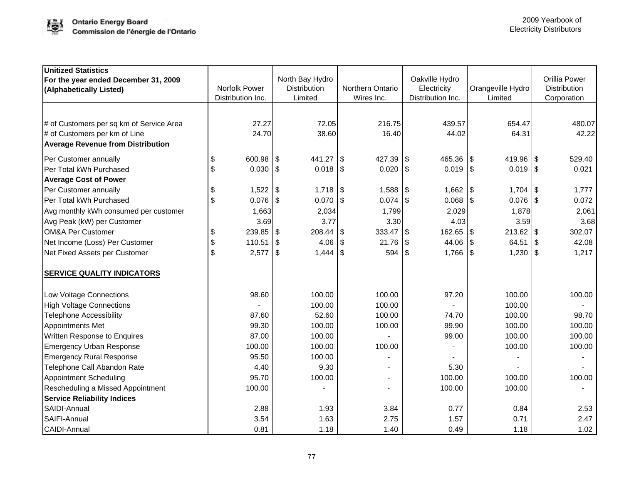

| <b>Unitized Statistics</b>               |                   |                             |                           |                                    |                            |               |  |
|------------------------------------------|-------------------|-----------------------------|---------------------------|------------------------------------|----------------------------|---------------|--|
| For the year ended December 31, 2009     |                   | North Bay Hydro             |                           | Oakville Hydro                     |                            | Orillia Power |  |
| (Alphabetically Listed)                  | Norfolk Power     | Distribution                | Northern Ontario          | Electricity                        | Orangeville Hydro          | Distribution  |  |
|                                          | Distribution Inc. | Limited                     | Wires Inc.                | Distribution Inc.<br>Limited       |                            | Corporation   |  |
|                                          |                   |                             |                           |                                    |                            |               |  |
| # of Customers per sq km of Service Area | 27.27             | 72.05                       | 216.75                    | 439.57                             | 654.47                     | 480.07        |  |
| # of Customers per km of Line            | 24.70             | 38.60                       | 16.40                     | 44.02                              | 64.31                      | 42.22         |  |
| <b>Average Revenue from Distribution</b> |                   |                             |                           |                                    |                            |               |  |
| Per Customer annually                    | 600.98<br>\$      | $\sqrt{3}$<br>441.27        | $\sqrt{3}$<br>427.39      | $\sqrt{3}$<br>465.36               | 419.96 \$<br>$\frac{1}{2}$ | 529.40        |  |
| Per Total kWh Purchased                  | \$<br>0.030       | 1\$<br>$0.018$ \\$          | $0.020$ \\$               | 0.019                              | $\sqrt{3}$<br>$0.019$ \\$  | 0.021         |  |
| <b>Average Cost of Power</b>             |                   |                             |                           |                                    |                            |               |  |
| Per Customer annually                    | \$<br>1,522       | $\sqrt{3}$<br>$1,718$ \\$   |                           |                                    | $1,704$ \\$                | 1,777         |  |
| Per Total kWh Purchased                  | \$<br>0.076       | l \$<br>$0.070$ \\$         | $0.074$ \\$               | 0.068                              | $0.076$ \$<br><b>S</b>     | 0.072         |  |
| Avg monthly kWh consumed per customer    | 1,663             | 2,034                       | 1,799                     | 2,029                              | 1,878                      | 2,061         |  |
| Avg Peak (kW) per Customer               | 3.69              | 3.77                        | 3.30                      | 4.03                               | 3.59                       | 3.68          |  |
| <b>OM&amp;A Per Customer</b>             | 239.85<br>\$      | $\sqrt{3}$<br>208.44        | $333.47$ \$<br>$\sqrt{3}$ | 162.65                             | $213.62$ \$<br>  \$        | 302.07        |  |
| Net Income (Loss) Per Customer           | \$<br>110.51      | $\mathsf{\$}$<br>$4.06$ \\$ | 21.76                     | $\boldsymbol{\mathsf{S}}$<br>44.06 | $64.51$ \\$<br>\$          | 42.08         |  |
| Net Fixed Assets per Customer            | \$<br>2,577       | 1\$<br>$1,444$ \\ \$        | 594                       | 1,766<br>\$                        | $\sqrt{3}$<br>$1,230$ \ \$ | 1,217         |  |
| <b>SERVICE QUALITY INDICATORS</b>        |                   |                             |                           |                                    |                            |               |  |
| Low Voltage Connections                  | 98.60             | 100.00                      | 100.00                    | 97.20                              | 100.00                     | 100.00        |  |
| <b>High Voltage Connections</b>          |                   | 100.00                      | 100.00                    |                                    | 100.00                     |               |  |
| <b>Telephone Accessibility</b>           | 87.60             | 52.60                       | 100.00                    | 74.70                              | 100.00                     | 98.70         |  |
| Appointments Met                         | 99.30             | 100.00                      | 100.00                    | 99.90                              | 100.00                     | 100.00        |  |
| Written Response to Enquires             | 87.00             | 100.00                      |                           | 99.00                              | 100.00                     | 100.00        |  |
| <b>Emergency Urban Response</b>          | 100.00            | 100.00                      | 100.00                    |                                    | 100.00                     | 100.00        |  |
| <b>Emergency Rural Response</b>          | 95.50             | 100.00                      |                           |                                    |                            |               |  |
| Telephone Call Abandon Rate              | 4.40              | 9.30                        |                           | 5.30                               |                            |               |  |
| <b>Appointment Scheduling</b>            | 95.70             | 100.00                      |                           | 100.00                             | 100.00                     | 100.00        |  |
| Rescheduling a Missed Appointment        | 100.00            |                             |                           | 100.00                             | 100.00                     |               |  |
| <b>Service Reliability Indices</b>       |                   |                             |                           |                                    |                            |               |  |
| SAIDI-Annual                             | 2.88              | 1.93                        | 3.84                      | 0.77                               | 0.84                       | 2.53          |  |
| SAIFI-Annual                             | 3.54              | 1.63                        | 2.75                      | 1.57                               | 0.71                       | 2.47          |  |
| <b>CAIDI-Annual</b>                      | 0.81              | 1.18                        | 1.40                      | 0.49                               | 1.18                       | 1.02          |  |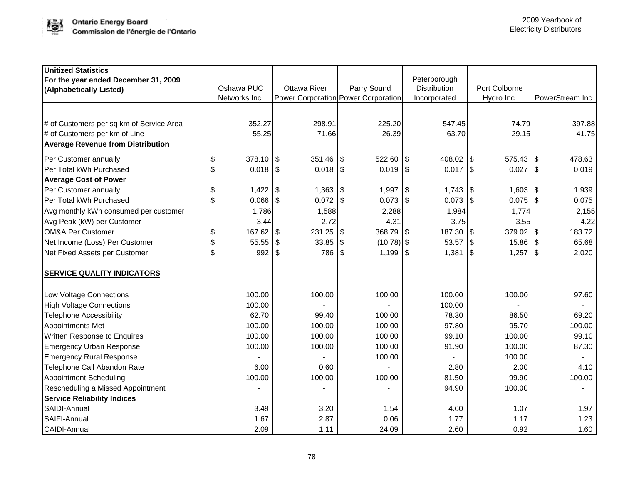

| <b>Unitized Statistics</b>               |               |                     |                                     |                     |                             |                  |
|------------------------------------------|---------------|---------------------|-------------------------------------|---------------------|-----------------------------|------------------|
| For the year ended December 31, 2009     |               |                     |                                     | Peterborough        |                             |                  |
| (Alphabetically Listed)                  | Oshawa PUC    | <b>Ottawa River</b> | Parry Sound                         | <b>Distribution</b> | Port Colborne               |                  |
|                                          | Networks Inc. |                     | Power Corporation Power Corporation | Incorporated        | Hydro Inc.                  | PowerStream Inc. |
|                                          |               |                     |                                     |                     |                             |                  |
| # of Customers per sq km of Service Area | 352.27        | 298.91              | 225.20                              | 547.45              | 74.79                       | 397.88           |
| # of Customers per km of Line            | 55.25         | 71.66               | 26.39                               | 63.70               | 29.15                       | 41.75            |
| <b>Average Revenue from Distribution</b> |               |                     |                                     |                     |                             |                  |
| Per Customer annually                    | \$<br>378.10  | 1\$<br>$351.46$ \\$ | $522.60$ \\$                        | 408.02              | $\sqrt{3}$<br>$575.43$ \\$  | 478.63           |
| Per Total kWh Purchased                  | \$<br>0.018   | 1\$<br>$0.018$ \\$  | $0.019$ \\$                         | 0.017               | $\sqrt{3}$<br>$0.027$ \\ \$ | 0.019            |
| <b>Average Cost of Power</b>             |               |                     |                                     |                     |                             |                  |
| Per Customer annually                    | \$<br>1,422   | 1\$                 | $1,997$ \$<br>$1,363$ \ \\$         | 1,743               | \$<br>$1,603$ \\$           | 1,939            |
| Per Total kWh Purchased                  | \$<br>0.066   | l \$                | $0.072$ \\$<br>$0.073$ \\$          | 0.073               | $0.075$ \\$<br>۱\$          | 0.075            |
| Avg monthly kWh consumed per customer    | 1,786         | 1,588               | 2,288                               | 1,984               | 1,774                       | 2,155            |
| Avg Peak (kW) per Customer               | 3.44          | 2.72                | 4.31                                | 3.75                | 3.55                        | 4.22             |
| <b>OM&amp;A Per Customer</b>             | 167.62<br>\$  | \$<br>$231.25$ \\$  | $368.79$ \\$                        | 187.30              | $\sqrt{3}$<br>$379.02$ \$   | 183.72           |
| Net Income (Loss) Per Customer           | \$<br>55.55   | 33.85<br>\$         | $(10.78)$ \$<br>$\sqrt{3}$          | 53.57               | $15.86$ \\$<br>\$           | 65.68            |
| Net Fixed Assets per Customer            | \$<br>992     | 786<br> \$          | $1,199$ \$<br>$\sqrt{3}$            | 1,381               | \$<br>$1,257$ \\$           | 2,020            |
| <b>SERVICE QUALITY INDICATORS</b>        |               |                     |                                     |                     |                             |                  |
| Low Voltage Connections                  | 100.00        | 100.00              | 100.00                              | 100.00              | 100.00                      | 97.60            |
| <b>High Voltage Connections</b>          | 100.00        |                     |                                     | 100.00              |                             |                  |
| <b>Telephone Accessibility</b>           | 62.70         | 99.40               | 100.00                              | 78.30               | 86.50                       | 69.20            |
| Appointments Met                         | 100.00        | 100.00              | 100.00                              | 97.80               | 95.70                       | 100.00           |
| Written Response to Enquires             | 100.00        | 100.00              | 100.00                              | 99.10               | 100.00                      | 99.10            |
| <b>Emergency Urban Response</b>          | 100.00        | 100.00              | 100.00                              | 91.90               | 100.00                      | 87.30            |
| <b>Emergency Rural Response</b>          |               |                     | 100.00                              |                     | 100.00                      |                  |
| Telephone Call Abandon Rate              | 6.00          | 0.60                |                                     | 2.80                | 2.00                        | 4.10             |
| <b>Appointment Scheduling</b>            | 100.00        | 100.00              | 100.00                              | 81.50               | 99.90                       | 100.00           |
| Rescheduling a Missed Appointment        |               |                     |                                     | 94.90               | 100.00                      |                  |
| <b>Service Reliability Indices</b>       |               |                     |                                     |                     |                             |                  |
| SAIDI-Annual                             | 3.49          | 3.20                | 1.54                                | 4.60                | 1.07                        | 1.97             |
| SAIFI-Annual                             | 1.67          | 2.87                | 0.06                                | 1.77                | 1.17                        | 1.23             |
| <b>CAIDI-Annual</b>                      | 2.09          | 1.11                | 24.09                               | 2.60                | 0.92                        | 1.60             |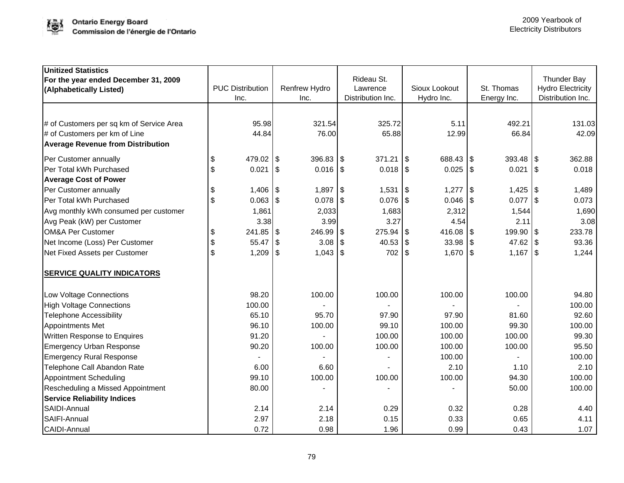

| <b>Unitized Statistics</b>               |                         |                            |                   |                                    |                           |                          |
|------------------------------------------|-------------------------|----------------------------|-------------------|------------------------------------|---------------------------|--------------------------|
| For the year ended December 31, 2009     |                         |                            | Rideau St.        |                                    |                           | Thunder Bay              |
| (Alphabetically Listed)                  | <b>PUC Distribution</b> | Renfrew Hydro              | Lawrence          | Sioux Lookout                      | St. Thomas                | <b>Hydro Electricity</b> |
|                                          | Inc.                    | Inc.                       | Distribution Inc. | Hydro Inc.                         | Energy Inc.               | Distribution Inc.        |
|                                          |                         |                            |                   |                                    |                           |                          |
| # of Customers per sq km of Service Area | 95.98                   | 321.54                     | 325.72            | 5.11                               | 492.21                    | 131.03                   |
| # of Customers per km of Line            | 44.84                   | 76.00                      | 65.88             | 12.99                              | 66.84                     | 42.09                    |
| <b>Average Revenue from Distribution</b> |                         |                            |                   |                                    |                           |                          |
| Per Customer annually                    | 479.02<br>\$            | \$<br>$396.83$ \\$         | 371.21            | $\sqrt{3}$<br>688.43 \$            | $393.48$ \\$              | 362.88                   |
| Per Total kWh Purchased                  | \$<br>0.021             | l \$<br>$0.016$ \\$        | $0.018$ \\$       |                                    | $0.021$ \\$               | 0.018                    |
| <b>Average Cost of Power</b>             |                         |                            |                   |                                    |                           |                          |
| Per Customer annually                    | \$<br>1,406             | $1,897$ \\$<br>5           | $1,531$ \$        | 1,277                              | $\sqrt{3}$                | 1,489                    |
| Per Total kWh Purchased                  | \$<br>0.063             | <b>S</b><br>$0.078$ \\$    | 0.076             | $\boldsymbol{\mathsf{S}}$<br>0.046 | $0.077$ \\$<br>$\sqrt{3}$ | 0.073                    |
| Avg monthly kWh consumed per customer    | 1,861                   | 2,033                      | 1,683             | 2,312                              | 1,544                     | 1,690                    |
| Avg Peak (kW) per Customer               | 3.38                    | 3.99                       | 3.27              | 4.54                               | 2.11                      | 3.08                     |
| <b>OM&amp;A Per Customer</b>             | 241.85<br>\$            | $\sqrt{3}$<br>$246.99$ \\$ | 275.94            | $\sqrt{2}$<br>416.08               | $\sqrt{3}$<br>$199.90$ \$ | 233.78                   |
| Net Income (Loss) Per Customer           | \$<br>55.47             | \$<br>3.08                 | 40.53<br>1\$      | $\boldsymbol{\mathsf{S}}$<br>33.98 | \$<br>$47.62$ \\$         | 93.36                    |
| Net Fixed Assets per Customer            | \$<br>1,209             | $1,043$ \\$<br>\$          | 702               | \$<br>1,670                        | $\sqrt{3}$<br>$1,167$ \$  | 1,244                    |
|                                          |                         |                            |                   |                                    |                           |                          |
| <b>SERVICE QUALITY INDICATORS</b>        |                         |                            |                   |                                    |                           |                          |
| Low Voltage Connections                  | 98.20                   | 100.00                     | 100.00            | 100.00                             | 100.00                    | 94.80                    |
| <b>High Voltage Connections</b>          | 100.00                  |                            |                   |                                    |                           | 100.00                   |
| <b>Telephone Accessibility</b>           | 65.10                   | 95.70                      | 97.90             | 97.90                              | 81.60                     | 92.60                    |
| Appointments Met                         | 96.10                   | 100.00                     | 99.10             | 100.00                             | 99.30                     | 100.00                   |
| Written Response to Enquires             | 91.20                   |                            | 100.00            | 100.00                             | 100.00                    | 99.30                    |
| <b>Emergency Urban Response</b>          | 90.20                   | 100.00                     | 100.00            | 100.00                             | 100.00                    | 95.50                    |
| <b>Emergency Rural Response</b>          |                         |                            |                   | 100.00                             |                           | 100.00                   |
| Telephone Call Abandon Rate              | 6.00                    | 6.60                       |                   | 2.10                               | 1.10                      | 2.10                     |
| <b>Appointment Scheduling</b>            | 99.10                   | 100.00                     | 100.00            | 100.00                             | 94.30                     | 100.00                   |
| Rescheduling a Missed Appointment        | 80.00                   |                            |                   |                                    | 50.00                     | 100.00                   |
| <b>Service Reliability Indices</b>       |                         |                            |                   |                                    |                           |                          |
| SAIDI-Annual                             | 2.14                    | 2.14                       | 0.29              | 0.32                               | 0.28                      | 4.40                     |
| SAIFI-Annual                             | 2.97                    | 2.18                       | 0.15              | 0.33                               | 0.65                      | 4.11                     |
| <b>CAIDI-Annual</b>                      | 0.72                    | 0.98                       | 1.96              | 0.99                               | 0.43                      | 1.07                     |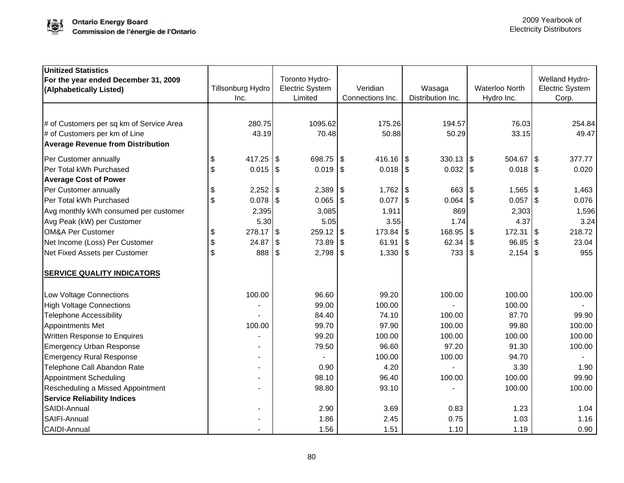

| <b>Unitized Statistics</b>               |                   |                            |                     |                                     |                           |                        |
|------------------------------------------|-------------------|----------------------------|---------------------|-------------------------------------|---------------------------|------------------------|
| For the year ended December 31, 2009     |                   | Toronto Hydro-             |                     |                                     |                           | Welland Hydro-         |
| (Alphabetically Listed)                  | Tillsonburg Hydro | <b>Electric System</b>     | Veridian            | Wasaga                              | Waterloo North            | <b>Electric System</b> |
|                                          | Inc.              | Limited                    | Connections Inc.    | Distribution Inc.                   | Hydro Inc.                | Corp.                  |
|                                          |                   |                            |                     |                                     |                           |                        |
| # of Customers per sq km of Service Area | 280.75            | 1095.62                    | 175.26              | 194.57                              | 76.03                     | 254.84                 |
| # of Customers per km of Line            | 43.19             | 70.48                      | 50.88               | 50.29                               | 33.15                     | 49.47                  |
| <b>Average Revenue from Distribution</b> |                   |                            |                     |                                     |                           |                        |
| Per Customer annually                    | 417.25<br>\$      | 698.75 \$<br>$\frac{1}{2}$ | $416.16$ \\$        | $330.13$ \$                         | $504.67$ \\$              | 377.77                 |
| Per Total kWh Purchased                  | \$<br>0.015       | l\$<br>$0.019$ \\$         | 0.018               | $\sqrt{3}$<br>0.032                 | $\sqrt{3}$<br>$0.018$ \\$ | 0.020                  |
| <b>Average Cost of Power</b>             |                   |                            |                     |                                     |                           |                        |
| Per Customer annually                    | \$<br>2,252       | $2,389$ \\$<br>۱\$         | 1,762               | $\boldsymbol{\mathsf{S}}$<br>663    | \$<br>$1,565$ \\$         | 1,463                  |
| Per Total kWh Purchased                  | \$<br>0.078       | ۱\$<br>$0.065$ \\$         | 0.077               | $\mathfrak s$<br>0.064              | $0.057$ \\$<br>\$         | 0.076                  |
| Avg monthly kWh consumed per customer    | 2,395             | 3,085                      | 1,911               | 869                                 | 2,303                     | 1,596                  |
| Avg Peak (kW) per Customer               | 5.30              | 5.05                       | 3.55                | 1.74                                | 4.37                      | 3.24                   |
| <b>OM&amp;A Per Customer</b>             | \$<br>278.17      | \$<br>$259.12$ \$          | 173.84              | $\boldsymbol{\mathsf{S}}$<br>168.95 | $172.31$ \\$<br>\$        | 218.72                 |
| Net Income (Loss) Per Customer           | \$<br>24.87       | \$<br>73.89                | 61.91<br>$\sqrt{3}$ | $\sqrt[6]{\frac{1}{2}}$<br>62.34    | $96.85$ \$<br>\$          | 23.04                  |
| Net Fixed Assets per Customer            | \$<br>888         | $\sqrt{3}$<br>$2,798$ \\$  | 1,330               | $\boldsymbol{\mathsf{S}}$<br>733    | \$<br>$2,154$ \\$         | 955                    |
| <b>SERVICE QUALITY INDICATORS</b>        |                   |                            |                     |                                     |                           |                        |
|                                          |                   |                            |                     |                                     |                           |                        |
| Low Voltage Connections                  | 100.00            | 96.60                      | 99.20               | 100.00                              | 100.00                    | 100.00                 |
| <b>High Voltage Connections</b>          |                   | 99.00                      | 100.00              |                                     | 100.00                    |                        |
| <b>Telephone Accessibility</b>           |                   | 84.40                      | 74.10               | 100.00                              | 87.70                     | 99.90                  |
| Appointments Met                         | 100.00            | 99.70                      | 97.90               | 100.00                              | 99.80                     | 100.00                 |
| Written Response to Enquires             |                   | 99.20                      | 100.00              | 100.00                              | 100.00                    | 100.00                 |
| <b>Emergency Urban Response</b>          |                   | 79.50                      | 96.60               | 97.20                               | 91.30                     | 100.00                 |
| <b>Emergency Rural Response</b>          |                   |                            | 100.00              | 100.00                              | 94.70                     |                        |
| Telephone Call Abandon Rate              |                   | 0.90                       | 4.20                |                                     | 3.30                      | 1.90                   |
| <b>Appointment Scheduling</b>            |                   | 98.10                      | 96.40               | 100.00                              | 100.00                    | 99.90                  |
| Rescheduling a Missed Appointment        |                   | 98.80                      | 93.10               |                                     | 100.00                    | 100.00                 |
| <b>Service Reliability Indices</b>       |                   |                            |                     |                                     |                           |                        |
| SAIDI-Annual                             |                   | 2.90                       | 3.69                | 0.83                                | 1.23                      | 1.04                   |
| SAIFI-Annual                             |                   | 1.86                       | 2.45                | 0.75                                | 1.03                      | 1.16                   |
| <b>CAIDI-Annual</b>                      |                   | 1.56                       | 1.51                | 1.10                                | 1.19                      | 0.90                   |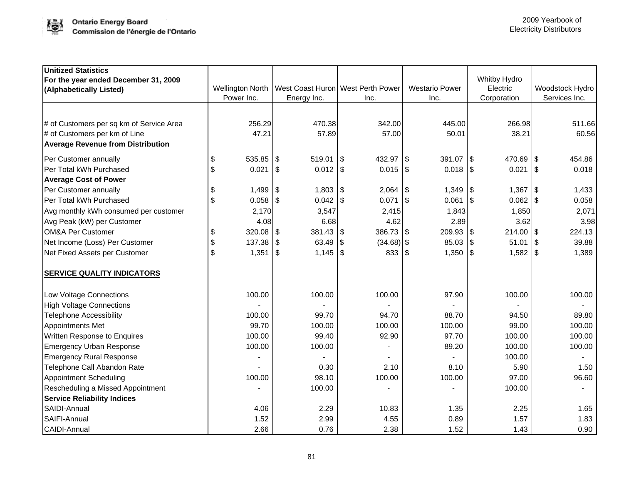

| <b>Unitized Statistics</b>               |                         |                            |                                   |                                    |                            |                 |
|------------------------------------------|-------------------------|----------------------------|-----------------------------------|------------------------------------|----------------------------|-----------------|
| For the year ended December 31, 2009     |                         |                            |                                   |                                    | Whitby Hydro               |                 |
| (Alphabetically Listed)                  | <b>Wellington North</b> |                            | West Coast Huron West Perth Power | <b>Westario Power</b>              | Electric                   | Woodstock Hydro |
|                                          | Power Inc.              | Energy Inc.                | Inc.                              | Inc.                               | Corporation                | Services Inc.   |
|                                          |                         |                            |                                   |                                    |                            |                 |
| # of Customers per sq km of Service Area | 256.29                  | 470.38                     | 342.00                            | 445.00                             | 266.98                     | 511.66          |
| # of Customers per km of Line            | 47.21                   | 57.89                      | 57.00                             | 50.01                              | 38.21                      | 60.56           |
| <b>Average Revenue from Distribution</b> |                         |                            |                                   |                                    |                            |                 |
| Per Customer annually                    | 535.85<br>\$            | \$<br>519.01               | $\sqrt{3}$<br>432.97              | $\sqrt{ }$<br>391.07               | $\sqrt{ }$<br>$470.69$ \\$ | 454.86          |
| Per Total kWh Purchased                  | \$<br>0.021             | l \$<br>$0.012$ \\$        | 0.015                             | \$<br>0.018                        | $\sqrt{3}$<br>$0.021$ \\$  | 0.018           |
| <b>Average Cost of Power</b>             |                         |                            |                                   |                                    |                            |                 |
| Per Customer annually                    | \$<br>1,499             | $1,803$ \\$<br>ا \$        | 2,064                             | $\boldsymbol{\mathsf{S}}$<br>1,349 | $1,367$ \ \\$<br>\$        | 1,433           |
| Per Total kWh Purchased                  | \$<br>0.058             | <b>S</b><br>$0.042$ \\$    | 0.071                             | $\mathfrak s$<br>0.061             | \$<br>$0.062$ \\$          | 0.058           |
| Avg monthly kWh consumed per customer    | 2,170                   | 3,547                      | 2,415                             | 1,843                              | 1,850                      | 2,071           |
| Avg Peak (kW) per Customer               | 4.08                    | 6.68                       | 4.62                              | 2.89                               | 3.62                       | 3.98            |
| <b>OM&amp;A Per Customer</b>             | \$<br>320.08            | $\sqrt{3}$<br>$381.43$ \\$ | $386.73$ \\$                      | 209.93                             | \$<br>$214.00$ \\$         | 224.13          |
| Net Income (Loss) Per Customer           | \$<br>137.38            | \$<br>$63.49$ \\$          | $(34.68)$ \$                      | 85.03                              | \$<br>$51.01$ \\$          | 39.88           |
| Net Fixed Assets per Customer            | \$<br>1,351             | <b>\$</b><br>$1,145$ \\$   | 833                               | \$<br>1,350                        | $\sqrt{3}$<br>$1,582$ \$   | 1,389           |
| <b>SERVICE QUALITY INDICATORS</b>        |                         |                            |                                   |                                    |                            |                 |
|                                          |                         |                            |                                   |                                    |                            |                 |
| Low Voltage Connections                  | 100.00                  | 100.00                     | 100.00                            | 97.90                              | 100.00                     | 100.00          |
| <b>High Voltage Connections</b>          |                         |                            |                                   |                                    |                            |                 |
| <b>Telephone Accessibility</b>           | 100.00                  | 99.70                      | 94.70                             | 88.70                              | 94.50                      | 89.80           |
| Appointments Met                         | 99.70                   | 100.00                     | 100.00                            | 100.00                             | 99.00                      | 100.00          |
| Written Response to Enquires             | 100.00                  | 99.40                      | 92.90                             | 97.70                              | 100.00                     | 100.00          |
| <b>Emergency Urban Response</b>          | 100.00                  | 100.00                     |                                   | 89.20                              | 100.00                     | 100.00          |
| <b>Emergency Rural Response</b>          |                         |                            |                                   |                                    | 100.00                     |                 |
| Telephone Call Abandon Rate              |                         | 0.30                       | 2.10                              | 8.10                               | 5.90                       | 1.50            |
| <b>Appointment Scheduling</b>            | 100.00                  | 98.10                      | 100.00                            | 100.00                             | 97.00                      | 96.60           |
| Rescheduling a Missed Appointment        |                         | 100.00                     |                                   |                                    | 100.00                     |                 |
| <b>Service Reliability Indices</b>       |                         |                            |                                   |                                    |                            |                 |
| SAIDI-Annual                             | 4.06                    | 2.29                       | 10.83                             | 1.35                               | 2.25                       | 1.65            |
| SAIFI-Annual                             | 1.52                    | 2.99                       | 4.55                              | 0.89                               | 1.57                       | 1.83            |
| <b>CAIDI-Annual</b>                      | 2.66                    | 0.76                       | 2.38                              | 1.52                               | 1.43                       | 0.90            |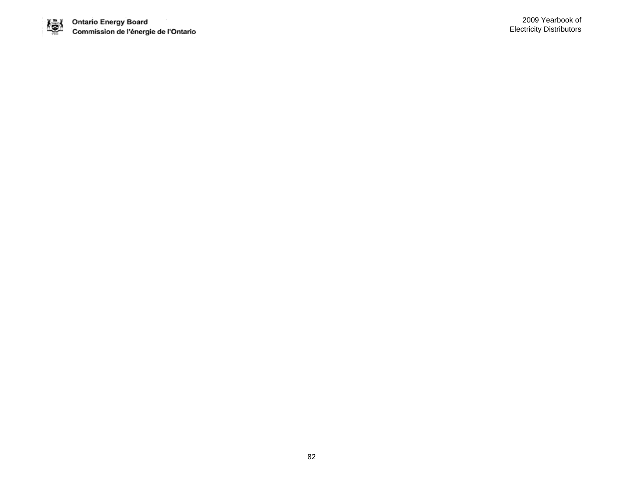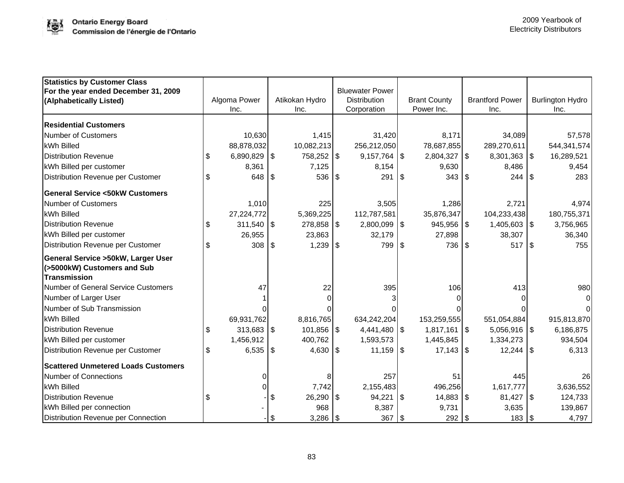

| <b>Statistics by Customer Class</b>                |                    |            |                |     |                        |     |                     |                        |            |                         |  |
|----------------------------------------------------|--------------------|------------|----------------|-----|------------------------|-----|---------------------|------------------------|------------|-------------------------|--|
| For the year ended December 31, 2009               |                    |            |                |     | <b>Bluewater Power</b> |     |                     |                        |            |                         |  |
| (Alphabetically Listed)                            | Algoma Power       |            | Atikokan Hydro |     | <b>Distribution</b>    |     | <b>Brant County</b> | <b>Brantford Power</b> |            | <b>Burlington Hydro</b> |  |
|                                                    | Inc.               |            | Inc.           |     | Corporation            |     | Power Inc.          | Inc.                   |            | Inc.                    |  |
| <b>Residential Customers</b>                       |                    |            |                |     |                        |     |                     |                        |            |                         |  |
| <b>Number of Customers</b>                         | 10,630             |            | 1,415          |     | 31,420                 |     | 8,171               | 34,089                 |            | 57,578                  |  |
| kWh Billed                                         | 88,878,032         |            | 10,082,213     |     | 256,212,050            |     | 78,687,855          | 289,270,611            |            | 544,341,574             |  |
| <b>Distribution Revenue</b>                        | \$<br>6,890,829    | $\sqrt{3}$ | 758,252   \$   |     | 9,157,764              | \$  | $2,804,327$ \\$     | $8,301,363$ \\$        |            | 16,289,521              |  |
| kWh Billed per customer                            | 8,361              |            | 7,125          |     | 8,154                  |     | 9,630               | 8,486                  |            | 9,454                   |  |
| Distribution Revenue per Customer                  | \$<br>648          | \$         | 536            | \$  | 291                    | \$  | $343$ \$            | $244$ \\$              |            | 283                     |  |
| <b>General Service &lt;50kW Customers</b>          |                    |            |                |     |                        |     |                     |                        |            |                         |  |
| <b>Number of Customers</b>                         | 1,010              |            | 225            |     | 3,505                  |     | 1,286               | 2,721                  |            | 4,974                   |  |
| kWh Billed                                         | 27,224,772         |            | 5,369,225      |     | 112,787,581            |     | 35,876,347          | 104,233,438            |            | 180,755,371             |  |
| <b>Distribution Revenue</b>                        | \$<br>$311,540$ \$ |            | 278,858        | 1\$ | $2,800,099$ \$         |     | 945,956 \$          | $1,405,603$ \$         |            | 3,756,965               |  |
| kWh Billed per customer                            | 26,955             |            | 23,863         |     | 32,179                 |     | 27,898              | 38,307                 |            | 36,340                  |  |
| Distribution Revenue per Customer                  | \$<br>308          | \$         | 1,239          | \$  | 799                    | \$  | 736 \$              | 517                    | $\sqrt{3}$ | 755                     |  |
| General Service >50kW, Larger User                 |                    |            |                |     |                        |     |                     |                        |            |                         |  |
| (>5000kW) Customers and Sub<br><b>Transmission</b> |                    |            |                |     |                        |     |                     |                        |            |                         |  |
| Number of General Service Customers                | 47                 |            | 22             |     | 395                    |     | 106                 | 413                    |            | 980                     |  |
| Number of Larger User                              |                    |            |                |     |                        |     |                     |                        |            | 0                       |  |
| Number of Sub Transmission                         |                    |            |                |     |                        |     |                     |                        |            |                         |  |
| kWh Billed                                         | 69,931,762         |            | 8,816,765      |     | 634,242,204            |     | 153,259,555         | 551,054,884            |            | 915,813,870             |  |
| <b>Distribution Revenue</b>                        | \$<br>$313,683$ \$ |            | $101,856$ \$   |     | $4,441,480$ \\$        |     | $1,817,161$ \$      | $5,056,916$ \$         |            | 6,186,875               |  |
| kWh Billed per customer                            | 1,456,912          |            | 400,762        |     | 1,593,573              |     | 1,445,845           | 1,334,273              |            | 934,504                 |  |
| Distribution Revenue per Customer                  | \$<br>$6,535$ \$   |            | $4,630$ \\$    |     | $11,159$ \$            |     | $17,143$ \\$        | $12,244$ \\$           |            | 6,313                   |  |
| <b>Scattered Unmetered Loads Customers</b>         |                    |            |                |     |                        |     |                     |                        |            |                         |  |
| Number of Connections                              | $\Omega$           |            |                |     | 257                    |     | 51                  | 445                    |            | 26                      |  |
| kWh Billed                                         | $\Omega$           |            | 7,742          |     | 2,155,483              |     | 496,256             | 1,617,777              |            | 3,636,552               |  |
| <b>Distribution Revenue</b>                        | \$                 | l \$       | 26,290         | 1\$ | 94,221                 | l\$ | $14,883$ \\$        | $81,427$ \\$           |            | 124,733                 |  |
| kWh Billed per connection                          |                    |            | 968            |     | 8,387                  |     | 9,731               | 3,635                  |            | 139,867                 |  |
| Distribution Revenue per Connection                |                    | -\$        | $3,286$ \ \\$  |     | 367                    | \$  | $292$ \$            | $183$ \$               |            | 4,797                   |  |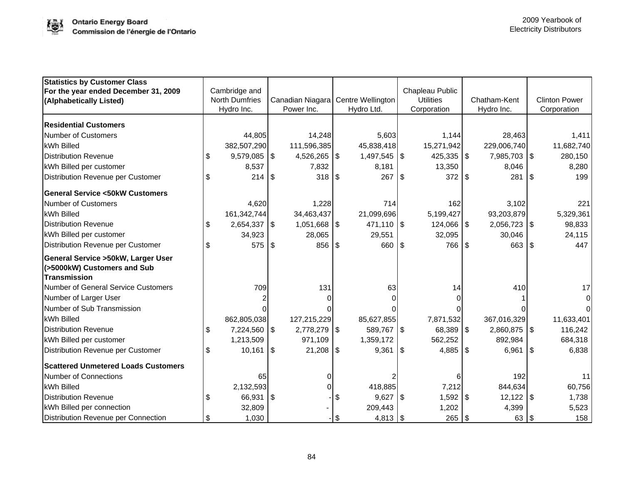

| <b>Statistics by Customer Class</b>                                |                       |            |                                |     |                                      |            |                  |                                |            |                       |
|--------------------------------------------------------------------|-----------------------|------------|--------------------------------|-----|--------------------------------------|------------|------------------|--------------------------------|------------|-----------------------|
| For the year ended December 31, 2009                               | Cambridge and         |            |                                |     |                                      |            | Chapleau Public  |                                |            |                       |
| (Alphabetically Listed)                                            | <b>North Dumfries</b> |            |                                |     | Canadian Niagara   Centre Wellington |            | <b>Utilities</b> | Chatham-Kent                   |            | <b>Clinton Power</b>  |
|                                                                    | Hydro Inc.            |            | Power Inc.                     |     | Hydro Ltd.                           |            | Corporation      | Hydro Inc.                     |            | Corporation           |
| <b>Residential Customers</b>                                       |                       |            |                                |     |                                      |            |                  |                                |            |                       |
| <b>Number of Customers</b>                                         | 44,805                |            | 14,248                         |     | 5,603                                |            | 1,144            | 28,463                         |            | 1,411                 |
| kWh Billed                                                         | 382,507,290           |            | 111,596,385                    |     | 45,838,418                           |            | 15,271,942       | 229,006,740                    |            | 11,682,740            |
| <b>Distribution Revenue</b>                                        | \$<br>$9,579,085$ \\$ |            | $4,526,265$ \\$                |     | $1,497,545$ \\$                      |            | $425,335$ \\$    | 7,985,703   \$                 |            | 280,150               |
| kWh Billed per customer                                            | 8,537                 |            | 7,832                          |     | 8,181                                |            | 13,350           | 8,046                          |            | 8,280                 |
| Distribution Revenue per Customer                                  | \$<br>214             | \$         | $318$ \$                       |     | 267                                  | $\sqrt{3}$ | $372$ \\$        | 281                            | $\sqrt{3}$ | 199                   |
| <b>General Service &lt;50kW Customers</b>                          |                       |            |                                |     |                                      |            |                  |                                |            |                       |
| <b>Number of Customers</b>                                         | 4,620                 |            | 1,228                          |     | 714                                  |            | 162              | 3,102                          |            | 221                   |
| kWh Billed                                                         | 161,342,744           |            | 34,463,437                     |     | 21,099,696                           |            | 5,199,427        | 93,203,879                     |            | 5,329,361             |
| <b>Distribution Revenue</b>                                        | \$<br>$2,654,337$ \\$ |            | $1,051,668$ \$                 |     | $471,110$ \\$                        |            | $124,066$ \\$    | $2,056,723$ \$                 |            | 98,833                |
| kWh Billed per customer                                            | 34,923                |            | 28,065                         |     | 29,551                               |            | 32,095           | 30,046                         |            | 24,115                |
| Distribution Revenue per Customer                                  | \$<br>575             | <b>S</b>   | 856                            | l\$ | 660 \$                               |            | 766 \$           | 663 \$                         |            | 447                   |
| General Service > 50kW, Larger User<br>(>5000kW) Customers and Sub |                       |            |                                |     |                                      |            |                  |                                |            |                       |
| <b>Transmission</b>                                                |                       |            |                                |     |                                      |            |                  |                                |            |                       |
| Number of General Service Customers                                | 709                   |            | 131                            |     | 63                                   |            | 14               | 410                            |            | 17                    |
| Number of Larger User<br>Number of Sub Transmission                |                       |            |                                |     |                                      |            |                  |                                |            |                       |
| kWh Billed                                                         | 862,805,038           |            |                                |     | 85,627,855                           |            | 7,871,532        |                                |            |                       |
| <b>Distribution Revenue</b>                                        | 7,224,560             | $\sqrt{3}$ | 127,215,229<br>$2,778,279$ \\$ |     | 589,767 \$                           |            | 68,389 \$        | 367,016,329<br>$2,860,875$ \\$ |            | 11,633,401<br>116,242 |
| kWh Billed per customer                                            | \$<br>1,213,509       |            | 971,109                        |     | 1,359,172                            |            | 562,252          | 892,984                        |            | 684,318               |
| Distribution Revenue per Customer                                  | \$<br>10,161          | 1\$        | $21,208$ \\$                   |     | $9,361$ \$                           |            | $4,885$ \$       | $6,961$ \\$                    |            | 6,838                 |
|                                                                    |                       |            |                                |     |                                      |            |                  |                                |            |                       |
| <b>Scattered Unmetered Loads Customers</b>                         |                       |            |                                |     |                                      |            |                  |                                |            |                       |
| <b>Number of Connections</b>                                       | 65                    |            |                                |     |                                      |            | 6                | 192                            |            | 11                    |
| kWh Billed                                                         | 2,132,593             |            |                                |     | 418,885                              |            | 7,212            | 844,634                        |            | 60,756                |
| <b>Distribution Revenue</b>                                        | \$<br>66,931 \$       |            |                                | \$  | $9,627$ \$                           |            | $1,592$ \$       | $12,122$ \$                    |            | 1,738                 |
| kWh Billed per connection                                          | 32,809                |            |                                |     | 209,443                              |            | 1,202            | 4,399                          |            | 5,523                 |
| Distribution Revenue per Connection                                | \$<br>1,030           |            |                                | \$  | $4,813$ \$                           |            | $265$ \ \$       | $63 \mid$ \$                   |            | 158                   |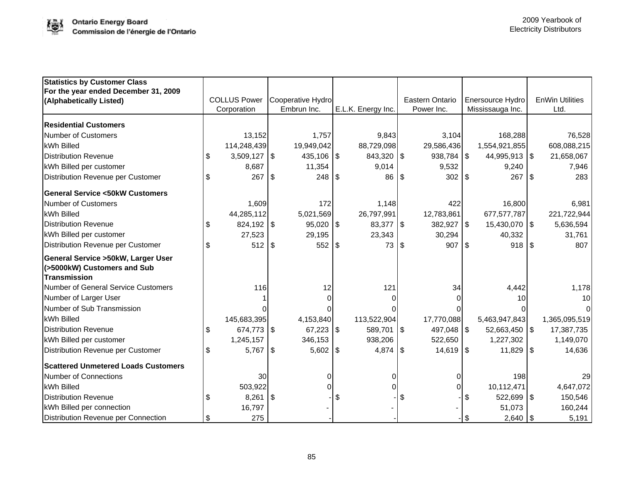

| <b>Statistics by Customer Class</b>        |                                    |      |                                  |    |                    |            |                               |                                      |     |                                |
|--------------------------------------------|------------------------------------|------|----------------------------------|----|--------------------|------------|-------------------------------|--------------------------------------|-----|--------------------------------|
| For the year ended December 31, 2009       |                                    |      |                                  |    |                    |            |                               |                                      |     |                                |
| (Alphabetically Listed)                    | <b>COLLUS Power</b><br>Corporation |      | Cooperative Hydro<br>Embrun Inc. |    | E.L.K. Energy Inc. |            | Eastern Ontario<br>Power Inc. | Enersource Hydro<br>Mississauga Inc. |     | <b>EnWin Utilities</b><br>Ltd. |
|                                            |                                    |      |                                  |    |                    |            |                               |                                      |     |                                |
| <b>Residential Customers</b>               |                                    |      |                                  |    |                    |            |                               |                                      |     |                                |
| <b>Number of Customers</b>                 | 13,152                             |      | 1,757                            |    | 9,843              |            | 3,104                         | 168,288                              |     | 76,528                         |
| kWh Billed                                 | 114,248,439                        |      | 19,949,042                       |    | 88,729,098         |            | 29,586,436                    | 1,554,921,855                        |     | 608,088,215                    |
| <b>Distribution Revenue</b>                | \$<br>$3,509,127$ \\$              |      | $435,106$ \\$                    |    | $843,320$ \\$      |            | $938,784$ \$                  | 44,995,913 \$                        |     | 21,658,067                     |
| kWh Billed per customer                    | 8,687                              |      | 11,354                           |    | 9,014              |            | 9,532                         | 9,240                                |     | 7,946                          |
| Distribution Revenue per Customer          | \$<br>267                          | l \$ | $248$ \ \ \$                     |    | 86                 | $\sqrt{3}$ | $302$ \$                      | 267                                  | 1\$ | 283                            |
| <b>General Service &lt;50kW Customers</b>  |                                    |      |                                  |    |                    |            |                               |                                      |     |                                |
| <b>Number of Customers</b>                 | 1,609                              |      | 172                              |    | 1,148              |            | 422                           | 16,800                               |     | 6,981                          |
| kWh Billed                                 | 44,285,112                         |      | 5,021,569                        |    | 26,797,991         |            | 12,783,861                    | 677, 577, 787                        |     | 221,722,944                    |
| <b>Distribution Revenue</b>                | \$<br>$824,192$ \$                 |      | $95,020$ \$                      |    | $83,377$ \\$       |            | 382,927 \$                    | 15,430,070   \$                      |     | 5,636,594                      |
| kWh Billed per customer                    | 27,523                             |      | 29,195                           |    | 23,343             |            | 30,294                        | 40,332                               |     | 31,761                         |
| Distribution Revenue per Customer          | \$<br>512                          | 1\$  | $552$ \ $\frac{1}{3}$            |    | 73                 | \$         | $907$ \$                      | $918$ \\$                            |     | 807                            |
| General Service > 50kW, Larger User        |                                    |      |                                  |    |                    |            |                               |                                      |     |                                |
| (>5000kW) Customers and Sub                |                                    |      |                                  |    |                    |            |                               |                                      |     |                                |
| <b>Transmission</b>                        |                                    |      |                                  |    |                    |            |                               |                                      |     |                                |
| Number of General Service Customers        | 116                                |      | 12                               |    | 121                |            | 34                            | 4,442                                |     | 1,178                          |
| Number of Larger User                      |                                    |      | 0                                |    |                    |            |                               | 10                                   |     | 10                             |
| Number of Sub Transmission                 |                                    |      |                                  |    |                    |            |                               |                                      |     |                                |
| kWh Billed                                 | 145,683,395                        |      | 4,153,840                        |    | 113,522,904        |            | 17,770,088                    | 5,463,947,843                        |     | 1,365,095,519                  |
| <b>Distribution Revenue</b>                | \$<br>$674,773$ \\$                |      | $67,223$ \\$                     |    | 589,701 \$         |            | 497,048 \$                    | 52,663,450   \$                      |     | 17,387,735                     |
| kWh Billed per customer                    | 1,245,157                          |      | 346,153                          |    | 938,206            |            | 522,650                       | 1,227,302                            |     | 1,149,070                      |
| Distribution Revenue per Customer          | \$<br>$5,767$ \$                   |      | $5,602$ \\ \$                    |    | $4,874$ \\$        |            | $14,619$ \$                   | $11,829$ \\$                         |     | 14,636                         |
| <b>Scattered Unmetered Loads Customers</b> |                                    |      |                                  |    |                    |            |                               |                                      |     |                                |
| Number of Connections                      | 30                                 |      | 0                                |    |                    |            |                               | 198                                  |     | 29                             |
| kWh Billed                                 | 503,922                            |      | $\Omega$                         |    | ΩI                 |            | $\Omega$                      | 10,112,471                           |     | 4,647,072                      |
| <b>Distribution Revenue</b>                | \$<br>$8,261$ \$                   |      |                                  | \$ |                    | $\sqrt{2}$ |                               | \$<br>522,699 \$                     |     | 150,546                        |
| kWh Billed per connection                  | 16,797                             |      |                                  |    |                    |            |                               | 51,073                               |     | 160,244                        |
| Distribution Revenue per Connection        | \$<br>275                          |      |                                  |    |                    |            |                               | \$<br>$2,640$ \$                     |     | 5,191                          |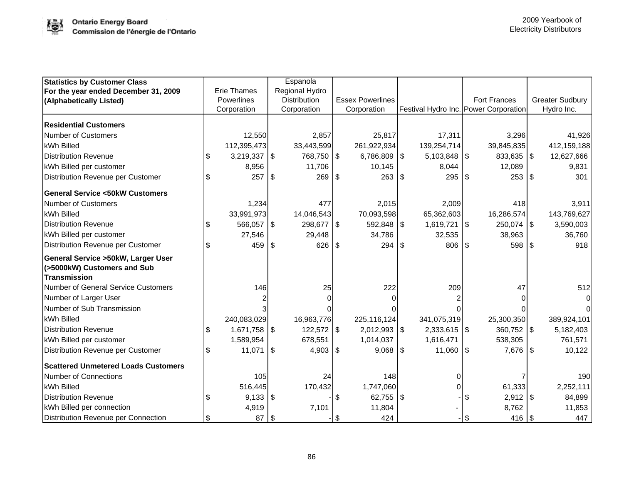

| <b>Statistics by Customer Class</b>         |    |                    |            | Espanola            |     |                         |            |                                       |                     |                        |
|---------------------------------------------|----|--------------------|------------|---------------------|-----|-------------------------|------------|---------------------------------------|---------------------|------------------------|
| For the year ended December 31, 2009        |    | <b>Erie Thames</b> |            | Regional Hydro      |     |                         |            |                                       |                     |                        |
| (Alphabetically Listed)                     |    | Powerlines         |            | <b>Distribution</b> |     | <b>Essex Powerlines</b> |            |                                       | <b>Fort Frances</b> | <b>Greater Sudbury</b> |
|                                             |    | Corporation        |            | Corporation         |     | Corporation             |            | Festival Hydro Inc. Power Corporation |                     | Hydro Inc.             |
| <b>Residential Customers</b>                |    |                    |            |                     |     |                         |            |                                       |                     |                        |
| <b>Number of Customers</b>                  |    | 12,550             |            | 2,857               |     | 25,817                  |            | 17,311                                | 3,296               | 41,926                 |
| kWh Billed                                  |    | 112,395,473        |            | 33,443,599          |     | 261,922,934             |            | 139,254,714                           | 39,845,835          | 412,159,188            |
| <b>Distribution Revenue</b>                 | \$ | $3,219,337$ \\$    |            | 768,750             | l\$ | 6,786,809               | $\sqrt{3}$ | $5,103,848$ \\$                       | $833,635$ \$        | 12,627,666             |
| kWh Billed per customer                     |    | 8,956              |            | 11,706              |     | 10,145                  |            | 8,044                                 | 12,089              | 9,831                  |
| Distribution Revenue per Customer           | \$ | 257                | \$         | 269                 | \$  | $263$ \$                |            | $295$ \$                              | $253$ \$            | 301                    |
| <b>General Service &lt;50kW Customers</b>   |    |                    |            |                     |     |                         |            |                                       |                     |                        |
| <b>Number of Customers</b>                  |    | 1,234              |            | 477                 |     | 2,015                   |            | 2,009                                 | 418                 | 3,911                  |
| kWh Billed                                  |    | 33,991,973         |            | 14,046,543          |     | 70,093,598              |            | 65,362,603                            | 16,286,574          | 143,769,627            |
| <b>Distribution Revenue</b>                 | S  | 566,057 \$         |            | 298,677             | 1\$ | 592,848                 | 1\$        | $1,619,721$ \\$                       | $250,074$ \\$       | 3,590,003              |
| kWh Billed per customer                     |    | 27,546             |            | 29,448              |     | 34,786                  |            | 32,535                                | 38,963              | 36,760                 |
| Distribution Revenue per Customer           | \$ | 459                | \$         | 626                 | \$  | 294                     | \$         | $806$ \ \$                            | 598 \$              | 918                    |
| General Service >50kW, Larger User          |    |                    |            |                     |     |                         |            |                                       |                     |                        |
| (>5000kW) Customers and Sub<br>Transmission |    |                    |            |                     |     |                         |            |                                       |                     |                        |
| Number of General Service Customers         |    | 146                |            | 25                  |     | 222                     |            | 209                                   | 47                  | 512                    |
| Number of Larger User                       |    |                    |            |                     |     |                         |            |                                       |                     | $\Omega$               |
| Number of Sub Transmission                  |    |                    |            |                     |     |                         |            |                                       |                     |                        |
| kWh Billed                                  |    | 240,083,029        |            | 16,963,776          |     | 225,116,124             |            | 341,075,319                           | 25,300,350          | 389,924,101            |
| <b>Distribution Revenue</b>                 | \$ | $1,671,758$ \\$    |            | $122,572$ \\$       |     | $2,012,993$ \$          |            | $2,333,615$ \\$                       | $360,752$ \$        | 5,182,403              |
| kWh Billed per customer                     |    | 1,589,954          |            | 678,551             |     | 1,014,037               |            | 1,616,471                             | 538,305             | 761,571                |
| Distribution Revenue per Customer           | \$ | 11,071             | $\sqrt{3}$ | 4,903               | l\$ | 9,068                   | l\$        | $11,060$ \\$                          | $7,676$ \\$         | 10,122                 |
| <b>Scattered Unmetered Loads Customers</b>  |    |                    |            |                     |     |                         |            |                                       |                     |                        |
| <b>Number of Connections</b>                |    | 105                |            | 24                  |     | 148                     |            |                                       |                     | 190                    |
| kWh Billed                                  |    | 516,445            |            | 170,432             |     | 1,747,060               |            |                                       | 61,333              | 2,252,111              |
| <b>Distribution Revenue</b>                 | \$ | $9,133$ \$         |            |                     | -\$ | 62,755                  | $\sqrt{ }$ |                                       | \$<br>$2,912$ \$    | 84,899                 |
| kWh Billed per connection                   |    | 4,919              |            | 7,101               |     | 11,804                  |            |                                       | 8,762               | 11,853                 |
| Distribution Revenue per Connection         | \$ | 87                 | \$         |                     | \$  | 424                     |            |                                       | \$<br>416 \$        | 447                    |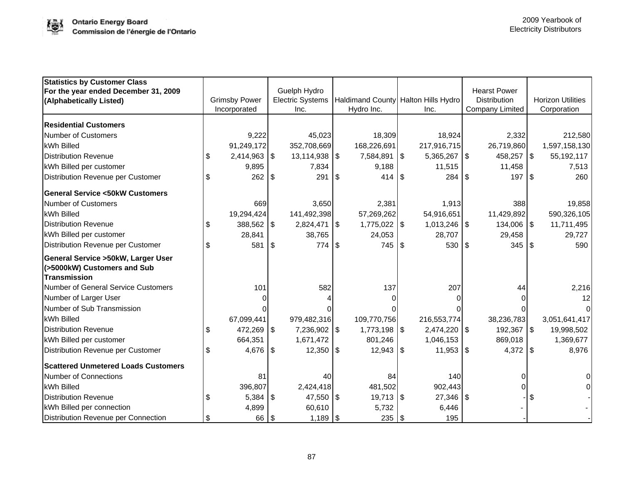

| <b>Statistics by Customer Class</b>                |                       |                            |                         |     |                |     |                                     |                        |      |                          |
|----------------------------------------------------|-----------------------|----------------------------|-------------------------|-----|----------------|-----|-------------------------------------|------------------------|------|--------------------------|
| For the year ended December 31, 2009               |                       |                            | Guelph Hydro            |     |                |     |                                     | <b>Hearst Power</b>    |      |                          |
| (Alphabetically Listed)                            | <b>Grimsby Power</b>  |                            | <b>Electric Systems</b> |     |                |     | Haldimand County Halton Hills Hydro | <b>Distribution</b>    |      | <b>Horizon Utilities</b> |
|                                                    | Incorporated          |                            | Inc.                    |     | Hydro Inc.     |     | Inc.                                | <b>Company Limited</b> |      | Corporation              |
| <b>Residential Customers</b>                       |                       |                            |                         |     |                |     |                                     |                        |      |                          |
| <b>Number of Customers</b>                         | 9,222                 |                            | 45,023                  |     | 18,309         |     | 18,924                              | 2,332                  |      | 212,580                  |
| kWh Billed                                         | 91,249,172            |                            | 352,708,669             |     | 168,226,691    |     | 217,916,715                         | 26,719,860             |      | 1,597,158,130            |
| <b>Distribution Revenue</b>                        | \$<br>$2,414,963$ \\$ |                            | 13,114,938              | 1\$ | 7,584,891      | \$  | $5,365,267$ \$                      | 458,257 \$             |      | 55,192,117               |
| kWh Billed per customer                            | 9,895                 |                            | 7,834                   |     | 9,188          |     | 11,515                              | 11,458                 |      | 7,513                    |
| Distribution Revenue per Customer                  | \$<br>262             | $\frac{1}{2}$              | 291                     | \$  | 414            | \$  | $284$ \\$                           | $197$ \$               |      | 260                      |
| <b>General Service &lt;50kW Customers</b>          |                       |                            |                         |     |                |     |                                     |                        |      |                          |
| <b>Number of Customers</b>                         | 669                   |                            | 3,650                   |     | 2,381          |     | 1,913                               | 388                    |      | 19,858                   |
| kWh Billed                                         | 19,294,424            |                            | 141,492,398             |     | 57,269,262     |     | 54,916,651                          | 11,429,892             |      | 590,326,105              |
| <b>Distribution Revenue</b>                        | \$<br>$388,562$ \$    |                            | 2,824,471               | \$  | $1,775,022$ \$ |     | $1,013,246$ \\$                     | 134,006 \$             |      | 11,711,495               |
| kWh Billed per customer                            | 28,841                |                            | 38,765                  |     | 24,053         |     | 28,707                              | 29,458                 |      | 29,727                   |
| Distribution Revenue per Customer                  | \$<br>581             | $\boldsymbol{\mathsf{\$}}$ | 774                     | \$  | 745            | l\$ | 530 \$                              | $345$ \$               |      | 590                      |
| General Service >50kW, Larger User                 |                       |                            |                         |     |                |     |                                     |                        |      |                          |
| (>5000kW) Customers and Sub<br><b>Transmission</b> |                       |                            |                         |     |                |     |                                     |                        |      |                          |
| Number of General Service Customers                | 101                   |                            | 582                     |     | 137            |     | 207                                 | 44                     |      | 2,216                    |
| Number of Larger User                              |                       |                            |                         |     |                |     |                                     |                        |      | 12                       |
| Number of Sub Transmission                         |                       |                            |                         |     |                |     |                                     |                        |      | 0                        |
| kWh Billed                                         | 67,099,441            |                            | 979,482,316             |     | 109,770,756    |     | 216,553,774                         | 38,236,783             |      | 3,051,641,417            |
| <b>Distribution Revenue</b>                        | \$<br>472,269         | $\sqrt{3}$                 | 7,236,902 \$            |     | $1,773,198$ \$ |     | $2,474,220$ \$                      | 192,367 \$             |      | 19,998,502               |
| kWh Billed per customer                            | 664,351               |                            | 1,671,472               |     | 801,246        |     | 1,046,153                           | 869,018                |      | 1,369,677                |
| Distribution Revenue per Customer                  | \$<br>$4,676$ \\$     |                            | 12,350                  | \$  | $12,943$ \$    |     | $11,953$ \$                         | 4,372 $\frac{1}{3}$    |      | 8,976                    |
| <b>Scattered Unmetered Loads Customers</b>         |                       |                            |                         |     |                |     |                                     |                        |      |                          |
| <b>Number of Connections</b>                       | 81                    |                            | 40                      |     | 84             |     | 140                                 |                        |      | 0                        |
| kWh Billed                                         | 396,807               |                            | 2,424,418               |     | 481,502        |     | 902,443                             |                        |      | U                        |
| <b>Distribution Revenue</b>                        | \$<br>$5,384$ \\$     |                            | 47,550 \$               |     | $19,713$ \$    |     | $27,346$ \$                         |                        | -1\$ |                          |
| kWh Billed per connection                          | 4,899                 |                            | 60,610                  |     | 5,732          |     | 6,446                               |                        |      |                          |
| Distribution Revenue per Connection                | \$<br>66 \$           |                            | $1,189$ \\$             |     | $235$ \$       |     | 195                                 |                        |      |                          |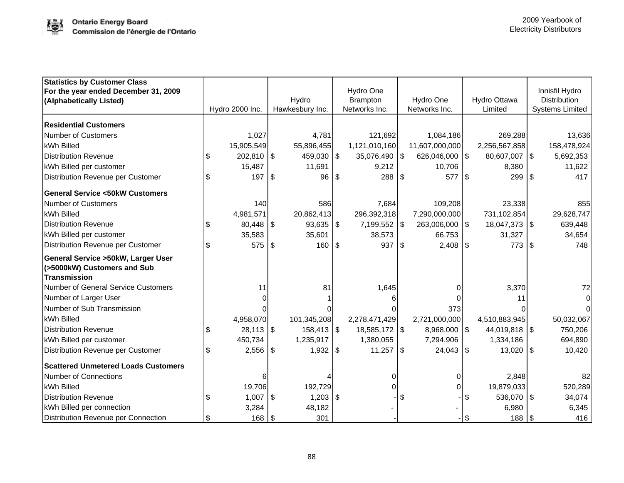

| <b>Statistics by Customer Class</b><br>For the year ended December 31, 2009              |    |                 |            |                 |            | Hydro One       |                         |                        |            |                 | Innisfil Hydro         |
|------------------------------------------------------------------------------------------|----|-----------------|------------|-----------------|------------|-----------------|-------------------------|------------------------|------------|-----------------|------------------------|
| (Alphabetically Listed)                                                                  |    |                 |            | Hydro           |            | <b>Brampton</b> |                         | Hydro One              |            | Hydro Ottawa    | <b>Distribution</b>    |
|                                                                                          |    | Hydro 2000 Inc. |            | Hawkesbury Inc. |            | Networks Inc.   |                         | Networks Inc.          |            | Limited         | <b>Systems Limited</b> |
| <b>Residential Customers</b>                                                             |    |                 |            |                 |            |                 |                         |                        |            |                 |                        |
| <b>Number of Customers</b>                                                               |    | 1,027           |            | 4,781           |            | 121,692         |                         | 1,084,186              |            | 269,288         | 13,636                 |
| kWh Billed                                                                               |    | 15,905,549      |            | 55,896,455      |            | 1,121,010,160   |                         | 11,607,000,000         |            | 2,256,567,858   | 158,478,924            |
| <b>Distribution Revenue</b>                                                              | \$ | $202,810$ \\$   |            | 459,030 \$      |            | 35,076,490 \$   |                         | 626,046,000 $\vert$ \$ |            | 80,607,007 \$   | 5,692,353              |
| kWh Billed per customer                                                                  |    | 15,487          |            | 11,691          |            | 9,212           |                         | 10,706                 |            | 8,380           | 11,622                 |
| Distribution Revenue per Customer                                                        | \$ | 197             | l \$       | 96              | $\sqrt{2}$ | 288 \$          |                         | 577                    | $\sqrt{3}$ | $299$ \\$       | 417                    |
| <b>General Service &lt;50kW Customers</b>                                                |    |                 |            |                 |            |                 |                         |                        |            |                 |                        |
| <b>Number of Customers</b>                                                               |    | 140             |            | 586             |            | 7,684           |                         | 109,208                |            | 23,338          | 855                    |
| kWh Billed                                                                               |    | 4,981,571       |            | 20,862,413      |            | 296,392,318     |                         | 7,290,000,000          |            | 731,102,854     | 29,628,747             |
| <b>Distribution Revenue</b>                                                              | \$ | 80,448          | $\sqrt{ }$ | $93,635$ \$     |            | 7,199,552   \$  |                         | 263,006,000 \$         |            | 18,047,373   \$ | 639,448                |
| kWh Billed per customer                                                                  |    | 35,583          |            | 35,601          |            | 38,573          |                         | 66,753                 |            | 31,327          | 34,654                 |
| Distribution Revenue per Customer                                                        | S  | 575             | $\sqrt{3}$ | 160 \$          |            | 937             | $\sqrt[6]{\frac{1}{2}}$ | 2,408                  | $\sqrt{3}$ | $773$ \ $$$     | 748                    |
| General Service >50kW, Larger User<br>(>5000kW) Customers and Sub<br><b>Transmission</b> |    |                 |            |                 |            |                 |                         |                        |            |                 |                        |
| Number of General Service Customers                                                      |    | 11              |            | 81              |            | 1,645           |                         |                        |            | 3,370           | 72                     |
| Number of Larger User                                                                    |    |                 |            |                 |            |                 |                         |                        |            | 11              | $\overline{0}$         |
| Number of Sub Transmission                                                               |    |                 |            |                 |            |                 |                         | 373                    |            |                 | $\Omega$               |
| kWh Billed                                                                               |    | 4,958,070       |            | 101,345,208     |            | 2,278,471,429   |                         | 2,721,000,000          |            | 4,510,883,945   | 50,032,067             |
| <b>Distribution Revenue</b>                                                              | \$ | 28,113          | $\sqrt{3}$ | $158,413$ \\$   |            | 18,585,172   \$ |                         | $8,968,000$ \$         |            | 44,019,818   \$ | 750,206                |
| kWh Billed per customer                                                                  |    | 450,734         |            | 1,235,917       |            | 1,380,055       |                         | 7,294,906              |            | 1,334,186       | 694,890                |
| Distribution Revenue per Customer                                                        | \$ | 2,556           | $\sqrt{3}$ | $1,932$ \$      |            | $11,257$ \\$    |                         | $24,043$ \$            |            | $13,020$ \\$    | 10,420                 |
| <b>Scattered Unmetered Loads Customers</b>                                               |    |                 |            |                 |            |                 |                         |                        |            |                 |                        |
| <b>Number of Connections</b>                                                             |    |                 |            |                 |            |                 |                         |                        |            | 2,848           | 82                     |
| kWh Billed                                                                               |    | 19,706          |            | 192,729         |            |                 |                         | 0                      |            | 19,879,033      | 520,289                |
| <b>Distribution Revenue</b>                                                              | \$ | $1,007$ \\ \$   |            |                 |            |                 | \$                      |                        | \$         | 536,070 \$      | 34,074                 |
| kWh Billed per connection                                                                |    | 3,284           |            | 48,182          |            |                 |                         |                        |            | 6,980           | 6,345                  |
| Distribution Revenue per Connection                                                      | \$ | $168$ \$        |            | 301             |            |                 |                         |                        | -\$        | $188$ \\$       | 416                    |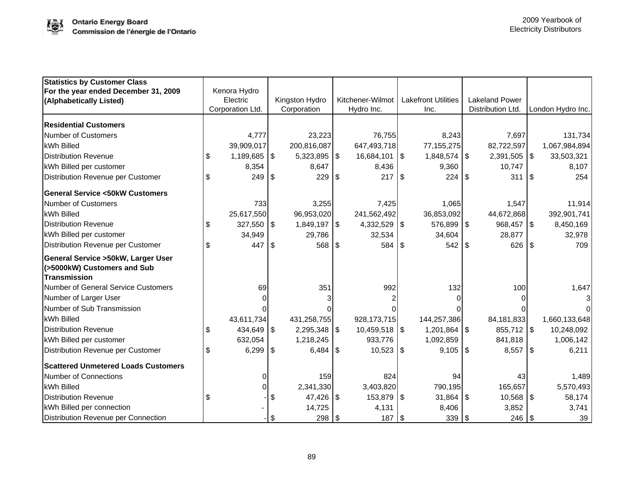

| <b>Statistics by Customer Class</b>        |                     |            |                 |            |                  |    |                            |                       |            |                   |
|--------------------------------------------|---------------------|------------|-----------------|------------|------------------|----|----------------------------|-----------------------|------------|-------------------|
| For the year ended December 31, 2009       | Kenora Hydro        |            |                 |            |                  |    |                            |                       |            |                   |
| (Alphabetically Listed)                    | Electric            |            | Kingston Hydro  |            | Kitchener-Wilmot |    | <b>Lakefront Utilities</b> | <b>Lakeland Power</b> |            |                   |
|                                            | Corporation Ltd.    |            | Corporation     |            | Hydro Inc.       |    | Inc.                       | Distribution Ltd.     |            | London Hydro Inc. |
| <b>Residential Customers</b>               |                     |            |                 |            |                  |    |                            |                       |            |                   |
| Number of Customers                        | 4,777               |            | 23,223          |            | 76,755           |    | 8,243                      | 7,697                 |            | 131,734           |
| kWh Billed                                 | 39,909,017          |            | 200,816,087     |            | 647,493,718      |    | 77, 155, 275               | 82,722,597            |            | 1,067,984,894     |
| <b>Distribution Revenue</b>                | \$<br>1,189,685     | $\sqrt{ }$ | $5,323,895$ \\$ |            | 16,684,101   \$  |    | $1,848,574$ \\$            | $2,391,505$ \\$       |            | 33,503,321        |
| kWh Billed per customer                    | 8,354               |            | 8,647           |            | 8,436            |    | 9,360                      | 10,747                |            | 8,107             |
| Distribution Revenue per Customer          | \$<br>249           | $\sqrt{3}$ | 229             | 1\$        | 217              | \$ | $224$ \\$                  | 311                   | $\sqrt{3}$ | 254               |
| <b>General Service &lt;50kW Customers</b>  |                     |            |                 |            |                  |    |                            |                       |            |                   |
| Number of Customers                        | 733                 |            | 3,255           |            | 7,425            |    | 1,065                      | 1,547                 |            | 11,914            |
| kWh Billed                                 | 25,617,550          |            | 96,953,020      |            | 241,562,492      |    | 36,853,092                 | 44,672,868            |            | 392,901,741       |
| <b>Distribution Revenue</b>                | \$<br>$327,550$ \\$ |            | $1,849,197$ \\$ |            | 4,332,529        | \$ | 576,899 \$                 | $968,457$ \$          |            | 8,450,169         |
| kWh Billed per customer                    | 34,949              |            | 29,786          |            | 32,534           |    | 34,604                     | 28,877                |            | 32,978            |
| Distribution Revenue per Customer          | \$<br>447           | <b>S</b>   | 568             | \$         | 584              | \$ | $542$ \ $$$                | $626$ \ \$            |            | 709               |
| General Service >50kW, Larger User         |                     |            |                 |            |                  |    |                            |                       |            |                   |
| (>5000kW) Customers and Sub                |                     |            |                 |            |                  |    |                            |                       |            |                   |
| <b>Transmission</b>                        |                     |            |                 |            |                  |    |                            |                       |            |                   |
| Number of General Service Customers        | 69                  |            | 351             |            | 992              |    | 132                        | 100                   |            | 1,647             |
| Number of Larger User                      | $\Omega$            |            |                 |            |                  |    |                            |                       |            | 3                 |
| Number of Sub Transmission                 |                     |            |                 |            |                  |    |                            |                       |            |                   |
| <b>kWh Billed</b>                          | 43,611,734          |            | 431,258,755     |            | 928, 173, 715    |    | 144,257,386                | 84, 181, 833          |            | 1,660,133,648     |
| <b>Distribution Revenue</b>                | \$<br>434,649       | 1\$        | 2,295,348       | $\sqrt{3}$ | $10,459,518$ \\$ |    | $1,201,864$ \$             | $855,712$ \$          |            | 10,248,092        |
| kWh Billed per customer                    | 632,054             |            | 1,218,245       |            | 933,776          |    | 1,092,859                  | 841,818               |            | 1,006,142         |
| Distribution Revenue per Customer          | \$<br>6,299         | 1\$        | $6,484$ \\$     |            | $10,523$ \$      |    | $9,105$ \$                 |                       |            | 6,211             |
| <b>Scattered Unmetered Loads Customers</b> |                     |            |                 |            |                  |    |                            |                       |            |                   |
| Number of Connections                      | 0                   |            | 159             |            | 824              |    | 94                         | 43                    |            | 1,489             |
| kWh Billed                                 | $\Omega$            |            | 2,341,330       |            | 3,403,820        |    | 790,195                    | 165,657               |            | 5,570,493         |
| <b>Distribution Revenue</b>                | \$                  | l \$       | $47,426$ \\$    |            | 153,879          | \$ | $31,864$ \$                | $10,568$ \$           |            | 58,174            |
| kWh Billed per connection                  |                     |            | 14,725          |            | 4,131            |    | 8,406                      | 3,852                 |            | 3,741             |
| Distribution Revenue per Connection        |                     | - \$       | $298$ \\$       |            | 187              | \$ | 339 \$                     | $246$ \ \$            |            | 39                |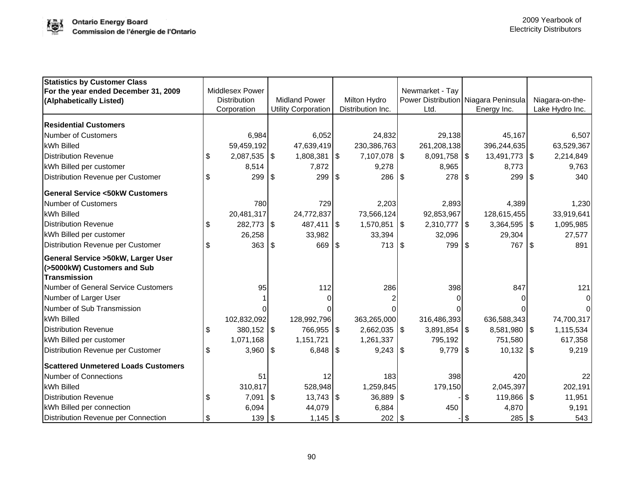

| <b>Statistics by Customer Class</b>                               |                     |            |                            |            |                   |                 |           |                                      |            |                 |
|-------------------------------------------------------------------|---------------------|------------|----------------------------|------------|-------------------|-----------------|-----------|--------------------------------------|------------|-----------------|
| For the year ended December 31, 2009                              | Middlesex Power     |            |                            |            |                   | Newmarket - Tay |           |                                      |            |                 |
| (Alphabetically Listed)                                           | <b>Distribution</b> |            | <b>Midland Power</b>       |            | Milton Hydro      |                 |           | Power Distribution Niagara Peninsula |            | Niagara-on-the- |
|                                                                   | Corporation         |            | <b>Utility Corporation</b> |            | Distribution Inc. | Ltd.            |           | Energy Inc.                          |            | Lake Hydro Inc. |
| <b>Residential Customers</b>                                      |                     |            |                            |            |                   |                 |           |                                      |            |                 |
| <b>Number of Customers</b>                                        | 6,984               |            | 6,052                      |            | 24,832            | 29,138          |           | 45,167                               |            | 6,507           |
| kWh Billed                                                        | 59,459,192          |            | 47,639,419                 |            | 230,386,763       | 261,208,138     |           | 396,244,635                          |            | 63,529,367      |
| <b>Distribution Revenue</b>                                       | \$<br>2,087,535     | 1\$        | $1,808,381$ \\$            |            | 7,107,078   \$    | $8,091,758$ \\$ |           | 13,491,773   \$                      |            | 2,214,849       |
| kWh Billed per customer                                           | 8,514               |            | 7,872                      |            | 9,278             | 8,965           |           | 8,773                                |            | 9,763           |
| Distribution Revenue per Customer                                 | \$<br>299           | \$         | 299                        | $\sqrt{3}$ | $286$ \\$         | $278$ \$        |           | $299$ \\$                            |            | 340             |
| <b>General Service &lt;50kW Customers</b>                         |                     |            |                            |            |                   |                 |           |                                      |            |                 |
| <b>Number of Customers</b>                                        | 780                 |            | 729                        |            | 2,203             | 2,893           |           | 4,389                                |            | 1,230           |
| kWh Billed                                                        | 20,481,317          |            | 24,772,837                 |            | 73,566,124        | 92,853,967      |           | 128,615,455                          |            | 33,919,641      |
| <b>Distribution Revenue</b>                                       | \$<br>282,773 \$    |            | $487,411$ \\$              |            | $1,570,851$ \\$   | $2,310,777$ \\$ |           | $3,364,595$ \$                       |            | 1,095,985       |
| kWh Billed per customer                                           | 26,258              |            | 33,982                     |            | 33,394            | 32,096          |           | 29,304                               |            | 27,577          |
| Distribution Revenue per Customer                                 | \$<br>363           | \$         | 669                        | l\$        | $713$ \$          | 799             | <b>\$</b> | 767                                  | $\sqrt{3}$ | 891             |
| General Service >50kW, Larger User<br>(>5000kW) Customers and Sub |                     |            |                            |            |                   |                 |           |                                      |            |                 |
| <b>Transmission</b>                                               |                     |            |                            |            |                   |                 |           |                                      |            |                 |
| Number of General Service Customers                               | 95                  |            | 112                        |            | 286               | 398             |           | 847                                  |            | 121             |
| Number of Larger User                                             |                     |            |                            |            |                   |                 |           |                                      |            |                 |
| Number of Sub Transmission                                        |                     |            |                            |            |                   |                 |           |                                      |            |                 |
| kWh Billed                                                        | 102,832,092         |            | 128,992,796                |            | 363,265,000       | 316,486,393     |           | 636,588,343                          |            | 74,700,317      |
| <b>Distribution Revenue</b>                                       | \$<br>$380,152$ \\$ |            | 766,955 \$                 |            | $2,662,035$ \\$   | $3,891,854$ \\$ |           | 8,581,980   \$                       |            | 1,115,534       |
| kWh Billed per customer                                           | 1,071,168           |            | 1,151,721                  |            | 1,261,337         | 795,192         |           | 751,580                              |            | 617,358         |
| Distribution Revenue per Customer                                 | \$<br>$3,960$ \ \$  |            | $6,848$ \\$                |            |                   | $9,779$ \$      |           | $10,132$ \\$                         |            | 9,219           |
| <b>Scattered Unmetered Loads Customers</b>                        |                     |            |                            |            |                   |                 |           |                                      |            |                 |
| <b>Number of Connections</b>                                      | 51                  |            | 12                         |            | 183               | 398             |           | 420                                  |            | 22              |
| kWh Billed                                                        | 310,817             |            | 528,948                    |            | 1,259,845         | 179,150         |           | 2,045,397                            |            | 202,191         |
| <b>Distribution Revenue</b>                                       | \$<br>7,091         | 1\$        | $13,743$ \\$               |            | $36,889$ \$       |                 | \$        | 119,866 \$                           |            | 11,951          |
| kWh Billed per connection                                         | 6,094               |            | 44,079                     |            | 6,884             | 450             |           | 4,870                                |            | 9,191           |
| Distribution Revenue per Connection                               | \$<br>139           | $\sqrt{3}$ | $1,145$ \\$                |            | $202$ \$          |                 | \$        | $285$ \$                             |            | 543             |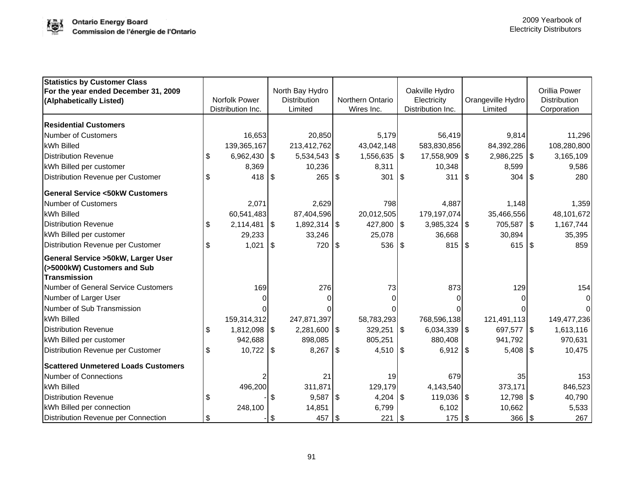

| <b>Statistics by Customer Class</b>                |    |                   |               |                     |                  |            |                   |                   |                      |
|----------------------------------------------------|----|-------------------|---------------|---------------------|------------------|------------|-------------------|-------------------|----------------------|
| For the year ended December 31, 2009               |    |                   |               | North Bay Hydro     |                  |            | Oakville Hydro    |                   | <b>Orillia Power</b> |
| (Alphabetically Listed)                            |    | Norfolk Power     |               | <b>Distribution</b> | Northern Ontario |            | Electricity       | Orangeville Hydro | <b>Distribution</b>  |
|                                                    |    | Distribution Inc. |               | Limited             | Wires Inc.       |            | Distribution Inc. | Limited           | Corporation          |
| <b>Residential Customers</b>                       |    |                   |               |                     |                  |            |                   |                   |                      |
| <b>Number of Customers</b>                         |    | 16,653            |               | 20,850              | 5,179            |            | 56,419            | 9,814             | 11,296               |
| kWh Billed                                         |    | 139,365,167       |               | 213,412,762         | 43,042,148       |            | 583,830,856       | 84,392,286        | 108,280,800          |
| <b>Distribution Revenue</b>                        | \$ | 6,962,430         | $\sqrt{3}$    | $5,534,543$ \\$     | $1,556,635$ \\$  |            | 17,558,909 \$     | $2,986,225$ \\$   | 3,165,109            |
| kWh Billed per customer                            |    | 8,369             |               | 10,236              | 8,311            |            | 10,348            | 8,599             | 9,586                |
| Distribution Revenue per Customer                  | \$ | 418               | $\frac{1}{2}$ | $265$ \$            | 301              | $\sqrt{3}$ | $311$ \\$         | $304$ \\$         | 280                  |
| <b>General Service &lt;50kW Customers</b>          |    |                   |               |                     |                  |            |                   |                   |                      |
| <b>Number of Customers</b>                         |    | 2,071             |               | 2,629               | 798              |            | 4,887             | 1,148             | 1,359                |
| kWh Billed                                         |    | 60,541,483        |               | 87,404,596          | 20,012,505       |            | 179,197,074       | 35,466,556        | 48,101,672           |
| <b>Distribution Revenue</b>                        | \$ | 2,114,481         | $\sqrt{3}$    | $1,892,314$ \\$     | 427,800 \$       |            | $3,985,324$ \\$   | 705,587 \$        | 1,167,744            |
| kWh Billed per customer                            |    | 29,233            |               | 33,246              | 25,078           |            | 36,668            | 30,894            | 35,395               |
| Distribution Revenue per Customer                  | \$ | 1,021             | <b>S</b>      | 720 \$              | $536$ \\$        |            | $815$ \$          | $615$ \\$         | 859                  |
| General Service > 50kW, Larger User                |    |                   |               |                     |                  |            |                   |                   |                      |
| (>5000kW) Customers and Sub<br><b>Transmission</b> |    |                   |               |                     |                  |            |                   |                   |                      |
| Number of General Service Customers                |    | 169               |               | 276                 | 73               |            | 873               | 129               | 154                  |
| Number of Larger User                              |    |                   |               |                     | $\Omega$         |            |                   |                   |                      |
| Number of Sub Transmission                         |    |                   |               |                     |                  |            |                   |                   |                      |
| kWh Billed                                         |    | 159,314,312       |               | 247,871,397         | 58,783,293       |            | 768,596,138       | 121,491,113       | 149,477,236          |
| <b>Distribution Revenue</b>                        | \$ | 1,812,098         | $\sqrt{3}$    | $2,281,600$ \\$     | $329,251$ \\$    |            | $6,034,339$ \\$   | 697,577 \$        | 1,613,116            |
| kWh Billed per customer                            |    | 942,688           |               | 898,085             | 805,251          |            | 880,408           | 941,792           | 970,631              |
| Distribution Revenue per Customer                  | S  | 10,722            | 1\$           |                     | $4,510$ \\$      |            | $6,912$ \$        | $5,408$ \\$       | 10,475               |
| <b>Scattered Unmetered Loads Customers</b>         |    |                   |               |                     |                  |            |                   |                   |                      |
| <b>Number of Connections</b>                       |    |                   |               | 21                  | 19               |            | 679               | 35                | 153                  |
| kWh Billed                                         |    | 496,200           |               | 311,871             | 129,179          |            | 4,143,540         | 373,171           | 846,523              |
| <b>Distribution Revenue</b>                        | \$ |                   | \$            | $9,587$ \$          | $4,204$ \$       |            | $119,036$ \$      | $12,798$ \\$      | 40,790               |
| kWh Billed per connection                          |    | 248,100           |               | 14,851              | 6,799            |            | 6,102             | 10,662            | 5,533                |
| Distribution Revenue per Connection                | \$ |                   | \$            | 457 \$              | 221              | $\sqrt{3}$ | $175$ \$          | $366$ \$          | 267                  |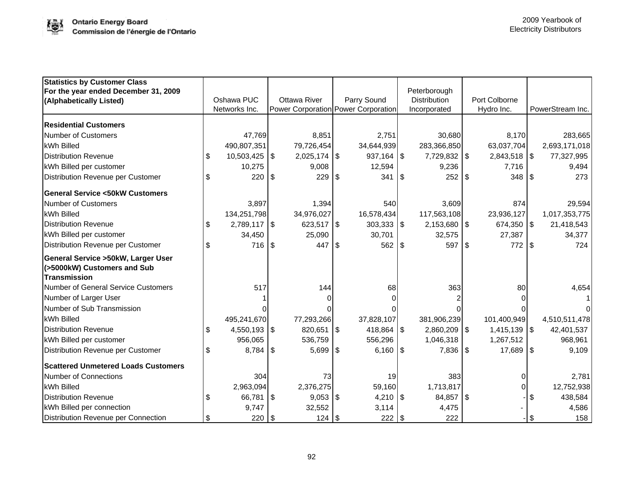

| <b>Statistics by Customer Class</b>                |                       |            |                       |    |                                     |               |                     |                 |                  |
|----------------------------------------------------|-----------------------|------------|-----------------------|----|-------------------------------------|---------------|---------------------|-----------------|------------------|
| For the year ended December 31, 2009               |                       |            |                       |    |                                     |               | Peterborough        |                 |                  |
| (Alphabetically Listed)                            | Oshawa PUC            |            | <b>Ottawa River</b>   |    | Parry Sound                         |               | <b>Distribution</b> | Port Colborne   |                  |
|                                                    | Networks Inc.         |            |                       |    | Power Corporation Power Corporation |               | Incorporated        | Hydro Inc.      | PowerStream Inc. |
| <b>Residential Customers</b>                       |                       |            |                       |    |                                     |               |                     |                 |                  |
| <b>Number of Customers</b>                         | 47,769                |            | 8,851                 |    | 2,751                               |               | 30,680              | 8,170           | 283,665          |
| kWh Billed                                         | 490,807,351           |            | 79,726,454            |    | 34,644,939                          |               | 283,366,850         | 63,037,704      | 2,693,171,018    |
| <b>Distribution Revenue</b>                        | \$<br>$10,503,425$ \$ |            | $2,025,174$ \$        |    | $937,164$ \\$                       |               | 7,729,832   \$      | $2,843,518$ \\$ | 77,327,995       |
| kWh Billed per customer                            | 10,275                |            | 9,008                 |    | 12,594                              |               | 9,236               | 7,716           | 9,494            |
| Distribution Revenue per Customer                  | \$<br>220             | \$         | 229                   | \$ | 341                                 | $\frac{1}{2}$ | $252$ \$            | 348 \$          | 273              |
| <b>General Service &lt;50kW Customers</b>          |                       |            |                       |    |                                     |               |                     |                 |                  |
| <b>Number of Customers</b>                         | 3,897                 |            | 1,394                 |    | 540                                 |               | 3,609               | 874             | 29,594           |
| kWh Billed                                         | 134,251,798           |            | 34,976,027            |    | 16,578,434                          |               | 117,563,108         | 23,936,127      | 1,017,353,775    |
| <b>Distribution Revenue</b>                        | \$<br>$2,789,117$ \$  |            | 623,517 $\frac{1}{3}$ |    | $303,333$ \$                        |               | 2,153,680   \$      | 674,350 \$      | 21,418,543       |
| kWh Billed per customer                            | 34,450                |            | 25,090                |    | 30,701                              |               | 32,575              | 27,387          | 34,377           |
| Distribution Revenue per Customer                  | \$<br>716             | ۱\$        | 447                   | \$ | $562$ \$                            |               | $597$ \$            | $772$ \\$       | 724              |
| General Service >50kW, Larger User                 |                       |            |                       |    |                                     |               |                     |                 |                  |
| (>5000kW) Customers and Sub<br><b>Transmission</b> |                       |            |                       |    |                                     |               |                     |                 |                  |
| Number of General Service Customers                | 517                   |            | 144                   |    | 68                                  |               | 363                 | 80              | 4,654            |
| Number of Larger User                              |                       |            |                       |    |                                     |               |                     |                 |                  |
| Number of Sub Transmission                         |                       |            |                       |    |                                     |               |                     |                 |                  |
| kWh Billed                                         | 495,241,670           |            | 77,293,266            |    | 37,828,107                          |               | 381,906,239         | 101,400,949     | 4,510,511,478    |
| <b>Distribution Revenue</b>                        | \$<br>$4,550,193$ \$  |            | $820,651$ \\$         |    | 418,864                             | $\sqrt{3}$    | $2,860,209$ \\$     | $1,415,139$ \\$ | 42,401,537       |
| kWh Billed per customer                            | 956,065               |            | 536,759               |    | 556,296                             |               | 1,046,318           | 1,267,512       | 968,961          |
| Distribution Revenue per Customer                  | \$<br>$8,784$ \\$     |            | $5,699$ \\$           |    | $6,160$ \\$                         |               | $7,836$ \\$         | $17,689$ \\$    | 9,109            |
| <b>Scattered Unmetered Loads Customers</b>         |                       |            |                       |    |                                     |               |                     |                 |                  |
| <b>Number of Connections</b>                       | 304                   |            | 73                    |    | 19                                  |               | 383                 |                 | 2,781            |
| kWh Billed                                         | 2,963,094             |            | 2,376,275             |    | 59,160                              |               | 1,713,817           |                 | 12,752,938       |
| <b>Distribution Revenue</b>                        | \$<br>66,781          | $\sqrt{3}$ | $9,053$ \$            |    | $4,210$ \$                          |               | $84,857$ \\$        |                 | \$<br>438,584    |
| kWh Billed per connection                          | 9,747                 |            | 32,552                |    | 3,114                               |               | 4,475               |                 | 4,586            |
| Distribution Revenue per Connection                | \$<br>220             | \$         | $124$ \$              |    | $222$ \$                            |               | 222                 |                 | \$<br>158        |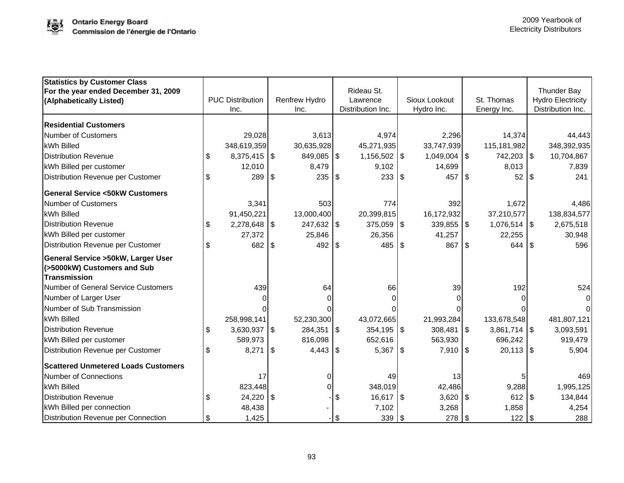

| <b>Statistics by Customer Class</b>        |                         |            |               |            |                        |      |                |            |                 |                                                |
|--------------------------------------------|-------------------------|------------|---------------|------------|------------------------|------|----------------|------------|-----------------|------------------------------------------------|
| For the year ended December 31, 2009       | <b>PUC Distribution</b> |            | Renfrew Hydro |            | Rideau St.<br>Lawrence |      | Sioux Lookout  |            | St. Thomas      | <b>Thunder Bay</b><br><b>Hydro Electricity</b> |
| (Alphabetically Listed)                    | Inc.                    |            | Inc.          |            | Distribution Inc.      |      | Hydro Inc.     |            | Energy Inc.     | Distribution Inc.                              |
|                                            |                         |            |               |            |                        |      |                |            |                 |                                                |
| <b>Residential Customers</b>               |                         |            |               |            |                        |      |                |            |                 |                                                |
| <b>Number of Customers</b>                 | 29,028                  |            | 3,613         |            | 4,974                  |      | 2,296          |            | 14,374          | 44,443                                         |
| kWh Billed                                 | 348,619,359             |            | 30,635,928    |            | 45,271,935             |      | 33,747,939     |            | 115,181,982     | 348,392,935                                    |
| <b>Distribution Revenue</b>                | \$<br>$8,375,415$ \\$   |            | 849,085 \$    |            | $1,156,502$ \\$        |      | $1,049,004$ \$ |            | 742,203 \$      | 10,704,867                                     |
| kWh Billed per customer                    | 12,010                  |            | 8,479         |            | 9,102                  |      | 14,699         |            | 8,013           | 7,839                                          |
| Distribution Revenue per Customer          | \$<br>289               | $\sqrt{ }$ | 235           | \$         | $233  $ \$             |      | 457            | <b>S</b>   | $52$   \$       | 241                                            |
| <b>General Service &lt;50kW Customers</b>  |                         |            |               |            |                        |      |                |            |                 |                                                |
| <b>Number of Customers</b>                 | 3,341                   |            | 503           |            | 774                    |      | 392            |            | 1,672           | 4,486                                          |
| kWh Billed                                 | 91,450,221              |            | 13,000,400    |            | 20,399,815             |      | 16,172,932     |            | 37,210,577      | 138,834,577                                    |
| <b>Distribution Revenue</b>                | \$<br>$2,278,648$ \\$   |            | 247,632 \$    |            | $375,059$ \$           |      | $339,855$ \$   |            | $1,076,514$ \\$ | 2,675,518                                      |
| kWh Billed per customer                    | 27,372                  |            | 25,846        |            | 26,356                 |      | 41,257         |            | 22,255          | 30,948                                         |
| Distribution Revenue per Customer          | \$<br>682               | $\sqrt{3}$ | 492           | $\sqrt{3}$ | 485                    | l \$ | 867            | l \$       | $644$ \ \$      | 596                                            |
| General Service > 50kW, Larger User        |                         |            |               |            |                        |      |                |            |                 |                                                |
| (>5000kW) Customers and Sub                |                         |            |               |            |                        |      |                |            |                 |                                                |
| <b>Transmission</b>                        |                         |            |               |            |                        |      |                |            |                 |                                                |
| Number of General Service Customers        | 439                     |            | 64            |            | 66                     |      | 39             |            | 192             | 524                                            |
| Number of Larger User                      |                         |            |               |            |                        |      |                |            |                 | $\Omega$                                       |
| Number of Sub Transmission                 |                         |            |               |            |                        |      |                |            |                 | $\Omega$                                       |
| kWh Billed                                 | 258,998,141             |            | 52,230,300    |            | 43,072,665             |      | 21,993,284     |            | 133,678,548     | 481,807,121                                    |
| <b>Distribution Revenue</b>                | \$<br>$3,630,937$ \\$   |            | $284,351$ \$  |            | $354,195$ \$           |      | $308,481$ \$   |            | $3,861,714$ \$  | 3,093,591                                      |
| kWh Billed per customer                    | 589,973                 |            | 816,098       |            | 652,616                |      | 563,930        |            | 696,242         | 919,479                                        |
| Distribution Revenue per Customer          | \$<br>8,271             | $\sqrt{3}$ |               |            | $5,367$ \\$            |      | $7,910$ \$     |            | $20,113$ \\$    | 5,904                                          |
| <b>Scattered Unmetered Loads Customers</b> |                         |            |               |            |                        |      |                |            |                 |                                                |
| Number of Connections                      | 17                      |            | 0             |            | 49                     |      | 13             |            |                 | 469                                            |
| kWh Billed                                 | 823,448                 |            | U.            |            | 348,019                |      | 42,486         |            | 9,288           | 1,995,125                                      |
| <b>Distribution Revenue</b>                | \$<br>$24,220$ \$       |            |               | \$         | $16,617$ \$            |      | $3,620$ \$     |            | $612$ \$        | 134,844                                        |
| kWh Billed per connection                  | 48,438                  |            |               |            | 7,102                  |      | 3,268          |            | 1,858           | 4,254                                          |
| Distribution Revenue per Connection        | \$<br>1,425             |            |               | \$         | $339$ \$               |      | 278            | $\sqrt{ }$ | $122$ \\$       | 288                                            |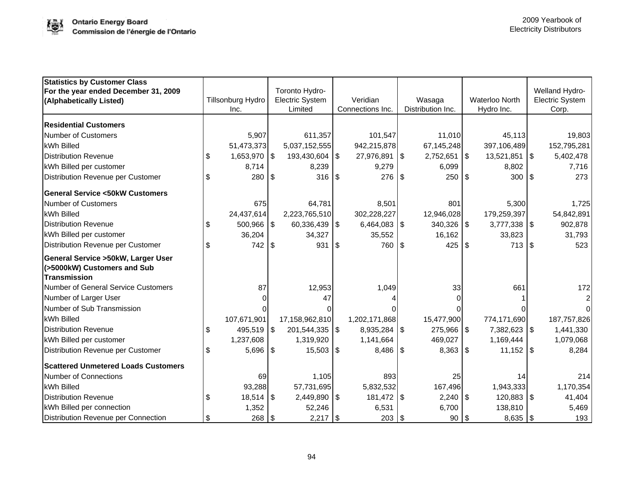

| <b>Statistics by Customer Class</b>                |                           |            |                                   |                              |                |                             |            |                                     |                                 |
|----------------------------------------------------|---------------------------|------------|-----------------------------------|------------------------------|----------------|-----------------------------|------------|-------------------------------------|---------------------------------|
| For the year ended December 31, 2009               |                           |            | Toronto Hydro-                    |                              |                |                             |            |                                     | Welland Hydro-                  |
| (Alphabetically Listed)                            | Tillsonburg Hydro<br>Inc. |            | <b>Electric System</b><br>Limited | Veridian<br>Connections Inc. |                | Wasaga<br>Distribution Inc. |            | <b>Waterloo North</b><br>Hydro Inc. | <b>Electric System</b><br>Corp. |
|                                                    |                           |            |                                   |                              |                |                             |            |                                     |                                 |
| <b>Residential Customers</b>                       |                           |            |                                   |                              |                |                             |            |                                     |                                 |
| Number of Customers                                | 5,907                     |            | 611,357                           | 101,547                      |                | 11,010                      |            | 45,113                              | 19,803                          |
| kWh Billed                                         | 51,473,373                |            | 5,037,152,555                     | 942,215,878                  |                | 67,145,248                  |            | 397,106,489                         | 152,795,281                     |
| <b>Distribution Revenue</b>                        | \$<br>1,653,970   \$      |            | 193,430,604   \$                  | 27,976,891   \$              |                | $2,752,651$   \$            |            | $13,521,851$ \\$                    | 5,402,478                       |
| kWh Billed per customer                            | 8,714                     |            | 8,239                             | 9,279                        |                | 6,099                       |            | 8,802                               | 7,716                           |
| Distribution Revenue per Customer                  | \$<br>280                 | \$         | $316$ \$                          | 276                          | \$             | 250                         | $\sqrt{2}$ | $300$ \\$                           | 273                             |
| <b>General Service &lt;50kW Customers</b>          |                           |            |                                   |                              |                |                             |            |                                     |                                 |
| Number of Customers                                | 675                       |            | 64,781                            | 8,501                        |                | 801                         |            | 5,300                               | 1,725                           |
| kWh Billed                                         | 24,437,614                |            | 2,223,765,510                     | 302,228,227                  |                | 12,946,028                  |            | 179,259,397                         | 54,842,891                      |
| Distribution Revenue                               | \$<br>$500,966$ \$        |            | $60,336,439$ \\$                  | $6,464,083$ \\$              |                | $340,326$ \$                |            | $3,777,338$ \\$                     | 902,878                         |
| kWh Billed per customer                            | 36,204                    |            | 34,327                            | 35,552                       |                | 16,162                      |            | 33,823                              | 31,793                          |
| Distribution Revenue per Customer                  | \$<br>742                 | 1\$        | 931                               | \$<br>760                    | $\mathfrak{s}$ | 425                         | <b>\$</b>  | $713$ \\$                           | 523                             |
| General Service >50kW, Larger User                 |                           |            |                                   |                              |                |                             |            |                                     |                                 |
| (>5000kW) Customers and Sub<br><b>Transmission</b> |                           |            |                                   |                              |                |                             |            |                                     |                                 |
| Number of General Service Customers                | 87                        |            | 12,953                            | 1,049                        |                | 33                          |            | 661                                 | 172                             |
| Number of Larger User                              |                           |            | 47                                |                              |                |                             |            |                                     | $\overline{2}$                  |
| Number of Sub Transmission                         |                           |            | 0                                 |                              |                |                             |            |                                     | $\Omega$                        |
| <b>kWh Billed</b>                                  | 107,671,901               |            | 17,158,962,810                    | 1,202,171,868                |                | 15,477,900                  |            | 774,171,690                         | 187,757,826                     |
| <b>Distribution Revenue</b>                        | \$<br>$495,519$ \\$       |            | 201,544,335   \$                  | 8,935,284   \$               |                | $275,966$ \$                |            | 7,382,623 \$                        | 1,441,330                       |
| kWh Billed per customer                            | 1,237,608                 |            | 1,319,920                         | 1,141,664                    |                | 469,027                     |            | 1,169,444                           | 1,079,068                       |
| Distribution Revenue per Customer                  | \$<br>$5,696$ \$          |            | $15,503$ \\$                      | $8,486$ \ \ \$               |                | $8,363$ \$                  |            | $11,152$ \\$                        | 8,284                           |
| <b>Scattered Unmetered Loads Customers</b>         |                           |            |                                   |                              |                |                             |            |                                     |                                 |
| Number of Connections                              | 69                        |            | 1,105                             | 893                          |                | 25                          |            | 14                                  | 214                             |
| kWh Billed                                         | 93,288                    |            | 57,731,695                        | 5,832,532                    |                | 167,496                     |            | 1,943,333                           | 1,170,354                       |
| <b>Distribution Revenue</b>                        | \$<br>$18,514$ \$         |            | $2,449,890$ \\$                   | $181,472$ \\$                |                | $2,240$ \$                  |            | 120,883 \$                          | 41,404                          |
| kWh Billed per connection                          | 1,352                     |            | 52,246                            | 6,531                        |                | 6,700                       |            | 138,810                             | 5,469                           |
| Distribution Revenue per Connection                | \$<br>268                 | $\sqrt{3}$ | $2,217$ \$                        | $203$ \$                     |                | 90                          | $\sqrt{2}$ | $8,635$ \$                          | 193                             |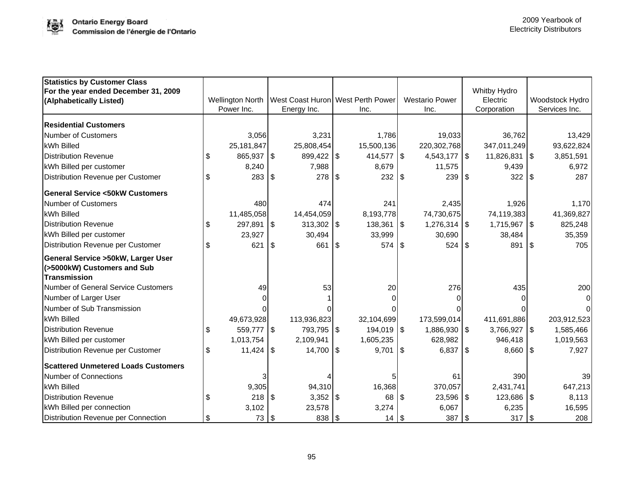

| <b>Statistics by Customer Class</b>                |                         |                |                                   |      |               |            |                       |                  |            |                 |
|----------------------------------------------------|-------------------------|----------------|-----------------------------------|------|---------------|------------|-----------------------|------------------|------------|-----------------|
| For the year ended December 31, 2009               |                         |                |                                   |      |               |            |                       | Whitby Hydro     |            |                 |
| (Alphabetically Listed)                            | <b>Wellington North</b> |                | West Coast Huron West Perth Power |      |               |            | <b>Westario Power</b> | Electric         |            | Woodstock Hydro |
|                                                    | Power Inc.              |                | Energy Inc.                       |      | Inc.          |            | Inc.                  | Corporation      |            | Services Inc.   |
| <b>Residential Customers</b>                       |                         |                |                                   |      |               |            |                       |                  |            |                 |
| <b>Number of Customers</b>                         | 3,056                   |                | 3,231                             |      | 1,786         |            | 19,033                | 36,762           |            | 13,429          |
| kWh Billed                                         | 25, 181, 847            |                | 25,808,454                        |      | 15,500,136    |            | 220,302,768           | 347,011,249      |            | 93,622,824      |
| <b>Distribution Revenue</b>                        | \$<br>$865,937$ \$      |                | 899,422                           | 1\$  | $414,577$ \\$ |            | $4,543,177$ \\$       | $11,826,831$ \\$ |            | 3,851,591       |
| kWh Billed per customer                            | 8,240                   |                | 7,988                             |      | 8,679         |            | 11,575                | 9,439            |            | 6,972           |
| Distribution Revenue per Customer                  | \$<br>283               | l \$           | 278                               | \$   |               |            | $239$ \ \$            |                  |            | 287             |
| <b>General Service &lt;50kW Customers</b>          |                         |                |                                   |      |               |            |                       |                  |            |                 |
| <b>Number of Customers</b>                         | 480                     |                | 474                               |      | 241           |            | 2,435                 | 1,926            |            | 1,170           |
| kWh Billed                                         | 11,485,058              |                | 14,454,059                        |      | 8,193,778     |            | 74,730,675            | 74,119,383       |            | 41,369,827      |
| <b>Distribution Revenue</b>                        | \$<br>297,891   \$      |                | 313,302                           | l\$  | 138,361       | \$         | $1,276,314$ \$        | $1,715,967$ \$   |            | 825,248         |
| kWh Billed per customer                            | 23,927                  |                | 30,494                            |      | 33,999        |            | 30,690                | 38,484           |            | 35,359          |
| Distribution Revenue per Customer                  | \$<br>621               | \$             | 661                               | \$   | 574           | $\sqrt{3}$ | $524$ \\$             | 891              | $\sqrt{3}$ | 705             |
| General Service > 50kW, Larger User                |                         |                |                                   |      |               |            |                       |                  |            |                 |
| (>5000kW) Customers and Sub<br><b>Transmission</b> |                         |                |                                   |      |               |            |                       |                  |            |                 |
| Number of General Service Customers                | 49                      |                | 53                                |      | 20            |            | 276                   | 435              |            | 200             |
| Number of Larger User                              |                         |                |                                   |      |               |            |                       |                  |            | 0               |
| Number of Sub Transmission                         |                         |                |                                   |      |               |            |                       |                  |            |                 |
| kWh Billed                                         | 49,673,928              |                | 113,936,823                       |      | 32,104,699    |            | 173,599,014           | 411,691,886      |            | 203,912,523     |
| <b>Distribution Revenue</b>                        | \$<br>559,777           | $\overline{1}$ | 793,795   \$                      |      | 194,019       | l\$        | 1,886,930 \$          | $3,766,927$ \\$  |            | 1,585,466       |
| kWh Billed per customer                            | 1,013,754               |                | 2,109,941                         |      | 1,605,235     |            | 628,982               | 946,418          |            | 1,019,563       |
| Distribution Revenue per Customer                  | \$                      |                | 14,700                            | l \$ | 9,701         | l\$        | $6,837$ \$            | $8,660$ \ \$     |            | 7,927           |
| <b>Scattered Unmetered Loads Customers</b>         |                         |                |                                   |      |               |            |                       |                  |            |                 |
| <b>Number of Connections</b>                       | 3                       |                |                                   |      |               |            | 61                    | 390              |            | 39              |
| kWh Billed                                         | 9,305                   |                | 94,310                            |      | 16,368        |            | 370,057               | 2,431,741        |            | 647,213         |
| <b>Distribution Revenue</b>                        | \$<br>$218$ \\$         |                | $3,352$ \$                        |      | 68            | \$         | $23,596$ \$           | 123,686   \$     |            | 8,113           |
| kWh Billed per connection                          | 3,102                   |                | 23,578                            |      | 3,274         |            | 6,067                 | 6,235            |            | 16,595          |
| Distribution Revenue per Connection                | \$<br>$73 $ \$          |                | 838                               | \$   | 14            | \$         | $387$ \$              | $317$ \$         |            | 208             |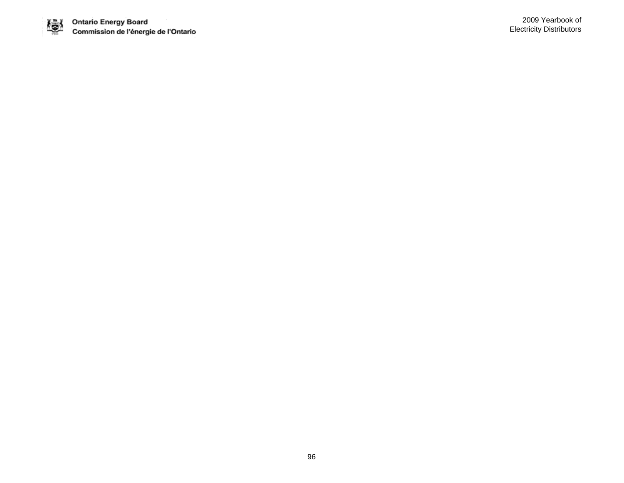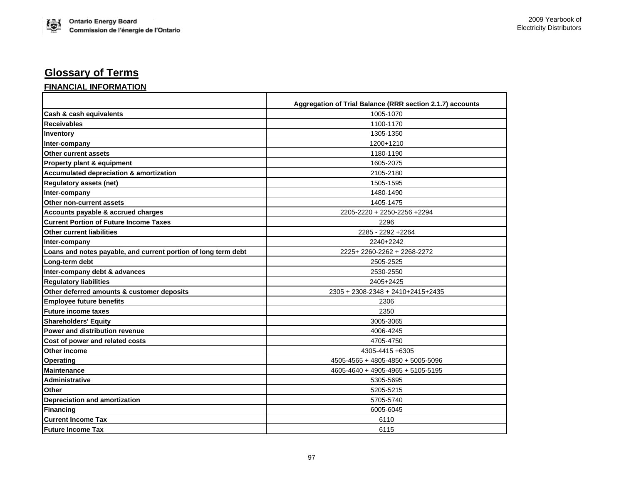

#### **FINANCIAL INFORMATION**

|                                                                | Aggregation of Trial Balance (RRR section 2.1.7) accounts |
|----------------------------------------------------------------|-----------------------------------------------------------|
| Cash & cash equivalents                                        | 1005-1070                                                 |
| <b>Receivables</b>                                             | 1100-1170                                                 |
| Inventory                                                      | 1305-1350                                                 |
| Inter-company                                                  | 1200+1210                                                 |
| <b>Other current assets</b>                                    | 1180-1190                                                 |
| <b>Property plant &amp; equipment</b>                          | 1605-2075                                                 |
| Accumulated depreciation & amortization                        | 2105-2180                                                 |
| <b>Regulatory assets (net)</b>                                 | 1505-1595                                                 |
| Inter-company                                                  | 1480-1490                                                 |
| Other non-current assets                                       | 1405-1475                                                 |
| Accounts payable & accrued charges                             | 2205-2220 + 2250-2256 +2294                               |
| <b>Current Portion of Future Income Taxes</b>                  | 2296                                                      |
| Other current liabilities                                      | 2285 - 2292 + 2264                                        |
| Inter-company                                                  | 2240+2242                                                 |
| Loans and notes payable, and current portion of long term debt | 2225+2260-2262 + 2268-2272                                |
| Long-term debt                                                 | 2505-2525                                                 |
| Inter-company debt & advances                                  | 2530-2550                                                 |
| <b>Regulatory liabilities</b>                                  | 2405+2425                                                 |
| Other deferred amounts & customer deposits                     | 2305 + 2308-2348 + 2410+2415+2435                         |
| <b>Employee future benefits</b>                                | 2306                                                      |
| <b>Future income taxes</b>                                     | 2350                                                      |
| <b>Shareholders' Equity</b>                                    | 3005-3065                                                 |
| <b>Power and distribution revenue</b>                          | 4006-4245                                                 |
| Cost of power and related costs                                | 4705-4750                                                 |
| <b>Other income</b>                                            | 4305-4415 +6305                                           |
| <b>Operating</b>                                               | 4505-4565 + 4805-4850 + 5005-5096                         |
| <b>Maintenance</b>                                             | 4605-4640 + 4905-4965 + 5105-5195                         |
| <b>Administrative</b>                                          | 5305-5695                                                 |
| <b>Other</b>                                                   | 5205-5215                                                 |
| <b>Depreciation and amortization</b>                           | 5705-5740                                                 |
| <b>Financing</b>                                               | 6005-6045                                                 |
| <b>Current Income Tax</b>                                      | 6110                                                      |
| <b>Future Income Tax</b>                                       | 6115                                                      |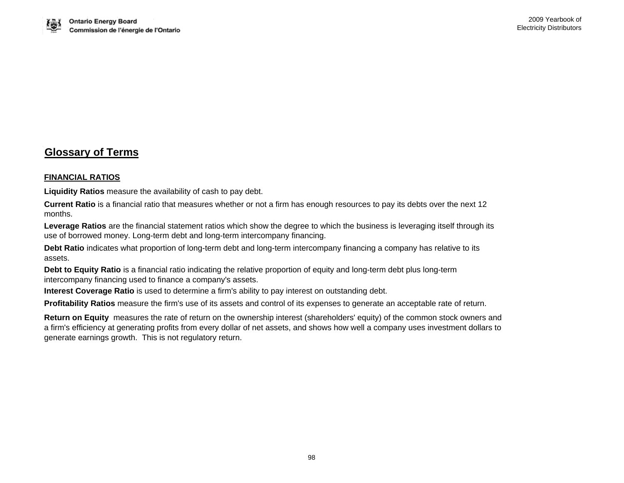

#### **FINANCIAL RATIOS**

**Liquidity Ratios** measure the availability of cash to pay debt.

**Current Ratio** is a financial ratio that measures whether or not a firm has enough resources to pay its debts over the next 12 months.

**Leverage Ratios** are the financial statement ratios which show the degree to which the business is leveraging itself through its use of borrowed money. Long-term debt and long-term intercompany financing.

**Debt Ratio** indicates what proportion of long-term debt and long-term intercompany financing a company has relative to its assets.<br> **Debt to Equity Ratio** is a financial ratio indicating the relative proportion of equity assets.

**Debt to Equity Ratio** is a financial ratio indicating the relative proportion of equity and long-term debt plus long-term

**Interest Coverage Ratio** is used to determine a firm's ability to pay interest on outstanding debt.

**Profitability Ratios** measure the firm's use of its assets and control of its expenses to generate an acceptable rate of return.

**Return on Equity** measures the rate of return on the ownership interest (shareholders' equity) of the common stock owners and a firm's efficiency at generating profits from every dollar of net assets, and shows how well a company uses investment dollars to generate earnings growth. This is not regulatory return.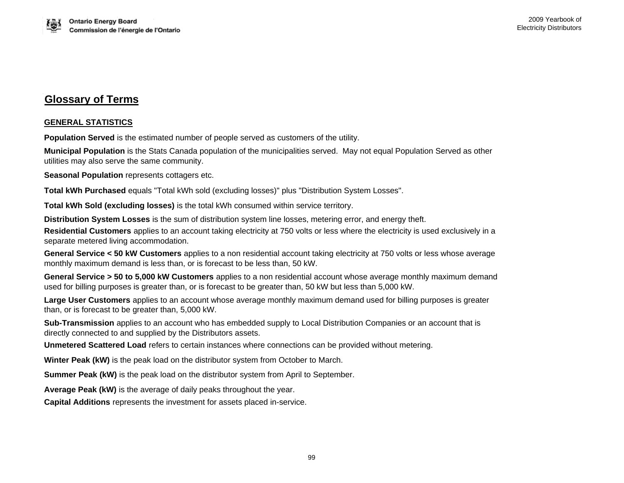### **GENERAL STATISTICS**

**Population Served** is the estimated number of people served as customers of the utility.

**Municipal Population** is the Stats Canada population of the municipalities served. May not equal Population Served as other utilities may also serve the same community.

**Seasonal Population** represents cottagers etc.

**Total kWh Purchased** equals "Total kWh sold (excluding losses)" plus "Distribution System Losses".

**Total kWh Sold (excluding losses)** is the total kWh consumed within service territory.

**Distribution System Losses** is the sum of distribution system line losses, metering error, and energy theft.

**Residential Customers** applies to an account taking electricity at 750 volts or less where the electricity is used exclusively in a separate metered living accommodation.

**General Service < 50 kW Customers** applies to a non residential account taking electricity at 750 volts or less whose average monthly maximum demand is less than, or is forecast to be less than, 50 kW.

**General Service > 50 to 5,000 kW Customers** applies to a non residential account whose average monthly maximum demand used for billing purposes is greater than, or is forecast to be greater than, 50 kW but less than 5,000 kW.

**Large User Customers** applies to an account whose average monthly maximum demand used for billing purposes is greater than, or is forecast to be greater than, 5,000 kW.

**Sub-Transmission** applies to an account who has embedded supply to Local Distribution Companies or an account that is directly connected to and supplied by the Distributors assets.

**Unmetered Scattered Load** refers to certain instances where connections can be provided without metering.

**Winter Peak (kW)** is the peak load on the distributor system from October to March.

**Summer Peak (kW)** is the peak load on the distributor system from April to September.

**Average Peak (kW)** is the average of daily peaks throughout the year.

**Capital Additions** represents the investment for assets placed in-service.